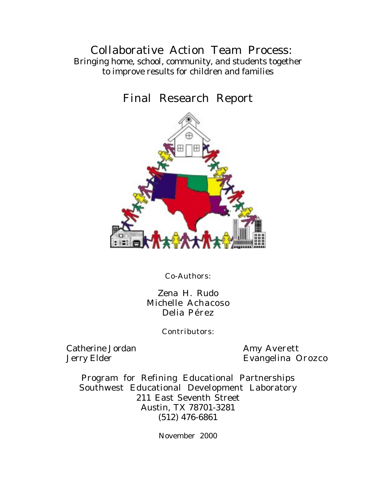## Collaborative Action Team Process: Bringing home, school, community, and students together to improve results for children and families

# Final Research Report



Co-Authors:

Zena H. Rudo Michelle Achacoso Delia Pérez

Contributors:

Catherine Jordan Amy Averett

Jerry Elder Evangelina Orozco

Program for Refining Educational Partnerships Southwest Educational Development Laboratory 211 East Seventh Street Austin, TX 78701-3281 (512) 476-6861

November 2000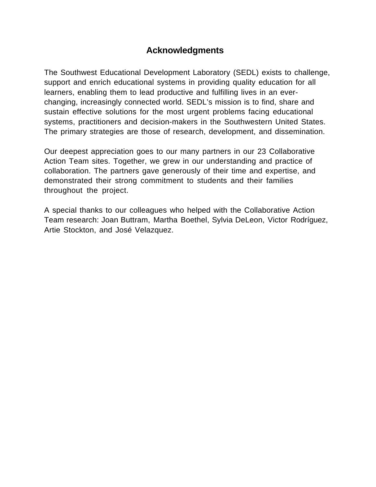## **Acknowledgments**

The Southwest Educational Development Laboratory (SEDL) exists to challenge, support and enrich educational systems in providing quality education for all learners, enabling them to lead productive and fulfilling lives in an everchanging, increasingly connected world. SEDL's mission is to find, share and sustain effective solutions for the most urgent problems facing educational systems, practitioners and decision-makers in the Southwestern United States. The primary strategies are those of research, development, and dissemination.

Our deepest appreciation goes to our many partners in our 23 Collaborative Action Team sites. Together, we grew in our understanding and practice of collaboration. The partners gave generously of their time and expertise, and demonstrated their strong commitment to students and their families throughout the project.

A special thanks to our colleagues who helped with the Collaborative Action Team research: Joan Buttram, Martha Boethel, Sylvia DeLeon, Victor Rodríguez, Artie Stockton, and José Velazquez.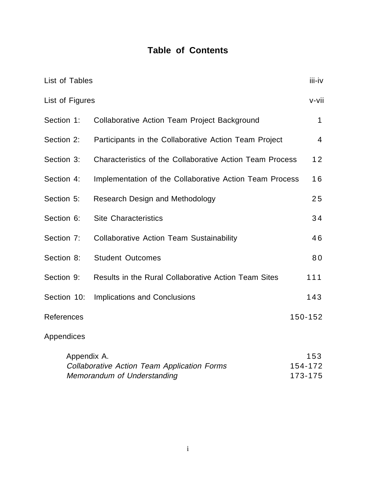## **Table of Contents**

| List of Tables  |                                                                            | iii-iv                    |
|-----------------|----------------------------------------------------------------------------|---------------------------|
| List of Figures |                                                                            | v-vii                     |
| Section 1:      | <b>Collaborative Action Team Project Background</b>                        | $\mathbf{1}$              |
| Section 2:      | Participants in the Collaborative Action Team Project                      | $\overline{4}$            |
| Section 3:      | Characteristics of the Collaborative Action Team Process                   | 12                        |
| Section 4:      | Implementation of the Collaborative Action Team Process                    | 16                        |
| Section 5:      | <b>Research Design and Methodology</b>                                     | 25                        |
| Section 6:      | <b>Site Characteristics</b>                                                | 34                        |
| Section 7:      | <b>Collaborative Action Team Sustainability</b>                            | 46                        |
| Section 8:      | <b>Student Outcomes</b>                                                    | 80                        |
| Section 9:      | Results in the Rural Collaborative Action Team Sites                       | 111                       |
| Section 10:     | <b>Implications and Conclusions</b>                                        | 143                       |
| References      |                                                                            | 150-152                   |
| Appendices      |                                                                            |                           |
| Appendix A.     | Collaborative Action Team Application Forms<br>Memorandum of Understanding | 153<br>154-172<br>173-175 |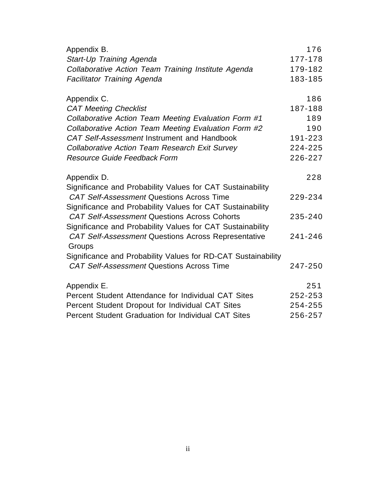| Appendix B.                                                   | 176     |
|---------------------------------------------------------------|---------|
| Start-Up Training Agenda                                      | 177-178 |
| Collaborative Action Team Training Institute Agenda           | 179-182 |
| <b>Facilitator Training Agenda</b>                            | 183-185 |
| Appendix C.                                                   | 186     |
| <b>CAT Meeting Checklist</b>                                  | 187-188 |
| Collaborative Action Team Meeting Evaluation Form #1          | 189     |
| Collaborative Action Team Meeting Evaluation Form #2          | 190     |
| CAT Self-Assessment Instrument and Handbook                   | 191-223 |
| Collaborative Action Team Research Exit Survey                | 224-225 |
| <b>Resource Guide Feedback Form</b>                           | 226-227 |
| Appendix D.                                                   | 228     |
| Significance and Probability Values for CAT Sustainability    |         |
| <b>CAT Self-Assessment Questions Across Time</b>              | 229-234 |
| Significance and Probability Values for CAT Sustainability    |         |
| <b>CAT Self-Assessment Questions Across Cohorts</b>           | 235-240 |
| Significance and Probability Values for CAT Sustainability    |         |
| <b>CAT Self-Assessment Questions Across Representative</b>    | 241-246 |
| Groups                                                        |         |
| Significance and Probability Values for RD-CAT Sustainability |         |
| <b>CAT Self-Assessment Questions Across Time</b>              | 247-250 |
| Appendix E.                                                   | 251     |
| Percent Student Attendance for Individual CAT Sites           | 252-253 |
| Percent Student Dropout for Individual CAT Sites              | 254-255 |
| Percent Student Graduation for Individual CAT Sites           | 256-257 |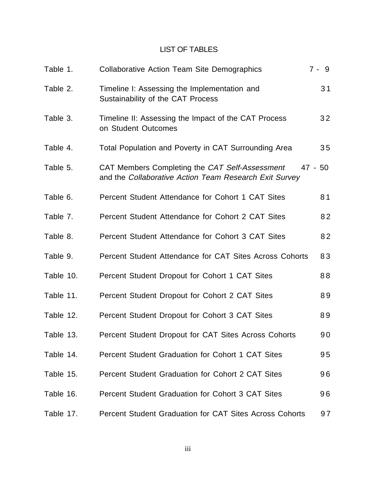### LIST OF TABLES

| Table 1.  | <b>Collaborative Action Team Site Demographics</b>                                                       | $7 - 9$ |
|-----------|----------------------------------------------------------------------------------------------------------|---------|
| Table 2.  | Timeline I: Assessing the Implementation and<br>Sustainability of the CAT Process                        | 31      |
| Table 3.  | Timeline II: Assessing the Impact of the CAT Process<br>on Student Outcomes                              | 32      |
| Table 4.  | Total Population and Poverty in CAT Surrounding Area                                                     | 35      |
| Table 5.  | CAT Members Completing the CAT Self-Assessment<br>and the Collaborative Action Team Research Exit Survey | 47 - 50 |
| Table 6.  | Percent Student Attendance for Cohort 1 CAT Sites                                                        | 81      |
| Table 7.  | Percent Student Attendance for Cohort 2 CAT Sites                                                        | 82      |
| Table 8.  | Percent Student Attendance for Cohort 3 CAT Sites                                                        | 82      |
| Table 9.  | Percent Student Attendance for CAT Sites Across Cohorts                                                  | 83      |
| Table 10. | Percent Student Dropout for Cohort 1 CAT Sites                                                           | 88      |
| Table 11. | Percent Student Dropout for Cohort 2 CAT Sites                                                           | 89      |
| Table 12. | Percent Student Dropout for Cohort 3 CAT Sites                                                           | 89      |
| Table 13. | Percent Student Dropout for CAT Sites Across Cohorts                                                     | 90      |
| Table 14. | Percent Student Graduation for Cohort 1 CAT Sites                                                        | 95      |
| Table 15. | Percent Student Graduation for Cohort 2 CAT Sites                                                        | 96      |
| Table 16. | Percent Student Graduation for Cohort 3 CAT Sites                                                        | 96      |
| Table 17. | Percent Student Graduation for CAT Sites Across Cohorts                                                  | 97      |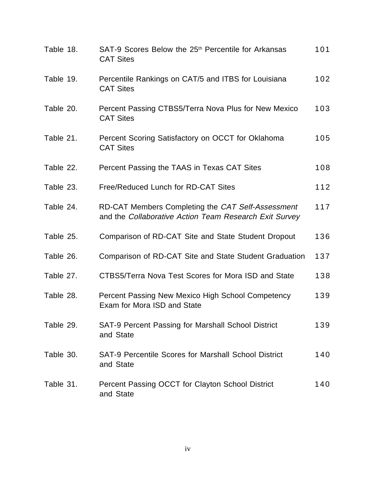| Table 18. | SAT-9 Scores Below the 25 <sup>th</sup> Percentile for Arkansas<br><b>CAT Sites</b>                         | 101   |
|-----------|-------------------------------------------------------------------------------------------------------------|-------|
| Table 19. | Percentile Rankings on CAT/5 and ITBS for Louisiana<br><b>CAT Sites</b>                                     | 102   |
| Table 20. | Percent Passing CTBS5/Terra Nova Plus for New Mexico<br><b>CAT Sites</b>                                    | 103   |
| Table 21. | Percent Scoring Satisfactory on OCCT for Oklahoma<br><b>CAT Sites</b>                                       | 105   |
| Table 22. | Percent Passing the TAAS in Texas CAT Sites                                                                 | 108   |
| Table 23. | Free/Reduced Lunch for RD-CAT Sites                                                                         | $112$ |
| Table 24. | RD-CAT Members Completing the CAT Self-Assessment<br>and the Collaborative Action Team Research Exit Survey | 117   |
| Table 25. | Comparison of RD-CAT Site and State Student Dropout                                                         | 136   |
| Table 26. | Comparison of RD-CAT Site and State Student Graduation                                                      | 137   |
| Table 27. | CTBS5/Terra Nova Test Scores for Mora ISD and State                                                         | 138   |
| Table 28. | Percent Passing New Mexico High School Competency<br>Exam for Mora ISD and State                            | 139   |
| Table 29. | SAT-9 Percent Passing for Marshall School District<br>and State                                             | 139   |
| Table 30. | <b>SAT-9 Percentile Scores for Marshall School District</b><br>and State                                    | 140   |
| Table 31. | Percent Passing OCCT for Clayton School District<br>and State                                               | 140   |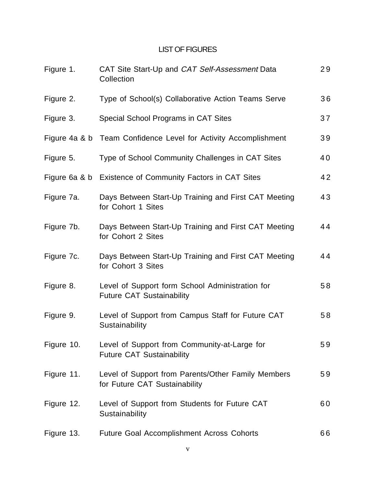## LIST OF FIGURES

| Figure 1.  | CAT Site Start-Up and CAT Self-Assessment Data<br>Collection                        | 29 |
|------------|-------------------------------------------------------------------------------------|----|
| Figure 2.  | Type of School(s) Collaborative Action Teams Serve                                  | 36 |
| Figure 3.  | Special School Programs in CAT Sites                                                | 37 |
|            | Figure 4a & b Team Confidence Level for Activity Accomplishment                     | 39 |
| Figure 5.  | Type of School Community Challenges in CAT Sites                                    | 40 |
|            | Figure 6a & b Existence of Community Factors in CAT Sites                           | 42 |
| Figure 7a. | Days Between Start-Up Training and First CAT Meeting<br>for Cohort 1 Sites          | 43 |
| Figure 7b. | Days Between Start-Up Training and First CAT Meeting<br>for Cohort 2 Sites          | 44 |
| Figure 7c. | Days Between Start-Up Training and First CAT Meeting<br>for Cohort 3 Sites          | 44 |
| Figure 8.  | Level of Support form School Administration for<br><b>Future CAT Sustainability</b> | 58 |
| Figure 9.  | Level of Support from Campus Staff for Future CAT<br>Sustainability                 | 58 |
| Figure 10. | Level of Support from Community-at-Large for<br><b>Future CAT Sustainability</b>    | 59 |
| Figure 11. | Level of Support from Parents/Other Family Members<br>for Future CAT Sustainability | 59 |
| Figure 12. | Level of Support from Students for Future CAT<br>Sustainability                     | 60 |
| Figure 13. | <b>Future Goal Accomplishment Across Cohorts</b>                                    | 66 |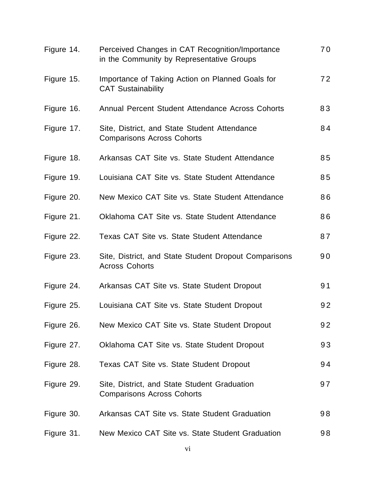| Figure 14. | Perceived Changes in CAT Recognition/Importance<br>in the Community by Representative Groups | 70 |
|------------|----------------------------------------------------------------------------------------------|----|
| Figure 15. | Importance of Taking Action on Planned Goals for<br><b>CAT Sustainability</b>                | 72 |
| Figure 16. | Annual Percent Student Attendance Across Cohorts                                             | 83 |
| Figure 17. | Site, District, and State Student Attendance<br><b>Comparisons Across Cohorts</b>            | 84 |
| Figure 18. | Arkansas CAT Site vs. State Student Attendance                                               | 85 |
| Figure 19. | Louisiana CAT Site vs. State Student Attendance                                              | 85 |
| Figure 20. | New Mexico CAT Site vs. State Student Attendance                                             | 86 |
| Figure 21. | Oklahoma CAT Site vs. State Student Attendance                                               | 86 |
| Figure 22. | Texas CAT Site vs. State Student Attendance                                                  | 87 |
| Figure 23. | Site, District, and State Student Dropout Comparisons<br><b>Across Cohorts</b>               | 90 |
| Figure 24. | Arkansas CAT Site vs. State Student Dropout                                                  | 91 |
| Figure 25. | Louisiana CAT Site vs. State Student Dropout                                                 | 92 |
| Figure 26. | New Mexico CAT Site vs. State Student Dropout                                                | 92 |
| Figure 27. | Oklahoma CAT Site vs. State Student Dropout                                                  | 93 |
| Figure 28. | Texas CAT Site vs. State Student Dropout                                                     | 94 |
| Figure 29. | Site, District, and State Student Graduation<br><b>Comparisons Across Cohorts</b>            | 97 |
| Figure 30. | Arkansas CAT Site vs. State Student Graduation                                               | 98 |
| Figure 31. | New Mexico CAT Site vs. State Student Graduation                                             | 98 |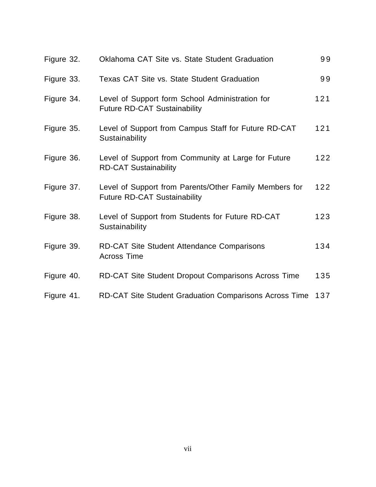| Figure 32. | Oklahoma CAT Site vs. State Student Graduation                                                | 99  |
|------------|-----------------------------------------------------------------------------------------------|-----|
| Figure 33. | <b>Texas CAT Site vs. State Student Graduation</b>                                            | 99  |
| Figure 34. | Level of Support form School Administration for<br><b>Future RD-CAT Sustainability</b>        | 121 |
| Figure 35. | Level of Support from Campus Staff for Future RD-CAT<br>Sustainability                        | 121 |
| Figure 36. | Level of Support from Community at Large for Future<br><b>RD-CAT Sustainability</b>           | 122 |
| Figure 37. | Level of Support from Parents/Other Family Members for<br><b>Future RD-CAT Sustainability</b> | 122 |
| Figure 38. | Level of Support from Students for Future RD-CAT<br>Sustainability                            | 123 |
| Figure 39. | <b>RD-CAT Site Student Attendance Comparisons</b><br><b>Across Time</b>                       | 134 |
| Figure 40. | <b>RD-CAT Site Student Dropout Comparisons Across Time</b>                                    | 135 |
| Figure 41. | <b>RD-CAT Site Student Graduation Comparisons Across Time</b>                                 | 137 |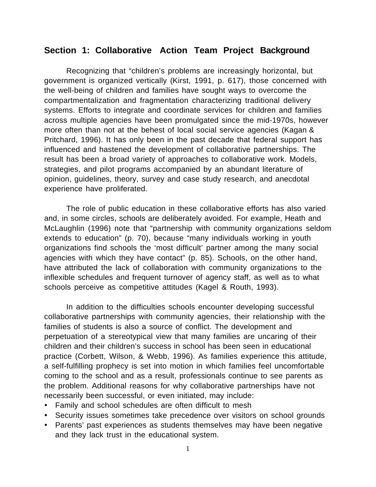### **Section 1: Collaborative Action Team Project Background**

Recognizing that "children's problems are increasingly horizontal, but government is organized vertically (Kirst, 1991, p. 617), those concerned with the well-being of children and families have sought ways to overcome the compartmentalization and fragmentation characterizing traditional delivery systems. Efforts to integrate and coordinate services for children and families across multiple agencies have been promulgated since the mid-1970s, however more often than not at the behest of local social service agencies (Kagan & Pritchard, 1996). It has only been in the past decade that federal support has influenced and hastened the development of collaborative partnerships. The result has been a broad variety of approaches to collaborative work. Models, strategies, and pilot programs accompanied by an abundant literature of opinion, guidelines, theory, survey and case study research, and anecdotal experience have proliferated.

The role of public education in these collaborative efforts has also varied and, in some circles, schools are deliberately avoided. For example, Heath and McLaughlin (1996) note that "partnership with community organizations seldom extends to education" (p. 70), because "many individuals working in youth organizations find schools the 'most difficult' partner among the many social agencies with which they have contact" (p. 85). Schools, on the other hand, have attributed the lack of collaboration with community organizations to the inflexible schedules and frequent turnover of agency staff, as well as to what schools perceive as competitive attitudes (Kagel & Routh, 1993).

In addition to the difficulties schools encounter developing successful collaborative partnerships with community agencies, their relationship with the families of students is also a source of conflict. The development and perpetuation of a stereotypical view that many families are uncaring of their children and their children's success in school has been seen in educational practice (Corbett, Wilson, & Webb, 1996). As families experience this attitude, a self-fulfilling prophecy is set into motion in which families feel uncomfortable coming to the school and as a result, professionals continue to see parents as the problem. Additional reasons for why collaborative partnerships have not necessarily been successful, or even initiated, may include:

- · Family and school schedules are often difficult to mesh
- · Security issues sometimes take precedence over visitors on school grounds
- · Parents' past experiences as students themselves may have been negative and they lack trust in the educational system.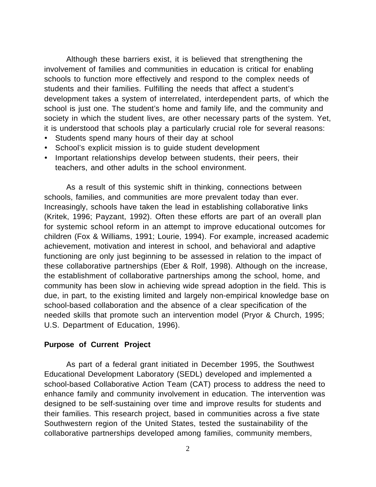Although these barriers exist, it is believed that strengthening the involvement of families and communities in education is critical for enabling schools to function more effectively and respond to the complex needs of students and their families. Fulfilling the needs that affect a student's development takes a system of interrelated, interdependent parts, of which the school is just one. The student's home and family life, and the community and society in which the student lives, are other necessary parts of the system. Yet, it is understood that schools play a particularly crucial role for several reasons:

- · Students spend many hours of their day at school
- · School's explicit mission is to guide student development
- · Important relationships develop between students, their peers, their teachers, and other adults in the school environment.

As a result of this systemic shift in thinking, connections between schools, families, and communities are more prevalent today than ever. Increasingly, schools have taken the lead in establishing collaborative links (Kritek, 1996; Payzant, 1992). Often these efforts are part of an overall plan for systemic school reform in an attempt to improve educational outcomes for children (Fox & Williams, 1991; Lourie, 1994). For example, increased academic achievement, motivation and interest in school, and behavioral and adaptive functioning are only just beginning to be assessed in relation to the impact of these collaborative partnerships (Eber & Rolf, 1998). Although on the increase, the establishment of collaborative partnerships among the school, home, and community has been slow in achieving wide spread adoption in the field. This is due, in part, to the existing limited and largely non-empirical knowledge base on school-based collaboration and the absence of a clear specification of the needed skills that promote such an intervention model (Pryor & Church, 1995; U.S. Department of Education, 1996).

#### **Purpose of Current Project**

As part of a federal grant initiated in December 1995, the Southwest Educational Development Laboratory (SEDL) developed and implemented a school-based Collaborative Action Team (CAT) process to address the need to enhance family and community involvement in education. The intervention was designed to be self-sustaining over time and improve results for students and their families. This research project, based in communities across a five state Southwestern region of the United States, tested the sustainability of the collaborative partnerships developed among families, community members,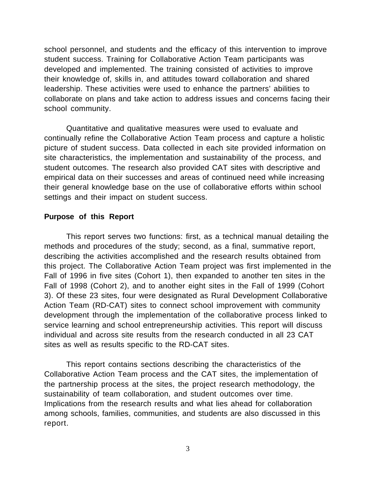school personnel, and students and the efficacy of this intervention to improve student success. Training for Collaborative Action Team participants was developed and implemented. The training consisted of activities to improve their knowledge of, skills in, and attitudes toward collaboration and shared leadership. These activities were used to enhance the partners' abilities to collaborate on plans and take action to address issues and concerns facing their school community.

Quantitative and qualitative measures were used to evaluate and continually refine the Collaborative Action Team process and capture a holistic picture of student success. Data collected in each site provided information on site characteristics, the implementation and sustainability of the process, and student outcomes. The research also provided CAT sites with descriptive and empirical data on their successes and areas of continued need while increasing their general knowledge base on the use of collaborative efforts within school settings and their impact on student success.

#### **Purpose of this Report**

This report serves two functions: first, as a technical manual detailing the methods and procedures of the study; second, as a final, summative report, describing the activities accomplished and the research results obtained from this project. The Collaborative Action Team project was first implemented in the Fall of 1996 in five sites (Cohort 1), then expanded to another ten sites in the Fall of 1998 (Cohort 2), and to another eight sites in the Fall of 1999 (Cohort 3). Of these 23 sites, four were designated as Rural Development Collaborative Action Team (RD-CAT) sites to connect school improvement with community development through the implementation of the collaborative process linked to service learning and school entrepreneurship activities. This report will discuss individual and across site results from the research conducted in all 23 CAT sites as well as results specific to the RD-CAT sites.

This report contains sections describing the characteristics of the Collaborative Action Team process and the CAT sites, the implementation of the partnership process at the sites, the project research methodology, the sustainability of team collaboration, and student outcomes over time. Implications from the research results and what lies ahead for collaboration among schools, families, communities, and students are also discussed in this report.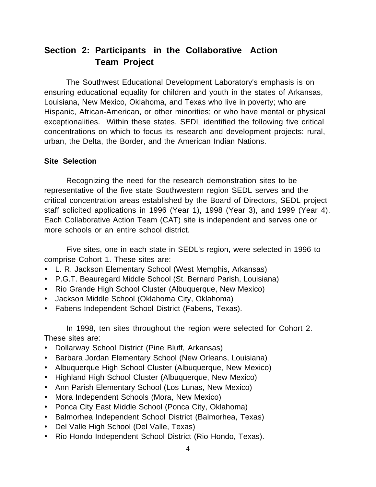## **Section 2: Participants in the Collaborative Action Team Project**

The Southwest Educational Development Laboratory's emphasis is on ensuring educational equality for children and youth in the states of Arkansas, Louisiana, New Mexico, Oklahoma, and Texas who live in poverty; who are Hispanic, African-American, or other minorities; or who have mental or physical exceptionalities. Within these states, SEDL identified the following five critical concentrations on which to focus its research and development projects: rural, urban, the Delta, the Border, and the American Indian Nations.

### **Site Selection**

Recognizing the need for the research demonstration sites to be representative of the five state Southwestern region SEDL serves and the critical concentration areas established by the Board of Directors, SEDL project staff solicited applications in 1996 (Year 1), 1998 (Year 3), and 1999 (Year 4). Each Collaborative Action Team (CAT) site is independent and serves one or more schools or an entire school district.

Five sites, one in each state in SEDL's region, were selected in 1996 to comprise Cohort 1. These sites are:

- · L. R. Jackson Elementary School (West Memphis, Arkansas)
- · P.G.T. Beauregard Middle School (St. Bernard Parish, Louisiana)
- · Rio Grande High School Cluster (Albuquerque, New Mexico)
- · Jackson Middle School (Oklahoma City, Oklahoma)
- · Fabens Independent School District (Fabens, Texas).

In 1998, ten sites throughout the region were selected for Cohort 2. These sites are:

- · Dollarway School District (Pine Bluff, Arkansas)
- · Barbara Jordan Elementary School (New Orleans, Louisiana)
- · Albuquerque High School Cluster (Albuquerque, New Mexico)
- · Highland High School Cluster (Albuquerque, New Mexico)
- · Ann Parish Elementary School (Los Lunas, New Mexico)
- · Mora Independent Schools (Mora, New Mexico)
- · Ponca City East Middle School (Ponca City, Oklahoma)
- · Balmorhea Independent School District (Balmorhea, Texas)
- · Del Valle High School (Del Valle, Texas)
- · Rio Hondo Independent School District (Rio Hondo, Texas).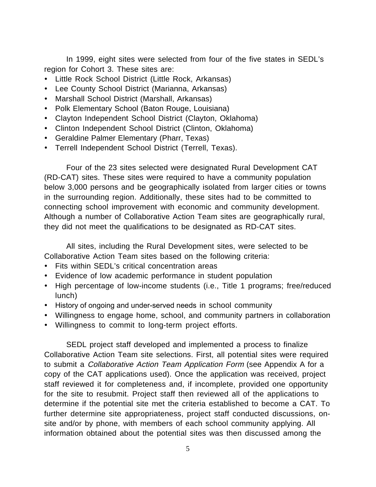In 1999, eight sites were selected from four of the five states in SEDL's region for Cohort 3. These sites are:

- · Little Rock School District (Little Rock, Arkansas)
- · Lee County School District (Marianna, Arkansas)
- · Marshall School District (Marshall, Arkansas)
- · Polk Elementary School (Baton Rouge, Louisiana)
- · Clayton Independent School District (Clayton, Oklahoma)
- · Clinton Independent School District (Clinton, Oklahoma)
- · Geraldine Palmer Elementary (Pharr, Texas)
- · Terrell Independent School District (Terrell, Texas).

Four of the 23 sites selected were designated Rural Development CAT (RD-CAT) sites. These sites were required to have a community population below 3,000 persons and be geographically isolated from larger cities or towns in the surrounding region. Additionally, these sites had to be committed to connecting school improvement with economic and community development. Although a number of Collaborative Action Team sites are geographically rural, they did not meet the qualifications to be designated as RD-CAT sites.

All sites, including the Rural Development sites, were selected to be Collaborative Action Team sites based on the following criteria:

- · Fits within SEDL's critical concentration areas
- · Evidence of low academic performance in student population
- · High percentage of low-income students (i.e., Title 1 programs; free/reduced lunch)
- · History of ongoing and under-served needs in school community
- · Willingness to engage home, school, and community partners in collaboration
- · Willingness to commit to long-term project efforts.

SEDL project staff developed and implemented a process to finalize Collaborative Action Team site selections. First, all potential sites were required to submit a Collaborative Action Team Application Form (see Appendix A for a copy of the CAT applications used). Once the application was received, project staff reviewed it for completeness and, if incomplete, provided one opportunity for the site to resubmit. Project staff then reviewed all of the applications to determine if the potential site met the criteria established to become a CAT. To further determine site appropriateness, project staff conducted discussions, onsite and/or by phone, with members of each school community applying. All information obtained about the potential sites was then discussed among the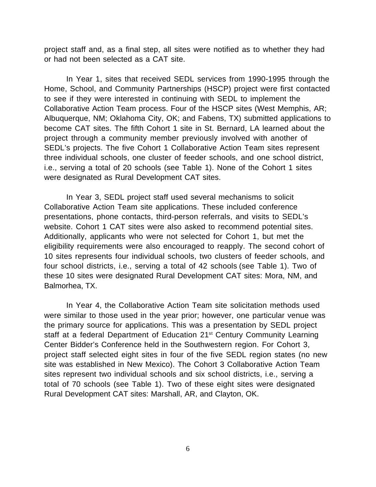project staff and, as a final step, all sites were notified as to whether they had or had not been selected as a CAT site.

In Year 1, sites that received SEDL services from 1990-1995 through the Home, School, and Community Partnerships (HSCP) project were first contacted to see if they were interested in continuing with SEDL to implement the Collaborative Action Team process. Four of the HSCP sites (West Memphis, AR; Albuquerque, NM; Oklahoma City, OK; and Fabens, TX) submitted applications to become CAT sites. The fifth Cohort 1 site in St. Bernard, LA learned about the project through a community member previously involved with another of SEDL's projects. The five Cohort 1 Collaborative Action Team sites represent three individual schools, one cluster of feeder schools, and one school district, i.e., serving a total of 20 schools (see Table 1). None of the Cohort 1 sites were designated as Rural Development CAT sites.

In Year 3, SEDL project staff used several mechanisms to solicit Collaborative Action Team site applications. These included conference presentations, phone contacts, third-person referrals, and visits to SEDL's website. Cohort 1 CAT sites were also asked to recommend potential sites. Additionally, applicants who were not selected for Cohort 1, but met the eligibility requirements were also encouraged to reapply. The second cohort of 10 sites represents four individual schools, two clusters of feeder schools, and four school districts, i.e., serving a total of 42 schools (see Table 1). Two of these 10 sites were designated Rural Development CAT sites: Mora, NM, and Balmorhea, TX.

In Year 4, the Collaborative Action Team site solicitation methods used were similar to those used in the year prior; however, one particular venue was the primary source for applications. This was a presentation by SEDL project staff at a federal Department of Education 21<sup>st</sup> Century Community Learning Center Bidder's Conference held in the Southwestern region. For Cohort 3, project staff selected eight sites in four of the five SEDL region states (no new site was established in New Mexico). The Cohort 3 Collaborative Action Team sites represent two individual schools and six school districts, i.e., serving a total of 70 schools (see Table 1). Two of these eight sites were designated Rural Development CAT sites: Marshall, AR, and Clayton, OK.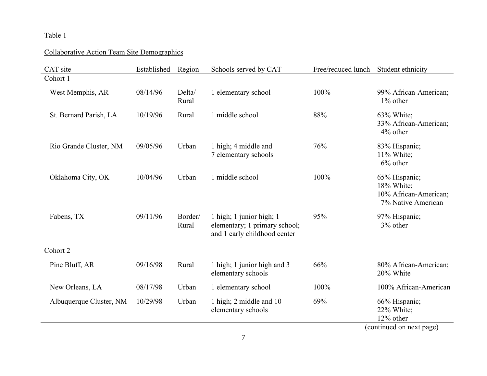#### Table 1

### Collaborative Action Team Site Demographics

| CAT site                | Established | Region           | Schools served by CAT                                                                     | Free/reduced lunch | Student ethnicity                                                          |
|-------------------------|-------------|------------------|-------------------------------------------------------------------------------------------|--------------------|----------------------------------------------------------------------------|
| Cohort 1                |             |                  |                                                                                           |                    |                                                                            |
| West Memphis, AR        | 08/14/96    | Delta/<br>Rural  | 1 elementary school                                                                       | 100%               | 99% African-American;<br>1% other                                          |
| St. Bernard Parish, LA  | 10/19/96    | Rural            | 1 middle school                                                                           | 88%                | 63% White;<br>33% African-American;<br>4% other                            |
| Rio Grande Cluster, NM  | 09/05/96    | Urban            | 1 high; 4 middle and<br>7 elementary schools                                              | 76%                | 83% Hispanic;<br>$11\%$ White;<br>6% other                                 |
| Oklahoma City, OK       | 10/04/96    | Urban            | 1 middle school                                                                           | 100%               | 65% Hispanic;<br>18% White;<br>10% African-American;<br>7% Native American |
| Fabens, TX              | 09/11/96    | Border/<br>Rural | 1 high; 1 junior high; 1<br>elementary; 1 primary school;<br>and 1 early childhood center | 95%                | 97% Hispanic;<br>3% other                                                  |
| Cohort 2                |             |                  |                                                                                           |                    |                                                                            |
| Pine Bluff, AR          | 09/16/98    | Rural            | 1 high; 1 junior high and 3<br>elementary schools                                         | 66%                | 80% African-American;<br>20% White                                         |
| New Orleans, LA         | 08/17/98    | Urban            | 1 elementary school                                                                       | 100%               | 100% African-American                                                      |
| Albuquerque Cluster, NM | 10/29/98    | Urban            | 1 high; 2 middle and 10<br>elementary schools                                             | 69%                | 66% Hispanic;<br>22% White;<br>12% other<br>(continued on novt nego)       |

(continued on next page)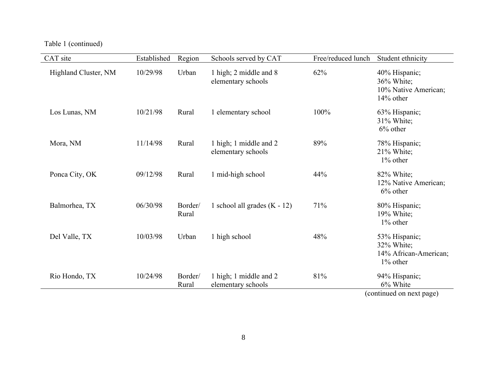Table 1 (continued)

| CAT site             | Established | Region           | Schools served by CAT                        | Free/reduced lunch | Student ethnicity                                                   |
|----------------------|-------------|------------------|----------------------------------------------|--------------------|---------------------------------------------------------------------|
| Highland Cluster, NM | 10/29/98    | Urban            | 1 high; 2 middle and 8<br>elementary schools | 62%                | 40% Hispanic;<br>36% White;<br>10% Native American;<br>$14\%$ other |
| Los Lunas, NM        | 10/21/98    | Rural            | 1 elementary school                          | 100%               | 63% Hispanic;<br>31% White;<br>$6\%$ other                          |
| Mora, NM             | 11/14/98    | Rural            | 1 high; 1 middle and 2<br>elementary schools | 89%                | 78% Hispanic;<br>21% White;<br>1% other                             |
| Ponca City, OK       | 09/12/98    | Rural            | 1 mid-high school                            | 44%                | 82% White;<br>12% Native American;<br>$6\%$ other                   |
| Balmorhea, TX        | 06/30/98    | Border/<br>Rural | 1 school all grades $(K - 12)$               | 71%                | 80% Hispanic;<br>19% White;<br>1% other                             |
| Del Valle, TX        | 10/03/98    | Urban            | 1 high school                                | 48%                | 53% Hispanic;<br>32% White;<br>14% African-American;<br>1% other    |
| Rio Hondo, TX        | 10/24/98    | Border/<br>Rural | 1 high; 1 middle and 2<br>elementary schools | 81%                | 94% Hispanic;<br>6% White                                           |
|                      |             |                  |                                              |                    | (continued on next page)                                            |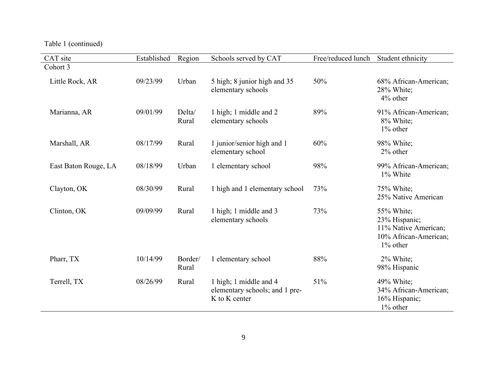Table 1 (continued)

| CAT site             | Established | Region           | Schools served by CAT                                                     | Free/reduced lunch | Student ethnicity                                                                           |
|----------------------|-------------|------------------|---------------------------------------------------------------------------|--------------------|---------------------------------------------------------------------------------------------|
| Cohort 3             |             |                  |                                                                           |                    |                                                                                             |
| Little Rock, AR      | 09/23/99    | Urban            | 5 high; 8 junior high and 35<br>elementary schools                        | 50%                | 68% African-American;<br>28% White;<br>4% other                                             |
| Marianna, AR         | 09/01/99    | Delta/<br>Rural  | 1 high; 1 middle and 2<br>elementary schools                              | 89%                | 91% African-American;<br>8% White;<br>$1\%$ other                                           |
| Marshall, AR         | 08/17/99    | Rural            | 1 junior/senior high and 1<br>elementary school                           | 60%                | 98% White;<br>2% other                                                                      |
| East Baton Rouge, LA | 08/18/99    | Urban            | 1 elementary school                                                       | 98%                | 99% African-American;<br>1% White                                                           |
| Clayton, OK          | 08/30/99    | Rural            | 1 high and 1 elementary school                                            | 73%                | 75% White;<br>25% Native American                                                           |
| Clinton, OK          | 09/09/99    | Rural            | 1 high; 1 middle and 3<br>elementary schools                              | 73%                | 55% White;<br>23% Hispanic;<br>11% Native American;<br>10% African-American;<br>$1\%$ other |
| Pharr, TX            | 10/14/99    | Border/<br>Rural | 1 elementary school                                                       | 88%                | 2% White;<br>98% Hispanic                                                                   |
| Terrell, TX          | 08/26/99    | Rural            | 1 high; 1 middle and 4<br>elementary schools; and 1 pre-<br>K to K center | 51%                | 49% White;<br>34% African-American;<br>16% Hispanic;<br>1% other                            |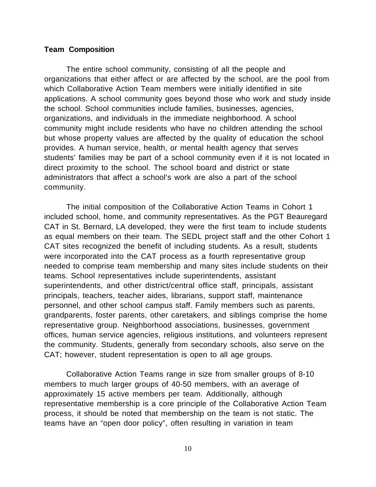#### **Team Composition**

The entire school community, consisting of all the people and organizations that either affect or are affected by the school, are the pool from which Collaborative Action Team members were initially identified in site applications. A school community goes beyond those who work and study inside the school. School communities include families, businesses, agencies, organizations, and individuals in the immediate neighborhood. A school community might include residents who have no children attending the school but whose property values are affected by the quality of education the school provides. A human service, health, or mental health agency that serves students' families may be part of a school community even if it is not located in direct proximity to the school. The school board and district or state administrators that affect a school's work are also a part of the school community.

The initial composition of the Collaborative Action Teams in Cohort 1 included school, home, and community representatives. As the PGT Beauregard CAT in St. Bernard, LA developed, they were the first team to include students as equal members on their team. The SEDL project staff and the other Cohort 1 CAT sites recognized the benefit of including students. As a result, students were incorporated into the CAT process as a fourth representative group needed to comprise team membership and many sites include students on their teams. School representatives include superintendents, assistant superintendents, and other district/central office staff, principals, assistant principals, teachers, teacher aides, librarians, support staff, maintenance personnel, and other school campus staff. Family members such as parents, grandparents, foster parents, other caretakers, and siblings comprise the home representative group. Neighborhood associations, businesses, government offices, human service agencies, religious institutions, and volunteers represent the community. Students, generally from secondary schools, also serve on the CAT; however, student representation is open to all age groups.

Collaborative Action Teams range in size from smaller groups of 8-10 members to much larger groups of 40-50 members, with an average of approximately 15 active members per team. Additionally, although representative membership is a core principle of the Collaborative Action Team process, it should be noted that membership on the team is not static. The teams have an "open door policy", often resulting in variation in team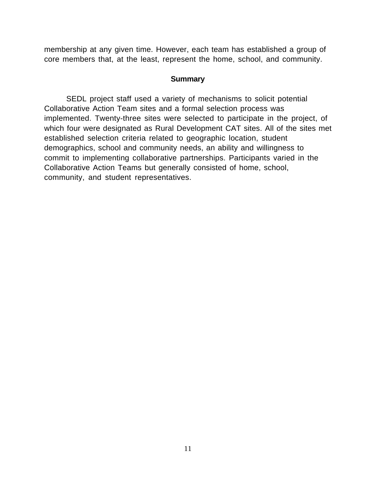membership at any given time. However, each team has established a group of core members that, at the least, represent the home, school, and community.

#### **Summary**

SEDL project staff used a variety of mechanisms to solicit potential Collaborative Action Team sites and a formal selection process was implemented. Twenty-three sites were selected to participate in the project, of which four were designated as Rural Development CAT sites. All of the sites met established selection criteria related to geographic location, student demographics, school and community needs, an ability and willingness to commit to implementing collaborative partnerships. Participants varied in the Collaborative Action Teams but generally consisted of home, school, community, and student representatives.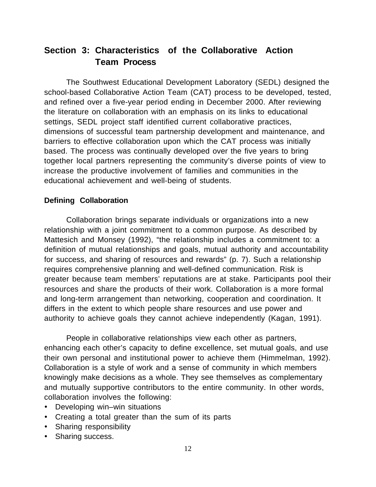## **Section 3: Characteristics of the Collaborative Action Team Process**

The Southwest Educational Development Laboratory (SEDL) designed the school-based Collaborative Action Team (CAT) process to be developed, tested, and refined over a five-year period ending in December 2000. After reviewing the literature on collaboration with an emphasis on its links to educational settings, SEDL project staff identified current collaborative practices, dimensions of successful team partnership development and maintenance, and barriers to effective collaboration upon which the CAT process was initially based. The process was continually developed over the five years to bring together local partners representing the community's diverse points of view to increase the productive involvement of families and communities in the educational achievement and well-being of students.

### **Defining Collaboration**

Collaboration brings separate individuals or organizations into a new relationship with a joint commitment to a common purpose. As described by Mattesich and Monsey (1992), "the relationship includes a commitment to: a definition of mutual relationships and goals, mutual authority and accountability for success, and sharing of resources and rewards" (p. 7). Such a relationship requires comprehensive planning and well-defined communication. Risk is greater because team members' reputations are at stake. Participants pool their resources and share the products of their work. Collaboration is a more formal and long-term arrangement than networking, cooperation and coordination. It differs in the extent to which people share resources and use power and authority to achieve goals they cannot achieve independently (Kagan, 1991).

People in collaborative relationships view each other as partners, enhancing each other's capacity to define excellence, set mutual goals, and use their own personal and institutional power to achieve them (Himmelman, 1992). Collaboration is a style of work and a sense of community in which members knowingly make decisions as a whole. They see themselves as complementary and mutually supportive contributors to the entire community. In other words, collaboration involves the following:

- · Developing win–win situations
- · Creating a total greater than the sum of its parts
- · Sharing responsibility
- · Sharing success.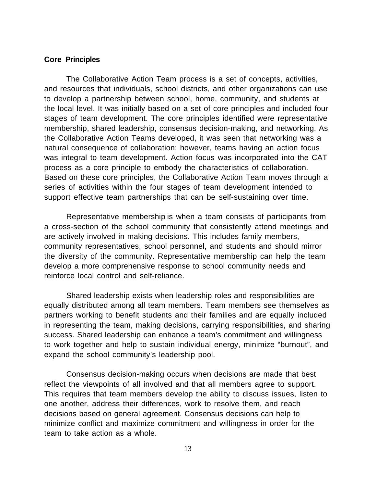#### **Core Principles**

The Collaborative Action Team process is a set of concepts, activities, and resources that individuals, school districts, and other organizations can use to develop a partnership between school, home, community, and students at the local level. It was initially based on a set of core principles and included four stages of team development. The core principles identified were representative membership, shared leadership, consensus decision-making, and networking. As the Collaborative Action Teams developed, it was seen that networking was a natural consequence of collaboration; however, teams having an action focus was integral to team development. Action focus was incorporated into the CAT process as a core principle to embody the characteristics of collaboration. Based on these core principles, the Collaborative Action Team moves through a series of activities within the four stages of team development intended to support effective team partnerships that can be self-sustaining over time.

Representative membership is when a team consists of participants from a cross-section of the school community that consistently attend meetings and are actively involved in making decisions. This includes family members, community representatives, school personnel, and students and should mirror the diversity of the community. Representative membership can help the team develop a more comprehensive response to school community needs and reinforce local control and self-reliance.

Shared leadership exists when leadership roles and responsibilities are equally distributed among all team members. Team members see themselves as partners working to benefit students and their families and are equally included in representing the team, making decisions, carrying responsibilities, and sharing success. Shared leadership can enhance a team's commitment and willingness to work together and help to sustain individual energy, minimize "burnout", and expand the school community's leadership pool.

Consensus decision-making occurs when decisions are made that best reflect the viewpoints of all involved and that all members agree to support. This requires that team members develop the ability to discuss issues, listen to one another, address their differences, work to resolve them, and reach decisions based on general agreement. Consensus decisions can help to minimize conflict and maximize commitment and willingness in order for the team to take action as a whole.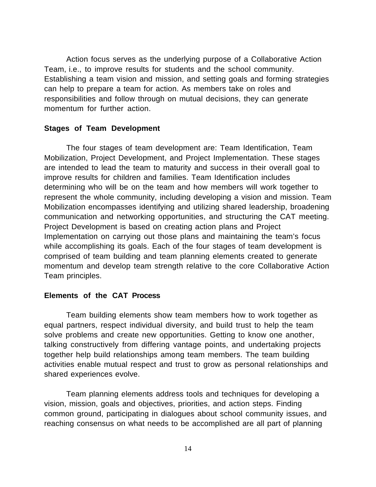Action focus serves as the underlying purpose of a Collaborative Action Team, i.e., to improve results for students and the school community. Establishing a team vision and mission, and setting goals and forming strategies can help to prepare a team for action. As members take on roles and responsibilities and follow through on mutual decisions, they can generate momentum for further action.

#### **Stages of Team Development**

The four stages of team development are: Team Identification, Team Mobilization, Project Development, and Project Implementation. These stages are intended to lead the team to maturity and success in their overall goal to improve results for children and families. Team Identification includes determining who will be on the team and how members will work together to represent the whole community, including developing a vision and mission. Team Mobilization encompasses identifying and utilizing shared leadership, broadening communication and networking opportunities, and structuring the CAT meeting. Project Development is based on creating action plans and Project Implementation on carrying out those plans and maintaining the team's focus while accomplishing its goals. Each of the four stages of team development is comprised of team building and team planning elements created to generate momentum and develop team strength relative to the core Collaborative Action Team principles.

#### **Elements of the CAT Process**

Team building elements show team members how to work together as equal partners, respect individual diversity, and build trust to help the team solve problems and create new opportunities. Getting to know one another, talking constructively from differing vantage points, and undertaking projects together help build relationships among team members. The team building activities enable mutual respect and trust to grow as personal relationships and shared experiences evolve.

Team planning elements address tools and techniques for developing a vision, mission, goals and objectives, priorities, and action steps. Finding common ground, participating in dialogues about school community issues, and reaching consensus on what needs to be accomplished are all part of planning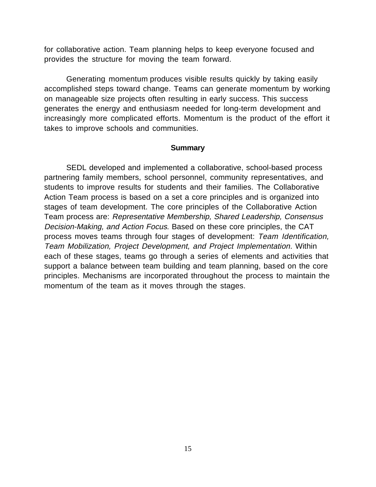for collaborative action. Team planning helps to keep everyone focused and provides the structure for moving the team forward.

Generating momentum produces visible results quickly by taking easily accomplished steps toward change. Teams can generate momentum by working on manageable size projects often resulting in early success. This success generates the energy and enthusiasm needed for long-term development and increasingly more complicated efforts. Momentum is the product of the effort it takes to improve schools and communities.

#### **Summary**

SEDL developed and implemented a collaborative, school-based process partnering family members, school personnel, community representatives, and students to improve results for students and their families. The Collaborative Action Team process is based on a set a core principles and is organized into stages of team development. The core principles of the Collaborative Action Team process are: Representative Membership, Shared Leadership, Consensus Decision-Making, and Action Focus. Based on these core principles, the CAT process moves teams through four stages of development: Team Identification, Team Mobilization, Project Development, and Project Implementation. Within each of these stages, teams go through a series of elements and activities that support a balance between team building and team planning, based on the core principles. Mechanisms are incorporated throughout the process to maintain the momentum of the team as it moves through the stages.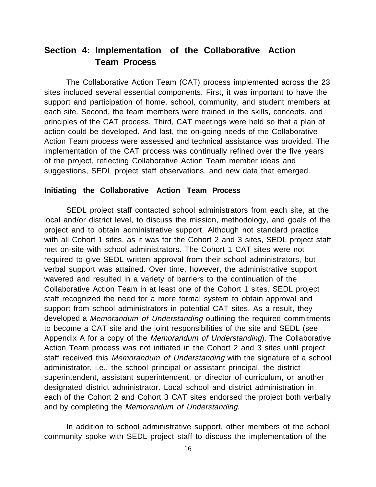## **Section 4: Implementation of the Collaborative Action Team Process**

The Collaborative Action Team (CAT) process implemented across the 23 sites included several essential components. First, it was important to have the support and participation of home, school, community, and student members at each site. Second, the team members were trained in the skills, concepts, and principles of the CAT process. Third, CAT meetings were held so that a plan of action could be developed. And last, the on-going needs of the Collaborative Action Team process were assessed and technical assistance was provided. The implementation of the CAT process was continually refined over the five years of the project, reflecting Collaborative Action Team member ideas and suggestions, SEDL project staff observations, and new data that emerged.

#### **Initiating the Collaborative Action Team Process**

SEDL project staff contacted school administrators from each site, at the local and/or district level, to discuss the mission, methodology, and goals of the project and to obtain administrative support. Although not standard practice with all Cohort 1 sites, as it was for the Cohort 2 and 3 sites, SEDL project staff met on-site with school administrators. The Cohort 1 CAT sites were not required to give SEDL written approval from their school administrators, but verbal support was attained. Over time, however, the administrative support wavered and resulted in a variety of barriers to the continuation of the Collaborative Action Team in at least one of the Cohort 1 sites. SEDL project staff recognized the need for a more formal system to obtain approval and support from school administrators in potential CAT sites. As a result, they developed a Memorandum of Understanding outlining the required commitments to become a CAT site and the joint responsibilities of the site and SEDL (see Appendix A for a copy of the Memorandum of Understanding). The Collaborative Action Team process was not initiated in the Cohort 2 and 3 sites until project staff received this Memorandum of Understanding with the signature of a school administrator, i.e., the school principal or assistant principal, the district superintendent, assistant superintendent, or director of curriculum, or another designated district administrator. Local school and district administration in each of the Cohort 2 and Cohort 3 CAT sites endorsed the project both verbally and by completing the Memorandum of Understanding.

In addition to school administrative support, other members of the school community spoke with SEDL project staff to discuss the implementation of the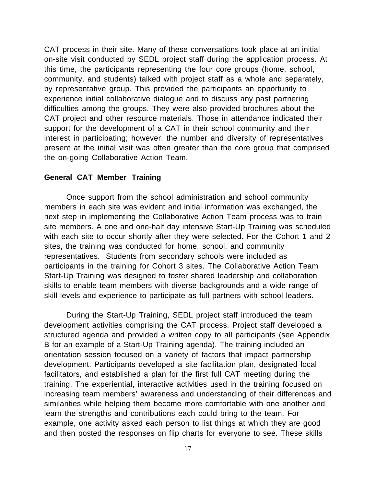CAT process in their site. Many of these conversations took place at an initial on-site visit conducted by SEDL project staff during the application process. At this time, the participants representing the four core groups (home, school, community, and students) talked with project staff as a whole and separately, by representative group. This provided the participants an opportunity to experience initial collaborative dialogue and to discuss any past partnering difficulties among the groups. They were also provided brochures about the CAT project and other resource materials. Those in attendance indicated their support for the development of a CAT in their school community and their interest in participating; however, the number and diversity of representatives present at the initial visit was often greater than the core group that comprised the on-going Collaborative Action Team.

#### **General CAT Member Training**

Once support from the school administration and school community members in each site was evident and initial information was exchanged, the next step in implementing the Collaborative Action Team process was to train site members. A one and one-half day intensive Start-Up Training was scheduled with each site to occur shortly after they were selected. For the Cohort 1 and 2 sites, the training was conducted for home, school, and community representatives. Students from secondary schools were included as participants in the training for Cohort 3 sites. The Collaborative Action Team Start-Up Training was designed to foster shared leadership and collaboration skills to enable team members with diverse backgrounds and a wide range of skill levels and experience to participate as full partners with school leaders.

During the Start-Up Training, SEDL project staff introduced the team development activities comprising the CAT process. Project staff developed a structured agenda and provided a written copy to all participants (see Appendix B for an example of a Start-Up Training agenda). The training included an orientation session focused on a variety of factors that impact partnership development. Participants developed a site facilitation plan, designated local facilitators, and established a plan for the first full CAT meeting during the training. The experiential, interactive activities used in the training focused on increasing team members' awareness and understanding of their differences and similarities while helping them become more comfortable with one another and learn the strengths and contributions each could bring to the team. For example, one activity asked each person to list things at which they are good and then posted the responses on flip charts for everyone to see. These skills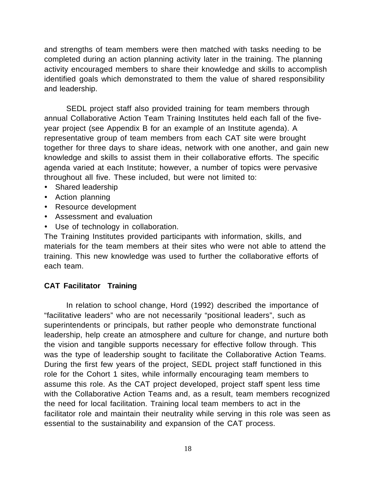and strengths of team members were then matched with tasks needing to be completed during an action planning activity later in the training. The planning activity encouraged members to share their knowledge and skills to accomplish identified goals which demonstrated to them the value of shared responsibility and leadership.

SEDL project staff also provided training for team members through annual Collaborative Action Team Training Institutes held each fall of the fiveyear project (see Appendix B for an example of an Institute agenda). A representative group of team members from each CAT site were brought together for three days to share ideas, network with one another, and gain new knowledge and skills to assist them in their collaborative efforts. The specific agenda varied at each Institute; however, a number of topics were pervasive throughout all five. These included, but were not limited to:

- · Shared leadership
- · Action planning
- · Resource development
- · Assessment and evaluation
- · Use of technology in collaboration.

The Training Institutes provided participants with information, skills, and materials for the team members at their sites who were not able to attend the training. This new knowledge was used to further the collaborative efforts of each team.

#### **CAT Facilitator Training**

In relation to school change, Hord (1992) described the importance of "facilitative leaders" who are not necessarily "positional leaders", such as superintendents or principals, but rather people who demonstrate functional leadership, help create an atmosphere and culture for change, and nurture both the vision and tangible supports necessary for effective follow through. This was the type of leadership sought to facilitate the Collaborative Action Teams. During the first few years of the project, SEDL project staff functioned in this role for the Cohort 1 sites, while informally encouraging team members to assume this role. As the CAT project developed, project staff spent less time with the Collaborative Action Teams and, as a result, team members recognized the need for local facilitation. Training local team members to act in the facilitator role and maintain their neutrality while serving in this role was seen as essential to the sustainability and expansion of the CAT process.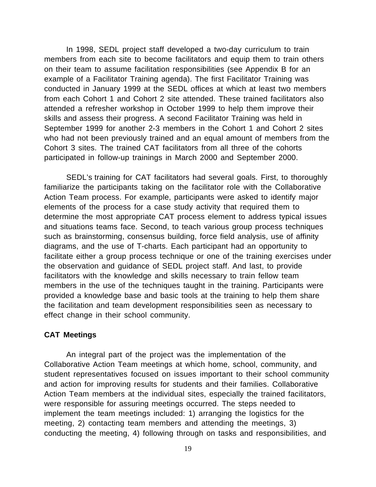In 1998, SEDL project staff developed a two-day curriculum to train members from each site to become facilitators and equip them to train others on their team to assume facilitation responsibilities (see Appendix B for an example of a Facilitator Training agenda). The first Facilitator Training was conducted in January 1999 at the SEDL offices at which at least two members from each Cohort 1 and Cohort 2 site attended. These trained facilitators also attended a refresher workshop in October 1999 to help them improve their skills and assess their progress. A second Facilitator Training was held in September 1999 for another 2-3 members in the Cohort 1 and Cohort 2 sites who had not been previously trained and an equal amount of members from the Cohort 3 sites. The trained CAT facilitators from all three of the cohorts participated in follow-up trainings in March 2000 and September 2000.

SEDL's training for CAT facilitators had several goals. First, to thoroughly familiarize the participants taking on the facilitator role with the Collaborative Action Team process. For example, participants were asked to identify major elements of the process for a case study activity that required them to determine the most appropriate CAT process element to address typical issues and situations teams face. Second, to teach various group process techniques such as brainstorming, consensus building, force field analysis, use of affinity diagrams, and the use of T-charts. Each participant had an opportunity to facilitate either a group process technique or one of the training exercises under the observation and guidance of SEDL project staff. And last, to provide facilitators with the knowledge and skills necessary to train fellow team members in the use of the techniques taught in the training. Participants were provided a knowledge base and basic tools at the training to help them share the facilitation and team development responsibilities seen as necessary to effect change in their school community.

#### **CAT Meetings**

An integral part of the project was the implementation of the Collaborative Action Team meetings at which home, school, community, and student representatives focused on issues important to their school community and action for improving results for students and their families. Collaborative Action Team members at the individual sites, especially the trained facilitators, were responsible for assuring meetings occurred. The steps needed to implement the team meetings included: 1) arranging the logistics for the meeting, 2) contacting team members and attending the meetings, 3) conducting the meeting, 4) following through on tasks and responsibilities, and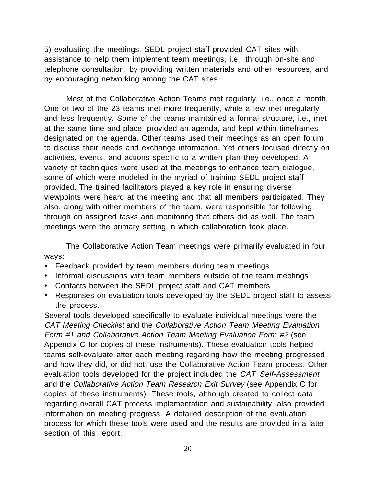5) evaluating the meetings. SEDL project staff provided CAT sites with assistance to help them implement team meetings, i.e., through on-site and telephone consultation, by providing written materials and other resources, and by encouraging networking among the CAT sites.

Most of the Collaborative Action Teams met regularly, i.e., once a month. One or two of the 23 teams met more frequently, while a few met irregularly and less frequently. Some of the teams maintained a formal structure, i.e., met at the same time and place, provided an agenda, and kept within timeframes designated on the agenda. Other teams used their meetings as an open forum to discuss their needs and exchange information. Yet others focused directly on activities, events, and actions specific to a written plan they developed. A variety of techniques were used at the meetings to enhance team dialogue, some of which were modeled in the myriad of training SEDL project staff provided. The trained facilitators played a key role in ensuring diverse viewpoints were heard at the meeting and that all members participated. They also, along with other members of the team, were responsible for following through on assigned tasks and monitoring that others did as well. The team meetings were the primary setting in which collaboration took place.

The Collaborative Action Team meetings were primarily evaluated in four ways:

- · Feedback provided by team members during team meetings
- · Informal discussions with team members outside of the team meetings
- · Contacts between the SEDL project staff and CAT members
- · Responses on evaluation tools developed by the SEDL project staff to assess the process.

Several tools developed specifically to evaluate individual meetings were the CAT Meeting Checklist and the Collaborative Action Team Meeting Evaluation Form #1 and Collaborative Action Team Meeting Evaluation Form #2 (see Appendix C for copies of these instruments). These evaluation tools helped teams self-evaluate after each meeting regarding how the meeting progressed and how they did, or did not, use the Collaborative Action Team process. Other evaluation tools developed for the project included the CAT Self-Assessment and the Collaborative Action Team Research Exit Survey (see Appendix C for copies of these instruments). These tools, although created to collect data regarding overall CAT process implementation and sustainability, also provided information on meeting progress. A detailed description of the evaluation process for which these tools were used and the results are provided in a later section of this report.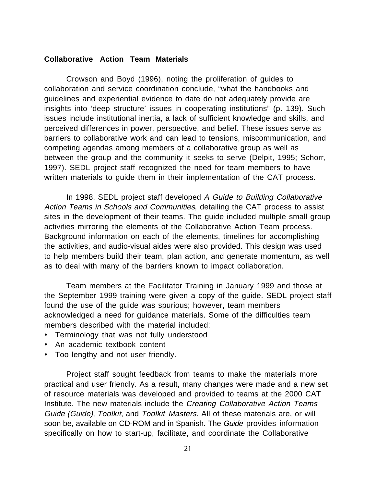#### **Collaborative Action Team Materials**

Crowson and Boyd (1996), noting the proliferation of guides to collaboration and service coordination conclude, "what the handbooks and guidelines and experiential evidence to date do not adequately provide are insights into 'deep structure' issues in cooperating institutions" (p. 139). Such issues include institutional inertia, a lack of sufficient knowledge and skills, and perceived differences in power, perspective, and belief. These issues serve as barriers to collaborative work and can lead to tensions, miscommunication, and competing agendas among members of a collaborative group as well as between the group and the community it seeks to serve (Delpit, 1995; Schorr, 1997). SEDL project staff recognized the need for team members to have written materials to guide them in their implementation of the CAT process.

In 1998, SEDL project staff developed A Guide to Building Collaborative Action Teams in Schools and Communities, detailing the CAT process to assist sites in the development of their teams. The guide included multiple small group activities mirroring the elements of the Collaborative Action Team process. Background information on each of the elements, timelines for accomplishing the activities, and audio-visual aides were also provided. This design was used to help members build their team, plan action, and generate momentum, as well as to deal with many of the barriers known to impact collaboration.

Team members at the Facilitator Training in January 1999 and those at the September 1999 training were given a copy of the guide. SEDL project staff found the use of the guide was spurious; however, team members acknowledged a need for guidance materials. Some of the difficulties team members described with the material included:

- · Terminology that was not fully understood
- · An academic textbook content
- · Too lengthy and not user friendly.

Project staff sought feedback from teams to make the materials more practical and user friendly. As a result, many changes were made and a new set of resource materials was developed and provided to teams at the 2000 CAT Institute. The new materials include the Creating Collaborative Action Teams Guide (Guide), Toolkit, and Toolkit Masters. All of these materials are, or will soon be, available on CD-ROM and in Spanish. The Guide provides information specifically on how to start-up, facilitate, and coordinate the Collaborative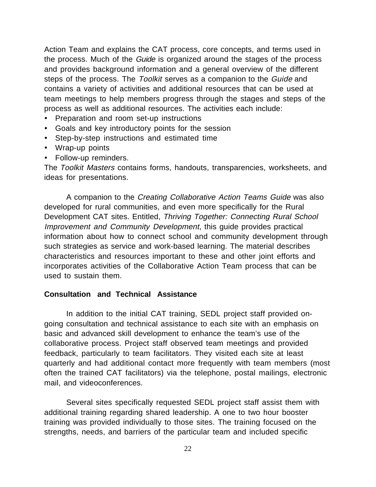Action Team and explains the CAT process, core concepts, and terms used in the process. Much of the *Guide* is organized around the stages of the process and provides background information and a general overview of the different steps of the process. The Toolkit serves as a companion to the Guide and contains a variety of activities and additional resources that can be used at team meetings to help members progress through the stages and steps of the process as well as additional resources. The activities each include:

- · Preparation and room set-up instructions
- · Goals and key introductory points for the session
- · Step-by-step instructions and estimated time
- · Wrap-up points
- · Follow-up reminders.

The Toolkit Masters contains forms, handouts, transparencies, worksheets, and ideas for presentations.

A companion to the Creating Collaborative Action Teams Guide was also developed for rural communities, and even more specifically for the Rural Development CAT sites. Entitled, Thriving Together: Connecting Rural School Improvement and Community Development, this guide provides practical information about how to connect school and community development through such strategies as service and work-based learning. The material describes characteristics and resources important to these and other joint efforts and incorporates activities of the Collaborative Action Team process that can be used to sustain them.

#### **Consultation and Technical Assistance**

In addition to the initial CAT training, SEDL project staff provided ongoing consultation and technical assistance to each site with an emphasis on basic and advanced skill development to enhance the team's use of the collaborative process. Project staff observed team meetings and provided feedback, particularly to team facilitators. They visited each site at least quarterly and had additional contact more frequently with team members (most often the trained CAT facilitators) via the telephone, postal mailings, electronic mail, and videoconferences.

Several sites specifically requested SEDL project staff assist them with additional training regarding shared leadership. A one to two hour booster training was provided individually to those sites. The training focused on the strengths, needs, and barriers of the particular team and included specific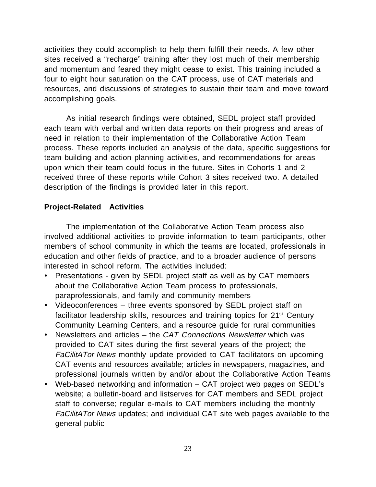activities they could accomplish to help them fulfill their needs. A few other sites received a "recharge" training after they lost much of their membership and momentum and feared they might cease to exist. This training included a four to eight hour saturation on the CAT process, use of CAT materials and resources, and discussions of strategies to sustain their team and move toward accomplishing goals.

As initial research findings were obtained, SEDL project staff provided each team with verbal and written data reports on their progress and areas of need in relation to their implementation of the Collaborative Action Team process. These reports included an analysis of the data, specific suggestions for team building and action planning activities, and recommendations for areas upon which their team could focus in the future. Sites in Cohorts 1 and 2 received three of these reports while Cohort 3 sites received two. A detailed description of the findings is provided later in this report.

#### **Project-Related Activities**

The implementation of the Collaborative Action Team process also involved additional activities to provide information to team participants, other members of school community in which the teams are located, professionals in education and other fields of practice, and to a broader audience of persons interested in school reform. The activities included:

- · Presentations given by SEDL project staff as well as by CAT members about the Collaborative Action Team process to professionals, paraprofessionals, and family and community members
- · Videoconferences three events sponsored by SEDL project staff on facilitator leadership skills, resources and training topics for 21<sup>st</sup> Century Community Learning Centers, and a resource guide for rural communities
- Newsletters and articles the CAT Connections Newsletter which was provided to CAT sites during the first several years of the project; the FaCilitATor News monthly update provided to CAT facilitators on upcoming CAT events and resources available; articles in newspapers, magazines, and professional journals written by and/or about the Collaborative Action Teams
- · Web-based networking and information CAT project web pages on SEDL's website; a bulletin-board and listserves for CAT members and SEDL project staff to converse; regular e-mails to CAT members including the monthly FaCilitATor News updates; and individual CAT site web pages available to the general public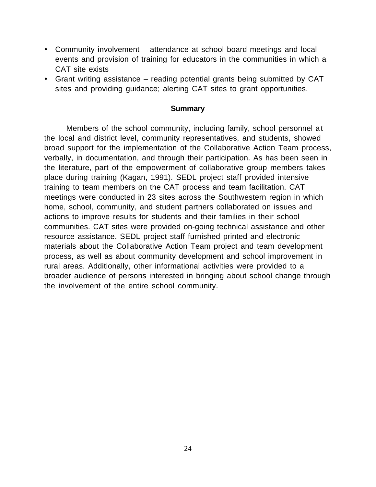- · Community involvement attendance at school board meetings and local events and provision of training for educators in the communities in which a CAT site exists
- · Grant writing assistance reading potential grants being submitted by CAT sites and providing guidance; alerting CAT sites to grant opportunities.

#### **Summary**

Members of the school community, including family, school personnel at the local and district level, community representatives, and students, showed broad support for the implementation of the Collaborative Action Team process, verbally, in documentation, and through their participation. As has been seen in the literature, part of the empowerment of collaborative group members takes place during training (Kagan, 1991). SEDL project staff provided intensive training to team members on the CAT process and team facilitation. CAT meetings were conducted in 23 sites across the Southwestern region in which home, school, community, and student partners collaborated on issues and actions to improve results for students and their families in their school communities. CAT sites were provided on-going technical assistance and other resource assistance. SEDL project staff furnished printed and electronic materials about the Collaborative Action Team project and team development process, as well as about community development and school improvement in rural areas. Additionally, other informational activities were provided to a broader audience of persons interested in bringing about school change through the involvement of the entire school community.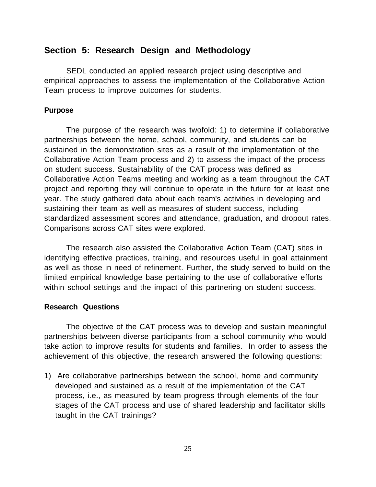## **Section 5: Research Design and Methodology**

SEDL conducted an applied research project using descriptive and empirical approaches to assess the implementation of the Collaborative Action Team process to improve outcomes for students.

### **Purpose**

The purpose of the research was twofold: 1) to determine if collaborative partnerships between the home, school, community, and students can be sustained in the demonstration sites as a result of the implementation of the Collaborative Action Team process and 2) to assess the impact of the process on student success. Sustainability of the CAT process was defined as Collaborative Action Teams meeting and working as a team throughout the CAT project and reporting they will continue to operate in the future for at least one year. The study gathered data about each team's activities in developing and sustaining their team as well as measures of student success, including standardized assessment scores and attendance, graduation, and dropout rates. Comparisons across CAT sites were explored.

The research also assisted the Collaborative Action Team (CAT) sites in identifying effective practices, training, and resources useful in goal attainment as well as those in need of refinement. Further, the study served to build on the limited empirical knowledge base pertaining to the use of collaborative efforts within school settings and the impact of this partnering on student success.

#### **Research Questions**

The objective of the CAT process was to develop and sustain meaningful partnerships between diverse participants from a school community who would take action to improve results for students and families. In order to assess the achievement of this objective, the research answered the following questions:

1) Are collaborative partnerships between the school, home and community developed and sustained as a result of the implementation of the CAT process, i.e., as measured by team progress through elements of the four stages of the CAT process and use of shared leadership and facilitator skills taught in the CAT trainings?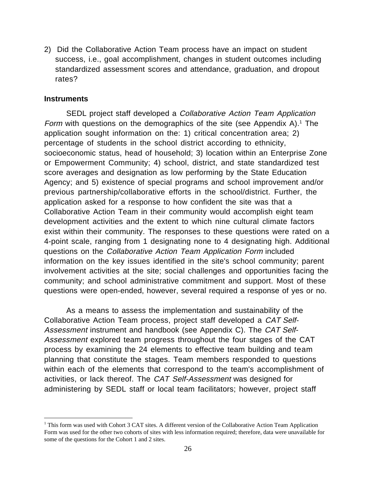2) Did the Collaborative Action Team process have an impact on student success, i.e., goal accomplishment, changes in student outcomes including standardized assessment scores and attendance, graduation, and dropout rates?

#### **Instruments**

SEDL project staff developed a *Collaborative Action Team Application* Form with questions on the demographics of the site (see Appendix A).<sup>1</sup> The application sought information on the: 1) critical concentration area; 2) percentage of students in the school district according to ethnicity, socioeconomic status, head of household; 3) location within an Enterprise Zone or Empowerment Community; 4) school, district, and state standardized test score averages and designation as low performing by the State Education Agency; and 5) existence of special programs and school improvement and/or previous partnership/collaborative efforts in the school/district. Further, the application asked for a response to how confident the site was that a Collaborative Action Team in their community would accomplish eight team development activities and the extent to which nine cultural climate factors exist within their community. The responses to these questions were rated on a 4-point scale, ranging from 1 designating none to 4 designating high. Additional questions on the Collaborative Action Team Application Form included information on the key issues identified in the site's school community; parent involvement activities at the site; social challenges and opportunities facing the community; and school administrative commitment and support. Most of these questions were open-ended, however, several required a response of yes or no.

As a means to assess the implementation and sustainability of the Collaborative Action Team process, project staff developed a CAT Self-Assessment instrument and handbook (see Appendix C). The CAT Self-Assessment explored team progress throughout the four stages of the CAT process by examining the 24 elements to effective team building and team planning that constitute the stages. Team members responded to questions within each of the elements that correspond to the team's accomplishment of activities, or lack thereof. The CAT Self-Assessment was designed for administering by SEDL staff or local team facilitators; however, project staff

 $\frac{1}{1}$  $<sup>1</sup>$  This form was used with Cohort 3 CAT sites. A different version of the Collaborative Action Team Application</sup> Form was used for the other two cohorts of sites with less information required; therefore, data were unavailable for some of the questions for the Cohort 1 and 2 sites.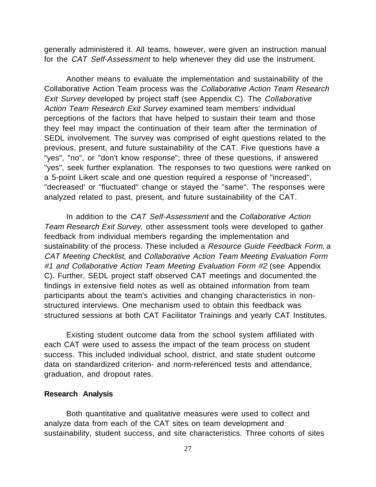generally administered it. All teams, however, were given an instruction manual for the CAT Self-Assessment to help whenever they did use the instrument.

Another means to evaluate the implementation and sustainability of the Collaborative Action Team process was the Collaborative Action Team Research Exit Survey developed by project staff (see Appendix C). The Collaborative Action Team Research Exit Survey examined team members' individual perceptions of the factors that have helped to sustain their team and those they feel may impact the continuation of their team after the termination of SEDL involvement. The survey was comprised of eight questions related to the previous, present, and future sustainability of the CAT. Five questions have a "yes", "no", or "don't know response"; three of these questions, if answered "yes", seek further explanation. The responses to two questions were ranked on a 5-point Likert scale and one question required a response of "increased", "decreased' or "fluctuated" change or stayed the "same". The responses were analyzed related to past, present, and future sustainability of the CAT.

In addition to the CAT Self-Assessment and the Collaborative Action Team Research Exit Survey, other assessment tools were developed to gather feedback from individual members regarding the implementation and sustainability of the process. These included a Resource Guide Feedback Form, a CAT Meeting Checklist, and Collaborative Action Team Meeting Evaluation Form #1 and Collaborative Action Team Meeting Evaluation Form #2 (see Appendix C). Further, SEDL project staff observed CAT meetings and documented the findings in extensive field notes as well as obtained information from team participants about the team's activities and changing characteristics in nonstructured interviews. One mechanism used to obtain this feedback was structured sessions at both CAT Facilitator Trainings and yearly CAT Institutes.

Existing student outcome data from the school system affiliated with each CAT were used to assess the impact of the team process on student success. This included individual school, district, and state student outcome data on standardized criterion- and norm-referenced tests and attendance, graduation, and dropout rates.

#### **Research Analysis**

Both quantitative and qualitative measures were used to collect and analyze data from each of the CAT sites on team development and sustainability, student success, and site characteristics. Three cohorts of sites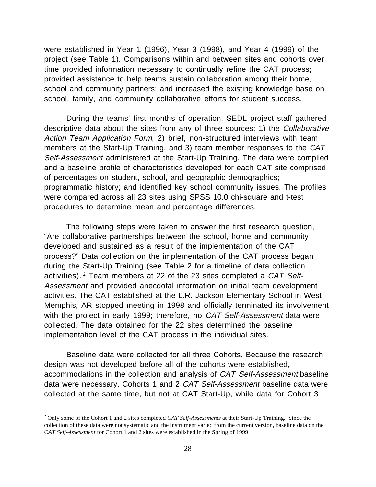were established in Year 1 (1996), Year 3 (1998), and Year 4 (1999) of the project (see Table 1). Comparisons within and between sites and cohorts over time provided information necessary to continually refine the CAT process; provided assistance to help teams sustain collaboration among their home, school and community partners; and increased the existing knowledge base on school, family, and community collaborative efforts for student success.

During the teams' first months of operation, SEDL project staff gathered descriptive data about the sites from any of three sources: 1) the Collaborative Action Team Application Form, 2) brief, non-structured interviews with team members at the Start-Up Training, and 3) team member responses to the CAT Self-Assessment administered at the Start-Up Training. The data were compiled and a baseline profile of characteristics developed for each CAT site comprised of percentages on student, school, and geographic demographics; programmatic history; and identified key school community issues. The profiles were compared across all 23 sites using SPSS 10.0 chi-square and t-test procedures to determine mean and percentage differences.

The following steps were taken to answer the first research question, "Are collaborative partnerships between the school, home and community developed and sustained as a result of the implementation of the CAT process?" Data collection on the implementation of the CAT process began during the Start-Up Training (see Table 2 for a timeline of data collection activities). 2 Team members at 22 of the 23 sites completed a CAT Self-Assessment and provided anecdotal information on initial team development activities. The CAT established at the L.R. Jackson Elementary School in West Memphis, AR stopped meeting in 1998 and officially terminated its involvement with the project in early 1999; therefore, no CAT Self-Assessment data were collected. The data obtained for the 22 sites determined the baseline implementation level of the CAT process in the individual sites.

Baseline data were collected for all three Cohorts. Because the research design was not developed before all of the cohorts were established, accommodations in the collection and analysis of CAT Self-Assessment baseline data were necessary. Cohorts 1 and 2 *CAT Self-Assessment* baseline data were collected at the same time, but not at CAT Start-Up, while data for Cohort 3

 $\frac{1}{2}$ <sup>2</sup> Only some of the Cohort 1 and 2 sites completed *CAT Self-Assessments* at their Start-Up Training. Since the collection of these data were not systematic and the instrument varied from the current version, baseline data on the *CAT Self-Assessment* for Cohort 1 and 2 sites were established in the Spring of 1999.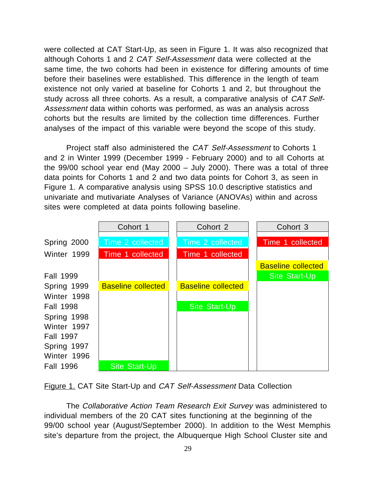were collected at CAT Start-Up, as seen in Figure 1. It was also recognized that although Cohorts 1 and 2 CAT Self-Assessment data were collected at the same time, the two cohorts had been in existence for differing amounts of time before their baselines were established. This difference in the length of team existence not only varied at baseline for Cohorts 1 and 2, but throughout the study across all three cohorts. As a result, a comparative analysis of CAT Self-Assessment data within cohorts was performed, as was an analysis across cohorts but the results are limited by the collection time differences. Further analyses of the impact of this variable were beyond the scope of this study.

Project staff also administered the CAT Self-Assessment to Cohorts 1 and 2 in Winter 1999 (December 1999 - February 2000) and to all Cohorts at the 99/00 school year end (May 2000 – July 2000). There was a total of three data points for Cohorts 1 and 2 and two data points for Cohort 3, as seen in Figure 1. A comparative analysis using SPSS 10.0 descriptive statistics and univariate and mutivariate Analyses of Variance (ANOVAs) within and across sites were completed at data points following baseline.



Figure 1. CAT Site Start-Up and CAT Self-Assessment Data Collection

The Collaborative Action Team Research Exit Survey was administered to individual members of the 20 CAT sites functioning at the beginning of the 99/00 school year (August/September 2000). In addition to the West Memphis site's departure from the project, the Albuquerque High School Cluster site and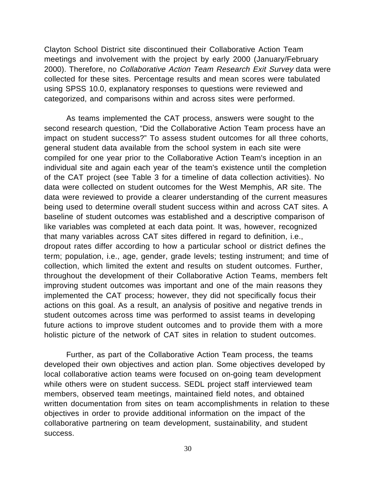Clayton School District site discontinued their Collaborative Action Team meetings and involvement with the project by early 2000 (January/February 2000). Therefore, no Collaborative Action Team Research Exit Survey data were collected for these sites. Percentage results and mean scores were tabulated using SPSS 10.0, explanatory responses to questions were reviewed and categorized, and comparisons within and across sites were performed.

As teams implemented the CAT process, answers were sought to the second research question, "Did the Collaborative Action Team process have an impact on student success?" To assess student outcomes for all three cohorts, general student data available from the school system in each site were compiled for one year prior to the Collaborative Action Team's inception in an individual site and again each year of the team's existence until the completion of the CAT project (see Table 3 for a timeline of data collection activities). No data were collected on student outcomes for the West Memphis, AR site. The data were reviewed to provide a clearer understanding of the current measures being used to determine overall student success within and across CAT sites. A baseline of student outcomes was established and a descriptive comparison of like variables was completed at each data point. It was, however, recognized that many variables across CAT sites differed in regard to definition, i.e., dropout rates differ according to how a particular school or district defines the term; population, i.e., age, gender, grade levels; testing instrument; and time of collection, which limited the extent and results on student outcomes. Further, throughout the development of their Collaborative Action Teams, members felt improving student outcomes was important and one of the main reasons they implemented the CAT process; however, they did not specifically focus their actions on this goal. As a result, an analysis of positive and negative trends in student outcomes across time was performed to assist teams in developing future actions to improve student outcomes and to provide them with a more holistic picture of the network of CAT sites in relation to student outcomes.

Further, as part of the Collaborative Action Team process, the teams developed their own objectives and action plan. Some objectives developed by local collaborative action teams were focused on on-going team development while others were on student success. SEDL project staff interviewed team members, observed team meetings, maintained field notes, and obtained written documentation from sites on team accomplishments in relation to these objectives in order to provide additional information on the impact of the collaborative partnering on team development, sustainability, and student success.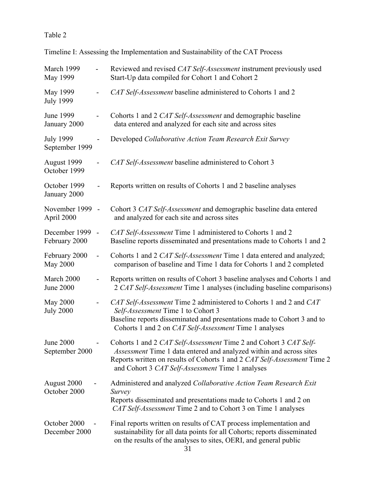# Table 2

| March 1999<br>May 1999             |                          | Reviewed and revised CAT Self-Assessment instrument previously used<br>Start-Up data compiled for Cohort 1 and Cohort 2                                                                                                                                                  |
|------------------------------------|--------------------------|--------------------------------------------------------------------------------------------------------------------------------------------------------------------------------------------------------------------------------------------------------------------------|
| May 1999<br><b>July 1999</b>       |                          | CAT Self-Assessment baseline administered to Cohorts 1 and 2                                                                                                                                                                                                             |
| <b>June 1999</b><br>January 2000   |                          | Cohorts 1 and 2 CAT Self-Assessment and demographic baseline<br>data entered and analyzed for each site and across sites                                                                                                                                                 |
| <b>July 1999</b><br>September 1999 |                          | Developed Collaborative Action Team Research Exit Survey                                                                                                                                                                                                                 |
| August 1999<br>October 1999        |                          | CAT Self-Assessment baseline administered to Cohort 3                                                                                                                                                                                                                    |
| October 1999<br>January 2000       |                          | Reports written on results of Cohorts 1 and 2 baseline analyses                                                                                                                                                                                                          |
| November 1999 -<br>April 2000      |                          | Cohort 3 CAT Self-Assessment and demographic baseline data entered<br>and analyzed for each site and across sites                                                                                                                                                        |
| December 1999<br>February 2000     | $\overline{\phantom{a}}$ | CAT Self-Assessment Time 1 administered to Cohorts 1 and 2<br>Baseline reports disseminated and presentations made to Cohorts 1 and 2                                                                                                                                    |
| February 2000<br><b>May 2000</b>   | $\frac{1}{2}$            | Cohorts 1 and 2 CAT Self-Assessment Time 1 data entered and analyzed;<br>comparison of baseline and Time 1 data for Cohorts 1 and 2 completed                                                                                                                            |
| March 2000<br><b>June 2000</b>     |                          | Reports written on results of Cohort 3 baseline analyses and Cohorts 1 and<br>2 CAT Self-Assessment Time 1 analyses (including baseline comparisons)                                                                                                                     |
| May 2000<br><b>July 2000</b>       |                          | CAT Self-Assessment Time 2 administered to Cohorts 1 and 2 and CAT<br>Self-Assessment Time 1 to Cohort 3<br>Baseline reports disseminated and presentations made to Cohort 3 and to<br>Cohorts 1 and 2 on <i>CAT Self-Assessment</i> Time 1 analyses                     |
| <b>June 2000</b><br>September 2000 |                          | Cohorts 1 and 2 CAT Self-Assessment Time 2 and Cohort 3 CAT Self-<br>Assessment Time 1 data entered and analyzed within and across sites<br>Reports written on results of Cohorts 1 and 2 CAT Self-Assessment Time 2<br>and Cohort 3 CAT Self-Assessment Time 1 analyses |
| August 2000<br>October 2000        |                          | Administered and analyzed Collaborative Action Team Research Exit<br>Survey<br>Reports disseminated and presentations made to Cohorts 1 and 2 on<br>CAT Self-Assessment Time 2 and to Cohort 3 on Time 1 analyses                                                        |
| October 2000<br>December 2000      |                          | Final reports written on results of CAT process implementation and<br>sustainability for all data points for all Cohorts; reports disseminated<br>on the results of the analyses to sites, OERI, and general public                                                      |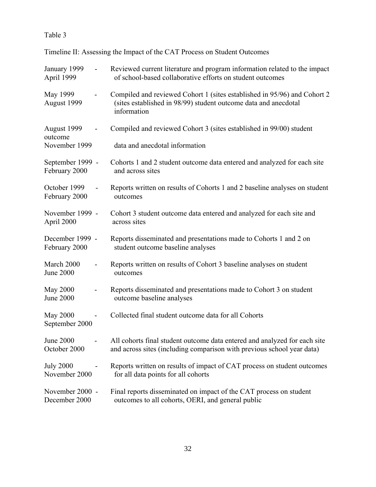# Table 3

Timeline II: Assessing the Impact of the CAT Process on Student Outcomes

| January 1999               | Reviewed current literature and program information related to the impact                                                                                  |  |  |  |  |  |
|----------------------------|------------------------------------------------------------------------------------------------------------------------------------------------------------|--|--|--|--|--|
| April 1999                 | of school-based collaborative efforts on student outcomes                                                                                                  |  |  |  |  |  |
| May 1999<br>August 1999    | Compiled and reviewed Cohort 1 (sites established in 95/96) and Cohort 2<br>(sites established in 98/99) student outcome data and anecdotal<br>information |  |  |  |  |  |
| August 1999<br>outcome     | Compiled and reviewed Cohort 3 (sites established in 99/00) student                                                                                        |  |  |  |  |  |
| November 1999              | data and anecdotal information                                                                                                                             |  |  |  |  |  |
| September 1999 -           | Cohorts 1 and 2 student outcome data entered and analyzed for each site                                                                                    |  |  |  |  |  |
| February 2000              | and across sites                                                                                                                                           |  |  |  |  |  |
| October 1999               | Reports written on results of Cohorts 1 and 2 baseline analyses on student                                                                                 |  |  |  |  |  |
| February 2000              | outcomes                                                                                                                                                   |  |  |  |  |  |
| November 1999 -            | Cohort 3 student outcome data entered and analyzed for each site and                                                                                       |  |  |  |  |  |
| April 2000                 | across sites                                                                                                                                               |  |  |  |  |  |
| December 1999 -            | Reports disseminated and presentations made to Cohorts 1 and 2 on                                                                                          |  |  |  |  |  |
| February 2000              | student outcome baseline analyses                                                                                                                          |  |  |  |  |  |
| March 2000                 | Reports written on results of Cohort 3 baseline analyses on student                                                                                        |  |  |  |  |  |
| <b>June 2000</b>           | outcomes                                                                                                                                                   |  |  |  |  |  |
| May 2000                   | Reports disseminated and presentations made to Cohort 3 on student                                                                                         |  |  |  |  |  |
| <b>June 2000</b>           | outcome baseline analyses                                                                                                                                  |  |  |  |  |  |
| May 2000<br>September 2000 | Collected final student outcome data for all Cohorts                                                                                                       |  |  |  |  |  |
| <b>June 2000</b>           | All cohorts final student outcome data entered and analyzed for each site                                                                                  |  |  |  |  |  |
| October 2000               | and across sites (including comparison with previous school year data)                                                                                     |  |  |  |  |  |
| <b>July 2000</b>           | Reports written on results of impact of CAT process on student outcomes                                                                                    |  |  |  |  |  |
| November 2000              | for all data points for all cohorts                                                                                                                        |  |  |  |  |  |
| November 2000 -            | Final reports disseminated on impact of the CAT process on student                                                                                         |  |  |  |  |  |
| December 2000              | outcomes to all cohorts, OERI, and general public                                                                                                          |  |  |  |  |  |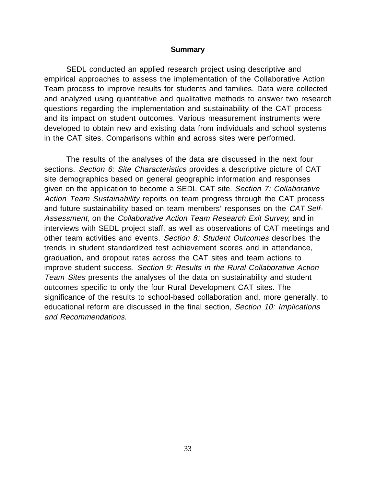#### **Summary**

SEDL conducted an applied research project using descriptive and empirical approaches to assess the implementation of the Collaborative Action Team process to improve results for students and families. Data were collected and analyzed using quantitative and qualitative methods to answer two research questions regarding the implementation and sustainability of the CAT process and its impact on student outcomes. Various measurement instruments were developed to obtain new and existing data from individuals and school systems in the CAT sites. Comparisons within and across sites were performed.

The results of the analyses of the data are discussed in the next four sections. Section 6: Site Characteristics provides a descriptive picture of CAT site demographics based on general geographic information and responses given on the application to become a SEDL CAT site. Section 7: Collaborative Action Team Sustainability reports on team progress through the CAT process and future sustainability based on team members' responses on the CAT Self-Assessment, on the Collaborative Action Team Research Exit Survey, and in interviews with SEDL project staff, as well as observations of CAT meetings and other team activities and events. Section 8: Student Outcomes describes the trends in student standardized test achievement scores and in attendance, graduation, and dropout rates across the CAT sites and team actions to improve student success. Section 9: Results in the Rural Collaborative Action Team Sites presents the analyses of the data on sustainability and student outcomes specific to only the four Rural Development CAT sites. The significance of the results to school-based collaboration and, more generally, to educational reform are discussed in the final section, Section 10: Implications and Recommendations.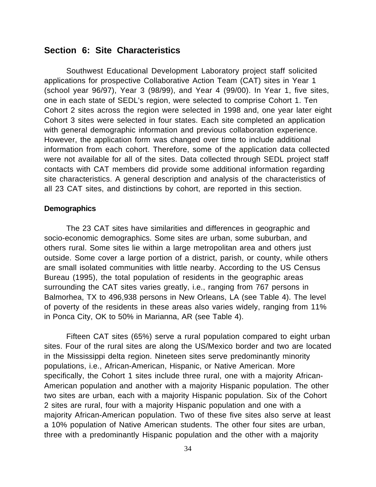## **Section 6: Site Characteristics**

Southwest Educational Development Laboratory project staff solicited applications for prospective Collaborative Action Team (CAT) sites in Year 1 (school year 96/97), Year 3 (98/99), and Year 4 (99/00). In Year 1, five sites, one in each state of SEDL's region, were selected to comprise Cohort 1. Ten Cohort 2 sites across the region were selected in 1998 and, one year later eight Cohort 3 sites were selected in four states. Each site completed an application with general demographic information and previous collaboration experience. However, the application form was changed over time to include additional information from each cohort. Therefore, some of the application data collected were not available for all of the sites. Data collected through SEDL project staff contacts with CAT members did provide some additional information regarding site characteristics. A general description and analysis of the characteristics of all 23 CAT sites, and distinctions by cohort, are reported in this section.

#### **Demographics**

The 23 CAT sites have similarities and differences in geographic and socio-economic demographics. Some sites are urban, some suburban, and others rural. Some sites lie within a large metropolitan area and others just outside. Some cover a large portion of a district, parish, or county, while others are small isolated communities with little nearby. According to the US Census Bureau (1995), the total population of residents in the geographic areas surrounding the CAT sites varies greatly, i.e., ranging from 767 persons in Balmorhea, TX to 496,938 persons in New Orleans, LA (see Table 4). The level of poverty of the residents in these areas also varies widely, ranging from 11% in Ponca City, OK to 50% in Marianna, AR (see Table 4).

Fifteen CAT sites (65%) serve a rural population compared to eight urban sites. Four of the rural sites are along the US/Mexico border and two are located in the Mississippi delta region. Nineteen sites serve predominantly minority populations, i.e., African-American, Hispanic, or Native American. More specifically, the Cohort 1 sites include three rural, one with a majority African-American population and another with a majority Hispanic population. The other two sites are urban, each with a majority Hispanic population. Six of the Cohort 2 sites are rural, four with a majority Hispanic population and one with a majority African-American population. Two of these five sites also serve at least a 10% population of Native American students. The other four sites are urban, three with a predominantly Hispanic population and the other with a majority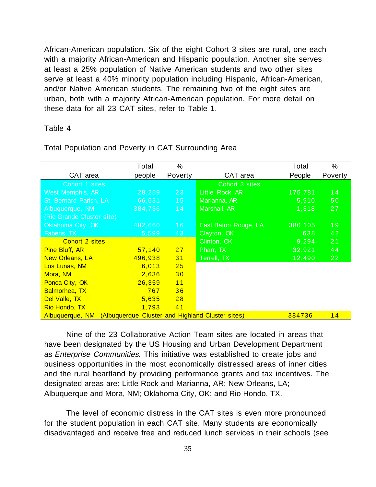African-American population. Six of the eight Cohort 3 sites are rural, one each with a majority African-American and Hispanic population. Another site serves at least a 25% population of Native American students and two other sites serve at least a 40% minority population including Hispanic, African-American, and/or Native American students. The remaining two of the eight sites are urban, both with a majority African-American population. For more detail on these data for all 23 CAT sites, refer to Table 1.

### Table 4

|                           | Total                                            | %       |                      | Total   | %               |
|---------------------------|--------------------------------------------------|---------|----------------------|---------|-----------------|
| CAT area                  | people                                           | Poverty | CAT area             | People  | Poverty         |
| Cohort 1 sites            |                                                  |         | Cohort 3 sites       |         |                 |
| West Memphis, AR          | 28,259                                           | 23      | Little Rock, AR      | 175,781 | 14              |
| St. Bernard Parish, LA    | 66,631                                           | 15      | Marianna, AR         | 5,910   | 50 <sub>o</sub> |
| Albuquerque, NM           | 384,736                                          | 14      | Marshall, AR         | 1,318   | 27              |
| (Rio Grande Cluster site) |                                                  |         |                      |         |                 |
| Oklahoma City, OK         | 482,660                                          | 16      | East Baton Rouge, LA | 380,105 | 19              |
| Fabens, TX                | 5,599                                            | 43      | Clayton, OK          | 638     | 42              |
| Cohort 2 sites            |                                                  |         | Clinton, OK          | 9,294   | 21              |
| <b>Pine Bluff, AR</b>     | 57,140                                           | 27      | Pharr, TX            | 32,921  | 44              |
| <b>New Orleans, LA</b>    | 496,938                                          | 31      | Terrell, TX          | 12,490  | 22              |
| Los Lunas, NM             | 6,013                                            | 25      |                      |         |                 |
| Mora, NM                  | 2,636                                            | 30      |                      |         |                 |
| Ponca City, OK            | 26,359                                           | 11      |                      |         |                 |
| <b>Balmorhea, TX</b>      | 767                                              | 36      |                      |         |                 |
| Del Valle, TX             | 5,635                                            | 28      |                      |         |                 |
| Rio Hondo, TX             | 1,793                                            | 41      |                      |         |                 |
| Albuquerque, NM           | (Albuquerque Cluster and Highland Cluster sites) |         |                      | 384736  | 14              |

#### Total Population and Poverty in CAT Surrounding Area

Nine of the 23 Collaborative Action Team sites are located in areas that have been designated by the US Housing and Urban Development Department as Enterprise Communities. This initiative was established to create jobs and business opportunities in the most economically distressed areas of inner cities and the rural heartland by providing performance grants and tax incentives. The designated areas are: Little Rock and Marianna, AR; New Orleans, LA; Albuquerque and Mora, NM; Oklahoma City, OK; and Rio Hondo, TX.

The level of economic distress in the CAT sites is even more pronounced for the student population in each CAT site. Many students are economically disadvantaged and receive free and reduced lunch services in their schools (see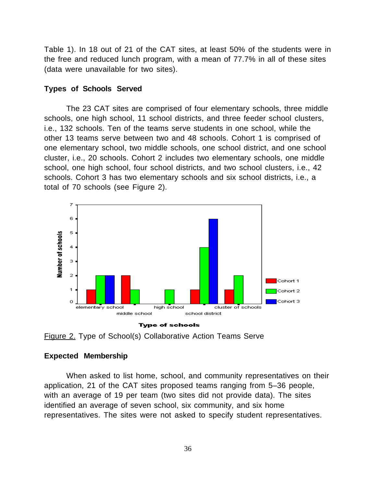Table 1). In 18 out of 21 of the CAT sites, at least 50% of the students were in the free and reduced lunch program, with a mean of 77.7% in all of these sites (data were unavailable for two sites).

### **Types of Schools Served**

The 23 CAT sites are comprised of four elementary schools, three middle schools, one high school, 11 school districts, and three feeder school clusters, i.e., 132 schools. Ten of the teams serve students in one school, while the other 13 teams serve between two and 48 schools. Cohort 1 is comprised of one elementary school, two middle schools, one school district, and one school cluster, i.e., 20 schools. Cohort 2 includes two elementary schools, one middle school, one high school, four school districts, and two school clusters, i.e., 42 schools. Cohort 3 has two elementary schools and six school districts, i.e., a total of 70 schools (see Figure 2).





### **Expected Membership**

When asked to list home, school, and community representatives on their application, 21 of the CAT sites proposed teams ranging from 5–36 people, with an average of 19 per team (two sites did not provide data). The sites identified an average of seven school, six community, and six home representatives. The sites were not asked to specify student representatives.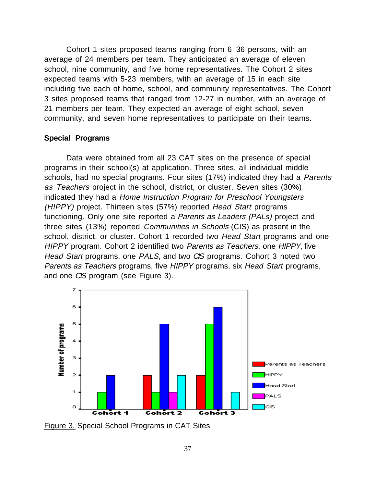Cohort 1 sites proposed teams ranging from 6–36 persons, with an average of 24 members per team. They anticipated an average of eleven school, nine community, and five home representatives. The Cohort 2 sites expected teams with 5-23 members, with an average of 15 in each site including five each of home, school, and community representatives. The Cohort 3 sites proposed teams that ranged from 12-27 in number, with an average of 21 members per team. They expected an average of eight school, seven community, and seven home representatives to participate on their teams.

### **Special Programs**

Data were obtained from all 23 CAT sites on the presence of special programs in their school(s) at application. Three sites, all individual middle schools, had no special programs. Four sites (17%) indicated they had a Parents as Teachers project in the school, district, or cluster. Seven sites (30%) indicated they had a Home Instruction Program for Preschool Youngsters (HIPPY) project. Thirteen sites (57%) reported Head Start programs functioning. Only one site reported a Parents as Leaders (PALs) project and three sites (13%) reported Communities in Schools (CIS) as present in the school, district, or cluster. Cohort 1 recorded two Head Start programs and one HIPPY program. Cohort 2 identified two Parents as Teachers, one HIPPY, five Head Start programs, one PALS, and two CIS programs. Cohort 3 noted two Parents as Teachers programs, five HIPPY programs, six Head Start programs, and one CIS program (see Figure 3).



Figure 3. Special School Programs in CAT Sites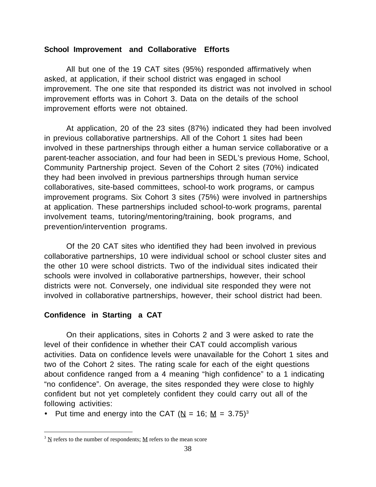## **School Improvement and Collaborative Efforts**

All but one of the 19 CAT sites (95%) responded affirmatively when asked, at application, if their school district was engaged in school improvement. The one site that responded its district was not involved in school improvement efforts was in Cohort 3. Data on the details of the school improvement efforts were not obtained.

At application, 20 of the 23 sites (87%) indicated they had been involved in previous collaborative partnerships. All of the Cohort 1 sites had been involved in these partnerships through either a human service collaborative or a parent-teacher association, and four had been in SEDL's previous Home, School, Community Partnership project. Seven of the Cohort 2 sites (70%) indicated they had been involved in previous partnerships through human service collaboratives, site-based committees, school-to work programs, or campus improvement programs. Six Cohort 3 sites (75%) were involved in partnerships at application. These partnerships included school-to-work programs, parental involvement teams, tutoring/mentoring/training, book programs, and prevention/intervention programs.

Of the 20 CAT sites who identified they had been involved in previous collaborative partnerships, 10 were individual school or school cluster sites and the other 10 were school districts. Two of the individual sites indicated their schools were involved in collaborative partnerships, however, their school districts were not. Conversely, one individual site responded they were not involved in collaborative partnerships, however, their school district had been.

### **Confidence in Starting a CAT**

On their applications, sites in Cohorts 2 and 3 were asked to rate the level of their confidence in whether their CAT could accomplish various activities. Data on confidence levels were unavailable for the Cohort 1 sites and two of the Cohort 2 sites. The rating scale for each of the eight questions about confidence ranged from a 4 meaning "high confidence" to a 1 indicating "no confidence". On average, the sites responded they were close to highly confident but not yet completely confident they could carry out all of the following activities:

• Put time and energy into the CAT ( $N = 16$ ;  $M = 3.75$ )<sup>3</sup>

 $\frac{1}{3}$  $3 \text{ N}$  refers to the number of respondents;  $\text{ M}$  refers to the mean score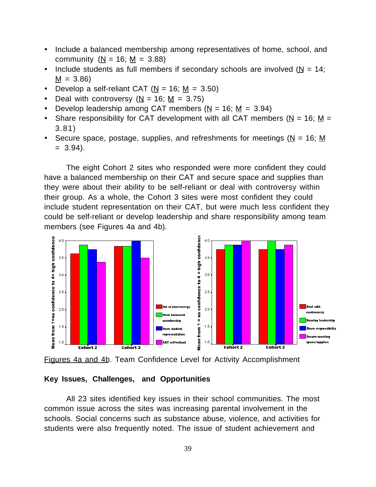- · Include a balanced membership among representatives of home, school, and community ( $N = 16$ ;  $M = 3.88$ )
- Include students as full members if secondary schools are involved ( $N = 14$ ;  $M = 3.86$
- Develop a self-reliant CAT  $(N = 16; M = 3.50)$
- Deal with controversy  $(N = 16; M = 3.75)$
- Develop leadership among CAT members  $(N = 16; M = 3.94)$
- Share responsibility for CAT development with all CAT members ( $N = 16$ ; M = 3.81)
- Secure space, postage, supplies, and refreshments for meetings ( $N = 16$ ; M  $= 3.94$ ).

The eight Cohort 2 sites who responded were more confident they could have a balanced membership on their CAT and secure space and supplies than they were about their ability to be self-reliant or deal with controversy within their group. As a whole, the Cohort 3 sites were most confident they could include student representation on their CAT, but were much less confident they could be self-reliant or develop leadership and share responsibility among team members (see Figures 4a and 4b).



Figures 4a and 4b. Team Confidence Level for Activity Accomplishment

### **Key Issues, Challenges, and Opportunities**

All 23 sites identified key issues in their school communities. The most common issue across the sites was increasing parental involvement in the schools. Social concerns such as substance abuse, violence, and activities for students were also frequently noted. The issue of student achievement and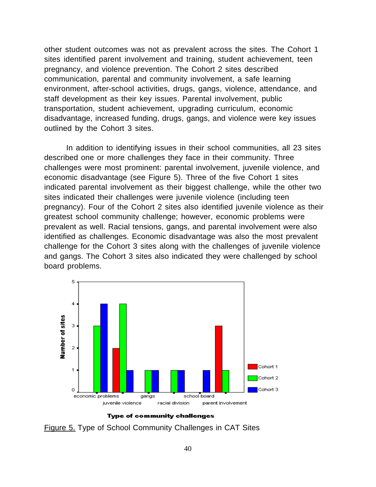other student outcomes was not as prevalent across the sites. The Cohort 1 sites identified parent involvement and training, student achievement, teen pregnancy, and violence prevention. The Cohort 2 sites described communication, parental and community involvement, a safe learning environment, after-school activities, drugs, gangs, violence, attendance, and staff development as their key issues. Parental involvement, public transportation, student achievement, upgrading curriculum, economic disadvantage, increased funding, drugs, gangs, and violence were key issues outlined by the Cohort 3 sites.

In addition to identifying issues in their school communities, all 23 sites described one or more challenges they face in their community. Three challenges were most prominent: parental involvement, juvenile violence, and economic disadvantage (see Figure 5). Three of the five Cohort 1 sites indicated parental involvement as their biggest challenge, while the other two sites indicated their challenges were juvenile violence (including teen pregnancy). Four of the Cohort 2 sites also identified juvenile violence as their greatest school community challenge; however, economic problems were prevalent as well. Racial tensions, gangs, and parental involvement were also identified as challenges. Economic disadvantage was also the most prevalent challenge for the Cohort 3 sites along with the challenges of juvenile violence and gangs. The Cohort 3 sites also indicated they were challenged by school board problems.



**Type of community challenges** 

Figure 5. Type of School Community Challenges in CAT Sites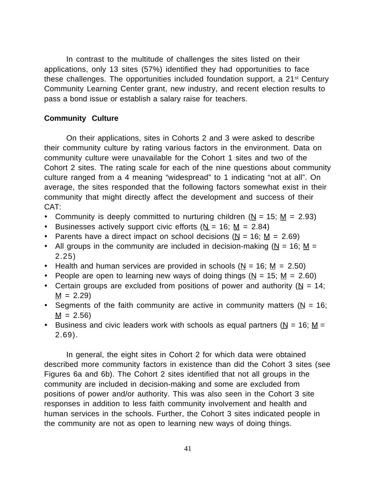In contrast to the multitude of challenges the sites listed on their applications, only 13 sites (57%) identified they had opportunities to face these challenges. The opportunities included foundation support, a 21st Century Community Learning Center grant, new industry, and recent election results to pass a bond issue or establish a salary raise for teachers.

# **Community Culture**

On their applications, sites in Cohorts 2 and 3 were asked to describe their community culture by rating various factors in the environment. Data on community culture were unavailable for the Cohort 1 sites and two of the Cohort 2 sites. The rating scale for each of the nine questions about community culture ranged from a 4 meaning "widespread" to 1 indicating "not at all". On average, the sites responded that the following factors somewhat exist in their community that might directly affect the development and success of their CAT:

- Community is deeply committed to nurturing children ( $N = 15$ ;  $M = 2.93$ )
- Businesses actively support civic efforts  $(N = 16; M = 2.84)$
- Parents have a direct impact on school decisions ( $N = 16$ ;  $M = 2.69$ )
- All groups in the community are included in decision-making ( $N = 16$ ; M = 2.25)
- Health and human services are provided in schools ( $N = 16$ ;  $M = 2.50$ )
- People are open to learning new ways of doing things ( $N = 15$ ;  $M = 2.60$ )
- Certain groups are excluded from positions of power and authority ( $N = 14$ ;  $M = 2.29$
- Segments of the faith community are active in community matters ( $N = 16$ ;  $M = 2.56$
- Business and civic leaders work with schools as equal partners ( $N = 16$ ; M = 2.69).

In general, the eight sites in Cohort 2 for which data were obtained described more community factors in existence than did the Cohort 3 sites (see Figures 6a and 6b). The Cohort 2 sites identified that not all groups in the community are included in decision-making and some are excluded from positions of power and/or authority. This was also seen in the Cohort 3 site responses in addition to less faith community involvement and health and human services in the schools. Further, the Cohort 3 sites indicated people in the community are not as open to learning new ways of doing things.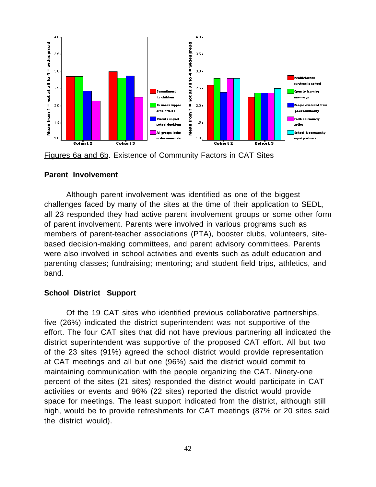

Figures 6a and 6b. Existence of Community Factors in CAT Sites

### **Parent Involvement**

Although parent involvement was identified as one of the biggest challenges faced by many of the sites at the time of their application to SEDL, all 23 responded they had active parent involvement groups or some other form of parent involvement. Parents were involved in various programs such as members of parent-teacher associations (PTA), booster clubs, volunteers, sitebased decision-making committees, and parent advisory committees. Parents were also involved in school activities and events such as adult education and parenting classes; fundraising; mentoring; and student field trips, athletics, and band.

#### **School District Support**

Of the 19 CAT sites who identified previous collaborative partnerships, five (26%) indicated the district superintendent was not supportive of the effort. The four CAT sites that did not have previous partnering all indicated the district superintendent was supportive of the proposed CAT effort. All but two of the 23 sites (91%) agreed the school district would provide representation at CAT meetings and all but one (96%) said the district would commit to maintaining communication with the people organizing the CAT. Ninety-one percent of the sites (21 sites) responded the district would participate in CAT activities or events and 96% (22 sites) reported the district would provide space for meetings. The least support indicated from the district, although still high, would be to provide refreshments for CAT meetings (87% or 20 sites said the district would).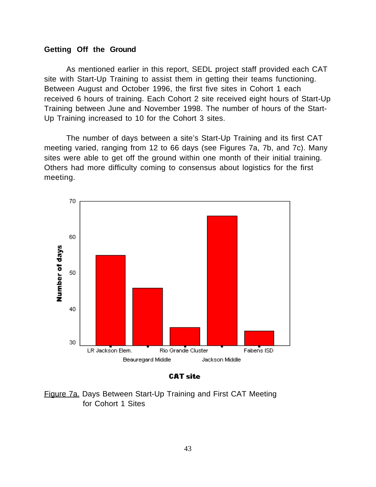### **Getting Off the Ground**

As mentioned earlier in this report, SEDL project staff provided each CAT site with Start-Up Training to assist them in getting their teams functioning. Between August and October 1996, the first five sites in Cohort 1 each received 6 hours of training. Each Cohort 2 site received eight hours of Start-Up Training between June and November 1998. The number of hours of the Start-Up Training increased to 10 for the Cohort 3 sites.

The number of days between a site's Start-Up Training and its first CAT meeting varied, ranging from 12 to 66 days (see Figures 7a, 7b, and 7c). Many sites were able to get off the ground within one month of their initial training. Others had more difficulty coming to consensus about logistics for the first meeting.



**CAT site** 

Figure 7a. Days Between Start-Up Training and First CAT Meeting for Cohort 1 Sites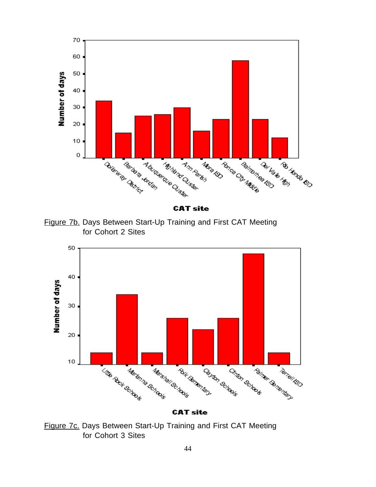

**CAT site** 

Figure 7b. Days Between Start-Up Training and First CAT Meeting for Cohort 2 Sites



**CAT site** 

Figure 7c. Days Between Start-Up Training and First CAT Meeting for Cohort 3 Sites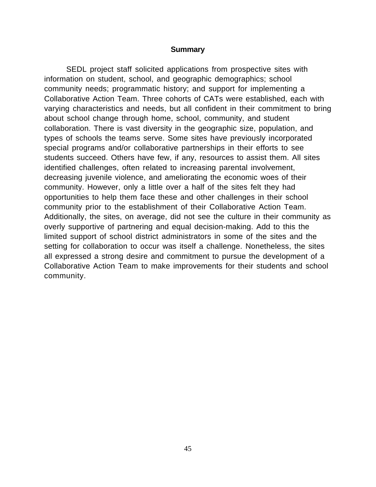#### **Summary**

SEDL project staff solicited applications from prospective sites with information on student, school, and geographic demographics; school community needs; programmatic history; and support for implementing a Collaborative Action Team. Three cohorts of CATs were established, each with varying characteristics and needs, but all confident in their commitment to bring about school change through home, school, community, and student collaboration. There is vast diversity in the geographic size, population, and types of schools the teams serve. Some sites have previously incorporated special programs and/or collaborative partnerships in their efforts to see students succeed. Others have few, if any, resources to assist them. All sites identified challenges, often related to increasing parental involvement, decreasing juvenile violence, and ameliorating the economic woes of their community. However, only a little over a half of the sites felt they had opportunities to help them face these and other challenges in their school community prior to the establishment of their Collaborative Action Team. Additionally, the sites, on average, did not see the culture in their community as overly supportive of partnering and equal decision-making. Add to this the limited support of school district administrators in some of the sites and the setting for collaboration to occur was itself a challenge. Nonetheless, the sites all expressed a strong desire and commitment to pursue the development of a Collaborative Action Team to make improvements for their students and school community.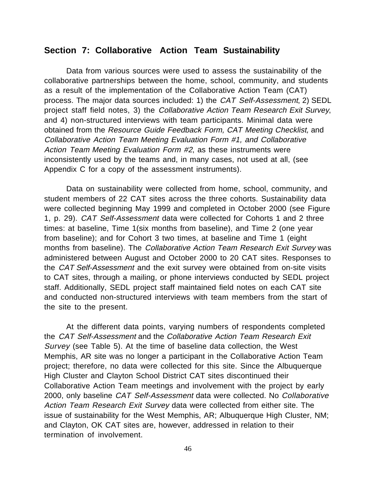# **Section 7: Collaborative Action Team Sustainability**

Data from various sources were used to assess the sustainability of the collaborative partnerships between the home, school, community, and students as a result of the implementation of the Collaborative Action Team (CAT) process. The major data sources included: 1) the CAT Self-Assessment, 2) SEDL project staff field notes, 3) the Collaborative Action Team Research Exit Survey, and 4) non-structured interviews with team participants. Minimal data were obtained from the Resource Guide Feedback Form, CAT Meeting Checklist, and Collaborative Action Team Meeting Evaluation Form #1, and Collaborative Action Team Meeting Evaluation Form #2, as these instruments were inconsistently used by the teams and, in many cases, not used at all, (see Appendix C for a copy of the assessment instruments).

Data on sustainability were collected from home, school, community, and student members of 22 CAT sites across the three cohorts. Sustainability data were collected beginning May 1999 and completed in October 2000 (see Figure 1, p. 29). CAT Self-Assessment data were collected for Cohorts 1 and 2 three times: at baseline, Time 1(six months from baseline), and Time 2 (one year from baseline); and for Cohort 3 two times, at baseline and Time 1 (eight months from baseline). The Collaborative Action Team Research Exit Survey was administered between August and October 2000 to 20 CAT sites. Responses to the CAT Self-Assessment and the exit survey were obtained from on-site visits to CAT sites, through a mailing, or phone interviews conducted by SEDL project staff. Additionally, SEDL project staff maintained field notes on each CAT site and conducted non-structured interviews with team members from the start of the site to the present.

At the different data points, varying numbers of respondents completed the CAT Self-Assessment and the Collaborative Action Team Research Exit Survey (see Table 5). At the time of baseline data collection, the West Memphis, AR site was no longer a participant in the Collaborative Action Team project; therefore, no data were collected for this site. Since the Albuquerque High Cluster and Clayton School District CAT sites discontinued their Collaborative Action Team meetings and involvement with the project by early 2000, only baseline CAT Self-Assessment data were collected. No Collaborative Action Team Research Exit Survey data were collected from either site. The issue of sustainability for the West Memphis, AR; Albuquerque High Cluster, NM; and Clayton, OK CAT sites are, however, addressed in relation to their termination of involvement.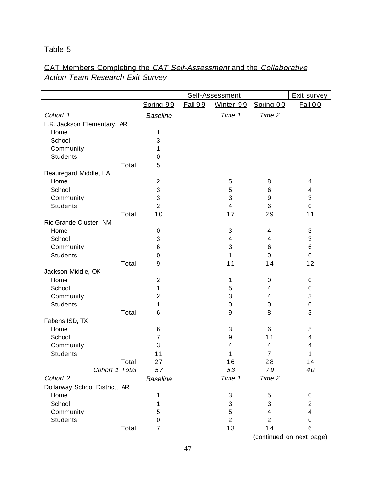# Table 5

# CAT Members Completing the CAT Self-Assessment and the Collaborative **Action Team Research Exit Survey**

|                               |                |                 |                | Self-Assessment |                          | Exit survey             |
|-------------------------------|----------------|-----------------|----------------|-----------------|--------------------------|-------------------------|
|                               |                | Spring 99       | <b>Fall 99</b> | Winter 99       | Spring 00                | <b>Fall 00</b>          |
| Cohort 1                      |                | <b>Baseline</b> |                | Time 1          | Time 2                   |                         |
| L.R. Jackson Elementary, AR   |                |                 |                |                 |                          |                         |
| Home                          |                | 1               |                |                 |                          |                         |
| School                        |                | 3               |                |                 |                          |                         |
| Community                     |                | 1               |                |                 |                          |                         |
| <b>Students</b>               |                | 0               |                |                 |                          |                         |
|                               | Total          | 5               |                |                 |                          |                         |
| Beauregard Middle, LA         |                |                 |                |                 |                          |                         |
| Home                          |                | $\overline{2}$  |                | 5               | 8                        | 4                       |
| School                        |                | 3               |                | 5               | 6                        | 4                       |
| Community                     |                | 3               |                | 3               | 9                        | 3                       |
| <b>Students</b>               |                | $\overline{2}$  |                | $\overline{4}$  | 6                        | $\mathbf 0$             |
|                               | Total          | 10              |                | 17              | 29                       | 11                      |
| Rio Grande Cluster, NM        |                |                 |                |                 |                          |                         |
| Home                          |                | 0               |                | $\mathbf{3}$    | 4                        | $\sqrt{3}$              |
| School                        |                | 3               |                | 4               | $\overline{\mathbf{4}}$  | 3                       |
| Community                     |                | 6               |                | 3               | 6                        | 6                       |
| <b>Students</b>               |                | 0               |                | 1               | $\mathbf 0$              | $\pmb{0}$               |
|                               | Total          | 9               |                | 11              | 14                       | 12                      |
| Jackson Middle, OK            |                |                 |                |                 |                          |                         |
| Home                          |                | $\overline{2}$  |                | 1               | 0                        | $\pmb{0}$               |
| School                        |                | 1               |                | 5               | 4                        | 0                       |
| Community                     |                | $\overline{2}$  |                | 3               | $\overline{\mathcal{A}}$ | 3                       |
| <b>Students</b>               |                | 1               |                | $\pmb{0}$       | 0                        | $\pmb{0}$               |
|                               | Total          | 6               |                | 9               | 8                        | 3                       |
| Fabens ISD, TX                |                |                 |                |                 |                          |                         |
| Home                          |                | 6               |                | 3               | 6                        | 5                       |
| School                        |                | 7               |                | 9               | 11                       | 4                       |
| Community                     |                | 3               |                | 4               | 4                        | 4                       |
| <b>Students</b>               |                | 11              |                | 1               | $\overline{7}$           | 1                       |
|                               | Total          | 27              |                | 16              | 28                       | 14                      |
|                               | Cohort 1 Total | 57              |                | 53              | 79                       | 40                      |
| Cohort 2                      |                | <b>Baseline</b> |                | Time 1          | Time 2                   |                         |
| Dollarway School District, AR |                |                 |                |                 |                          |                         |
| Home                          |                | 1               |                | $\sqrt{3}$      | 5                        | 0                       |
| School                        |                | 1               |                | 3               | 3                        | $\overline{2}$          |
| Community                     |                | 5               |                | 5               | 4                        | $\overline{\mathbf{4}}$ |
| <b>Students</b>               |                | 0               |                | $\overline{2}$  | $\overline{2}$           | $\pmb{0}$               |
|                               | Total          | $\overline{7}$  |                | 13              | 14                       | 6                       |

(continued on next page)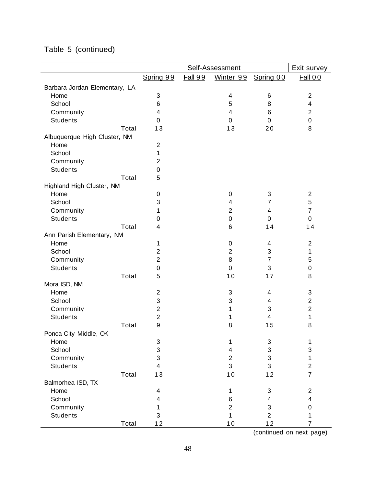|  |  | Table 5 (continued) |
|--|--|---------------------|
|--|--|---------------------|

|                               |                         |                | Self-Assessment         |                           | Exit survey             |
|-------------------------------|-------------------------|----------------|-------------------------|---------------------------|-------------------------|
|                               | Spring 99               | <b>Fall 99</b> | Winter 99               | Spring 00                 | <b>Fall 00</b>          |
| Barbara Jordan Elementary, LA |                         |                |                         |                           |                         |
| Home                          | 3                       |                | $\overline{\mathbf{4}}$ | 6                         | $\overline{2}$          |
| School                        | 6                       |                | 5                       | 8                         | $\overline{\mathbf{4}}$ |
| Community                     | $\overline{\mathbf{4}}$ |                | 4                       | 6                         | $\overline{2}$          |
| <b>Students</b>               | 0                       |                | $\mathbf 0$             | $\mathbf 0$               | $\mathbf 0$             |
| Total                         | 13                      |                | 13                      | 20                        | 8                       |
| Albuquerque High Cluster, NM  |                         |                |                         |                           |                         |
| Home                          | $\overline{2}$          |                |                         |                           |                         |
| School                        | 1                       |                |                         |                           |                         |
| Community                     | $\overline{2}$          |                |                         |                           |                         |
| <b>Students</b>               | 0                       |                |                         |                           |                         |
| Total                         | 5                       |                |                         |                           |                         |
| Highland High Cluster, NM     |                         |                |                         |                           |                         |
| Home                          | 0                       |                | 0                       | 3                         | $\overline{2}$          |
| School                        | 3                       |                | 4                       | 7                         | $\sqrt{5}$              |
| Community                     | 1                       |                | $\overline{\mathbf{c}}$ | 4                         | $\overline{7}$          |
| <b>Students</b>               | 0                       |                | $\pmb{0}$               | 0                         | $\pmb{0}$               |
| Total                         | 4                       |                | 6                       | 14                        | 14                      |
| Ann Parish Elementary, NM     |                         |                |                         |                           |                         |
| Home                          | 1                       |                | 0                       | 4                         | $\overline{2}$          |
| School                        | $\overline{2}$          |                | $\overline{2}$          | $\ensuremath{\mathsf{3}}$ | $\mathbf{1}$            |
| Community                     | $\overline{2}$          |                | 8                       | $\overline{7}$            | 5                       |
| <b>Students</b>               | 0                       |                | $\mathbf 0$             | 3                         | $\pmb{0}$               |
| Total                         | 5                       |                | 10                      | 17                        | 8                       |
| Mora ISD, NM                  |                         |                |                         |                           |                         |
| Home                          | $\overline{2}$          |                | 3                       | 4                         | 3                       |
| School                        | 3                       |                | 3                       | 4                         | $\overline{2}$          |
| Community                     | $\overline{2}$          |                | 1                       | 3                         | $\overline{2}$          |
| <b>Students</b>               | $\overline{2}$          |                | 1                       | 4                         | 1                       |
| Total                         | 9                       |                | 8                       | 15                        | 8                       |
| Ponca City Middle, OK         |                         |                |                         |                           |                         |
| Home                          | 3                       |                | 1                       | 3                         | 1                       |
| School                        | 3                       |                | 4                       | 3                         | $\mathbf{3}$            |
| Community                     | 3                       |                | $\overline{c}$          | 3                         | 1                       |
| <b>Students</b>               | $\overline{\mathbf{4}}$ |                | 3                       | $\mathbf{3}$              | $\overline{2}$          |
| Total                         | 13                      |                | 10                      | 12                        | $\overline{7}$          |
| Balmorhea ISD, TX             |                         |                |                         |                           |                         |
| Home                          | 4                       |                | 1                       | 3                         | $\overline{2}$          |
| School                        | 4                       |                | 6                       | 4                         | $\overline{4}$          |
| Community                     | 1                       |                | $\overline{2}$          | $\mathsf 3$               | $\mathbf 0$             |
| <b>Students</b>               | 3                       |                | $\mathbf{1}$            | $\overline{2}$            | 1                       |
| Total                         | 12                      |                | 10                      | 12                        | $\overline{7}$          |

(continued on next page)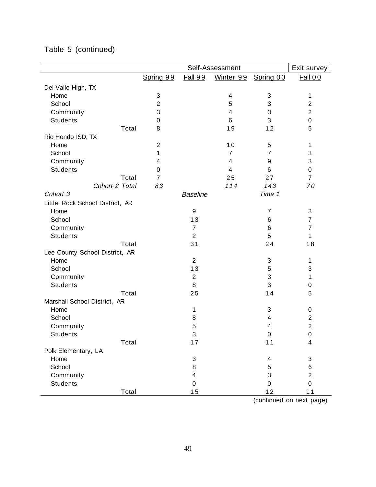|                                 |                           |                 | Self-Assessment          |                           | Exit survey               |
|---------------------------------|---------------------------|-----------------|--------------------------|---------------------------|---------------------------|
|                                 | Spring 99                 | <b>Fall 99</b>  | Winter 99                | Spring 00                 | Fall 00                   |
| Del Valle High, TX              |                           |                 |                          |                           |                           |
| Home                            | $\ensuremath{\mathsf{3}}$ |                 | 4                        | 3                         | 1                         |
| School                          | $\overline{2}$            |                 | 5                        | 3                         | $\overline{2}$            |
| Community                       | 3                         |                 | 4                        | 3                         | $\overline{2}$            |
| <b>Students</b>                 | $\mathbf 0$               |                 | 6                        | 3                         | $\pmb{0}$                 |
| Total                           | 8                         |                 | 19                       | 12                        | 5                         |
| Rio Hondo ISD, TX               |                           |                 |                          |                           |                           |
| Home                            | $\overline{2}$            |                 | 10                       | 5                         | 1                         |
| School                          | 1                         |                 | $\overline{7}$           | $\overline{7}$            | 3                         |
| Community                       | 4                         |                 | $\overline{4}$           | 9                         | $\ensuremath{\mathsf{3}}$ |
| <b>Students</b>                 | 0                         |                 | $\overline{\mathcal{A}}$ | 6                         | $\pmb{0}$                 |
| Total                           | $\overline{7}$            |                 | 25                       | 27                        | $\overline{7}$            |
| Cohort 2 Total                  | 83                        |                 | 114                      | 143                       | 70                        |
| Cohort 3                        |                           | <b>Baseline</b> |                          | Time 1                    |                           |
| Little Rock School District, AR |                           |                 |                          |                           |                           |
| Home                            |                           | 9               |                          | $\overline{7}$            | $\sqrt{3}$                |
| School                          |                           | 13              |                          | 6                         | $\overline{7}$            |
| Community                       |                           | $\overline{7}$  |                          | 6                         | $\overline{7}$            |
| <b>Students</b>                 |                           | $\overline{2}$  |                          | 5                         | 1                         |
| Total                           |                           | 31              |                          | 24                        | 18                        |
| Lee County School District, AR  |                           |                 |                          |                           |                           |
| Home                            |                           | $\overline{2}$  |                          | 3                         | 1                         |
| School                          |                           | 13              |                          | 5                         | $\ensuremath{\mathsf{3}}$ |
| Community                       |                           | $\mathbf{2}$    |                          | $\ensuremath{\mathsf{3}}$ | 1                         |
| <b>Students</b>                 |                           | 8               |                          | 3                         | 0                         |
| Total                           |                           | 25              |                          | 14                        | 5                         |
| Marshall School District, AR    |                           |                 |                          |                           |                           |
| Home                            |                           | 1               |                          | 3                         | 0                         |
| School                          |                           | 8               |                          | 4                         | $\sqrt{2}$                |
| Community                       |                           | 5               |                          | 4                         | $\overline{2}$            |
| <b>Students</b>                 |                           | 3               |                          | $\Omega$                  | $\mathbf 0$               |
| Total                           |                           | 17              |                          | 11                        | 4                         |
| Polk Elementary, LA             |                           |                 |                          |                           |                           |
| Home                            |                           | 3               |                          | 4                         | $\ensuremath{\mathsf{3}}$ |
| School                          |                           | 8               |                          | 5                         | 6                         |
| Community                       |                           | 4               |                          | 3                         | $\overline{2}$            |
| <b>Students</b>                 |                           | $\mathbf 0$     |                          | 0                         | $\pmb{0}$                 |
| Total                           |                           | 15              |                          | 12                        | 11                        |

# Table 5 (continued)

(continued on next page)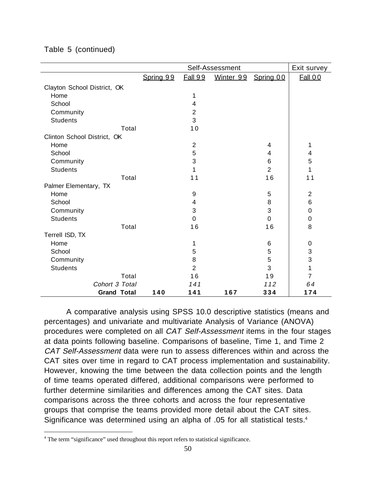|                             |                    |           |                | Self-Assessment |                | Exit survey    |
|-----------------------------|--------------------|-----------|----------------|-----------------|----------------|----------------|
|                             |                    | Spring 99 | <b>Fall 99</b> | Winter 99       | Spring 00      | <b>Fall 00</b> |
| Clayton School District, OK |                    |           |                |                 |                |                |
| Home                        |                    |           | 1              |                 |                |                |
| School                      |                    |           | 4              |                 |                |                |
| Community                   |                    |           | $\overline{2}$ |                 |                |                |
| <b>Students</b>             |                    |           | 3              |                 |                |                |
|                             | Total              |           | 10             |                 |                |                |
| Clinton School District, OK |                    |           |                |                 |                |                |
| Home                        |                    |           | $\overline{2}$ |                 | 4              | 1              |
| School                      |                    |           | 5              |                 | 4              | 4              |
| Community                   |                    |           | 3              |                 | 6              | 5              |
| <b>Students</b>             |                    |           | 1              |                 | $\overline{2}$ | 1              |
|                             | Total              |           | 11             |                 | 16             | 11             |
| Palmer Elementary, TX       |                    |           |                |                 |                |                |
| Home                        |                    |           | 9              |                 | 5              | $\overline{2}$ |
| School                      |                    |           | 4              |                 | 8              | 6              |
| Community                   |                    |           | 3              |                 | 3              | 0              |
| <b>Students</b>             |                    |           | 0              |                 | $\mathbf 0$    | 0              |
|                             | Total              |           | 16             |                 | 16             | 8              |
| Terrell ISD, TX             |                    |           |                |                 |                |                |
| Home                        |                    |           | 1              |                 | 6              | 0              |
| School                      |                    |           | 5              |                 | 5              | 3              |
| Community                   |                    |           | 8              |                 | 5              | 3              |
| <b>Students</b>             |                    |           | $\overline{2}$ |                 | 3              | 1              |
|                             | Total              |           | 16             |                 | 19             | $\overline{7}$ |
|                             | Cohort 3 Total     |           | 141            |                 | 112            | 64             |
|                             | <b>Grand Total</b> | 140       | 141            | 167             | 334            | 174            |

Table 5 (continued)

A comparative analysis using SPSS 10.0 descriptive statistics (means and percentages) and univariate and multivariate Analysis of Variance (ANOVA) procedures were completed on all CAT Self-Assessment items in the four stages at data points following baseline. Comparisons of baseline, Time 1, and Time 2 CAT Self-Assessment data were run to assess differences within and across the CAT sites over time in regard to CAT process implementation and sustainability. However, knowing the time between the data collection points and the length of time teams operated differed, additional comparisons were performed to further determine similarities and differences among the CAT sites. Data comparisons across the three cohorts and across the four representative groups that comprise the teams provided more detail about the CAT sites. Significance was determined using an alpha of .05 for all statistical tests.4

 $\frac{1}{4}$ <sup>4</sup> The term "significance" used throughout this report refers to statistical significance.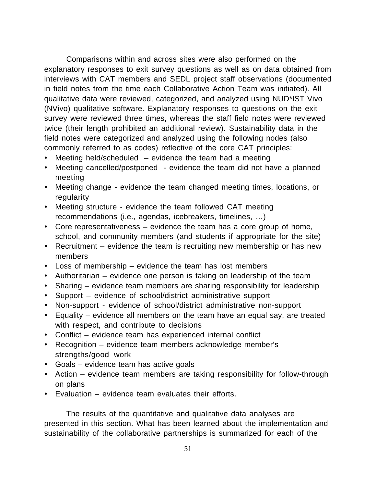Comparisons within and across sites were also performed on the explanatory responses to exit survey questions as well as on data obtained from interviews with CAT members and SEDL project staff observations (documented in field notes from the time each Collaborative Action Team was initiated). All qualitative data were reviewed, categorized, and analyzed using NUD\*IST Vivo (NVivo) qualitative software. Explanatory responses to questions on the exit survey were reviewed three times, whereas the staff field notes were reviewed twice (their length prohibited an additional review). Sustainability data in the field notes were categorized and analyzed using the following nodes (also commonly referred to as codes) reflective of the core CAT principles:

- Meeting held/scheduled evidence the team had a meeting
- · Meeting cancelled/postponed evidence the team did not have a planned meeting
- · Meeting change evidence the team changed meeting times, locations, or regularity
- · Meeting structure evidence the team followed CAT meeting recommendations (i.e., agendas, icebreakers, timelines, …)
- · Core representativeness evidence the team has a core group of home, school, and community members (and students if appropriate for the site)
- · Recruitment evidence the team is recruiting new membership or has new members
- · Loss of membership evidence the team has lost members
- · Authoritarian evidence one person is taking on leadership of the team
- · Sharing evidence team members are sharing responsibility for leadership
- · Support evidence of school/district administrative support
- · Non-support evidence of school/district administrative non-support
- · Equality evidence all members on the team have an equal say, are treated with respect, and contribute to decisions
- · Conflict evidence team has experienced internal conflict
- · Recognition evidence team members acknowledge member's strengths/good work
- · Goals evidence team has active goals
- · Action evidence team members are taking responsibility for follow-through on plans
- · Evaluation evidence team evaluates their efforts.

The results of the quantitative and qualitative data analyses are presented in this section. What has been learned about the implementation and sustainability of the collaborative partnerships is summarized for each of the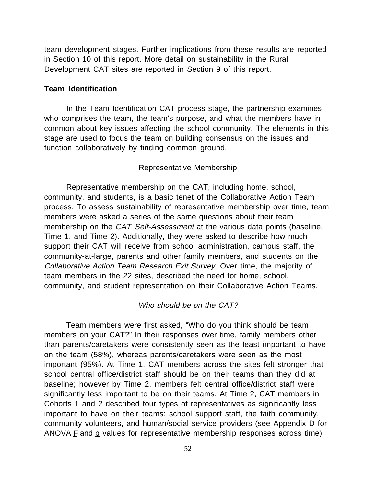team development stages. Further implications from these results are reported in Section 10 of this report. More detail on sustainability in the Rural Development CAT sites are reported in Section 9 of this report.

### **Team Identification**

In the Team Identification CAT process stage, the partnership examines who comprises the team, the team's purpose, and what the members have in common about key issues affecting the school community. The elements in this stage are used to focus the team on building consensus on the issues and function collaboratively by finding common ground.

#### Representative Membership

Representative membership on the CAT, including home, school, community, and students, is a basic tenet of the Collaborative Action Team process. To assess sustainability of representative membership over time, team members were asked a series of the same questions about their team membership on the CAT Self-Assessment at the various data points (baseline, Time 1, and Time 2). Additionally, they were asked to describe how much support their CAT will receive from school administration, campus staff, the community-at-large, parents and other family members, and students on the Collaborative Action Team Research Exit Survey. Over time, the majority of team members in the 22 sites, described the need for home, school, community, and student representation on their Collaborative Action Teams.

### Who should be on the CAT?

Team members were first asked, "Who do you think should be team members on your CAT?" In their responses over time, family members other than parents/caretakers were consistently seen as the least important to have on the team (58%), whereas parents/caretakers were seen as the most important (95%). At Time 1, CAT members across the sites felt stronger that school central office/district staff should be on their teams than they did at baseline; however by Time 2, members felt central office/district staff were significantly less important to be on their teams. At Time 2, CAT members in Cohorts 1 and 2 described four types of representatives as significantly less important to have on their teams: school support staff, the faith community, community volunteers, and human/social service providers (see Appendix D for ANOVA  $E$  and  $E$  values for representative membership responses across time).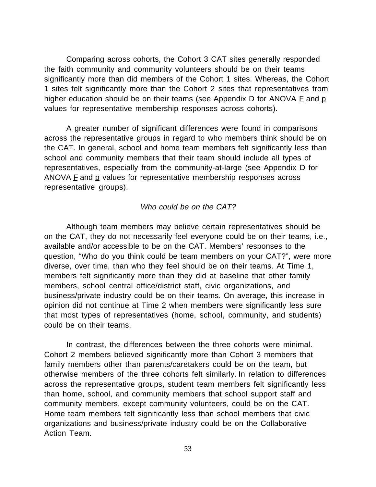Comparing across cohorts, the Cohort 3 CAT sites generally responded the faith community and community volunteers should be on their teams significantly more than did members of the Cohort 1 sites. Whereas, the Cohort 1 sites felt significantly more than the Cohort 2 sites that representatives from higher education should be on their teams (see Appendix D for ANOVA  $E$  and  $p$ values for representative membership responses across cohorts).

A greater number of significant differences were found in comparisons across the representative groups in regard to who members think should be on the CAT. In general, school and home team members felt significantly less than school and community members that their team should include all types of representatives, especially from the community-at-large (see Appendix D for ANOVA  $E$  and  $E$  values for representative membership responses across representative groups).

### Who could be on the CAT?

Although team members may believe certain representatives should be on the CAT, they do not necessarily feel everyone could be on their teams, i.e., available and/or accessible to be on the CAT. Members' responses to the question, "Who do you think could be team members on your CAT?", were more diverse, over time, than who they feel should be on their teams. At Time 1, members felt significantly more than they did at baseline that other family members, school central office/district staff, civic organizations, and business/private industry could be on their teams. On average, this increase in opinion did not continue at Time 2 when members were significantly less sure that most types of representatives (home, school, community, and students) could be on their teams.

In contrast, the differences between the three cohorts were minimal. Cohort 2 members believed significantly more than Cohort 3 members that family members other than parents/caretakers could be on the team, but otherwise members of the three cohorts felt similarly. In relation to differences across the representative groups, student team members felt significantly less than home, school, and community members that school support staff and community members, except community volunteers, could be on the CAT. Home team members felt significantly less than school members that civic organizations and business/private industry could be on the Collaborative Action Team.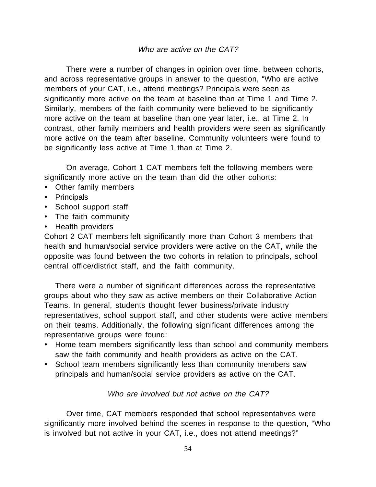There were a number of changes in opinion over time, between cohorts, and across representative groups in answer to the question, "Who are active members of your CAT, i.e., attend meetings? Principals were seen as significantly more active on the team at baseline than at Time 1 and Time 2. Similarly, members of the faith community were believed to be significantly more active on the team at baseline than one year later, i.e., at Time 2. In contrast, other family members and health providers were seen as significantly more active on the team after baseline. Community volunteers were found to be significantly less active at Time 1 than at Time 2.

On average, Cohort 1 CAT members felt the following members were significantly more active on the team than did the other cohorts:

- · Other family members
- · Principals
- · School support staff
- · The faith community
- · Health providers

Cohort 2 CAT members felt significantly more than Cohort 3 members that health and human/social service providers were active on the CAT, while the opposite was found between the two cohorts in relation to principals, school central office/district staff, and the faith community.

There were a number of significant differences across the representative groups about who they saw as active members on their Collaborative Action Teams. In general, students thought fewer business/private industry representatives, school support staff, and other students were active members on their teams. Additionally, the following significant differences among the representative groups were found:

- · Home team members significantly less than school and community members saw the faith community and health providers as active on the CAT.
- · School team members significantly less than community members saw principals and human/social service providers as active on the CAT.

### Who are involved but not active on the CAT?

Over time, CAT members responded that school representatives were significantly more involved behind the scenes in response to the question, "Who is involved but not active in your CAT, i.e., does not attend meetings?"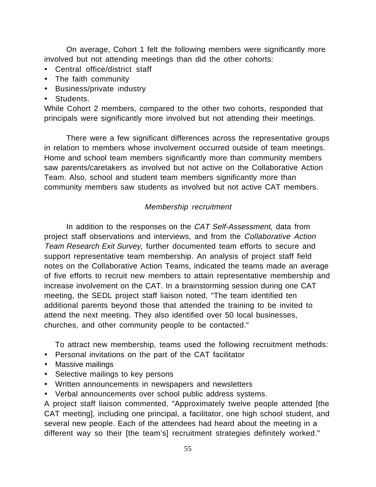On average, Cohort 1 felt the following members were significantly more involved but not attending meetings than did the other cohorts:

- · Central office/district staff
- · The faith community
- · Business/private industry
- · Students.

While Cohort 2 members, compared to the other two cohorts, responded that principals were significantly more involved but not attending their meetings.

There were a few significant differences across the representative groups in relation to members whose involvement occurred outside of team meetings. Home and school team members significantly more than community members saw parents/caretakers as involved but not active on the Collaborative Action Team. Also, school and student team members significantly more than community members saw students as involved but not active CAT members.

# Membership recruitment

In addition to the responses on the CAT Self-Assessment, data from project staff observations and interviews, and from the Collaborative Action Team Research Exit Survey, further documented team efforts to secure and support representative team membership. An analysis of project staff field notes on the Collaborative Action Teams, indicated the teams made an average of five efforts to recruit new members to attain representative membership and increase involvement on the CAT. In a brainstorming session during one CAT meeting, the SEDL project staff liaison noted, "The team identified ten additional parents beyond those that attended the training to be invited to attend the next meeting. They also identified over 50 local businesses, churches, and other community people to be contacted."

To attract new membership, teams used the following recruitment methods:

- · Personal invitations on the part of the CAT facilitator
- · Massive mailings
- · Selective mailings to key persons
- · Written announcements in newspapers and newsletters
- · Verbal announcements over school public address systems.

A project staff liaison commented, "Approximately twelve people attended [the CAT meeting], including one principal, a facilitator, one high school student, and several new people. Each of the attendees had heard about the meeting in a different way so their [the team's] recruitment strategies definitely worked."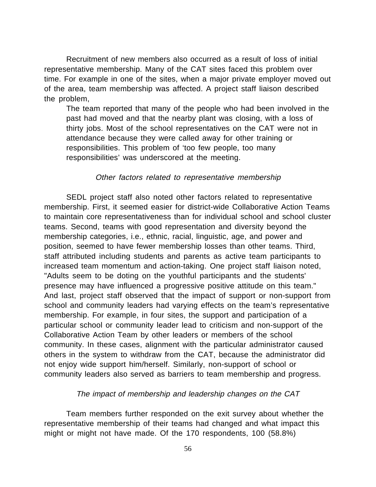Recruitment of new members also occurred as a result of loss of initial representative membership. Many of the CAT sites faced this problem over time. For example in one of the sites, when a major private employer moved out of the area, team membership was affected. A project staff liaison described the problem,

The team reported that many of the people who had been involved in the past had moved and that the nearby plant was closing, with a loss of thirty jobs. Most of the school representatives on the CAT were not in attendance because they were called away for other training or responsibilities. This problem of 'too few people, too many responsibilities' was underscored at the meeting.

## Other factors related to representative membership

SEDL project staff also noted other factors related to representative membership. First, it seemed easier for district-wide Collaborative Action Teams to maintain core representativeness than for individual school and school cluster teams. Second, teams with good representation and diversity beyond the membership categories, i.e., ethnic, racial, linguistic, age, and power and position, seemed to have fewer membership losses than other teams. Third, staff attributed including students and parents as active team participants to increased team momentum and action-taking. One project staff liaison noted, "Adults seem to be doting on the youthful participants and the students' presence may have influenced a progressive positive attitude on this team." And last, project staff observed that the impact of support or non-support from school and community leaders had varying effects on the team's representative membership. For example, in four sites, the support and participation of a particular school or community leader lead to criticism and non-support of the Collaborative Action Team by other leaders or members of the school community. In these cases, alignment with the particular administrator caused others in the system to withdraw from the CAT, because the administrator did not enjoy wide support him/herself. Similarly, non-support of school or community leaders also served as barriers to team membership and progress.

### The impact of membership and leadership changes on the CAT

Team members further responded on the exit survey about whether the representative membership of their teams had changed and what impact this might or might not have made. Of the 170 respondents, 100 (58.8%)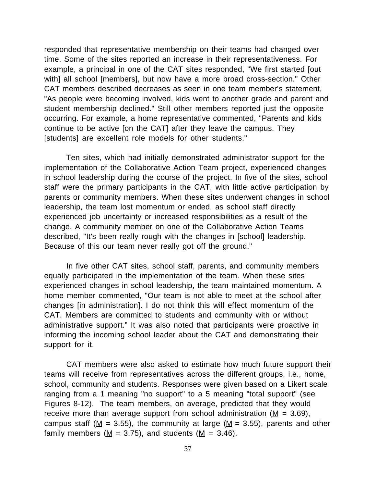responded that representative membership on their teams had changed over time. Some of the sites reported an increase in their representativeness. For example, a principal in one of the CAT sites responded, "We first started [out with] all school [members], but now have a more broad cross-section." Other CAT members described decreases as seen in one team member's statement, "As people were becoming involved, kids went to another grade and parent and student membership declined." Still other members reported just the opposite occurring. For example, a home representative commented, "Parents and kids continue to be active [on the CAT] after they leave the campus. They [students] are excellent role models for other students."

Ten sites, which had initially demonstrated administrator support for the implementation of the Collaborative Action Team project, experienced changes in school leadership during the course of the project. In five of the sites, school staff were the primary participants in the CAT, with little active participation by parents or community members. When these sites underwent changes in school leadership, the team lost momentum or ended, as school staff directly experienced job uncertainty or increased responsibilities as a result of the change. A community member on one of the Collaborative Action Teams described, "It's been really rough with the changes in [school] leadership. Because of this our team never really got off the ground."

In five other CAT sites, school staff, parents, and community members equally participated in the implementation of the team. When these sites experienced changes in school leadership, the team maintained momentum. A home member commented, "Our team is not able to meet at the school after changes [in administration]. I do not think this will effect momentum of the CAT. Members are committed to students and community with or without administrative support." It was also noted that participants were proactive in informing the incoming school leader about the CAT and demonstrating their support for it.

CAT members were also asked to estimate how much future support their teams will receive from representatives across the different groups, i.e., home, school, community and students. Responses were given based on a Likert scale ranging from a 1 meaning "no support" to a 5 meaning "total support" (see Figures 8-12). The team members, on average, predicted that they would receive more than average support from school administration ( $M = 3.69$ ), campus staff ( $M = 3.55$ ), the community at large ( $M = 3.55$ ), parents and other family members ( $M = 3.75$ ), and students ( $M = 3.46$ ).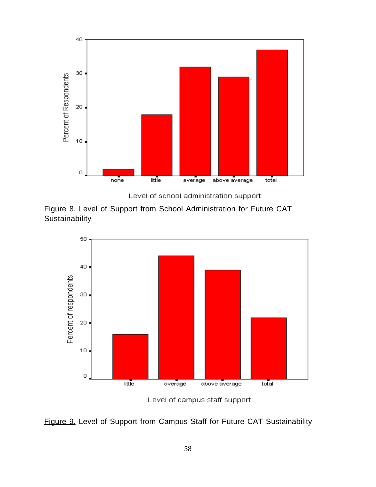

Level of school administration support





Level of campus staff support

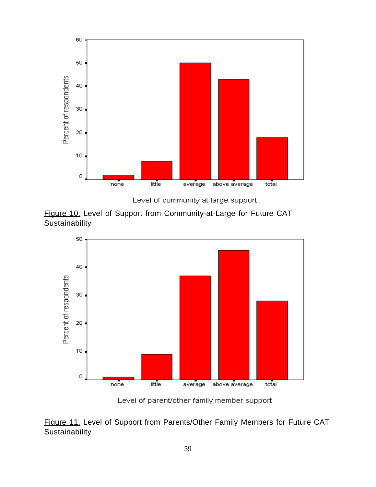

Level of community at large support





Level of parent/other family member support

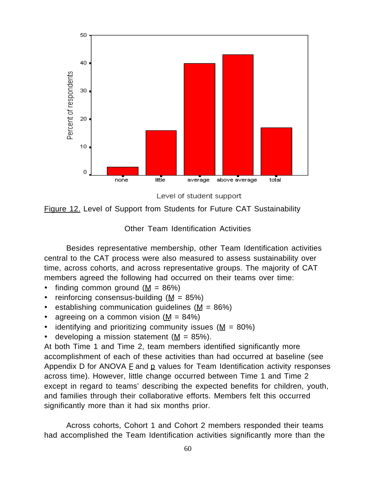

Level of student support



Other Team Identification Activities

Besides representative membership, other Team Identification activities central to the CAT process were also measured to assess sustainability over time, across cohorts, and across representative groups. The majority of CAT members agreed the following had occurred on their teams over time:

- finding common ground  $(M = 86\%)$
- reinforcing consensus-building  $(M = 85\%)$
- establishing communication guidelines ( $M = 86\%)$
- agreeing on a common vision  $(M = 84\%)$
- identifying and prioritizing community issues ( $M = 80\%)$
- developing a mission statement ( $M = 85\%$ ).

At both Time 1 and Time 2, team members identified significantly more accomplishment of each of these activities than had occurred at baseline (see Appendix D for ANOVA  $E$  and  $p$  values for Team Identification activity responses across time). However, little change occurred between Time 1 and Time 2 except in regard to teams' describing the expected benefits for children, youth, and families through their collaborative efforts. Members felt this occurred significantly more than it had six months prior.

Across cohorts, Cohort 1 and Cohort 2 members responded their teams had accomplished the Team Identification activities significantly more than the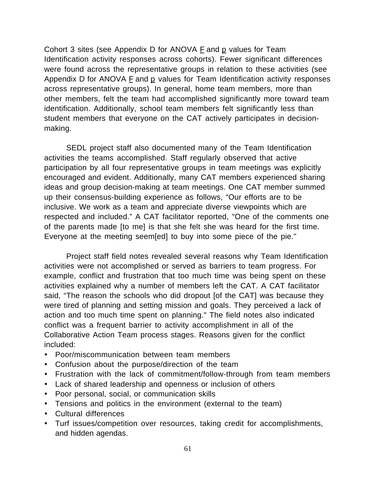Cohort 3 sites (see Appendix D for ANOVA  $E$  and  $E$  values for Team Identification activity responses across cohorts). Fewer significant differences were found across the representative groups in relation to these activities (see Appendix D for ANOVA F and p values for Team Identification activity responses across representative groups). In general, home team members, more than other members, felt the team had accomplished significantly more toward team identification. Additionally, school team members felt significantly less than student members that everyone on the CAT actively participates in decisionmaking.

SEDL project staff also documented many of the Team Identification activities the teams accomplished. Staff regularly observed that active participation by all four representative groups in team meetings was explicitly encouraged and evident. Additionally, many CAT members experienced sharing ideas and group decision-making at team meetings. One CAT member summed up their consensus-building experience as follows, "Our efforts are to be inclusive. We work as a team and appreciate diverse viewpoints which are respected and included." A CAT facilitator reported, "One of the comments one of the parents made [to me] is that she felt she was heard for the first time. Everyone at the meeting seem[ed] to buy into some piece of the pie."

Project staff field notes revealed several reasons why Team Identification activities were not accomplished or served as barriers to team progress. For example, conflict and frustration that too much time was being spent on these activities explained why a number of members left the CAT. A CAT facilitator said, "The reason the schools who did dropout [of the CAT] was because they were tired of planning and setting mission and goals. They perceived a lack of action and too much time spent on planning." The field notes also indicated conflict was a frequent barrier to activity accomplishment in all of the Collaborative Action Team process stages. Reasons given for the conflict included:

- · Poor/miscommunication between team members
- · Confusion about the purpose/direction of the team
- · Frustration with the lack of commitment/follow-through from team members
- · Lack of shared leadership and openness or inclusion of others
- · Poor personal, social, or communication skills
- · Tensions and politics in the environment (external to the team)
- · Cultural differences
- · Turf issues/competition over resources, taking credit for accomplishments, and hidden agendas.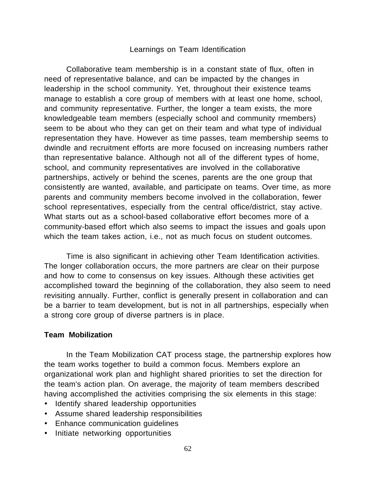### Learnings on Team Identification

Collaborative team membership is in a constant state of flux, often in need of representative balance, and can be impacted by the changes in leadership in the school community. Yet, throughout their existence teams manage to establish a core group of members with at least one home, school, and community representative. Further, the longer a team exists, the more knowledgeable team members (especially school and community rmembers) seem to be about who they can get on their team and what type of individual representation they have. However as time passes, team membership seems to dwindle and recruitment efforts are more focused on increasing numbers rather than representative balance. Although not all of the different types of home, school, and community representatives are involved in the collaborative partnerships, actively or behind the scenes, parents are the one group that consistently are wanted, available, and participate on teams. Over time, as more parents and community members become involved in the collaboration, fewer school representatives, especially from the central office/district, stay active. What starts out as a school-based collaborative effort becomes more of a community-based effort which also seems to impact the issues and goals upon which the team takes action, i.e., not as much focus on student outcomes.

Time is also significant in achieving other Team Identification activities. The longer collaboration occurs, the more partners are clear on their purpose and how to come to consensus on key issues. Although these activities get accomplished toward the beginning of the collaboration, they also seem to need revisiting annually. Further, conflict is generally present in collaboration and can be a barrier to team development, but is not in all partnerships, especially when a strong core group of diverse partners is in place.

### **Team Mobilization**

In the Team Mobilization CAT process stage, the partnership explores how the team works together to build a common focus. Members explore an organizational work plan and highlight shared priorities to set the direction for the team's action plan. On average, the majority of team members described having accomplished the activities comprising the six elements in this stage:

- · Identify shared leadership opportunities
- · Assume shared leadership responsibilities
- · Enhance communication guidelines
- · Initiate networking opportunities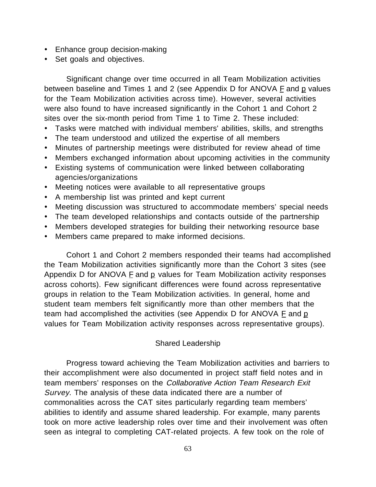- · Enhance group decision-making
- · Set goals and objectives.

Significant change over time occurred in all Team Mobilization activities between baseline and Times 1 and 2 (see Appendix D for ANOVA F and p values for the Team Mobilization activities across time). However, several activities were also found to have increased significantly in the Cohort 1 and Cohort 2 sites over the six-month period from Time 1 to Time 2. These included:

- Tasks were matched with individual members' abilities, skills, and strengths
- · The team understood and utilized the expertise of all members
- · Minutes of partnership meetings were distributed for review ahead of time
- · Members exchanged information about upcoming activities in the community
- · Existing systems of communication were linked between collaborating agencies/organizations
- · Meeting notices were available to all representative groups
- · A membership list was printed and kept current
- · Meeting discussion was structured to accommodate members' special needs
- · The team developed relationships and contacts outside of the partnership
- · Members developed strategies for building their networking resource base
- · Members came prepared to make informed decisions.

Cohort 1 and Cohort 2 members responded their teams had accomplished the Team Mobilization activities significantly more than the Cohort 3 sites (see Appendix D for ANOVA  $E$  and  $p$  values for Team Mobilization activity responses across cohorts). Few significant differences were found across representative groups in relation to the Team Mobilization activities. In general, home and student team members felt significantly more than other members that the team had accomplished the activities (see Appendix D for ANOVA  $E$  and  $p$ values for Team Mobilization activity responses across representative groups).

## Shared Leadership

Progress toward achieving the Team Mobilization activities and barriers to their accomplishment were also documented in project staff field notes and in team members' responses on the Collaborative Action Team Research Exit Survey. The analysis of these data indicated there are a number of commonalities across the CAT sites particularly regarding team members' abilities to identify and assume shared leadership. For example, many parents took on more active leadership roles over time and their involvement was often seen as integral to completing CAT-related projects. A few took on the role of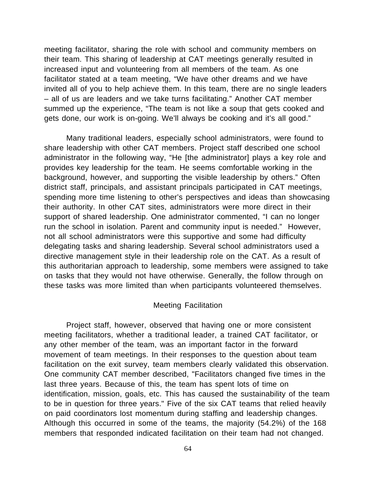meeting facilitator, sharing the role with school and community members on their team. This sharing of leadership at CAT meetings generally resulted in increased input and volunteering from all members of the team. As one facilitator stated at a team meeting, "We have other dreams and we have invited all of you to help achieve them. In this team, there are no single leaders – all of us are leaders and we take turns facilitating." Another CAT member summed up the experience, "The team is not like a soup that gets cooked and gets done, our work is on-going. We'll always be cooking and it's all good."

Many traditional leaders, especially school administrators, were found to share leadership with other CAT members. Project staff described one school administrator in the following way, "He [the administrator] plays a key role and provides key leadership for the team. He seems comfortable working in the background, however, and supporting the visible leadership by others." Often district staff, principals, and assistant principals participated in CAT meetings, spending more time listening to other's perspectives and ideas than showcasing their authority. In other CAT sites, administrators were more direct in their support of shared leadership. One administrator commented, "I can no longer run the school in isolation. Parent and community input is needed." However, not all school administrators were this supportive and some had difficulty delegating tasks and sharing leadership. Several school administrators used a directive management style in their leadership role on the CAT. As a result of this authoritarian approach to leadership, some members were assigned to take on tasks that they would not have otherwise. Generally, the follow through on these tasks was more limited than when participants volunteered themselves.

#### Meeting Facilitation

Project staff, however, observed that having one or more consistent meeting facilitators, whether a traditional leader, a trained CAT facilitator, or any other member of the team, was an important factor in the forward movement of team meetings. In their responses to the question about team facilitation on the exit survey, team members clearly validated this observation. One community CAT member described, "Facilitators changed five times in the last three years. Because of this, the team has spent lots of time on identification, mission, goals, etc. This has caused the sustainability of the team to be in question for three years." Five of the six CAT teams that relied heavily on paid coordinators lost momentum during staffing and leadership changes. Although this occurred in some of the teams, the majority (54.2%) of the 168 members that responded indicated facilitation on their team had not changed.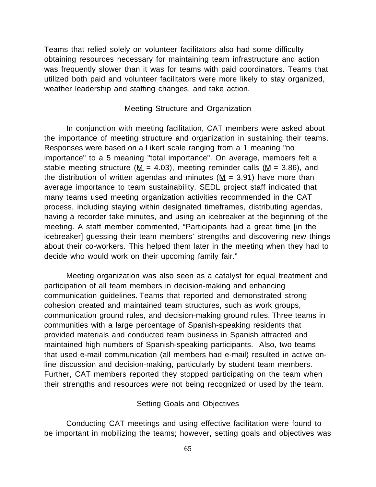Teams that relied solely on volunteer facilitators also had some difficulty obtaining resources necessary for maintaining team infrastructure and action was frequently slower than it was for teams with paid coordinators. Teams that utilized both paid and volunteer facilitators were more likely to stay organized, weather leadership and staffing changes, and take action.

## Meeting Structure and Organization

In conjunction with meeting facilitation, CAT members were asked about the importance of meeting structure and organization in sustaining their teams. Responses were based on a Likert scale ranging from a 1 meaning "no importance" to a 5 meaning "total importance". On average, members felt a stable meeting structure ( $M = 4.03$ ), meeting reminder calls ( $M = 3.86$ ), and the distribution of written agendas and minutes ( $M = 3.91$ ) have more than average importance to team sustainability. SEDL project staff indicated that many teams used meeting organization activities recommended in the CAT process, including staying within designated timeframes, distributing agendas, having a recorder take minutes, and using an icebreaker at the beginning of the meeting. A staff member commented, "Participants had a great time [in the icebreaker] guessing their team members' strengths and discovering new things about their co-workers. This helped them later in the meeting when they had to decide who would work on their upcoming family fair."

Meeting organization was also seen as a catalyst for equal treatment and participation of all team members in decision-making and enhancing communication guidelines. Teams that reported and demonstrated strong cohesion created and maintained team structures, such as work groups, communication ground rules, and decision-making ground rules. Three teams in communities with a large percentage of Spanish-speaking residents that provided materials and conducted team business in Spanish attracted and maintained high numbers of Spanish-speaking participants. Also, two teams that used e-mail communication (all members had e-mail) resulted in active online discussion and decision-making, particularly by student team members. Further, CAT members reported they stopped participating on the team when their strengths and resources were not being recognized or used by the team.

## Setting Goals and Objectives

Conducting CAT meetings and using effective facilitation were found to be important in mobilizing the teams; however, setting goals and objectives was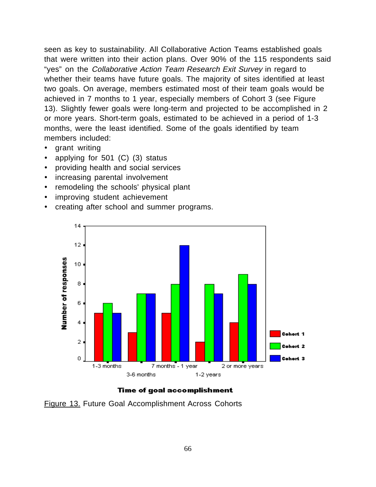seen as key to sustainability. All Collaborative Action Teams established goals that were written into their action plans. Over 90% of the 115 respondents said "yes" on the Collaborative Action Team Research Exit Survey in regard to whether their teams have future goals. The majority of sites identified at least two goals. On average, members estimated most of their team goals would be achieved in 7 months to 1 year, especially members of Cohort 3 (see Figure 13). Slightly fewer goals were long-term and projected to be accomplished in 2 or more years. Short-term goals, estimated to be achieved in a period of 1-3 months, were the least identified. Some of the goals identified by team members included:

- · grant writing
- applying for  $501$  (C) (3) status
- · providing health and social services
- increasing parental involvement
- · remodeling the schools' physical plant
- · improving student achievement
- · creating after school and summer programs.



## Time of goal accomplishment

Figure 13. Future Goal Accomplishment Across Cohorts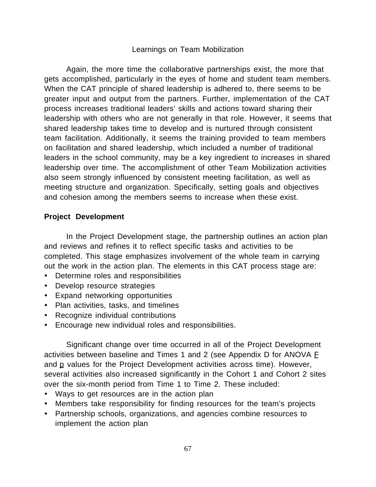# Learnings on Team Mobilization

Again, the more time the collaborative partnerships exist, the more that gets accomplished, particularly in the eyes of home and student team members. When the CAT principle of shared leadership is adhered to, there seems to be greater input and output from the partners. Further, implementation of the CAT process increases traditional leaders' skills and actions toward sharing their leadership with others who are not generally in that role. However, it seems that shared leadership takes time to develop and is nurtured through consistent team facilitation. Additionally, it seems the training provided to team members on facilitation and shared leadership, which included a number of traditional leaders in the school community, may be a key ingredient to increases in shared leadership over time. The accomplishment of other Team Mobilization activities also seem strongly influenced by consistent meeting facilitation, as well as meeting structure and organization. Specifically, setting goals and objectives and cohesion among the members seems to increase when these exist.

# **Project Development**

In the Project Development stage, the partnership outlines an action plan and reviews and refines it to reflect specific tasks and activities to be completed. This stage emphasizes involvement of the whole team in carrying out the work in the action plan. The elements in this CAT process stage are:

- · Determine roles and responsibilities
- · Develop resource strategies
- · Expand networking opportunities
- · Plan activities, tasks, and timelines
- · Recognize individual contributions
- · Encourage new individual roles and responsibilities.

Significant change over time occurred in all of the Project Development activities between baseline and Times 1 and 2 (see Appendix D for ANOVA  $E$ and  $p$  values for the Project Development activities across time). However, several activities also increased significantly in the Cohort 1 and Cohort 2 sites over the six-month period from Time 1 to Time 2. These included:

- · Ways to get resources are in the action plan
- · Members take responsibility for finding resources for the team's projects
- · Partnership schools, organizations, and agencies combine resources to implement the action plan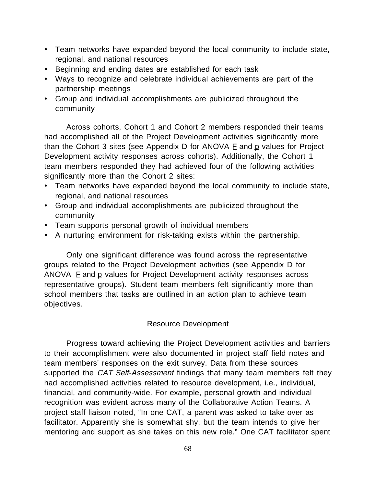- · Team networks have expanded beyond the local community to include state, regional, and national resources
- · Beginning and ending dates are established for each task
- · Ways to recognize and celebrate individual achievements are part of the partnership meetings
- · Group and individual accomplishments are publicized throughout the community

Across cohorts, Cohort 1 and Cohort 2 members responded their teams had accomplished all of the Project Development activities significantly more than the Cohort 3 sites (see Appendix  $D$  for ANOVA  $E$  and  $D$  values for Project Development activity responses across cohorts). Additionally, the Cohort 1 team members responded they had achieved four of the following activities significantly more than the Cohort 2 sites:

- · Team networks have expanded beyond the local community to include state, regional, and national resources
- · Group and individual accomplishments are publicized throughout the community
- · Team supports personal growth of individual members
- · A nurturing environment for risk-taking exists within the partnership.

Only one significant difference was found across the representative groups related to the Project Development activities (see Appendix D for ANOVA  $E$  and  $E$  values for Project Development activity responses across representative groups). Student team members felt significantly more than school members that tasks are outlined in an action plan to achieve team objectives.

# Resource Development

Progress toward achieving the Project Development activities and barriers to their accomplishment were also documented in project staff field notes and team members' responses on the exit survey. Data from these sources supported the CAT Self-Assessment findings that many team members felt they had accomplished activities related to resource development, i.e., individual, financial, and community-wide. For example, personal growth and individual recognition was evident across many of the Collaborative Action Teams. A project staff liaison noted, "In one CAT, a parent was asked to take over as facilitator. Apparently she is somewhat shy, but the team intends to give her mentoring and support as she takes on this new role." One CAT facilitator spent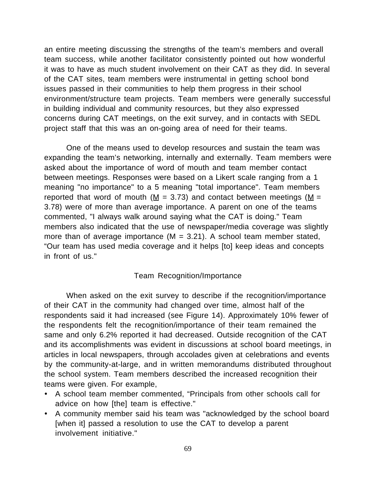an entire meeting discussing the strengths of the team's members and overall team success, while another facilitator consistently pointed out how wonderful it was to have as much student involvement on their CAT as they did. In several of the CAT sites, team members were instrumental in getting school bond issues passed in their communities to help them progress in their school environment/structure team projects. Team members were generally successful in building individual and community resources, but they also expressed concerns during CAT meetings, on the exit survey, and in contacts with SEDL project staff that this was an on-going area of need for their teams.

One of the means used to develop resources and sustain the team was expanding the team's networking, internally and externally. Team members were asked about the importance of word of mouth and team member contact between meetings. Responses were based on a Likert scale ranging from a 1 meaning "no importance" to a 5 meaning "total importance". Team members reported that word of mouth ( $M = 3.73$ ) and contact between meetings ( $M =$ 3.78) were of more than average importance. A parent on one of the teams commented, "I always walk around saying what the CAT is doing." Team members also indicated that the use of newspaper/media coverage was slightly more than of average importance  $(M = 3.21)$ . A school team member stated, "Our team has used media coverage and it helps [to] keep ideas and concepts in front of us."

## Team Recognition/Importance

When asked on the exit survey to describe if the recognition/importance of their CAT in the community had changed over time, almost half of the respondents said it had increased (see Figure 14). Approximately 10% fewer of the respondents felt the recognition/importance of their team remained the same and only 6.2% reported it had decreased. Outside recognition of the CAT and its accomplishments was evident in discussions at school board meetings, in articles in local newspapers, through accolades given at celebrations and events by the community-at-large, and in written memorandums distributed throughout the school system. Team members described the increased recognition their teams were given. For example,

- · A school team member commented, "Principals from other schools call for advice on how [the] team is effective."
- · A community member said his team was "acknowledged by the school board [when it] passed a resolution to use the CAT to develop a parent involvement initiative."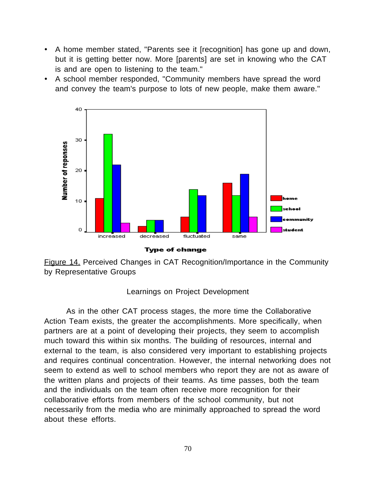- · A home member stated, "Parents see it [recognition] has gone up and down, but it is getting better now. More [parents] are set in knowing who the CAT is and are open to listening to the team."
- · A school member responded, "Community members have spread the word and convey the team's purpose to lots of new people, make them aware."



**Type of change** 

Figure 14. Perceived Changes in CAT Recognition/Importance in the Community by Representative Groups

# Learnings on Project Development

As in the other CAT process stages, the more time the Collaborative Action Team exists, the greater the accomplishments. More specifically, when partners are at a point of developing their projects, they seem to accomplish much toward this within six months. The building of resources, internal and external to the team, is also considered very important to establishing projects and requires continual concentration. However, the internal networking does not seem to extend as well to school members who report they are not as aware of the written plans and projects of their teams. As time passes, both the team and the individuals on the team often receive more recognition for their collaborative efforts from members of the school community, but not necessarily from the media who are minimally approached to spread the word about these efforts.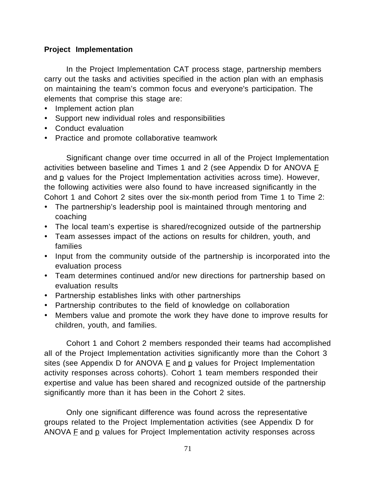# **Project Implementation**

In the Project Implementation CAT process stage, partnership members carry out the tasks and activities specified in the action plan with an emphasis on maintaining the team's common focus and everyone's participation. The elements that comprise this stage are:

- · Implement action plan
- · Support new individual roles and responsibilities
- · Conduct evaluation
- · Practice and promote collaborative teamwork

Significant change over time occurred in all of the Project Implementation activities between baseline and Times 1 and 2 (see Appendix D for ANOVA E and  $p$  values for the Project Implementation activities across time). However, the following activities were also found to have increased significantly in the Cohort 1 and Cohort 2 sites over the six-month period from Time 1 to Time 2:

- · The partnership's leadership pool is maintained through mentoring and coaching
- · The local team's expertise is shared/recognized outside of the partnership
- · Team assesses impact of the actions on results for children, youth, and families
- · Input from the community outside of the partnership is incorporated into the evaluation process
- · Team determines continued and/or new directions for partnership based on evaluation results
- · Partnership establishes links with other partnerships
- · Partnership contributes to the field of knowledge on collaboration
- · Members value and promote the work they have done to improve results for children, youth, and families.

Cohort 1 and Cohort 2 members responded their teams had accomplished all of the Project Implementation activities significantly more than the Cohort 3 sites (see Appendix D for ANOVA  $E$  and  $p$  values for Project Implementation activity responses across cohorts). Cohort 1 team members responded their expertise and value has been shared and recognized outside of the partnership significantly more than it has been in the Cohort 2 sites.

Only one significant difference was found across the representative groups related to the Project Implementation activities (see Appendix D for ANOVA  $E$  and  $E$  values for Project Implementation activity responses across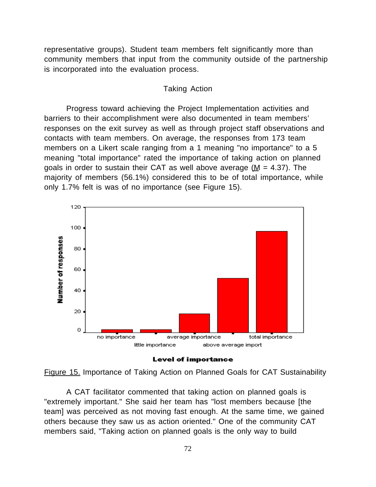representative groups). Student team members felt significantly more than community members that input from the community outside of the partnership is incorporated into the evaluation process.

#### Taking Action

Progress toward achieving the Project Implementation activities and barriers to their accomplishment were also documented in team members' responses on the exit survey as well as through project staff observations and contacts with team members. On average, the responses from 173 team members on a Likert scale ranging from a 1 meaning "no importance" to a 5 meaning "total importance" rated the importance of taking action on planned goals in order to sustain their CAT as well above average ( $M = 4.37$ ). The majority of members (56.1%) considered this to be of total importance, while only 1.7% felt is was of no importance (see Figure 15).







A CAT facilitator commented that taking action on planned goals is "extremely important." She said her team has "lost members because [the team] was perceived as not moving fast enough. At the same time, we gained others because they saw us as action oriented." One of the community CAT members said, "Taking action on planned goals is the only way to build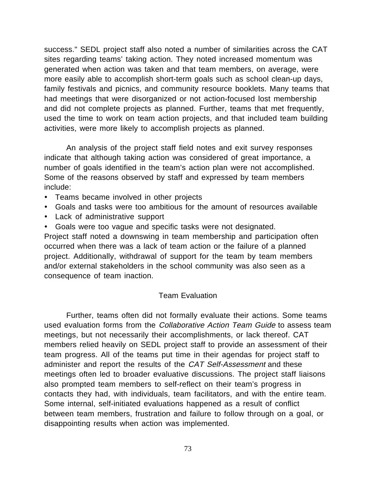success." SEDL project staff also noted a number of similarities across the CAT sites regarding teams' taking action. They noted increased momentum was generated when action was taken and that team members, on average, were more easily able to accomplish short-term goals such as school clean-up days, family festivals and picnics, and community resource booklets. Many teams that had meetings that were disorganized or not action-focused lost membership and did not complete projects as planned. Further, teams that met frequently, used the time to work on team action projects, and that included team building activities, were more likely to accomplish projects as planned.

An analysis of the project staff field notes and exit survey responses indicate that although taking action was considered of great importance, a number of goals identified in the team's action plan were not accomplished. Some of the reasons observed by staff and expressed by team members include:

- · Teams became involved in other projects
- · Goals and tasks were too ambitious for the amount of resources available
- · Lack of administrative support
- · Goals were too vague and specific tasks were not designated.

Project staff noted a downswing in team membership and participation often occurred when there was a lack of team action or the failure of a planned project. Additionally, withdrawal of support for the team by team members and/or external stakeholders in the school community was also seen as a consequence of team inaction.

## Team Evaluation

Further, teams often did not formally evaluate their actions. Some teams used evaluation forms from the Collaborative Action Team Guide to assess team meetings, but not necessarily their accomplishments, or lack thereof. CAT members relied heavily on SEDL project staff to provide an assessment of their team progress. All of the teams put time in their agendas for project staff to administer and report the results of the CAT Self-Assessment and these meetings often led to broader evaluative discussions. The project staff liaisons also prompted team members to self-reflect on their team's progress in contacts they had, with individuals, team facilitators, and with the entire team. Some internal, self-initiated evaluations happened as a result of conflict between team members, frustration and failure to follow through on a goal, or disappointing results when action was implemented.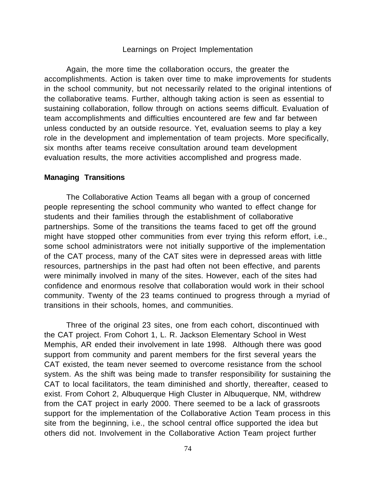#### Learnings on Project Implementation

Again, the more time the collaboration occurs, the greater the accomplishments. Action is taken over time to make improvements for students in the school community, but not necessarily related to the original intentions of the collaborative teams. Further, although taking action is seen as essential to sustaining collaboration, follow through on actions seems difficult. Evaluation of team accomplishments and difficulties encountered are few and far between unless conducted by an outside resource. Yet, evaluation seems to play a key role in the development and implementation of team projects. More specifically, six months after teams receive consultation around team development evaluation results, the more activities accomplished and progress made.

#### **Managing Transitions**

The Collaborative Action Teams all began with a group of concerned people representing the school community who wanted to effect change for students and their families through the establishment of collaborative partnerships. Some of the transitions the teams faced to get off the ground might have stopped other communities from ever trying this reform effort, i.e., some school administrators were not initially supportive of the implementation of the CAT process, many of the CAT sites were in depressed areas with little resources, partnerships in the past had often not been effective, and parents were minimally involved in many of the sites. However, each of the sites had confidence and enormous resolve that collaboration would work in their school community. Twenty of the 23 teams continued to progress through a myriad of transitions in their schools, homes, and communities.

Three of the original 23 sites, one from each cohort, discontinued with the CAT project. From Cohort 1, L. R. Jackson Elementary School in West Memphis, AR ended their involvement in late 1998. Although there was good support from community and parent members for the first several years the CAT existed, the team never seemed to overcome resistance from the school system. As the shift was being made to transfer responsibility for sustaining the CAT to local facilitators, the team diminished and shortly, thereafter, ceased to exist. From Cohort 2, Albuquerque High Cluster in Albuquerque, NM, withdrew from the CAT project in early 2000. There seemed to be a lack of grassroots support for the implementation of the Collaborative Action Team process in this site from the beginning, i.e., the school central office supported the idea but others did not. Involvement in the Collaborative Action Team project further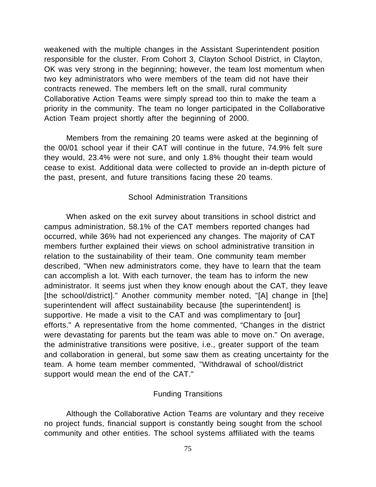weakened with the multiple changes in the Assistant Superintendent position responsible for the cluster. From Cohort 3, Clayton School District, in Clayton, OK was very strong in the beginning; however, the team lost momentum when two key administrators who were members of the team did not have their contracts renewed. The members left on the small, rural community Collaborative Action Teams were simply spread too thin to make the team a priority in the community. The team no longer participated in the Collaborative Action Team project shortly after the beginning of 2000.

Members from the remaining 20 teams were asked at the beginning of the 00/01 school year if their CAT will continue in the future, 74.9% felt sure they would, 23.4% were not sure, and only 1.8% thought their team would cease to exist. Additional data were collected to provide an in-depth picture of the past, present, and future transitions facing these 20 teams.

## School Administration Transitions

When asked on the exit survey about transitions in school district and campus administration, 58.1% of the CAT members reported changes had occurred, while 36% had not experienced any changes. The majority of CAT members further explained their views on school administrative transition in relation to the sustainability of their team. One community team member described, "When new administrators come, they have to learn that the team can accomplish a lot. With each turnover, the team has to inform the new administrator. It seems just when they know enough about the CAT, they leave [the school/district]." Another community member noted, "[A] change in [the] superintendent will affect sustainability because [the superintendent] is supportive. He made a visit to the CAT and was complimentary to [our] efforts." A representative from the home commented, "Changes in the district were devastating for parents but the team was able to move on." On average, the administrative transitions were positive, i.e., greater support of the team and collaboration in general, but some saw them as creating uncertainty for the team. A home team member commented, "Withdrawal of school/district support would mean the end of the CAT."

## Funding Transitions

Although the Collaborative Action Teams are voluntary and they receive no project funds, financial support is constantly being sought from the school community and other entities. The school systems affiliated with the teams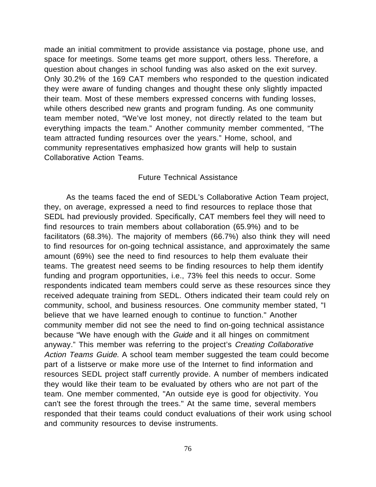made an initial commitment to provide assistance via postage, phone use, and space for meetings. Some teams get more support, others less. Therefore, a question about changes in school funding was also asked on the exit survey. Only 30.2% of the 169 CAT members who responded to the question indicated they were aware of funding changes and thought these only slightly impacted their team. Most of these members expressed concerns with funding losses, while others described new grants and program funding. As one community team member noted, "We've lost money, not directly related to the team but everything impacts the team." Another community member commented, "The team attracted funding resources over the years." Home, school, and community representatives emphasized how grants will help to sustain Collaborative Action Teams.

## Future Technical Assistance

As the teams faced the end of SEDL's Collaborative Action Team project, they, on average, expressed a need to find resources to replace those that SEDL had previously provided. Specifically, CAT members feel they will need to find resources to train members about collaboration (65.9%) and to be facilitators (68.3%). The majority of members (66.7%) also think they will need to find resources for on-going technical assistance, and approximately the same amount (69%) see the need to find resources to help them evaluate their teams. The greatest need seems to be finding resources to help them identify funding and program opportunities, i.e., 73% feel this needs to occur. Some respondents indicated team members could serve as these resources since they received adequate training from SEDL. Others indicated their team could rely on community, school, and business resources. One community member stated, "I believe that we have learned enough to continue to function." Another community member did not see the need to find on-going technical assistance because "We have enough with the Guide and it all hinges on commitment anyway." This member was referring to the project's Creating Collaborative Action Teams Guide. A school team member suggested the team could become part of a listserve or make more use of the Internet to find information and resources SEDL project staff currently provide. A number of members indicated they would like their team to be evaluated by others who are not part of the team. One member commented, "An outside eye is good for objectivity. You can't see the forest through the trees." At the same time, several members responded that their teams could conduct evaluations of their work using school and community resources to devise instruments.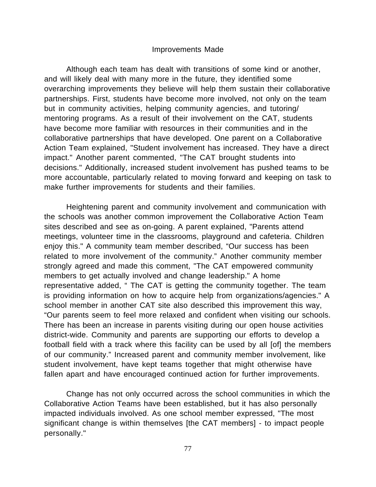### Improvements Made

Although each team has dealt with transitions of some kind or another, and will likely deal with many more in the future, they identified some overarching improvements they believe will help them sustain their collaborative partnerships. First, students have become more involved, not only on the team but in community activities, helping community agencies, and tutoring/ mentoring programs. As a result of their involvement on the CAT, students have become more familiar with resources in their communities and in the collaborative partnerships that have developed. One parent on a Collaborative Action Team explained, "Student involvement has increased. They have a direct impact." Another parent commented, "The CAT brought students into decisions." Additionally, increased student involvement has pushed teams to be more accountable, particularly related to moving forward and keeping on task to make further improvements for students and their families.

Heightening parent and community involvement and communication with the schools was another common improvement the Collaborative Action Team sites described and see as on-going. A parent explained, "Parents attend meetings, volunteer time in the classrooms, playground and cafeteria. Children enjoy this." A community team member described, "Our success has been related to more involvement of the community." Another community member strongly agreed and made this comment, "The CAT empowered community members to get actually involved and change leadership." A home representative added, " The CAT is getting the community together. The team is providing information on how to acquire help from organizations/agencies." A school member in another CAT site also described this improvement this way, "Our parents seem to feel more relaxed and confident when visiting our schools. There has been an increase in parents visiting during our open house activities district-wide. Community and parents are supporting our efforts to develop a football field with a track where this facility can be used by all [of] the members of our community." Increased parent and community member involvement, like student involvement, have kept teams together that might otherwise have fallen apart and have encouraged continued action for further improvements.

Change has not only occurred across the school communities in which the Collaborative Action Teams have been established, but it has also personally impacted individuals involved. As one school member expressed, "The most significant change is within themselves [the CAT members] - to impact people personally."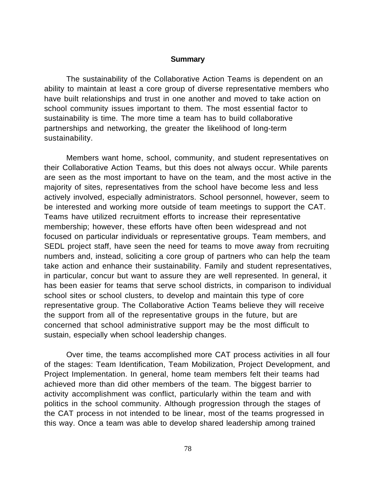#### **Summary**

The sustainability of the Collaborative Action Teams is dependent on an ability to maintain at least a core group of diverse representative members who have built relationships and trust in one another and moved to take action on school community issues important to them. The most essential factor to sustainability is time. The more time a team has to build collaborative partnerships and networking, the greater the likelihood of long-term sustainability.

Members want home, school, community, and student representatives on their Collaborative Action Teams, but this does not always occur. While parents are seen as the most important to have on the team, and the most active in the majority of sites, representatives from the school have become less and less actively involved, especially administrators. School personnel, however, seem to be interested and working more outside of team meetings to support the CAT. Teams have utilized recruitment efforts to increase their representative membership; however, these efforts have often been widespread and not focused on particular individuals or representative groups. Team members, and SEDL project staff, have seen the need for teams to move away from recruiting numbers and, instead, soliciting a core group of partners who can help the team take action and enhance their sustainability. Family and student representatives, in particular, concur but want to assure they are well represented. In general, it has been easier for teams that serve school districts, in comparison to individual school sites or school clusters, to develop and maintain this type of core representative group. The Collaborative Action Teams believe they will receive the support from all of the representative groups in the future, but are concerned that school administrative support may be the most difficult to sustain, especially when school leadership changes.

Over time, the teams accomplished more CAT process activities in all four of the stages: Team Identification, Team Mobilization, Project Development, and Project Implementation. In general, home team members felt their teams had achieved more than did other members of the team. The biggest barrier to activity accomplishment was conflict, particularly within the team and with politics in the school community. Although progression through the stages of the CAT process in not intended to be linear, most of the teams progressed in this way. Once a team was able to develop shared leadership among trained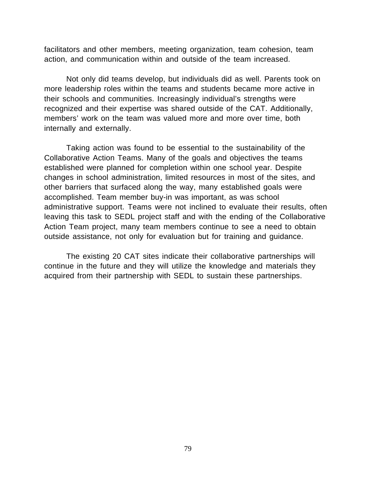facilitators and other members, meeting organization, team cohesion, team action, and communication within and outside of the team increased.

Not only did teams develop, but individuals did as well. Parents took on more leadership roles within the teams and students became more active in their schools and communities. Increasingly individual's strengths were recognized and their expertise was shared outside of the CAT. Additionally, members' work on the team was valued more and more over time, both internally and externally.

Taking action was found to be essential to the sustainability of the Collaborative Action Teams. Many of the goals and objectives the teams established were planned for completion within one school year. Despite changes in school administration, limited resources in most of the sites, and other barriers that surfaced along the way, many established goals were accomplished. Team member buy-in was important, as was school administrative support. Teams were not inclined to evaluate their results, often leaving this task to SEDL project staff and with the ending of the Collaborative Action Team project, many team members continue to see a need to obtain outside assistance, not only for evaluation but for training and guidance.

The existing 20 CAT sites indicate their collaborative partnerships will continue in the future and they will utilize the knowledge and materials they acquired from their partnership with SEDL to sustain these partnerships.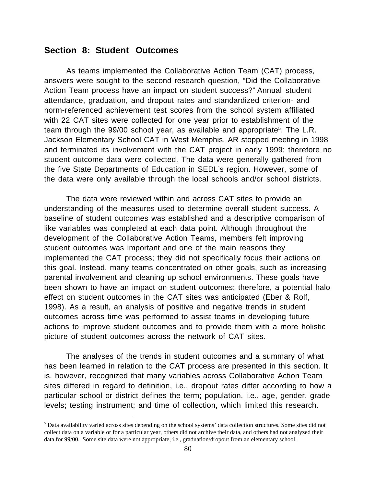# **Section 8: Student Outcomes**

As teams implemented the Collaborative Action Team (CAT) process, answers were sought to the second research question, "Did the Collaborative Action Team process have an impact on student success?" Annual student attendance, graduation, and dropout rates and standardized criterion- and norm-referenced achievement test scores from the school system affiliated with 22 CAT sites were collected for one year prior to establishment of the team through the 99/00 school year, as available and appropriate<sup>5</sup>. The L.R. Jackson Elementary School CAT in West Memphis, AR stopped meeting in 1998 and terminated its involvement with the CAT project in early 1999; therefore no student outcome data were collected. The data were generally gathered from the five State Departments of Education in SEDL's region. However, some of the data were only available through the local schools and/or school districts.

The data were reviewed within and across CAT sites to provide an understanding of the measures used to determine overall student success. A baseline of student outcomes was established and a descriptive comparison of like variables was completed at each data point. Although throughout the development of the Collaborative Action Teams, members felt improving student outcomes was important and one of the main reasons they implemented the CAT process; they did not specifically focus their actions on this goal. Instead, many teams concentrated on other goals, such as increasing parental involvement and cleaning up school environments. These goals have been shown to have an impact on student outcomes; therefore, a potential halo effect on student outcomes in the CAT sites was anticipated (Eber & Rolf, 1998). As a result, an analysis of positive and negative trends in student outcomes across time was performed to assist teams in developing future actions to improve student outcomes and to provide them with a more holistic picture of student outcomes across the network of CAT sites.

The analyses of the trends in student outcomes and a summary of what has been learned in relation to the CAT process are presented in this section. It is, however, recognized that many variables across Collaborative Action Team sites differed in regard to definition, i.e., dropout rates differ according to how a particular school or district defines the term; population, i.e., age, gender, grade levels; testing instrument; and time of collection, which limited this research.

 <sup>5</sup> Data availability varied across sites depending on the school systems' data collection structures. Some sites did not collect data on a variable or for a particular year, others did not archive their data, and others had not analyzed their data for 99/00. Some site data were not appropriate, i.e., graduation/dropout from an elementary school.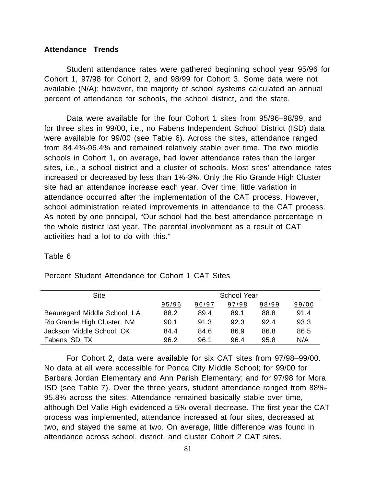## **Attendance Trends**

Student attendance rates were gathered beginning school year 95/96 for Cohort 1, 97/98 for Cohort 2, and 98/99 for Cohort 3. Some data were not available (N/A); however, the majority of school systems calculated an annual percent of attendance for schools, the school district, and the state.

Data were available for the four Cohort 1 sites from 95/96–98/99, and for three sites in 99/00, i.e., no Fabens Independent School District (ISD) data were available for 99/00 (see Table 6). Across the sites, attendance ranged from 84.4%-96.4% and remained relatively stable over time. The two middle schools in Cohort 1, on average, had lower attendance rates than the larger sites, i.e., a school district and a cluster of schools. Most sites' attendance rates increased or decreased by less than 1%-3%. Only the Rio Grande High Cluster site had an attendance increase each year. Over time, little variation in attendance occurred after the implementation of the CAT process. However, school administration related improvements in attendance to the CAT process. As noted by one principal, "Our school had the best attendance percentage in the whole district last year. The parental involvement as a result of CAT activities had a lot to do with this."

#### Table 6

| Site                         |       |       | <b>School Year</b> |       |       |
|------------------------------|-------|-------|--------------------|-------|-------|
|                              | 95/96 | 96/97 | 97/98              | 98/99 | 99/00 |
| Beauregard Middle School, LA | 88.2  | 89.4  | 89.1               | 88.8  | 91.4  |
| Rio Grande High Cluster, NM  | 90.1  | 91.3  | 92.3               | 92.4  | 93.3  |
| Jackson Middle School, OK    | 84.4  | 84.6  | 86.9               | 86.8  | 86.5  |
| Fabens ISD, TX               | 96.2  | 96.1  | 96.4               | 95.8  | N/A   |

#### Percent Student Attendance for Cohort 1 CAT Sites

For Cohort 2, data were available for six CAT sites from 97/98–99/00. No data at all were accessible for Ponca City Middle School; for 99/00 for Barbara Jordan Elementary and Ann Parish Elementary; and for 97/98 for Mora ISD (see Table 7). Over the three years, student attendance ranged from 88%- 95.8% across the sites. Attendance remained basically stable over time, although Del Valle High evidenced a 5% overall decrease. The first year the CAT process was implemented, attendance increased at four sites, decreased at two, and stayed the same at two. On average, little difference was found in attendance across school, district, and cluster Cohort 2 CAT sites.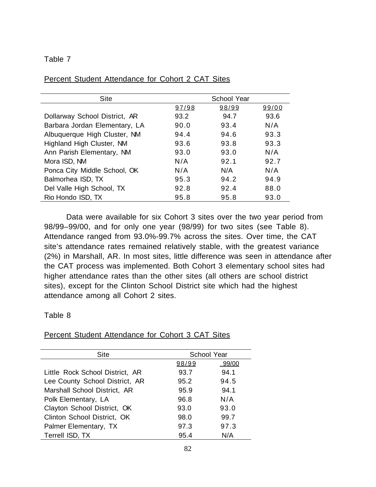## Table 7

| <b>Site</b>                   | <b>School Year</b> |       |       |
|-------------------------------|--------------------|-------|-------|
|                               | 97/98              | 98/99 | 99/00 |
| Dollarway School District, AR | 93.2               | 94.7  | 93.6  |
| Barbara Jordan Elementary, LA | 90.0               | 93.4  | N/A   |
| Albuquerque High Cluster, NM  | 94.4               | 94.6  | 93.3  |
| Highland High Cluster, NM     | 93.6               | 93.8  | 93.3  |
| Ann Parish Elementary, NM     | 93.0               | 93.0  | N/A   |
| Mora ISD, NM                  | N/A                | 92.1  | 92.7  |
| Ponca City Middle School, OK  | N/A                | N/A   | N/A   |
| Balmorhea ISD, TX             | 95.3               | 94.2  | 94.9  |
| Del Valle High School, TX     | 92.8               | 92.4  | 88.0  |
| Rio Hondo ISD, TX             | 95.8               | 95.8  | 93.0  |
|                               |                    |       |       |

# Percent Student Attendance for Cohort 2 CAT Sites

Data were available for six Cohort 3 sites over the two year period from 98/99–99/00, and for only one year (98/99) for two sites (see Table 8). Attendance ranged from 93.0%-99.7% across the sites. Over time, the CAT site's attendance rates remained relatively stable, with the greatest variance (2%) in Marshall, AR. In most sites, little difference was seen in attendance after the CAT process was implemented. Both Cohort 3 elementary school sites had higher attendance rates than the other sites (all others are school district sites), except for the Clinton School District site which had the highest attendance among all Cohort 2 sites.

# Table 8

# Percent Student Attendance for Cohort 3 CAT Sites

| Site                            | School Year |       |  |
|---------------------------------|-------------|-------|--|
|                                 | 98/99       | 99/00 |  |
| Little Rock School District, AR | 93.7        | 94.1  |  |
| Lee County School District, AR  | 95.2        | 94.5  |  |
| Marshall School District, AR    | 95.9        | 94.1  |  |
| Polk Elementary, LA             | 96.8        | N/A   |  |
| Clayton School District, OK     | 93.0        | 93.0  |  |
| Clinton School District, OK     | 98.0        | 99.7  |  |
| Palmer Elementary, TX           | 97.3        | 97.3  |  |
| Terrell ISD, TX                 | 95.4        | N/A   |  |
|                                 |             |       |  |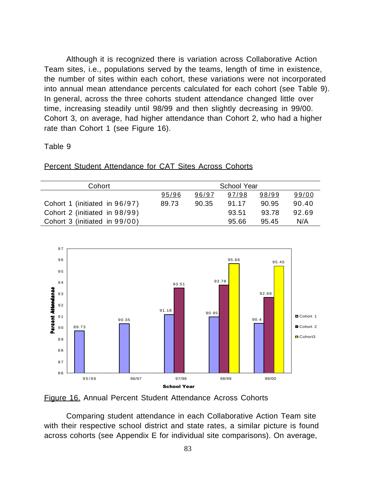Although it is recognized there is variation across Collaborative Action Team sites, i.e., populations served by the teams, length of time in existence, the number of sites within each cohort, these variations were not incorporated into annual mean attendance percents calculated for each cohort (see Table 9). In general, across the three cohorts student attendance changed little over time, increasing steadily until 98/99 and then slightly decreasing in 99/00. Cohort 3, on average, had higher attendance than Cohort 2, who had a higher rate than Cohort 1 (see Figure 16).

# Table 9

| Cohort                        |       |       | <b>School Year</b> |       |       |
|-------------------------------|-------|-------|--------------------|-------|-------|
|                               | 95/96 | 96/97 | 97/98              | 98/99 | 99/00 |
| Cohort 1 (initiated in 96/97) | 89.73 | 90.35 | 91.17              | 90.95 | 90.40 |
| Cohort 2 (initiated in 98/99) |       |       | 93.51              | 93.78 | 92.69 |
| Cohort 3 (initiated in 99/00) |       |       | 95.66              | 95.45 | N/A   |

Percent Student Attendance for CAT Sites Across Cohorts



Figure 16. Annual Percent Student Attendance Across Cohorts

Comparing student attendance in each Collaborative Action Team site with their respective school district and state rates, a similar picture is found across cohorts (see Appendix E for individual site comparisons). On average,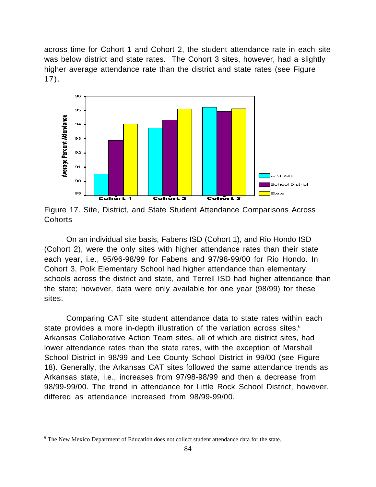across time for Cohort 1 and Cohort 2, the student attendance rate in each site was below district and state rates. The Cohort 3 sites, however, had a slightly higher average attendance rate than the district and state rates (see Figure 17).



Figure 17. Site, District, and State Student Attendance Comparisons Across **Cohorts** 

On an individual site basis, Fabens ISD (Cohort 1), and Rio Hondo ISD (Cohort 2), were the only sites with higher attendance rates than their state each year, i.e., 95/96-98/99 for Fabens and 97/98-99/00 for Rio Hondo. In Cohort 3, Polk Elementary School had higher attendance than elementary schools across the district and state, and Terrell ISD had higher attendance than the state; however, data were only available for one year (98/99) for these sites.

Comparing CAT site student attendance data to state rates within each state provides a more in-depth illustration of the variation across sites.<sup>6</sup> Arkansas Collaborative Action Team sites, all of which are district sites, had lower attendance rates than the state rates, with the exception of Marshall School District in 98/99 and Lee County School District in 99/00 (see Figure 18). Generally, the Arkansas CAT sites followed the same attendance trends as Arkansas state, i.e., increases from 97/98-98/99 and then a decrease from 98/99-99/00. The trend in attendance for Little Rock School District, however, differed as attendance increased from 98/99-99/00.

 $\frac{1}{6}$ <sup>6</sup> The New Mexico Department of Education does not collect student attendance data for the state.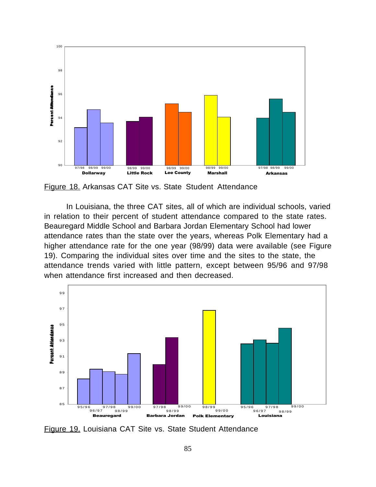

Figure 18. Arkansas CAT Site vs. State Student Attendance

In Louisiana, the three CAT sites, all of which are individual schools, varied in relation to their percent of student attendance compared to the state rates. Beauregard Middle School and Barbara Jordan Elementary School had lower attendance rates than the state over the years, whereas Polk Elementary had a higher attendance rate for the one year (98/99) data were available (see Figure 19). Comparing the individual sites over time and the sites to the state, the attendance trends varied with little pattern, except between 95/96 and 97/98 when attendance first increased and then decreased.



Figure 19. Louisiana CAT Site vs. State Student Attendance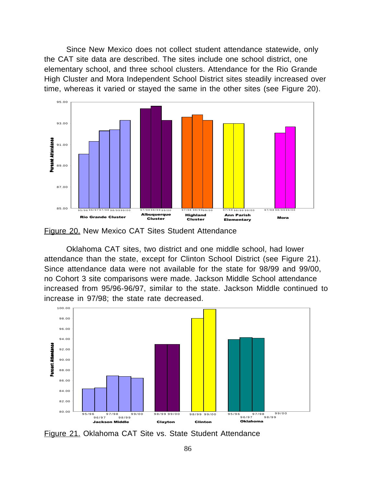Since New Mexico does not collect student attendance statewide, only the CAT site data are described. The sites include one school district, one elementary school, and three school clusters. Attendance for the Rio Grande High Cluster and Mora Independent School District sites steadily increased over time, whereas it varied or stayed the same in the other sites (see Figure 20).



Figure 20. New Mexico CAT Sites Student Attendance

Oklahoma CAT sites, two district and one middle school, had lower attendance than the state, except for Clinton School District (see Figure 21). Since attendance data were not available for the state for 98/99 and 99/00, no Cohort 3 site comparisons were made. Jackson Middle School attendance increased from 95/96-96/97, similar to the state. Jackson Middle continued to increase in 97/98; the state rate decreased.



Figure 21. Oklahoma CAT Site vs. State Student Attendance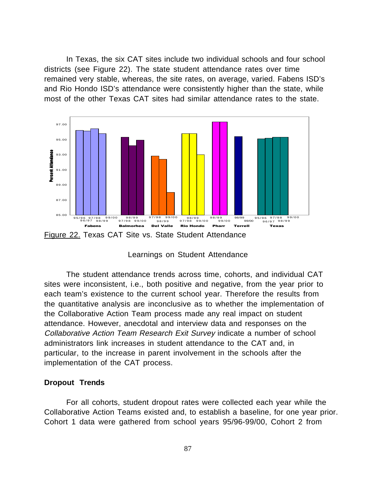In Texas, the six CAT sites include two individual schools and four school districts (see Figure 22). The state student attendance rates over time remained very stable, whereas, the site rates, on average, varied. Fabens ISD's and Rio Hondo ISD's attendance were consistently higher than the state, while most of the other Texas CAT sites had similar attendance rates to the state.





The student attendance trends across time, cohorts, and individual CAT sites were inconsistent, i.e., both positive and negative, from the year prior to each team's existence to the current school year. Therefore the results from the quantitative analysis are inconclusive as to whether the implementation of the Collaborative Action Team process made any real impact on student attendance. However, anecdotal and interview data and responses on the Collaborative Action Team Research Exit Survey indicate a number of school administrators link increases in student attendance to the CAT and, in particular, to the increase in parent involvement in the schools after the implementation of the CAT process.

## **Dropout Trends**

For all cohorts, student dropout rates were collected each year while the Collaborative Action Teams existed and, to establish a baseline, for one year prior. Cohort 1 data were gathered from school years 95/96-99/00, Cohort 2 from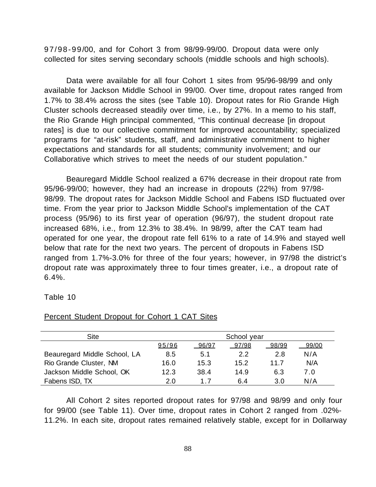97/98-99/00, and for Cohort 3 from 98/99-99/00. Dropout data were only collected for sites serving secondary schools (middle schools and high schools).

Data were available for all four Cohort 1 sites from 95/96-98/99 and only available for Jackson Middle School in 99/00. Over time, dropout rates ranged from 1.7% to 38.4% across the sites (see Table 10). Dropout rates for Rio Grande High Cluster schools decreased steadily over time, i.e., by 27%. In a memo to his staff, the Rio Grande High principal commented, "This continual decrease [in dropout rates] is due to our collective commitment for improved accountability; specialized programs for "at-risk" students, staff, and administrative commitment to higher expectations and standards for all students; community involvement; and our Collaborative which strives to meet the needs of our student population."

Beauregard Middle School realized a 67% decrease in their dropout rate from 95/96-99/00; however, they had an increase in dropouts (22%) from 97/98- 98/99. The dropout rates for Jackson Middle School and Fabens ISD fluctuated over time. From the year prior to Jackson Middle School's implementation of the CAT process (95/96) to its first year of operation (96/97), the student dropout rate increased 68%, i.e., from 12.3% to 38.4%. In 98/99, after the CAT team had operated for one year, the dropout rate fell 61% to a rate of 14.9% and stayed well below that rate for the next two years. The percent of dropouts in Fabens ISD ranged from 1.7%-3.0% for three of the four years; however, in 97/98 the district's dropout rate was approximately three to four times greater, i.e., a dropout rate of 6.4%.

#### Table 10

| <b>Site</b>                  |       |       | School year |       |       |
|------------------------------|-------|-------|-------------|-------|-------|
|                              | 95/96 | 96/97 | 97/98       | 98/99 | 99/00 |
| Beauregard Middle School, LA | 8.5   | 5.1   | 2.2         | 2.8   | N/A   |
| Rio Grande Cluster, NM       | 16.0  | 15.3  | 15.2        | 11.7  | N/A   |
| Jackson Middle School, OK    | 12.3  | 38.4  | 14.9        | 6.3   | 7.0   |
| Fabens ISD, TX               | 2.0   | 17    | 6.4         | 3.0   | N/A   |

#### Percent Student Dropout for Cohort 1 CAT Sites

All Cohort 2 sites reported dropout rates for 97/98 and 98/99 and only four for 99/00 (see Table 11). Over time, dropout rates in Cohort 2 ranged from .02%- 11.2%. In each site, dropout rates remained relatively stable, except for in Dollarway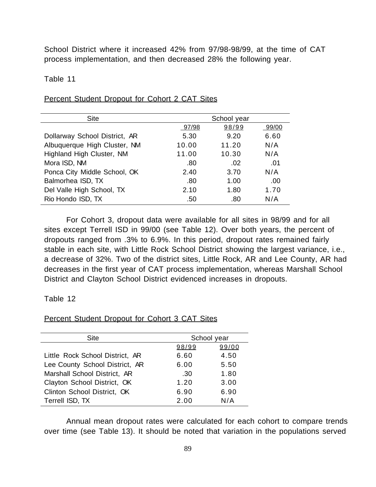School District where it increased 42% from 97/98-98/99, at the time of CAT process implementation, and then decreased 28% the following year.

## Table 11

| <b>Site</b>                   |       | School year |       |
|-------------------------------|-------|-------------|-------|
|                               | 97/98 | 98/99       | 99/00 |
| Dollarway School District, AR | 5.30  | 9.20        | 6.60  |
| Albuquerque High Cluster, NM  | 10.00 | 11.20       | N/A   |
| Highland High Cluster, NM     | 11.00 | 10.30       | N/A   |
| Mora ISD, NM                  | .80   | .02         | .01   |
| Ponca City Middle School, OK  | 2.40  | 3.70        | N/A   |
| Balmorhea ISD, TX             | .80   | 1.00        | .00   |
| Del Valle High School, TX     | 2.10  | 1.80        | 1.70  |
| Rio Hondo ISD, TX             | .50   | .80         | N/A   |

# Percent Student Dropout for Cohort 2 CAT Sites

For Cohort 3, dropout data were available for all sites in 98/99 and for all sites except Terrell ISD in 99/00 (see Table 12). Over both years, the percent of dropouts ranged from .3% to 6.9%. In this period, dropout rates remained fairly stable in each site, with Little Rock School District showing the largest variance, i.e., a decrease of 32%. Two of the district sites, Little Rock, AR and Lee County, AR had decreases in the first year of CAT process implementation, whereas Marshall School District and Clayton School District evidenced increases in dropouts.

#### Table 12

#### Percent Student Dropout for Cohort 3 CAT Sites

| Site                            |       | School year |
|---------------------------------|-------|-------------|
|                                 | 98/99 | 99/00       |
| Little Rock School District, AR | 6.60  | 4.50        |
| Lee County School District, AR  | 6.00  | 5.50        |
| Marshall School District, AR    | .30   | 1.80        |
| Clayton School District, OK     | 1.20  | 3.00        |
| Clinton School District, OK     | 6.90  | 6.90        |
| Terrell ISD, TX                 | 2.00  | N/A         |

Annual mean dropout rates were calculated for each cohort to compare trends over time (see Table 13). It should be noted that variation in the populations served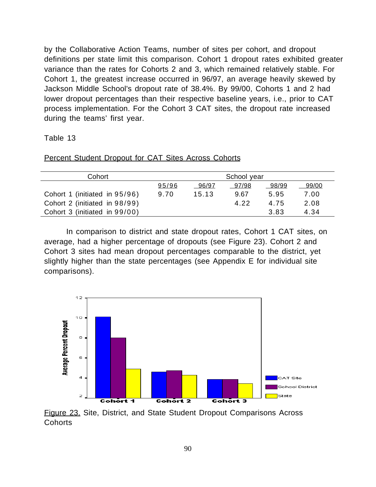by the Collaborative Action Teams, number of sites per cohort, and dropout definitions per state limit this comparison. Cohort 1 dropout rates exhibited greater variance than the rates for Cohorts 2 and 3, which remained relatively stable. For Cohort 1, the greatest increase occurred in 96/97, an average heavily skewed by Jackson Middle School's dropout rate of 38.4%. By 99/00, Cohorts 1 and 2 had lower dropout percentages than their respective baseline years, i.e., prior to CAT process implementation. For the Cohort 3 CAT sites, the dropout rate increased during the teams' first year.

## Table 13

| Cohort                        |       |       | School year |       |       |
|-------------------------------|-------|-------|-------------|-------|-------|
|                               | 95/96 | 96/97 | 97/98       | 98/99 | 99/00 |
| Cohort 1 (initiated in 95/96) | 9.70  | 15.13 | 9.67        | 5.95  | 7.00  |
| Cohort 2 (initiated in 98/99) |       |       | 4.22        | 4.75  | 2.08  |
| Cohort 3 (initiated in 99/00) |       |       |             | 3.83  | 4.34  |

Percent Student Dropout for CAT Sites Across Cohorts

In comparison to district and state dropout rates, Cohort 1 CAT sites, on average, had a higher percentage of dropouts (see Figure 23). Cohort 2 and Cohort 3 sites had mean dropout percentages comparable to the district, yet slightly higher than the state percentages (see Appendix E for individual site comparisons).



Figure 23. Site, District, and State Student Dropout Comparisons Across **Cohorts**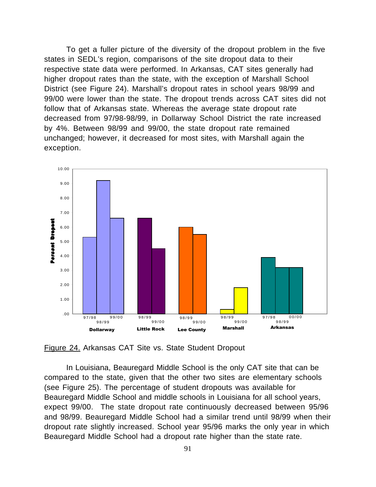To get a fuller picture of the diversity of the dropout problem in the five states in SEDL's region, comparisons of the site dropout data to their respective state data were performed. In Arkansas, CAT sites generally had higher dropout rates than the state, with the exception of Marshall School District (see Figure 24). Marshall's dropout rates in school years 98/99 and 99/00 were lower than the state. The dropout trends across CAT sites did not follow that of Arkansas state. Whereas the average state dropout rate decreased from 97/98-98/99, in Dollarway School District the rate increased by 4%. Between 98/99 and 99/00, the state dropout rate remained unchanged; however, it decreased for most sites, with Marshall again the exception.



Figure 24. Arkansas CAT Site vs. State Student Dropout

In Louisiana, Beauregard Middle School is the only CAT site that can be compared to the state, given that the other two sites are elementary schools (see Figure 25). The percentage of student dropouts was available for Beauregard Middle School and middle schools in Louisiana for all school years, expect 99/00. The state dropout rate continuously decreased between 95/96 and 98/99. Beauregard Middle School had a similar trend until 98/99 when their dropout rate slightly increased. School year 95/96 marks the only year in which Beauregard Middle School had a dropout rate higher than the state rate.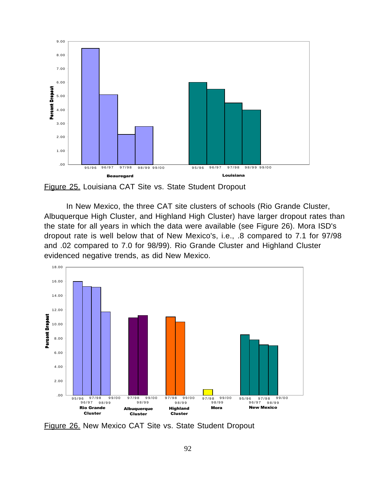

Figure 25. Louisiana CAT Site vs. State Student Dropout

In New Mexico, the three CAT site clusters of schools (Rio Grande Cluster, Albuquerque High Cluster, and Highland High Cluster) have larger dropout rates than the state for all years in which the data were available (see Figure 26). Mora ISD's dropout rate is well below that of New Mexico's, i.e., .8 compared to 7.1 for 97/98 and .02 compared to 7.0 for 98/99). Rio Grande Cluster and Highland Cluster evidenced negative trends, as did New Mexico.



Figure 26. New Mexico CAT Site vs. State Student Dropout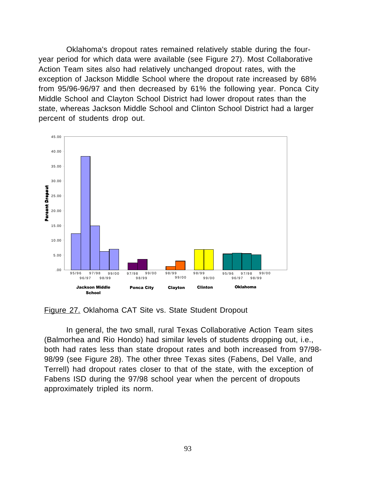Oklahoma's dropout rates remained relatively stable during the fouryear period for which data were available (see Figure 27). Most Collaborative Action Team sites also had relatively unchanged dropout rates, with the exception of Jackson Middle School where the dropout rate increased by 68% from 95/96-96/97 and then decreased by 61% the following year. Ponca City Middle School and Clayton School District had lower dropout rates than the state, whereas Jackson Middle School and Clinton School District had a larger percent of students drop out.



Figure 27. Oklahoma CAT Site vs. State Student Dropout

In general, the two small, rural Texas Collaborative Action Team sites (Balmorhea and Rio Hondo) had similar levels of students dropping out, i.e., both had rates less than state dropout rates and both increased from 97/98- 98/99 (see Figure 28). The other three Texas sites (Fabens, Del Valle, and Terrell) had dropout rates closer to that of the state, with the exception of Fabens ISD during the 97/98 school year when the percent of dropouts approximately tripled its norm.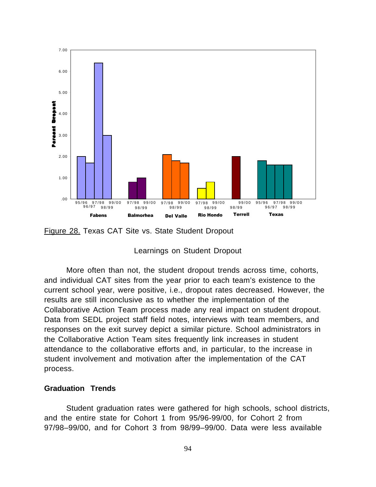

Figure 28. Texas CAT Site vs. State Student Dropout

## Learnings on Student Dropout

More often than not, the student dropout trends across time, cohorts, and individual CAT sites from the year prior to each team's existence to the current school year, were positive, i.e., dropout rates decreased. However, the results are still inconclusive as to whether the implementation of the Collaborative Action Team process made any real impact on student dropout. Data from SEDL project staff field notes, interviews with team members, and responses on the exit survey depict a similar picture. School administrators in the Collaborative Action Team sites frequently link increases in student attendance to the collaborative efforts and, in particular, to the increase in student involvement and motivation after the implementation of the CAT process.

## **Graduation Trends**

Student graduation rates were gathered for high schools, school districts, and the entire state for Cohort 1 from 95/96-99/00, for Cohort 2 from 97/98–99/00, and for Cohort 3 from 98/99–99/00. Data were less available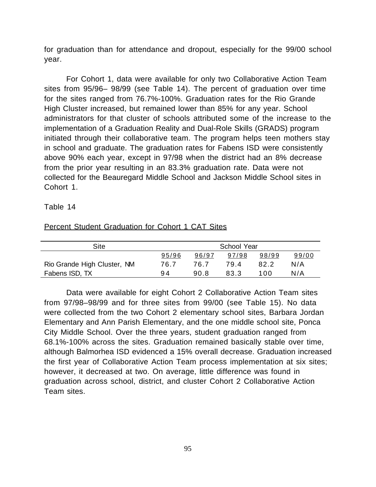for graduation than for attendance and dropout, especially for the 99/00 school year.

For Cohort 1, data were available for only two Collaborative Action Team sites from 95/96– 98/99 (see Table 14). The percent of graduation over time for the sites ranged from 76.7%-100%. Graduation rates for the Rio Grande High Cluster increased, but remained lower than 85% for any year. School administrators for that cluster of schools attributed some of the increase to the implementation of a Graduation Reality and Dual-Role Skills (GRADS) program initiated through their collaborative team. The program helps teen mothers stay in school and graduate. The graduation rates for Fabens ISD were consistently above 90% each year, except in 97/98 when the district had an 8% decrease from the prior year resulting in an 83.3% graduation rate. Data were not collected for the Beauregard Middle School and Jackson Middle School sites in Cohort 1.

## Table 14

## Percent Student Graduation for Cohort 1 CAT Sites

| Site                        | School Year |       |       |       |       |
|-----------------------------|-------------|-------|-------|-------|-------|
|                             | 95/96       | 96/97 | 97/98 | 98/99 | 99/00 |
| Rio Grande High Cluster, NM | 76.7        | 76.7  | 79.4  | 82.2  | N/A   |
| Fabens ISD, TX              | 94          | 90.8  | 83.3  | 100   | N/A   |

Data were available for eight Cohort 2 Collaborative Action Team sites from 97/98–98/99 and for three sites from 99/00 (see Table 15). No data were collected from the two Cohort 2 elementary school sites, Barbara Jordan Elementary and Ann Parish Elementary, and the one middle school site, Ponca City Middle School. Over the three years, student graduation ranged from 68.1%-100% across the sites. Graduation remained basically stable over time, although Balmorhea ISD evidenced a 15% overall decrease. Graduation increased the first year of Collaborative Action Team process implementation at six sites; however, it decreased at two. On average, little difference was found in graduation across school, district, and cluster Cohort 2 Collaborative Action Team sites.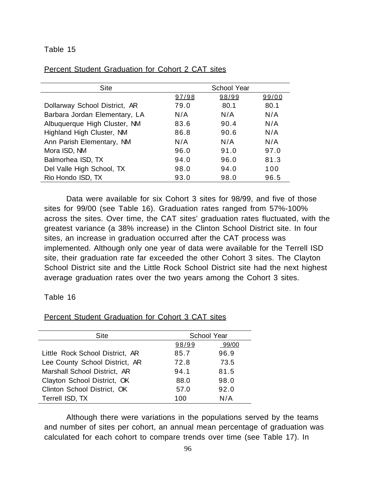#### Table 15

| <b>Percent Student Graduation for Cohort 2 CAT sites</b> |      |  |             |
|----------------------------------------------------------|------|--|-------------|
|                                                          |      |  |             |
|                                                          | Site |  | School Year |

| Site                          | School Year |       |       |  |
|-------------------------------|-------------|-------|-------|--|
|                               | 97/98       | 98/99 | 99/00 |  |
| Dollarway School District, AR | 79.0        | 80.1  | 80.1  |  |
| Barbara Jordan Elementary, LA | N/A         | N/A   | N/A   |  |
| Albuquerque High Cluster, NM  | 83.6        | 90.4  | N/A   |  |
| Highland High Cluster, NM     | 86.8        | 90.6  | N/A   |  |
| Ann Parish Elementary, NM     | N/A         | N/A   | N/A   |  |
| Mora ISD, NM                  | 96.0        | 91.0  | 97.0  |  |
| Balmorhea ISD, TX             | 94.0        | 96.0  | 81.3  |  |
| Del Valle High School, TX     | 98.0        | 94.0  | 100   |  |
| Rio Hondo ISD, TX             | 93.0        | 98.0  | 96.5  |  |

Data were available for six Cohort 3 sites for 98/99, and five of those sites for 99/00 (see Table 16). Graduation rates ranged from 57%-100% across the sites. Over time, the CAT sites' graduation rates fluctuated, with the greatest variance (a 38% increase) in the Clinton School District site. In four sites, an increase in graduation occurred after the CAT process was implemented. Although only one year of data were available for the Terrell ISD site, their graduation rate far exceeded the other Cohort 3 sites. The Clayton School District site and the Little Rock School District site had the next highest average graduation rates over the two years among the Cohort 3 sites.

#### Table 16

| Site                            | School Year |       |
|---------------------------------|-------------|-------|
|                                 | 98/99       | 99/00 |
| Little Rock School District, AR | 85.7        | 96.9  |
| Lee County School District, AR  | 72.8        | 73.5  |
| Marshall School District, AR    | 94.1        | 81.5  |
| Clayton School District, OK     | 88.0        | 98.0  |
| Clinton School District, OK     | 57.0        | 92.0  |
| Terrell ISD, TX                 | 100         | N/A   |

Percent Student Graduation for Cohort 3 CAT sites

Although there were variations in the populations served by the teams and number of sites per cohort, an annual mean percentage of graduation was calculated for each cohort to compare trends over time (see Table 17). In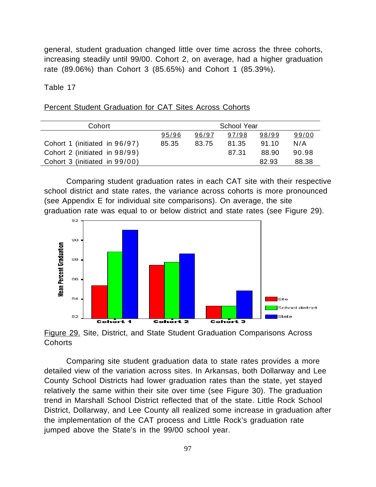general, student graduation changed little over time across the three cohorts, increasing steadily until 99/00. Cohort 2, on average, had a higher graduation rate (89.06%) than Cohort 3 (85.65%) and Cohort 1 (85.39%).

Table 17

#### Percent Student Graduation for CAT Sites Across Cohorts

| Cohort                        | School Year |       |       |       |       |
|-------------------------------|-------------|-------|-------|-------|-------|
|                               | 95/96       | 96/97 | 97/98 | 98/99 | 99/00 |
| Cohort 1 (initiated in 96/97) | 85.35       | 83.75 | 81.35 | 91.10 | N/A   |
| Cohort 2 (initiated in 98/99) |             |       | 87.31 | 88.90 | 90.98 |
| Cohort 3 (initiated in 99/00) |             |       |       | 82.93 | 88.38 |

Comparing student graduation rates in each CAT site with their respective school district and state rates, the variance across cohorts is more pronounced (see Appendix E for individual site comparisons). On average, the site graduation rate was equal to or below district and state rates (see Figure 29).



Figure 29. Site, District, and State Student Graduation Comparisons Across Cohorts

Comparing site student graduation data to state rates provides a more detailed view of the variation across sites. In Arkansas, both Dollarway and Lee County School Districts had lower graduation rates than the state, yet stayed relatively the same within their site over time (see Figure 30). The graduation trend in Marshall School District reflected that of the state. Little Rock School District, Dollarway, and Lee County all realized some increase in graduation after the implementation of the CAT process and Little Rock's graduation rate jumped above the State's in the 99/00 school year.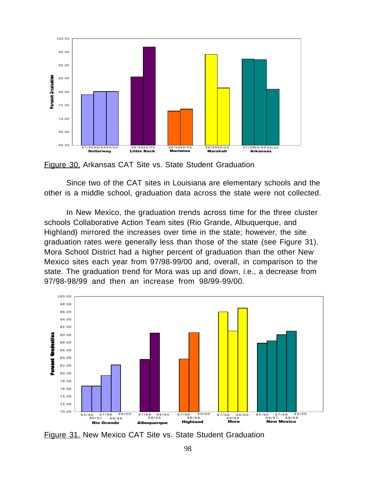

Figure 30. Arkansas CAT Site vs. State Student Graduation

Since two of the CAT sites in Louisiana are elementary schools and the other is a middle school, graduation data across the state were not collected.

In New Mexico, the graduation trends across time for the three cluster schools Collaborative Action Team sites (Rio Grande, Albuquerque, and Highland) mirrored the increases over time in the state; however, the site graduation rates were generally less than those of the state (see Figure 31). Mora School District had a higher percent of graduation than the other New Mexico sites each year from 97/98-99/00 and, overall, in comparison to the state. The graduation trend for Mora was up and down, i.e., a decrease from 97/98-98/99 and then an increase from 98/99-99/00.



Figure 31. New Mexico CAT Site vs. State Student Graduation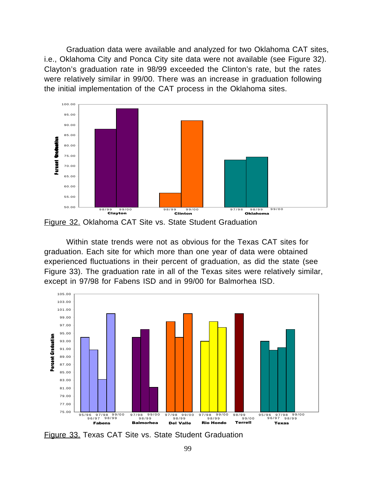Graduation data were available and analyzed for two Oklahoma CAT sites, i.e., Oklahoma City and Ponca City site data were not available (see Figure 32). Clayton's graduation rate in 98/99 exceeded the Clinton's rate, but the rates were relatively similar in 99/00. There was an increase in graduation following the initial implementation of the CAT process in the Oklahoma sites.



Figure 32. Oklahoma CAT Site vs. State Student Graduation

Within state trends were not as obvious for the Texas CAT sites for graduation. Each site for which more than one year of data were obtained experienced fluctuations in their percent of graduation, as did the state (see Figure 33). The graduation rate in all of the Texas sites were relatively similar, except in 97/98 for Fabens ISD and in 99/00 for Balmorhea ISD.



Figure 33. Texas CAT Site vs. State Student Graduation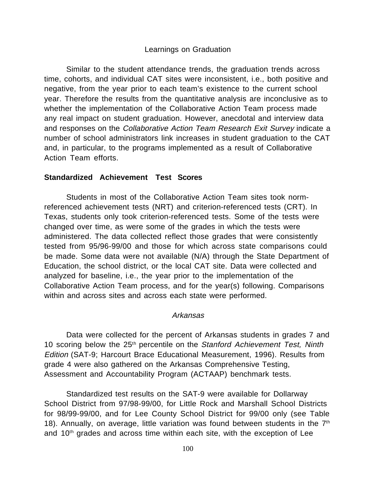# Learnings on Graduation

Similar to the student attendance trends, the graduation trends across time, cohorts, and individual CAT sites were inconsistent, i.e., both positive and negative, from the year prior to each team's existence to the current school year. Therefore the results from the quantitative analysis are inconclusive as to whether the implementation of the Collaborative Action Team process made any real impact on student graduation. However, anecdotal and interview data and responses on the Collaborative Action Team Research Exit Survey indicate a number of school administrators link increases in student graduation to the CAT and, in particular, to the programs implemented as a result of Collaborative Action Team efforts.

## **Standardized Achievement Test Scores**

Students in most of the Collaborative Action Team sites took normreferenced achievement tests (NRT) and criterion-referenced tests (CRT). In Texas, students only took criterion-referenced tests. Some of the tests were changed over time, as were some of the grades in which the tests were administered. The data collected reflect those grades that were consistently tested from 95/96-99/00 and those for which across state comparisons could be made. Some data were not available (N/A) through the State Department of Education, the school district, or the local CAT site. Data were collected and analyzed for baseline, i.e., the year prior to the implementation of the Collaborative Action Team process, and for the year(s) following. Comparisons within and across sites and across each state were performed.

## Arkansas

Data were collected for the percent of Arkansas students in grades 7 and 10 scoring below the 25<sup>th</sup> percentile on the Stanford Achievement Test, Ninth Edition (SAT-9; Harcourt Brace Educational Measurement, 1996). Results from grade 4 were also gathered on the Arkansas Comprehensive Testing, Assessment and Accountability Program (ACTAAP) benchmark tests.

Standardized test results on the SAT-9 were available for Dollarway School District from 97/98-99/00, for Little Rock and Marshall School Districts for 98/99-99/00, and for Lee County School District for 99/00 only (see Table 18). Annually, on average, little variation was found between students in the 7th and 10<sup>th</sup> grades and across time within each site, with the exception of Lee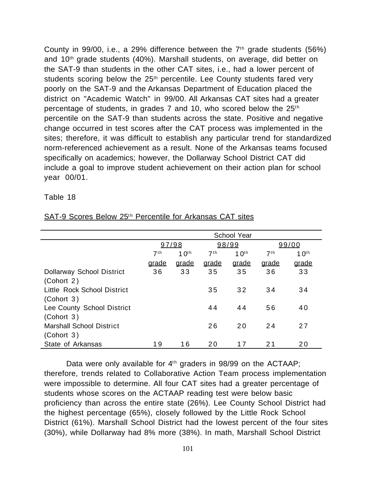County in 99/00, i.e., a 29% difference between the  $7<sup>th</sup>$  grade students (56%) and 10th grade students (40%). Marshall students, on average, did better on the SAT-9 than students in the other CAT sites, i.e., had a lower percent of students scoring below the 25<sup>th</sup> percentile. Lee County students fared very poorly on the SAT-9 and the Arkansas Department of Education placed the district on "Academic Watch" in 99/00. All Arkansas CAT sites had a greater percentage of students, in grades  $7$  and 10, who scored below the  $25<sup>th</sup>$ percentile on the SAT-9 than students across the state. Positive and negative change occurred in test scores after the CAT process was implemented in the sites; therefore, it was difficult to establish any particular trend for standardized norm-referenced achievement as a result. None of the Arkansas teams focused specifically on academics; however, the Dollarway School District CAT did include a goal to improve student achievement on their action plan for school year 00/01.

#### Table 18

|                                  | <b>School Year</b>                  |              |                 |         |                 |                  |  |  |
|----------------------------------|-------------------------------------|--------------|-----------------|---------|-----------------|------------------|--|--|
|                                  | 97/98                               |              | 98/99           |         |                 | 99/00            |  |  |
|                                  | 7 <sup>th</sup><br>10 <sup>th</sup> |              | 7 <sup>th</sup> | 1 $0th$ | 7 <sup>th</sup> | 10 <sup>th</sup> |  |  |
|                                  | grade                               | <u>arade</u> | grade           | grade   | <u>arade</u>    | grade            |  |  |
| <b>Dollarway School District</b> | 36                                  | 33           | 35              | 35      | 36              | 33               |  |  |
| (Cohort 2)                       |                                     |              |                 |         |                 |                  |  |  |
| Little Rock School District      |                                     |              | 35              | 32      | 34              | 34               |  |  |
| (Cohort 3)                       |                                     |              |                 |         |                 |                  |  |  |
| Lee County School District       |                                     |              | 44              | 44      | 56              | 40               |  |  |
| (Cohort 3)                       |                                     |              |                 |         |                 |                  |  |  |
| <b>Marshall School District</b>  |                                     |              | 26              | 20      | 24              | 27               |  |  |
| (Cohort 3)                       |                                     |              |                 |         |                 |                  |  |  |
| State of Arkansas                | 19                                  | 16           | 20              | 17      | 21              | 20               |  |  |

SAT-9 Scores Below 25<sup>th</sup> Percentile for Arkansas CAT sites

Data were only available for  $4<sup>th</sup>$  graders in 98/99 on the ACTAAP; therefore, trends related to Collaborative Action Team process implementation were impossible to determine. All four CAT sites had a greater percentage of students whose scores on the ACTAAP reading test were below basic proficiency than across the entire state (26%). Lee County School District had the highest percentage (65%), closely followed by the Little Rock School District (61%). Marshall School District had the lowest percent of the four sites (30%), while Dollarway had 8% more (38%). In math, Marshall School District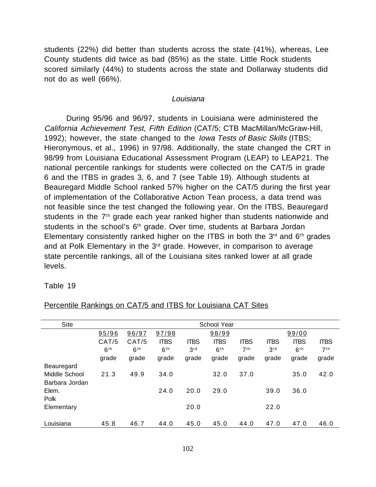students (22%) did better than students across the state (41%), whereas, Lee County students did twice as bad (85%) as the state. Little Rock students scored similarly (44%) to students across the state and Dollarway students did not do as well (66%).

#### Louisiana

During 95/96 and 96/97, students in Louisiana were administered the California Achievement Test, Fifth Edition (CAT/5; CTB MacMillan/McGraw-Hill, 1992); however, the state changed to the *Iowa Tests of Basic Skills* (ITBS; Hieronymous, et al., 1996) in 97/98. Additionally, the state changed the CRT in 98/99 from Louisiana Educational Assessment Program (LEAP) to LEAP21. The national percentile rankings for students were collected on the CAT/5 in grade 6 and the ITBS in grades 3, 6, and 7 (see Table 19). Although students at Beauregard Middle School ranked 57% higher on the CAT/5 during the first year of implementation of the Collaborative Action Tean process, a data trend was not feasible since the test changed the following year. On the ITBS, Beauregard students in the  $7<sup>th</sup>$  grade each year ranked higher than students nationwide and students in the school's 6<sup>th</sup> grade. Over time, students at Barbara Jordan Elementary consistently ranked higher on the ITBS in both the  $3<sup>rd</sup>$  and  $6<sup>th</sup>$  grades and at Polk Elementary in the 3<sup>rd</sup> grade. However, in comparison to average state percentile rankings, all of the Louisiana sites ranked lower at all grade levels.

## Table 19

| <b>Site</b>    | School Year     |                 |                 |             |                 |                 |             |                 |                 |  |
|----------------|-----------------|-----------------|-----------------|-------------|-----------------|-----------------|-------------|-----------------|-----------------|--|
|                | 95/96           | 96/97           | 97/98           |             | 98/99           |                 |             | 99/00           |                 |  |
|                | CAT/5           | CAT/5           | <b>ITBS</b>     | <b>ITBS</b> | <b>ITBS</b>     | <b>ITBS</b>     | <b>ITBS</b> | <b>ITBS</b>     | <b>ITBS</b>     |  |
|                | 6 <sup>th</sup> | 6 <sup>th</sup> | 6 <sup>th</sup> | 3rd         | 6 <sup>th</sup> | 7 <sup>th</sup> | 3rd         | 6 <sup>th</sup> | 7 <sup>th</sup> |  |
|                | grade           | grade           | grade           | grade       | grade           | grade           | grade       | grade           | grade           |  |
| Beauregard     |                 |                 |                 |             |                 |                 |             |                 |                 |  |
| Middle School  | 21.3            | 49.9            | 34.0            |             | 32.0            | 37.0            |             | 35.0            | 42.0            |  |
| Barbara Jordan |                 |                 |                 |             |                 |                 |             |                 |                 |  |
| Elem.          |                 |                 | 24.0            | 20.0        | 29.0            |                 | 39.0        | 36.0            |                 |  |
| Polk           |                 |                 |                 |             |                 |                 |             |                 |                 |  |
| Elementary     |                 |                 |                 | 20.0        |                 |                 | 22.0        |                 |                 |  |
|                |                 |                 |                 |             |                 |                 |             |                 |                 |  |
| Louisiana      | 45.8            | 46.7            | 44.0            | 45.0        | 45.0            | 44.0            | 47.0        | 47.0            | 46.0            |  |

Percentile Rankings on CAT/5 and ITBS for Louisiana CAT Sites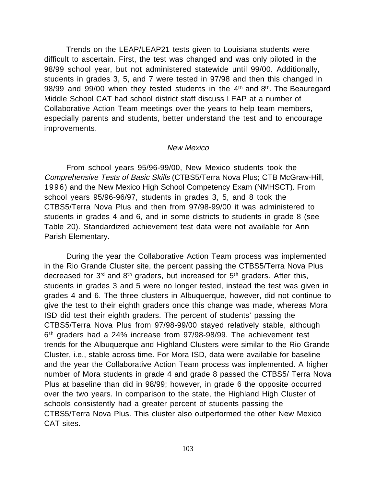Trends on the LEAP/LEAP21 tests given to Louisiana students were difficult to ascertain. First, the test was changed and was only piloted in the 98/99 school year, but not administered statewide until 99/00. Additionally, students in grades 3, 5, and 7 were tested in 97/98 and then this changed in 98/99 and 99/00 when they tested students in the  $4<sup>th</sup>$  and  $8<sup>th</sup>$ . The Beauregard Middle School CAT had school district staff discuss LEAP at a number of Collaborative Action Team meetings over the years to help team members, especially parents and students, better understand the test and to encourage improvements.

#### New Mexico

From school years 95/96-99/00, New Mexico students took the Comprehensive Tests of Basic Skills (CTBS5/Terra Nova Plus; CTB McGraw-Hill, 1996) and the New Mexico High School Competency Exam (NMHSCT). From school years 95/96-96/97, students in grades 3, 5, and 8 took the CTBS5/Terra Nova Plus and then from 97/98-99/00 it was administered to students in grades 4 and 6, and in some districts to students in grade 8 (see Table 20). Standardized achievement test data were not available for Ann Parish Elementary.

During the year the Collaborative Action Team process was implemented in the Rio Grande Cluster site, the percent passing the CTBS5/Terra Nova Plus decreased for  $3<sup>rd</sup>$  and  $8<sup>th</sup>$  graders, but increased for  $5<sup>th</sup>$  graders. After this, students in grades 3 and 5 were no longer tested, instead the test was given in grades 4 and 6. The three clusters in Albuquerque, however, did not continue to give the test to their eighth graders once this change was made, whereas Mora ISD did test their eighth graders. The percent of students' passing the CTBS5/Terra Nova Plus from 97/98-99/00 stayed relatively stable, although 6<sup>th</sup> graders had a 24% increase from 97/98-98/99. The achievement test trends for the Albuquerque and Highland Clusters were similar to the Rio Grande Cluster, i.e., stable across time. For Mora ISD, data were available for baseline and the year the Collaborative Action Team process was implemented. A higher number of Mora students in grade 4 and grade 8 passed the CTBS5/ Terra Nova Plus at baseline than did in 98/99; however, in grade 6 the opposite occurred over the two years. In comparison to the state, the Highland High Cluster of schools consistently had a greater percent of students passing the CTBS5/Terra Nova Plus. This cluster also outperformed the other New Mexico CAT sites.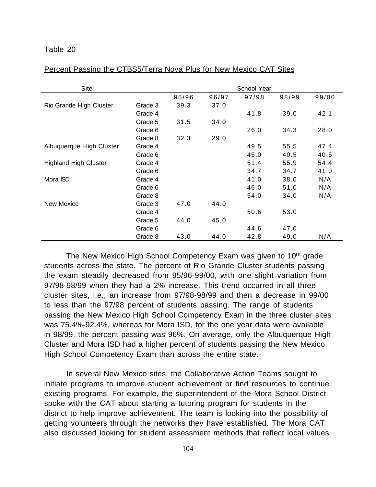#### Table 20

| Site                         |         |       |       | School Year |       |       |
|------------------------------|---------|-------|-------|-------------|-------|-------|
|                              |         | 95/96 | 96/97 | 97/98       | 98/99 | 99/00 |
| Rio Grande High Cluster      | Grade 3 | 39.3  | 37.0  |             |       |       |
|                              | Grade 4 |       |       | 41.8        | 39.0  | 42.1  |
|                              | Grade 5 | 31.5  | 34.0  |             |       |       |
|                              | Grade 6 |       |       | 26.0        | 34.3  | 28.0  |
|                              | Grade 8 | 32.3  | 29.0  |             |       |       |
| Albuquerque High Cluster     | Grade 4 |       |       | 49.5        | 55.5  | 47.4  |
|                              | Grade 6 |       |       | 45.0        | 40.5  | 40.5  |
| <b>Highland High Cluster</b> | Grade 4 |       |       | 51.4        | 55.9  | 54.4  |
|                              | Grade 6 |       |       | 34.7        | 34.7  | 41.0  |
| Mora ISD                     | Grade 4 |       |       | 41.0        | 38.0  | N/A   |
|                              | Grade 6 |       |       | 46.0        | 51.0  | N/A   |
|                              | Grade 8 |       |       | 54.0        | 34.0  | N/A   |
| New Mexico                   | Grade 3 | 47.0  | 44.0  |             |       |       |
|                              | Grade 4 |       |       | 50.6        | 53.0  |       |
|                              | Grade 5 | 44.0  | 45.0  |             |       |       |
|                              | Grade 6 |       |       | 44.6        | 47.0  |       |
|                              | Grade 8 | 43.0  | 44.0  | 42.8        | 49.0  | N/A   |

#### Percent Passing the CTBS5/Terra Nova Plus for New Mexico CAT Sites

The New Mexico High School Competency Exam was given to 10<sup>th</sup> grade students across the state. The percent of Rio Grande Cluster students passing the exam steadily decreased from 95/96-99/00, with one slight variation from 97/98-98/99 when they had a 2% increase. This trend occurred in all three cluster sites, i.e., an increase from 97/98-98/99 and then a decrease in 99/00 to less than the 97/98 percent of students passing. The range of students passing the New Mexico High School Competency Exam in the three cluster sites was 75.4%-92.4%, whereas for Mora ISD, for the one year data were available in 98/99, the percent passing was 96%. On average, only the Albuquerque High Cluster and Mora ISD had a higher percent of students passing the New Mexico High School Competency Exam than across the entire state.

In several New Mexico sites, the Collaborative Action Teams sought to initiate programs to improve student achievement or find resources to continue existing programs. For example, the superintendent of the Mora School District spoke with the CAT about starting a tutoring program for students in the district to help improve achievement. The team is looking into the possibility of getting volunteers through the networks they have established. The Mora CAT also discussed looking for student assessment methods that reflect local values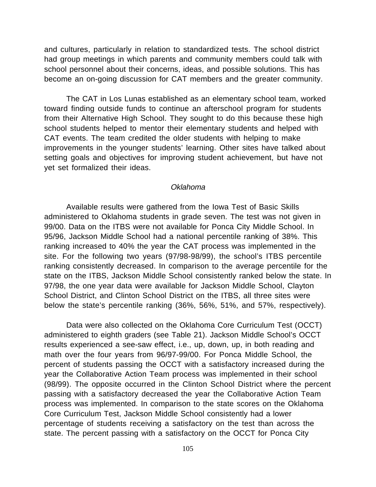and cultures, particularly in relation to standardized tests. The school district had group meetings in which parents and community members could talk with school personnel about their concerns, ideas, and possible solutions. This has become an on-going discussion for CAT members and the greater community.

The CAT in Los Lunas established as an elementary school team, worked toward finding outside funds to continue an afterschool program for students from their Alternative High School. They sought to do this because these high school students helped to mentor their elementary students and helped with CAT events. The team credited the older students with helping to make improvements in the younger students' learning. Other sites have talked about setting goals and objectives for improving student achievement, but have not yet set formalized their ideas.

#### Oklahoma

Available results were gathered from the Iowa Test of Basic Skills administered to Oklahoma students in grade seven. The test was not given in 99/00. Data on the ITBS were not available for Ponca City Middle School. In 95/96, Jackson Middle School had a national percentile ranking of 38%. This ranking increased to 40% the year the CAT process was implemented in the site. For the following two years (97/98-98/99), the school's ITBS percentile ranking consistently decreased. In comparison to the average percentile for the state on the ITBS, Jackson Middle School consistently ranked below the state. In 97/98, the one year data were available for Jackson Middle School, Clayton School District, and Clinton School District on the ITBS, all three sites were below the state's percentile ranking (36%, 56%, 51%, and 57%, respectively).

Data were also collected on the Oklahoma Core Curriculum Test (OCCT) administered to eighth graders (see Table 21). Jackson Middle School's OCCT results experienced a see-saw effect, i.e., up, down, up, in both reading and math over the four years from 96/97-99/00. For Ponca Middle School, the percent of students passing the OCCT with a satisfactory increased during the year the Collaborative Action Team process was implemented in their school (98/99). The opposite occurred in the Clinton School District where the percent passing with a satisfactory decreased the year the Collaborative Action Team process was implemented. In comparison to the state scores on the Oklahoma Core Curriculum Test, Jackson Middle School consistently had a lower percentage of students receiving a satisfactory on the test than across the state. The percent passing with a satisfactory on the OCCT for Ponca City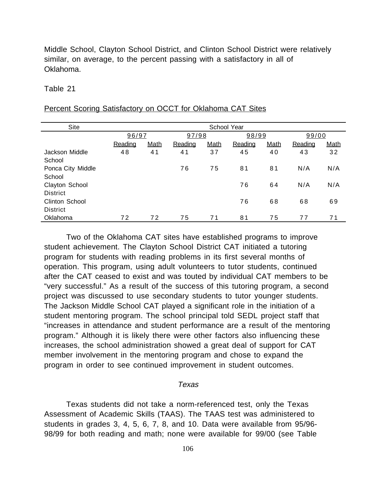Middle School, Clayton School District, and Clinton School District were relatively similar, on average, to the percent passing with a satisfactory in all of Oklahoma.

#### Table 21

## Percent Scoring Satisfactory on OCCT for Oklahoma CAT Sites

| Site                  | School Year |             |         |             |         |             |         |             |  |
|-----------------------|-------------|-------------|---------|-------------|---------|-------------|---------|-------------|--|
|                       | 96/97       |             | 97/98   |             | 98/99   |             | 99/00   |             |  |
|                       | Reading     | <b>Math</b> | Reading | <b>Math</b> | Reading | <b>Math</b> | Reading | <b>Math</b> |  |
| Jackson Middle        | 48          | 41          | 41      | 37          | 45      | 40          | 43      | 32          |  |
| School                |             |             |         |             |         |             |         |             |  |
| Ponca City Middle     |             |             | 76      | 75          | 81      | 81          | N/A     | N/A         |  |
| School                |             |             |         |             |         |             |         |             |  |
| Clayton School        |             |             |         |             | 76      | 64          | N/A     | N/A         |  |
| <b>District</b>       |             |             |         |             |         |             |         |             |  |
| <b>Clinton School</b> |             |             |         |             | 76      | 68          | 68      | 69          |  |
| <b>District</b>       |             |             |         |             |         |             |         |             |  |
| Oklahoma              | 72          | 72          | 75      | 71          | 81      | 75          | 77      | 71          |  |

Two of the Oklahoma CAT sites have established programs to improve student achievement. The Clayton School District CAT initiated a tutoring program for students with reading problems in its first several months of operation. This program, using adult volunteers to tutor students, continued after the CAT ceased to exist and was touted by individual CAT members to be "very successful." As a result of the success of this tutoring program, a second project was discussed to use secondary students to tutor younger students. The Jackson Middle School CAT played a significant role in the initiation of a student mentoring program. The school principal told SEDL project staff that "increases in attendance and student performance are a result of the mentoring program." Although it is likely there were other factors also influencing these increases, the school administration showed a great deal of support for CAT member involvement in the mentoring program and chose to expand the program in order to see continued improvement in student outcomes.

#### Texas

Texas students did not take a norm-referenced test, only the Texas Assessment of Academic Skills (TAAS). The TAAS test was administered to students in grades 3, 4, 5, 6, 7, 8, and 10. Data were available from 95/96- 98/99 for both reading and math; none were available for 99/00 (see Table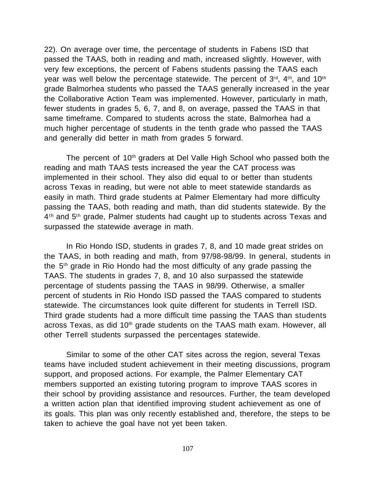22). On average over time, the percentage of students in Fabens ISD that passed the TAAS, both in reading and math, increased slightly. However, with very few exceptions, the percent of Fabens students passing the TAAS each year was well below the percentage statewide. The percent of  $3^{rd}$ ,  $4^{th}$ , and  $10^{th}$ grade Balmorhea students who passed the TAAS generally increased in the year the Collaborative Action Team was implemented. However, particularly in math, fewer students in grades 5, 6, 7, and 8, on average, passed the TAAS in that same timeframe. Compared to students across the state, Balmorhea had a much higher percentage of students in the tenth grade who passed the TAAS and generally did better in math from grades 5 forward.

The percent of 10<sup>th</sup> graders at Del Valle High School who passed both the reading and math TAAS tests increased the year the CAT process was implemented in their school. They also did equal to or better than students across Texas in reading, but were not able to meet statewide standards as easily in math. Third grade students at Palmer Elementary had more difficulty passing the TAAS, both reading and math, than did students statewide. By the 4<sup>th</sup> and 5<sup>th</sup> grade, Palmer students had caught up to students across Texas and surpassed the statewide average in math.

In Rio Hondo ISD, students in grades 7, 8, and 10 made great strides on the TAAS, in both reading and math, from 97/98-98/99. In general, students in the 5th grade in Rio Hondo had the most difficulty of any grade passing the TAAS. The students in grades 7, 8, and 10 also surpassed the statewide percentage of students passing the TAAS in 98/99. Otherwise, a smaller percent of students in Rio Hondo ISD passed the TAAS compared to students statewide. The circumstances look quite different for students in Terrell ISD. Third grade students had a more difficult time passing the TAAS than students across Texas, as did 10<sup>th</sup> grade students on the TAAS math exam. However, all other Terrell students surpassed the percentages statewide.

Similar to some of the other CAT sites across the region, several Texas teams have included student achievement in their meeting discussions, program support, and proposed actions. For example, the Palmer Elementary CAT members supported an existing tutoring program to improve TAAS scores in their school by providing assistance and resources. Further, the team developed a written action plan that identified improving student achievement as one of its goals. This plan was only recently established and, therefore, the steps to be taken to achieve the goal have not yet been taken.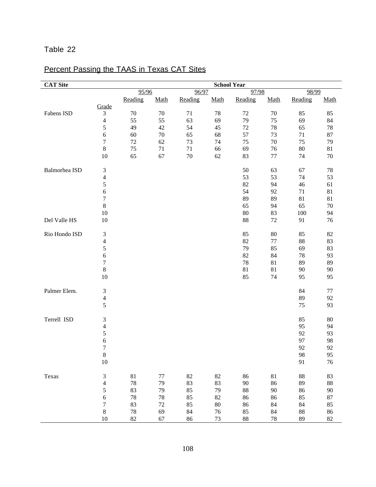# Table 22

# Percent Passing the TAAS in Texas CAT Sites

| <b>CAT Site</b> |                          |         |        |         |        | <b>School Year</b> |        |           |         |
|-----------------|--------------------------|---------|--------|---------|--------|--------------------|--------|-----------|---------|
|                 |                          | 95/96   |        | 96/97   |        | 97/98              |        | 98/99     |         |
|                 | Grade                    | Reading | Math   | Reading | Math   | Reading            | Math   | Reading   | Math    |
| Fabens ISD      | 3                        | 70      | 70     | 71      | 78     | 72                 | $70\,$ | 85        | 85      |
|                 | $\overline{\mathcal{L}}$ | 55      | 55     | 63      | 69     | 79                 | 75     | 69        | 84      |
|                 | 5                        | 49      | 42     | 54      | 45     | $72\,$             | 78     | 65        | 78      |
|                 | 6                        | 60      | $70\,$ | 65      | 68     | 57                 | 73     | 71        | 87      |
|                 | $\sqrt{ }$               | $72\,$  | 62     | 73      | 74     | 75                 | $70\,$ | 75        | 79      |
|                 | 8                        | 75      | 71     | 71      | 66     | 69                 | 76     | 80        | 81      |
|                 | 10                       | 65      | 67     | $70\,$  | 62     | 83                 | 77     | 74        | 70      |
|                 |                          |         |        |         |        |                    |        |           |         |
| Balmorhea ISD   | 3                        |         |        |         |        | 50                 | 63     | 67        | $78\,$  |
|                 | $\overline{\mathcal{L}}$ |         |        |         |        | 53                 | 53     | 74        | 53      |
|                 | 5                        |         |        |         |        | 82                 | 94     | 46        | 61      |
|                 | 6                        |         |        |         |        | 54                 | 92     | 71        | 81      |
|                 | $\sqrt{ }$               |         |        |         |        | 89                 | 89     | 81        | 81      |
|                 | 8                        |         |        |         |        | 65                 | 94     | 65        | 70      |
|                 | 10                       |         |        |         |        | 80                 | 83     | 100       | 94      |
| Del Valle HS    | 10                       |         |        |         |        | 88                 | $72\,$ | 91        | 76      |
| Rio Hondo ISD   | 3                        |         |        |         |        | 85                 | 80     | 85        | 82      |
|                 | $\overline{\mathcal{L}}$ |         |        |         |        | 82                 | $77\,$ | 88        | 83      |
|                 | 5                        |         |        |         |        | 79                 | 85     | 69        | 83      |
|                 | 6                        |         |        |         |        | 82                 | 84     | 78        | 93      |
|                 | $\overline{7}$           |         |        |         |        | 78                 | 81     | 89        | 89      |
|                 | $8\,$                    |         |        |         |        | 81                 | 81     | 90        | 90      |
|                 | 10                       |         |        |         |        | 85                 | 74     | 95        | 95      |
| Palmer Elem.    | 3                        |         |        |         |        |                    |        | 84        | $77 \,$ |
|                 | $\overline{\mathcal{L}}$ |         |        |         |        |                    |        | 89        | 92      |
|                 | 5                        |         |        |         |        |                    |        | 75        | 93      |
| Terrell ISD     | 3                        |         |        |         |        |                    |        | 85        | 80      |
|                 | $\overline{\mathcal{L}}$ |         |        |         |        |                    |        | 95        | 94      |
|                 | 5                        |         |        |         |        |                    |        | 92        | 93      |
|                 | 6                        |         |        |         |        |                    |        | 97        | 98      |
|                 | $\overline{7}$           |         |        |         |        |                    |        | 92        | 92      |
|                 | $8\,$                    |         |        |         |        |                    |        | $\bf{98}$ | 95      |
|                 | $10\,$                   |         |        |         |        |                    |        | 91        | 76      |
| Texas           | 3                        | $81\,$  | $77\,$ | $82\,$  | 82     | 86                 | $81\,$ | 88        | 83      |
|                 | $\overline{\mathcal{L}}$ | 78      | 79     | 83      | 83     | 90                 | 86     | 89        | 88      |
|                 | 5                        | 83      | 79     | 85      | 79     | 88                 | $90\,$ | 86        | 90      |
|                 | 6                        | 78      | 78     | 85      | 82     | 86                 | 86     | 85        | 87      |
|                 | $\boldsymbol{7}$         | 83      | $72\,$ | 85      | $80\,$ | 86                 | 84     | 84        | 85      |
|                 | $8\,$                    | 78      | 69     | 84      | 76     | 85                 | 84     | $88\,$    | 86      |
|                 | $10\,$                   | $82\,$  | 67     | 86      | 73     | 88                 | 78     | 89        | $82\,$  |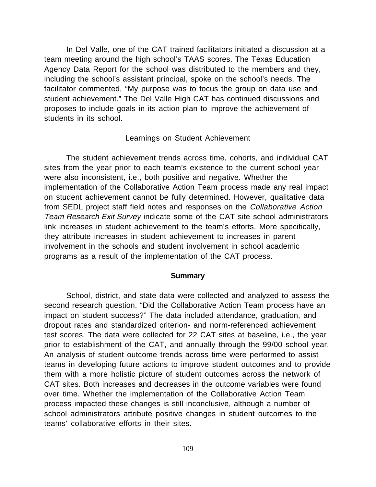In Del Valle, one of the CAT trained facilitators initiated a discussion at a team meeting around the high school's TAAS scores. The Texas Education Agency Data Report for the school was distributed to the members and they, including the school's assistant principal, spoke on the school's needs. The facilitator commented, "My purpose was to focus the group on data use and student achievement." The Del Valle High CAT has continued discussions and proposes to include goals in its action plan to improve the achievement of students in its school.

#### Learnings on Student Achievement

The student achievement trends across time, cohorts, and individual CAT sites from the year prior to each team's existence to the current school year were also inconsistent, i.e., both positive and negative. Whether the implementation of the Collaborative Action Team process made any real impact on student achievement cannot be fully determined. However, qualitative data from SEDL project staff field notes and responses on the Collaborative Action Team Research Exit Survey indicate some of the CAT site school administrators link increases in student achievement to the team's efforts. More specifically, they attribute increases in student achievement to increases in parent involvement in the schools and student involvement in school academic programs as a result of the implementation of the CAT process.

#### **Summary**

School, district, and state data were collected and analyzed to assess the second research question, "Did the Collaborative Action Team process have an impact on student success?" The data included attendance, graduation, and dropout rates and standardized criterion- and norm-referenced achievement test scores. The data were collected for 22 CAT sites at baseline, i.e., the year prior to establishment of the CAT, and annually through the 99/00 school year. An analysis of student outcome trends across time were performed to assist teams in developing future actions to improve student outcomes and to provide them with a more holistic picture of student outcomes across the network of CAT sites. Both increases and decreases in the outcome variables were found over time. Whether the implementation of the Collaborative Action Team process impacted these changes is still inconclusive, although a number of school administrators attribute positive changes in student outcomes to the teams' collaborative efforts in their sites.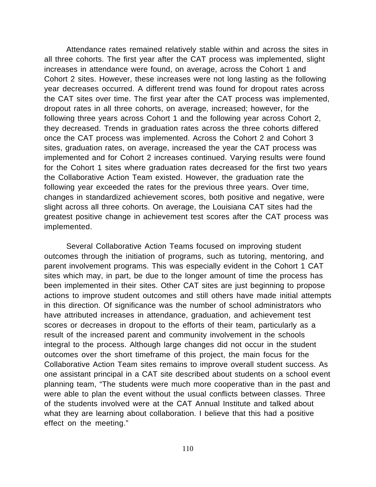Attendance rates remained relatively stable within and across the sites in all three cohorts. The first year after the CAT process was implemented, slight increases in attendance were found, on average, across the Cohort 1 and Cohort 2 sites. However, these increases were not long lasting as the following year decreases occurred. A different trend was found for dropout rates across the CAT sites over time. The first year after the CAT process was implemented, dropout rates in all three cohorts, on average, increased; however, for the following three years across Cohort 1 and the following year across Cohort 2, they decreased. Trends in graduation rates across the three cohorts differed once the CAT process was implemented. Across the Cohort 2 and Cohort 3 sites, graduation rates, on average, increased the year the CAT process was implemented and for Cohort 2 increases continued. Varying results were found for the Cohort 1 sites where graduation rates decreased for the first two years the Collaborative Action Team existed. However, the graduation rate the following year exceeded the rates for the previous three years. Over time, changes in standardized achievement scores, both positive and negative, were slight across all three cohorts. On average, the Louisiana CAT sites had the greatest positive change in achievement test scores after the CAT process was implemented.

Several Collaborative Action Teams focused on improving student outcomes through the initiation of programs, such as tutoring, mentoring, and parent involvement programs. This was especially evident in the Cohort 1 CAT sites which may, in part, be due to the longer amount of time the process has been implemented in their sites. Other CAT sites are just beginning to propose actions to improve student outcomes and still others have made initial attempts in this direction. Of significance was the number of school administrators who have attributed increases in attendance, graduation, and achievement test scores or decreases in dropout to the efforts of their team, particularly as a result of the increased parent and community involvement in the schools integral to the process. Although large changes did not occur in the student outcomes over the short timeframe of this project, the main focus for the Collaborative Action Team sites remains to improve overall student success. As one assistant principal in a CAT site described about students on a school event planning team, "The students were much more cooperative than in the past and were able to plan the event without the usual conflicts between classes. Three of the students involved were at the CAT Annual Institute and talked about what they are learning about collaboration. I believe that this had a positive effect on the meeting."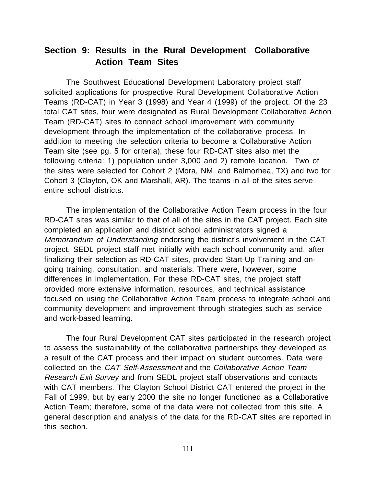# **Section 9: Results in the Rural Development Collaborative Action Team Sites**

The Southwest Educational Development Laboratory project staff solicited applications for prospective Rural Development Collaborative Action Teams (RD-CAT) in Year 3 (1998) and Year 4 (1999) of the project. Of the 23 total CAT sites, four were designated as Rural Development Collaborative Action Team (RD-CAT) sites to connect school improvement with community development through the implementation of the collaborative process. In addition to meeting the selection criteria to become a Collaborative Action Team site (see pg. 5 for criteria), these four RD-CAT sites also met the following criteria: 1) population under 3,000 and 2) remote location. Two of the sites were selected for Cohort 2 (Mora, NM, and Balmorhea, TX) and two for Cohort 3 (Clayton, OK and Marshall, AR). The teams in all of the sites serve entire school districts.

The implementation of the Collaborative Action Team process in the four RD-CAT sites was similar to that of all of the sites in the CAT project. Each site completed an application and district school administrators signed a Memorandum of Understanding endorsing the district's involvement in the CAT project. SEDL project staff met initially with each school community and, after finalizing their selection as RD-CAT sites, provided Start-Up Training and ongoing training, consultation, and materials. There were, however, some differences in implementation. For these RD-CAT sites, the project staff provided more extensive information, resources, and technical assistance focused on using the Collaborative Action Team process to integrate school and community development and improvement through strategies such as service and work-based learning.

The four Rural Development CAT sites participated in the research project to assess the sustainability of the collaborative partnerships they developed as a result of the CAT process and their impact on student outcomes. Data were collected on the CAT Self-Assessment and the Collaborative Action Team Research Exit Survey and from SEDL project staff observations and contacts with CAT members. The Clayton School District CAT entered the project in the Fall of 1999, but by early 2000 the site no longer functioned as a Collaborative Action Team; therefore, some of the data were not collected from this site. A general description and analysis of the data for the RD-CAT sites are reported in this section.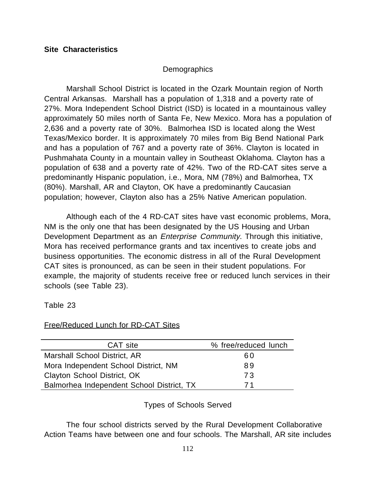# **Site Characteristics**

# **Demographics**

Marshall School District is located in the Ozark Mountain region of North Central Arkansas. Marshall has a population of 1,318 and a poverty rate of 27%. Mora Independent School District (ISD) is located in a mountainous valley approximately 50 miles north of Santa Fe, New Mexico. Mora has a population of 2,636 and a poverty rate of 30%. Balmorhea ISD is located along the West Texas/Mexico border. It is approximately 70 miles from Big Bend National Park and has a population of 767 and a poverty rate of 36%. Clayton is located in Pushmahata County in a mountain valley in Southeast Oklahoma. Clayton has a population of 638 and a poverty rate of 42%. Two of the RD-CAT sites serve a predominantly Hispanic population, i.e., Mora, NM (78%) and Balmorhea, TX (80%). Marshall, AR and Clayton, OK have a predominantly Caucasian population; however, Clayton also has a 25% Native American population.

Although each of the 4 RD-CAT sites have vast economic problems, Mora, NM is the only one that has been designated by the US Housing and Urban Development Department as an *Enterprise Community*. Through this initiative, Mora has received performance grants and tax incentives to create jobs and business opportunities. The economic distress in all of the Rural Development CAT sites is pronounced, as can be seen in their student populations. For example, the majority of students receive free or reduced lunch services in their schools (see Table 23).

Table 23

## Free/Reduced Lunch for RD-CAT Sites

| CAT site                                  | % free/reduced lunch |
|-------------------------------------------|----------------------|
| Marshall School District, AR              | 60                   |
| Mora Independent School District, NM      | 89                   |
| Clayton School District, OK               | <b>73</b>            |
| Balmorhea Independent School District, TX | 71                   |

Types of Schools Served

The four school districts served by the Rural Development Collaborative Action Teams have between one and four schools. The Marshall, AR site includes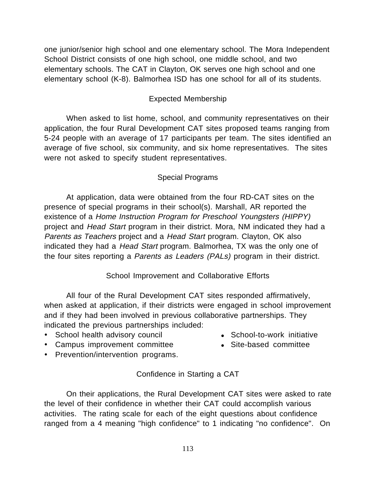one junior/senior high school and one elementary school. The Mora Independent School District consists of one high school, one middle school, and two elementary schools. The CAT in Clayton, OK serves one high school and one elementary school (K-8). Balmorhea ISD has one school for all of its students.

## Expected Membership

When asked to list home, school, and community representatives on their application, the four Rural Development CAT sites proposed teams ranging from 5-24 people with an average of 17 participants per team. The sites identified an average of five school, six community, and six home representatives. The sites were not asked to specify student representatives.

#### Special Programs

At application, data were obtained from the four RD-CAT sites on the presence of special programs in their school(s). Marshall, AR reported the existence of a Home Instruction Program for Preschool Youngsters (HIPPY) project and Head Start program in their district. Mora, NM indicated they had a Parents as Teachers project and a Head Start program. Clayton, OK also indicated they had a Head Start program. Balmorhea, TX was the only one of the four sites reporting a Parents as Leaders (PALs) program in their district.

#### School Improvement and Collaborative Efforts

All four of the Rural Development CAT sites responded affirmatively, when asked at application, if their districts were engaged in school improvement and if they had been involved in previous collaborative partnerships. They indicated the previous partnerships included:

- School health advisory council **and Company** School-to-work initiative
	-
- Campus improvement committee Site-based committee
- 
- · Prevention/intervention programs.

## Confidence in Starting a CAT

On their applications, the Rural Development CAT sites were asked to rate the level of their confidence in whether their CAT could accomplish various activities. The rating scale for each of the eight questions about confidence ranged from a 4 meaning "high confidence" to 1 indicating "no confidence". On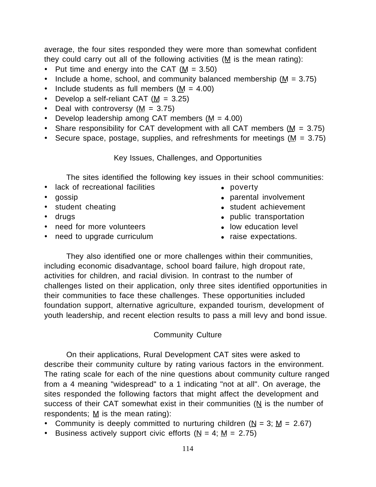average, the four sites responded they were more than somewhat confident they could carry out all of the following activities ( $M$  is the mean rating):

- Put time and energy into the CAT  $(M = 3.50)$
- Include a home, school, and community balanced membership  $(M = 3.75)$
- Include students as full members  $(M = 4.00)$
- Develop a self-reliant CAT  $(M = 3.25)$
- Deal with controversy  $(M = 3.75)$
- Develop leadership among CAT members  $(M = 4.00)$
- Share responsibility for CAT development with all CAT members  $(M = 3.75)$
- Secure space, postage, supplies, and refreshments for meetings ( $M = 3.75$ )

Key Issues, Challenges, and Opportunities

The sites identified the following key issues in their school communities:

- lack of recreational facilities **and the contract of the contract of recreational facilities a**
- 
- 
- 
- need for more volunteers **and in the low education level**
- need to upgrade curriculum raise expectations.
- 
- gossip **lace a contract involvement a** parental involvement
- student cheating and student achievement
- drugs like public transportation
	-
	-

They also identified one or more challenges within their communities, including economic disadvantage, school board failure, high dropout rate, activities for children, and racial division. In contrast to the number of challenges listed on their application, only three sites identified opportunities in their communities to face these challenges. These opportunities included foundation support, alternative agriculture, expanded tourism, development of youth leadership, and recent election results to pass a mill levy and bond issue.

## Community Culture

On their applications, Rural Development CAT sites were asked to describe their community culture by rating various factors in the environment. The rating scale for each of the nine questions about community culture ranged from a 4 meaning "widespread" to a 1 indicating "not at all". On average, the sites responded the following factors that might affect the development and success of their CAT somewhat exist in their communities (N is the number of respondents;  $M$  is the mean rating):

- Community is deeply committed to nurturing children ( $N = 3$ ;  $M = 2.67$ )
- Business actively support civic efforts  $(N = 4; M = 2.75)$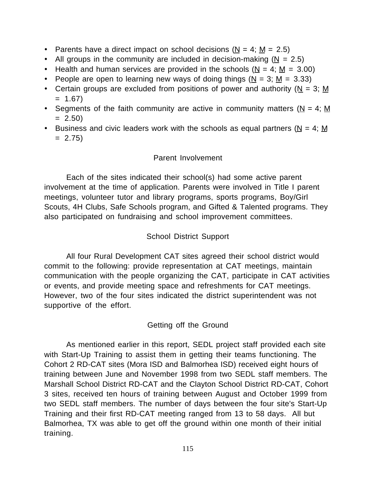- Parents have a direct impact on school decisions  $(N = 4; M = 2.5)$
- All groups in the community are included in decision-making ( $N = 2.5$ )
- Health and human services are provided in the schools ( $N = 4$ ;  $M = 3.00$ )
- People are open to learning new ways of doing things  $(N = 3; M = 3.33)$
- Certain groups are excluded from positions of power and authority ( $N = 3$ ; M  $= 1.67$
- Segments of the faith community are active in community matters ( $N = 4$ ; M  $= 2.50$
- Business and civic leaders work with the schools as equal partners ( $N = 4$ ; M  $= 2.75$

# Parent Involvement

Each of the sites indicated their school(s) had some active parent involvement at the time of application. Parents were involved in Title I parent meetings, volunteer tutor and library programs, sports programs, Boy/Girl Scouts, 4H Clubs, Safe Schools program, and Gifted & Talented programs. They also participated on fundraising and school improvement committees.

# School District Support

All four Rural Development CAT sites agreed their school district would commit to the following: provide representation at CAT meetings, maintain communication with the people organizing the CAT, participate in CAT activities or events, and provide meeting space and refreshments for CAT meetings. However, two of the four sites indicated the district superintendent was not supportive of the effort.

# Getting off the Ground

As mentioned earlier in this report, SEDL project staff provided each site with Start-Up Training to assist them in getting their teams functioning. The Cohort 2 RD-CAT sites (Mora ISD and Balmorhea ISD) received eight hours of training between June and November 1998 from two SEDL staff members. The Marshall School District RD-CAT and the Clayton School District RD-CAT, Cohort 3 sites, received ten hours of training between August and October 1999 from two SEDL staff members. The number of days between the four site's Start-Up Training and their first RD-CAT meeting ranged from 13 to 58 days. All but Balmorhea, TX was able to get off the ground within one month of their initial training.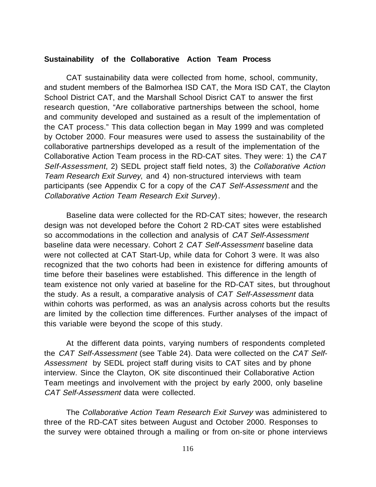#### **Sustainability of the Collaborative Action Team Process**

CAT sustainability data were collected from home, school, community, and student members of the Balmorhea ISD CAT, the Mora ISD CAT, the Clayton School District CAT, and the Marshall School Disrict CAT to answer the first research question, "Are collaborative partnerships between the school, home and community developed and sustained as a result of the implementation of the CAT process." This data collection began in May 1999 and was completed by October 2000. Four measures were used to assess the sustainability of the collaborative partnerships developed as a result of the implementation of the Collaborative Action Team process in the RD-CAT sites. They were: 1) the CAT Self-Assessment, 2) SEDL project staff field notes, 3) the Collaborative Action Team Research Exit Survey, and 4) non-structured interviews with team participants (see Appendix C for a copy of the CAT Self-Assessment and the Collaborative Action Team Research Exit Survey).

Baseline data were collected for the RD-CAT sites; however, the research design was not developed before the Cohort 2 RD-CAT sites were established so accommodations in the collection and analysis of *CAT Self-Assessment* baseline data were necessary. Cohort 2 CAT Self-Assessment baseline data were not collected at CAT Start-Up, while data for Cohort 3 were. It was also recognized that the two cohorts had been in existence for differing amounts of time before their baselines were established. This difference in the length of team existence not only varied at baseline for the RD-CAT sites, but throughout the study. As a result, a comparative analysis of CAT Self-Assessment data within cohorts was performed, as was an analysis across cohorts but the results are limited by the collection time differences. Further analyses of the impact of this variable were beyond the scope of this study.

At the different data points, varying numbers of respondents completed the CAT Self-Assessment (see Table 24). Data were collected on the CAT Self-Assessment by SEDL project staff during visits to CAT sites and by phone interview. Since the Clayton, OK site discontinued their Collaborative Action Team meetings and involvement with the project by early 2000, only baseline CAT Self-Assessment data were collected.

The Collaborative Action Team Research Exit Survey was administered to three of the RD-CAT sites between August and October 2000. Responses to the survey were obtained through a mailing or from on-site or phone interviews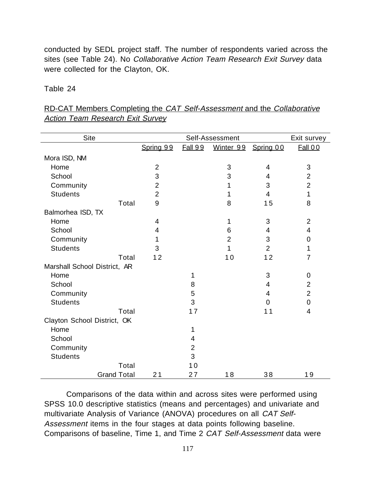conducted by SEDL project staff. The number of respondents varied across the sites (see Table 24). No Collaborative Action Team Research Exit Survey data were collected for the Clayton, OK.

## Table 24

| Site                         |                | Exit survey    |                |                |                |
|------------------------------|----------------|----------------|----------------|----------------|----------------|
|                              | Spring 99      | <b>Fall 99</b> | Winter 99      | Spring 00      | Fall 00        |
| Mora ISD, NM                 |                |                |                |                |                |
| Home                         | $\overline{2}$ |                | 3              | $\overline{4}$ | $\mathbf{3}$   |
| School                       | 3              |                | 3              | 4              | $\overline{2}$ |
| Community                    | $\overline{2}$ |                | 1              | 3              | $\overline{2}$ |
| <b>Students</b>              | $\overline{2}$ |                | 1              | 4              | 1              |
| Total                        | 9              |                | 8              | 15             | 8              |
| Balmorhea ISD, TX            |                |                |                |                |                |
| Home                         | 4              |                | 1              | 3              | $\overline{2}$ |
| School                       | 4              |                | 6              | 4              | $\overline{4}$ |
| Community                    | 1              |                | $\overline{2}$ | 3              | 0              |
| <b>Students</b>              | 3              |                | 1              | $\overline{2}$ | 1              |
| Total                        | 12             |                | 10             | 12             | $\overline{7}$ |
| Marshall School District, AR |                |                |                |                |                |
| Home                         |                | 1              |                | 3              | 0              |
| School                       |                | 8              |                | 4              | $\overline{2}$ |
| Community                    |                | 5              |                | 4              | $\overline{2}$ |
| <b>Students</b>              |                | 3              |                | 0              | $\mathbf 0$    |
| Total                        |                | 17             |                | 11             | $\overline{4}$ |
| Clayton School District, OK  |                |                |                |                |                |
| Home                         |                | 1              |                |                |                |
| School                       |                | 4              |                |                |                |
| Community                    |                | $\overline{2}$ |                |                |                |
| <b>Students</b>              |                | 3              |                |                |                |
| Total                        |                | 10             |                |                |                |
| <b>Grand Total</b>           | 21             | 27             | 18             | 38             | 19             |

RD-CAT Members Completing the CAT Self-Assessment and the Collaborative **Action Team Research Exit Survey** 

Comparisons of the data within and across sites were performed using SPSS 10.0 descriptive statistics (means and percentages) and univariate and multivariate Analysis of Variance (ANOVA) procedures on all CAT Self-Assessment items in the four stages at data points following baseline. Comparisons of baseline, Time 1, and Time 2 CAT Self-Assessment data were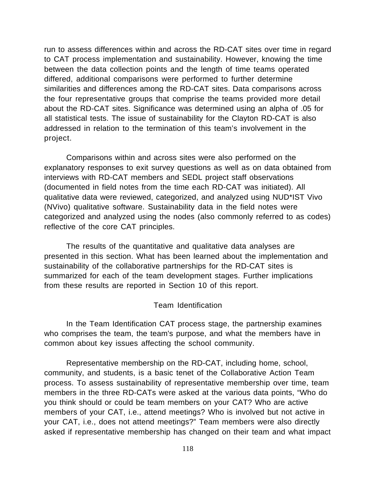run to assess differences within and across the RD-CAT sites over time in regard to CAT process implementation and sustainability. However, knowing the time between the data collection points and the length of time teams operated differed, additional comparisons were performed to further determine similarities and differences among the RD-CAT sites. Data comparisons across the four representative groups that comprise the teams provided more detail about the RD-CAT sites. Significance was determined using an alpha of .05 for all statistical tests. The issue of sustainability for the Clayton RD-CAT is also addressed in relation to the termination of this team's involvement in the project.

Comparisons within and across sites were also performed on the explanatory responses to exit survey questions as well as on data obtained from interviews with RD-CAT members and SEDL project staff observations (documented in field notes from the time each RD-CAT was initiated). All qualitative data were reviewed, categorized, and analyzed using NUD\*IST Vivo (NVivo) qualitative software. Sustainability data in the field notes were categorized and analyzed using the nodes (also commonly referred to as codes) reflective of the core CAT principles.

The results of the quantitative and qualitative data analyses are presented in this section. What has been learned about the implementation and sustainability of the collaborative partnerships for the RD-CAT sites is summarized for each of the team development stages. Further implications from these results are reported in Section 10 of this report.

## Team Identification

In the Team Identification CAT process stage, the partnership examines who comprises the team, the team's purpose, and what the members have in common about key issues affecting the school community.

Representative membership on the RD-CAT, including home, school, community, and students, is a basic tenet of the Collaborative Action Team process. To assess sustainability of representative membership over time, team members in the three RD-CATs were asked at the various data points, "Who do you think should or could be team members on your CAT? Who are active members of your CAT, i.e., attend meetings? Who is involved but not active in your CAT, i.e., does not attend meetings?" Team members were also directly asked if representative membership has changed on their team and what impact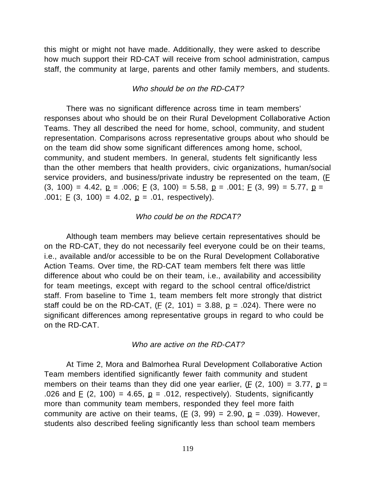this might or might not have made. Additionally, they were asked to describe how much support their RD-CAT will receive from school administration, campus staff, the community at large, parents and other family members, and students.

#### Who should be on the RD-CAT?

There was no significant difference across time in team members' responses about who should be on their Rural Development Collaborative Action Teams. They all described the need for home, school, community, and student representation. Comparisons across representative groups about who should be on the team did show some significant differences among home, school, community, and student members. In general, students felt significantly less than the other members that health providers, civic organizations, human/social service providers, and business/private industry be represented on the team,  $(E)$  $(3, 100) = 4.42$ ,  $p = .006$ ;  $E(3, 100) = 5.58$ ,  $p = .001$ ;  $E(3, 99) = 5.77$ ,  $p =$ .001;  $E(3, 100) = 4.02$ ,  $p = .01$ , respectively).

#### Who could be on the RDCAT?

Although team members may believe certain representatives should be on the RD-CAT, they do not necessarily feel everyone could be on their teams, i.e., available and/or accessible to be on the Rural Development Collaborative Action Teams. Over time, the RD-CAT team members felt there was little difference about who could be on their team, i.e., availability and accessibility for team meetings, except with regard to the school central office/district staff. From baseline to Time 1, team members felt more strongly that district staff could be on the RD-CAT,  $(E (2, 101) = 3.88, p = .024)$ . There were no significant differences among representative groups in regard to who could be on the RD-CAT.

#### Who are active on the RD-CAT?

At Time 2, Mora and Balmorhea Rural Development Collaborative Action Team members identified significantly fewer faith community and student members on their teams than they did one year earlier, (F (2, 100) = 3.77,  $p =$ .026 and  $E$  (2, 100) = 4.65,  $p = .012$ , respectively). Students, significantly more than community team members, responded they feel more faith community are active on their teams,  $(E (3, 99) = 2.90, p = .039)$ . However, students also described feeling significantly less than school team members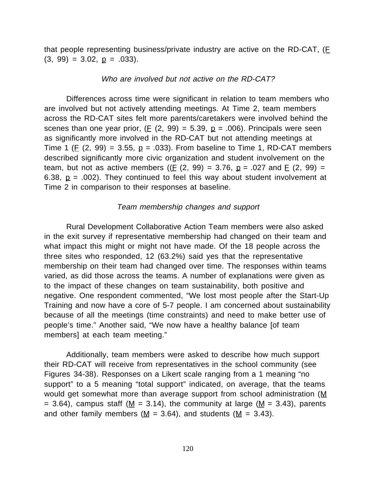that people representing business/private industry are active on the RD-CAT, (F  $(3, 99) = 3.02, \underline{p} = .033$ .

## Who are involved but not active on the RD-CAT?

Differences across time were significant in relation to team members who are involved but not actively attending meetings. At Time 2, team members across the RD-CAT sites felt more parents/caretakers were involved behind the scenes than one year prior,  $(E (2, 99) = 5.39, p = .006)$ . Principals were seen as significantly more involved in the RD-CAT but not attending meetings at Time 1 (E (2, 99) = 3.55,  $p = .033$ ). From baseline to Time 1, RD-CAT members described significantly more civic organization and student involvement on the team, but not as active members (( $E$  (2, 99) = 3.76,  $p = .027$  and  $E$  (2, 99) = 6.38,  $p = .002$ ). They continued to feel this way about student involvement at Time 2 in comparison to their responses at baseline.

#### Team membership changes and support

Rural Development Collaborative Action Team members were also asked in the exit survey if representative membership had changed on their team and what impact this might or might not have made. Of the 18 people across the three sites who responded, 12 (63.2%) said yes that the representative membership on their team had changed over time. The responses within teams varied, as did those across the teams. A number of explanations were given as to the impact of these changes on team sustainability, both positive and negative. One respondent commented, "We lost most people after the Start-Up Training and now have a core of 5-7 people. I am concerned about sustainability because of all the meetings (time constraints) and need to make better use of people's time." Another said, "We now have a healthy balance [of team members] at each team meeting."

Additionally, team members were asked to describe how much support their RD-CAT will receive from representatives in the school community (see Figures 34-38). Responses on a Likert scale ranging from a 1 meaning "no support" to a 5 meaning "total support" indicated, on average, that the teams would get somewhat more than average support from school administration (M = 3.64), campus staff ( $M = 3.14$ ), the community at large ( $M = 3.43$ ), parents and other family members ( $M = 3.64$ ), and students ( $M = 3.43$ ).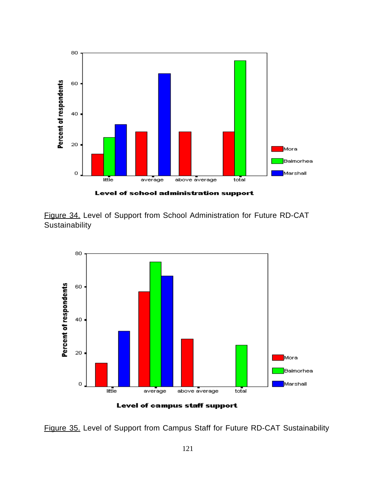

Figure 34. Level of Support from School Administration for Future RD-CAT **Sustainability** 



Figure 35. Level of Support from Campus Staff for Future RD-CAT Sustainability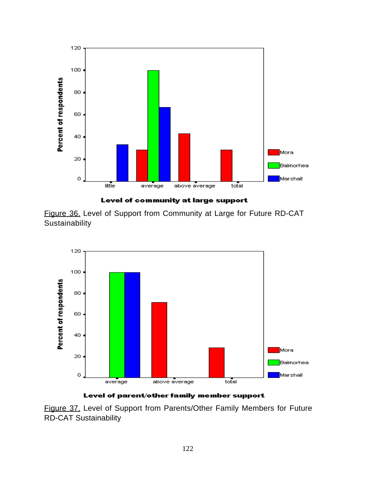



Figure 36. Level of Support from Community at Large for Future RD-CAT **Sustainability** 



Level of parent/other family member support

Figure 37. Level of Support from Parents/Other Family Members for Future RD-CAT Sustainability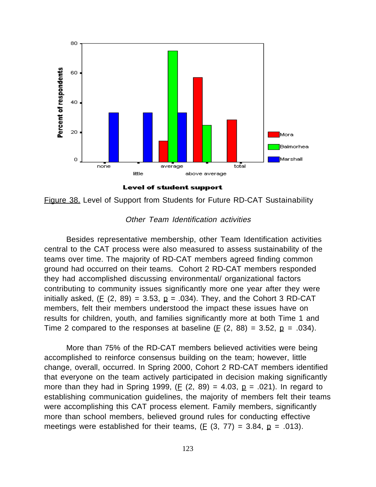

Level of student support



## Other Team Identification activities

Besides representative membership, other Team Identification activities central to the CAT process were also measured to assess sustainability of the teams over time. The majority of RD-CAT members agreed finding common ground had occurred on their teams. Cohort 2 RD-CAT members responded they had accomplished discussing environmental/ organizational factors contributing to community issues significantly more one year after they were initially asked, (E (2, 89) = 3.53,  $p = .034$ ). They, and the Cohort 3 RD-CAT members, felt their members understood the impact these issues have on results for children, youth, and families significantly more at both Time 1 and Time 2 compared to the responses at baseline ( $E$  (2, 88) = 3.52,  $p = .034$ ).

More than 75% of the RD-CAT members believed activities were being accomplished to reinforce consensus building on the team; however, little change, overall, occurred. In Spring 2000, Cohort 2 RD-CAT members identified that everyone on the team actively participated in decision making significantly more than they had in Spring 1999, (E  $(2, 89) = 4.03$ ,  $p = .021$ ). In regard to establishing communication guidelines, the majority of members felt their teams were accomplishing this CAT process element. Family members, significantly more than school members, believed ground rules for conducting effective meetings were established for their teams,  $(E (3, 77) = 3.84, p = .013)$ .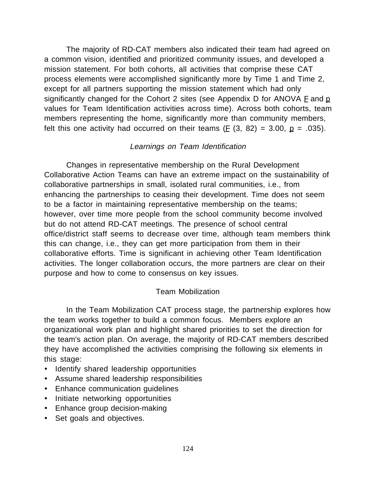The majority of RD-CAT members also indicated their team had agreed on a common vision, identified and prioritized community issues, and developed a mission statement. For both cohorts, all activities that comprise these CAT process elements were accomplished significantly more by Time 1 and Time 2, except for all partners supporting the mission statement which had only significantly changed for the Cohort 2 sites (see Appendix  $D$  for ANOVA  $E$  and  $p$ values for Team Identification activities across time). Across both cohorts, team members representing the home, significantly more than community members, felt this one activity had occurred on their teams ( $E$  (3, 82) = 3.00,  $p = .035$ ).

# Learnings on Team Identification

Changes in representative membership on the Rural Development Collaborative Action Teams can have an extreme impact on the sustainability of collaborative partnerships in small, isolated rural communities, i.e., from enhancing the partnerships to ceasing their development. Time does not seem to be a factor in maintaining representative membership on the teams; however, over time more people from the school community become involved but do not attend RD-CAT meetings. The presence of school central office/district staff seems to decrease over time, although team members think this can change, i.e., they can get more participation from them in their collaborative efforts. Time is significant in achieving other Team Identification activities. The longer collaboration occurs, the more partners are clear on their purpose and how to come to consensus on key issues.

# Team Mobilization

In the Team Mobilization CAT process stage, the partnership explores how the team works together to build a common focus. Members explore an organizational work plan and highlight shared priorities to set the direction for the team's action plan. On average, the majority of RD-CAT members described they have accomplished the activities comprising the following six elements in this stage:

- · Identify shared leadership opportunities
- · Assume shared leadership responsibilities
- · Enhance communication guidelines
- · Initiate networking opportunities
- · Enhance group decision-making
- · Set goals and objectives.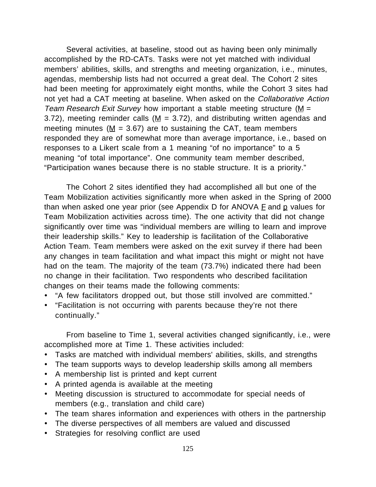Several activities, at baseline, stood out as having been only minimally accomplished by the RD-CATs. Tasks were not yet matched with individual members' abilities, skills, and strengths and meeting organization, i.e., minutes, agendas, membership lists had not occurred a great deal. The Cohort 2 sites had been meeting for approximately eight months, while the Cohort 3 sites had not yet had a CAT meeting at baseline. When asked on the Collaborative Action Team Research Exit Survey how important a stable meeting structure (M = 3.72), meeting reminder calls ( $M = 3.72$ ), and distributing written agendas and meeting minutes ( $M = 3.67$ ) are to sustaining the CAT, team members responded they are of somewhat more than average importance, i.e., based on responses to a Likert scale from a 1 meaning "of no importance" to a 5 meaning "of total importance". One community team member described, "Participation wanes because there is no stable structure. It is a priority."

The Cohort 2 sites identified they had accomplished all but one of the Team Mobilization activities significantly more when asked in the Spring of 2000 than when asked one year prior (see Appendix  $D$  for ANOVA  $E$  and  $D$  values for Team Mobilization activities across time). The one activity that did not change significantly over time was "individual members are willing to learn and improve their leadership skills." Key to leadership is facilitation of the Collaborative Action Team. Team members were asked on the exit survey if there had been any changes in team facilitation and what impact this might or might not have had on the team. The majority of the team (73.7%) indicated there had been no change in their facilitation. Two respondents who described facilitation changes on their teams made the following comments:

- · "A few facilitators dropped out, but those still involved are committed."
- · "Facilitation is not occurring with parents because they're not there continually."

From baseline to Time 1, several activities changed significantly, i.e., were accomplished more at Time 1. These activities included:

- · Tasks are matched with individual members' abilities, skills, and strengths
- · The team supports ways to develop leadership skills among all members
- · A membership list is printed and kept current
- · A printed agenda is available at the meeting
- · Meeting discussion is structured to accommodate for special needs of members (e.g., translation and child care)
- · The team shares information and experiences with others in the partnership
- · The diverse perspectives of all members are valued and discussed
- · Strategies for resolving conflict are used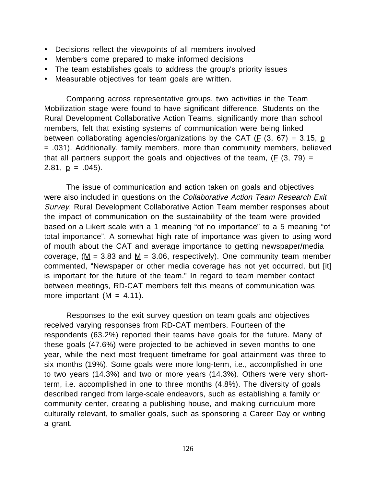- · Decisions reflect the viewpoints of all members involved
- · Members come prepared to make informed decisions
- · The team establishes goals to address the group's priority issues
- · Measurable objectives for team goals are written.

Comparing across representative groups, two activities in the Team Mobilization stage were found to have significant difference. Students on the Rural Development Collaborative Action Teams, significantly more than school members, felt that existing systems of communication were being linked between collaborating agencies/organizations by the CAT ( $E$  (3, 67) = 3.15, <u>p</u> = .031). Additionally, family members, more than community members, believed that all partners support the goals and objectives of the team,  $(E(3, 79) =$ 2.81,  $p = .045$ ).

The issue of communication and action taken on goals and objectives were also included in questions on the Collaborative Action Team Research Exit Survey. Rural Development Collaborative Action Team member responses about the impact of communication on the sustainability of the team were provided based on a Likert scale with a 1 meaning "of no importance" to a 5 meaning "of total importance". A somewhat high rate of importance was given to using word of mouth about the CAT and average importance to getting newspaper/media coverage, ( $M = 3.83$  and  $M = 3.06$ , respectively). One community team member commented, "Newspaper or other media coverage has not yet occurred, but [it] is important for the future of the team." In regard to team member contact between meetings, RD-CAT members felt this means of communication was more important  $(M = 4.11)$ .

Responses to the exit survey question on team goals and objectives received varying responses from RD-CAT members. Fourteen of the respondents (63.2%) reported their teams have goals for the future. Many of these goals (47.6%) were projected to be achieved in seven months to one year, while the next most frequent timeframe for goal attainment was three to six months (19%). Some goals were more long-term, i.e., accomplished in one to two years (14.3%) and two or more years (14.3%). Others were very shortterm, i.e. accomplished in one to three months (4.8%). The diversity of goals described ranged from large-scale endeavors, such as establishing a family or community center, creating a publishing house, and making curriculum more culturally relevant, to smaller goals, such as sponsoring a Career Day or writing a grant.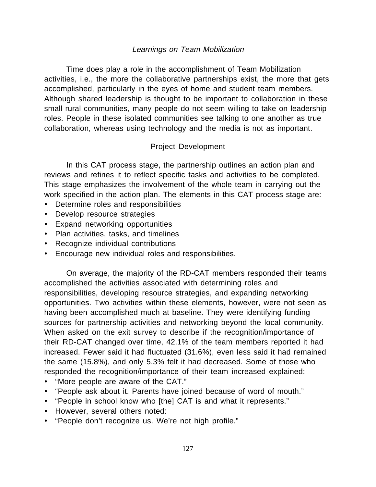# Learnings on Team Mobilization

Time does play a role in the accomplishment of Team Mobilization activities, i.e., the more the collaborative partnerships exist, the more that gets accomplished, particularly in the eyes of home and student team members. Although shared leadership is thought to be important to collaboration in these small rural communities, many people do not seem willing to take on leadership roles. People in these isolated communities see talking to one another as true collaboration, whereas using technology and the media is not as important.

# Project Development

In this CAT process stage, the partnership outlines an action plan and reviews and refines it to reflect specific tasks and activities to be completed. This stage emphasizes the involvement of the whole team in carrying out the work specified in the action plan. The elements in this CAT process stage are:

- · Determine roles and responsibilities
- · Develop resource strategies
- · Expand networking opportunities
- · Plan activities, tasks, and timelines
- · Recognize individual contributions
- · Encourage new individual roles and responsibilities.

On average, the majority of the RD-CAT members responded their teams accomplished the activities associated with determining roles and responsibilities, developing resource strategies, and expanding networking opportunities. Two activities within these elements, however, were not seen as having been accomplished much at baseline. They were identifying funding sources for partnership activities and networking beyond the local community. When asked on the exit survey to describe if the recognition/importance of their RD-CAT changed over time, 42.1% of the team members reported it had increased. Fewer said it had fluctuated (31.6%), even less said it had remained the same (15.8%), and only 5.3% felt it had decreased. Some of those who responded the recognition/importance of their team increased explained:

- · "More people are aware of the CAT."
- · "People ask about it. Parents have joined because of word of mouth."
- · "People in school know who [the] CAT is and what it represents."
- · However, several others noted:
- · "People don't recognize us. We're not high profile."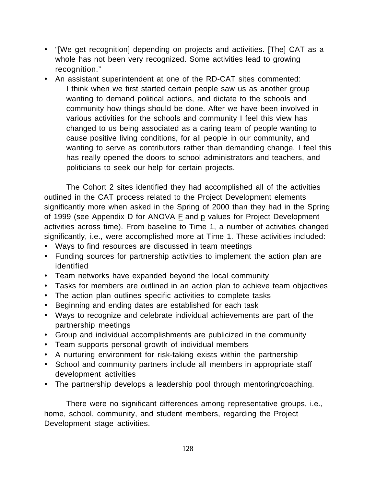- · "[We get recognition] depending on projects and activities. [The] CAT as a whole has not been very recognized. Some activities lead to growing recognition."
- · An assistant superintendent at one of the RD-CAT sites commented: I think when we first started certain people saw us as another group wanting to demand political actions, and dictate to the schools and community how things should be done. After we have been involved in various activities for the schools and community I feel this view has changed to us being associated as a caring team of people wanting to cause positive living conditions, for all people in our community, and wanting to serve as contributors rather than demanding change. I feel this has really opened the doors to school administrators and teachers, and politicians to seek our help for certain projects.

The Cohort 2 sites identified they had accomplished all of the activities outlined in the CAT process related to the Project Development elements significantly more when asked in the Spring of 2000 than they had in the Spring of 1999 (see Appendix D for ANOVA  $E$  and  $p$  values for Project Development activities across time). From baseline to Time 1, a number of activities changed significantly, i.e., were accomplished more at Time 1. These activities included:

- · Ways to find resources are discussed in team meetings
- · Funding sources for partnership activities to implement the action plan are identified
- · Team networks have expanded beyond the local community
- · Tasks for members are outlined in an action plan to achieve team objectives
- · The action plan outlines specific activities to complete tasks
- · Beginning and ending dates are established for each task
- · Ways to recognize and celebrate individual achievements are part of the partnership meetings
- · Group and individual accomplishments are publicized in the community
- · Team supports personal growth of individual members
- · A nurturing environment for risk-taking exists within the partnership
- · School and community partners include all members in appropriate staff development activities
- · The partnership develops a leadership pool through mentoring/coaching.

There were no significant differences among representative groups, i.e., home, school, community, and student members, regarding the Project Development stage activities.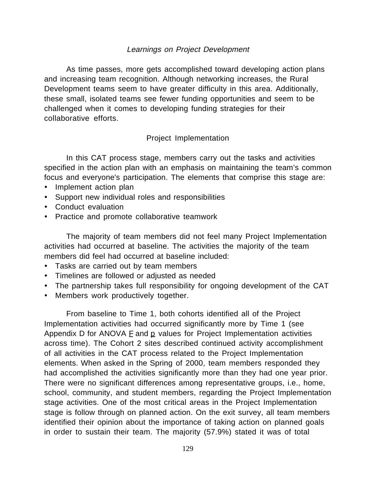# Learnings on Project Development

As time passes, more gets accomplished toward developing action plans and increasing team recognition. Although networking increases, the Rural Development teams seem to have greater difficulty in this area. Additionally, these small, isolated teams see fewer funding opportunities and seem to be challenged when it comes to developing funding strategies for their collaborative efforts.

# Project Implementation

In this CAT process stage, members carry out the tasks and activities specified in the action plan with an emphasis on maintaining the team's common focus and everyone's participation. The elements that comprise this stage are:

- · Implement action plan
- · Support new individual roles and responsibilities
- · Conduct evaluation
- · Practice and promote collaborative teamwork

The majority of team members did not feel many Project Implementation activities had occurred at baseline. The activities the majority of the team members did feel had occurred at baseline included:

- · Tasks are carried out by team members
- · Timelines are followed or adjusted as needed
- · The partnership takes full responsibility for ongoing development of the CAT
- · Members work productively together.

From baseline to Time 1, both cohorts identified all of the Project Implementation activities had occurred significantly more by Time 1 (see Appendix D for ANOVA  $E$  and  $p$  values for Project Implementation activities across time). The Cohort 2 sites described continued activity accomplishment of all activities in the CAT process related to the Project Implementation elements. When asked in the Spring of 2000, team members responded they had accomplished the activities significantly more than they had one year prior. There were no significant differences among representative groups, i.e., home, school, community, and student members, regarding the Project Implementation stage activities. One of the most critical areas in the Project Implementation stage is follow through on planned action. On the exit survey, all team members identified their opinion about the importance of taking action on planned goals in order to sustain their team. The majority (57.9%) stated it was of total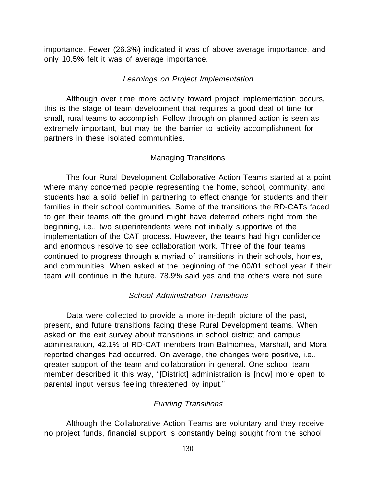importance. Fewer (26.3%) indicated it was of above average importance, and only 10.5% felt it was of average importance.

## Learnings on Project Implementation

Although over time more activity toward project implementation occurs, this is the stage of team development that requires a good deal of time for small, rural teams to accomplish. Follow through on planned action is seen as extremely important, but may be the barrier to activity accomplishment for partners in these isolated communities.

## Managing Transitions

The four Rural Development Collaborative Action Teams started at a point where many concerned people representing the home, school, community, and students had a solid belief in partnering to effect change for students and their families in their school communities. Some of the transitions the RD-CATs faced to get their teams off the ground might have deterred others right from the beginning, i.e., two superintendents were not initially supportive of the implementation of the CAT process. However, the teams had high confidence and enormous resolve to see collaboration work. Three of the four teams continued to progress through a myriad of transitions in their schools, homes, and communities. When asked at the beginning of the 00/01 school year if their team will continue in the future, 78.9% said yes and the others were not sure.

## School Administration Transitions

Data were collected to provide a more in-depth picture of the past, present, and future transitions facing these Rural Development teams. When asked on the exit survey about transitions in school district and campus administration, 42.1% of RD-CAT members from Balmorhea, Marshall, and Mora reported changes had occurred. On average, the changes were positive, i.e., greater support of the team and collaboration in general. One school team member described it this way, "[District] administration is [now] more open to parental input versus feeling threatened by input."

# Funding Transitions

Although the Collaborative Action Teams are voluntary and they receive no project funds, financial support is constantly being sought from the school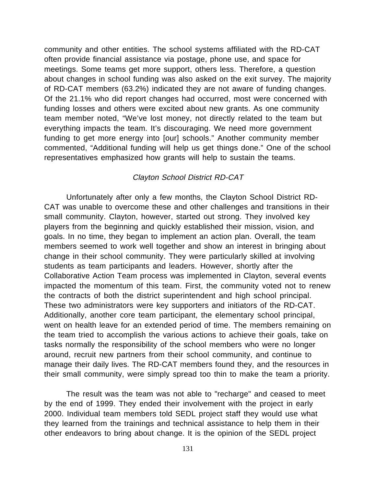community and other entities. The school systems affiliated with the RD-CAT often provide financial assistance via postage, phone use, and space for meetings. Some teams get more support, others less. Therefore, a question about changes in school funding was also asked on the exit survey. The majority of RD-CAT members (63.2%) indicated they are not aware of funding changes. Of the 21.1% who did report changes had occurred, most were concerned with funding losses and others were excited about new grants. As one community team member noted, "We've lost money, not directly related to the team but everything impacts the team. It's discouraging. We need more government funding to get more energy into [our] schools." Another community member commented, "Additional funding will help us get things done." One of the school representatives emphasized how grants will help to sustain the teams.

#### Clayton School District RD-CAT

Unfortunately after only a few months, the Clayton School District RD-CAT was unable to overcome these and other challenges and transitions in their small community. Clayton, however, started out strong. They involved key players from the beginning and quickly established their mission, vision, and goals. In no time, they began to implement an action plan. Overall, the team members seemed to work well together and show an interest in bringing about change in their school community. They were particularly skilled at involving students as team participants and leaders. However, shortly after the Collaborative Action Team process was implemented in Clayton, several events impacted the momentum of this team. First, the community voted not to renew the contracts of both the district superintendent and high school principal. These two administrators were key supporters and initiators of the RD-CAT. Additionally, another core team participant, the elementary school principal, went on health leave for an extended period of time. The members remaining on the team tried to accomplish the various actions to achieve their goals, take on tasks normally the responsibility of the school members who were no longer around, recruit new partners from their school community, and continue to manage their daily lives. The RD-CAT members found they, and the resources in their small community, were simply spread too thin to make the team a priority.

The result was the team was not able to "recharge" and ceased to meet by the end of 1999. They ended their involvement with the project in early 2000. Individual team members told SEDL project staff they would use what they learned from the trainings and technical assistance to help them in their other endeavors to bring about change. It is the opinion of the SEDL project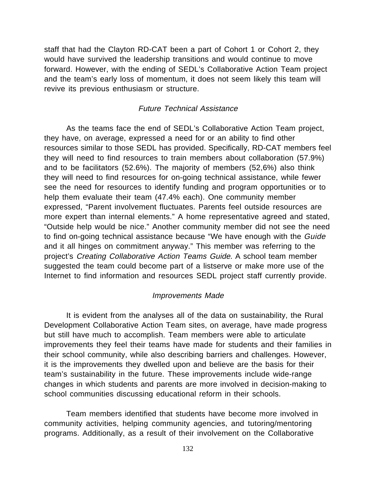staff that had the Clayton RD-CAT been a part of Cohort 1 or Cohort 2, they would have survived the leadership transitions and would continue to move forward. However, with the ending of SEDL's Collaborative Action Team project and the team's early loss of momentum, it does not seem likely this team will revive its previous enthusiasm or structure.

## Future Technical Assistance

As the teams face the end of SEDL's Collaborative Action Team project, they have, on average, expressed a need for or an ability to find other resources similar to those SEDL has provided. Specifically, RD-CAT members feel they will need to find resources to train members about collaboration (57.9%) and to be facilitators (52.6%). The majority of members (52,6%) also think they will need to find resources for on-going technical assistance, while fewer see the need for resources to identify funding and program opportunities or to help them evaluate their team (47.4% each). One community member expressed, "Parent involvement fluctuates. Parents feel outside resources are more expert than internal elements." A home representative agreed and stated, "Outside help would be nice." Another community member did not see the need to find on-going technical assistance because "We have enough with the Guide and it all hinges on commitment anyway." This member was referring to the project's Creating Collaborative Action Teams Guide. A school team member suggested the team could become part of a listserve or make more use of the Internet to find information and resources SEDL project staff currently provide.

#### Improvements Made

It is evident from the analyses all of the data on sustainability, the Rural Development Collaborative Action Team sites, on average, have made progress but still have much to accomplish. Team members were able to articulate improvements they feel their teams have made for students and their families in their school community, while also describing barriers and challenges. However, it is the improvements they dwelled upon and believe are the basis for their team's sustainability in the future. These improvements include wide-range changes in which students and parents are more involved in decision-making to school communities discussing educational reform in their schools.

Team members identified that students have become more involved in community activities, helping community agencies, and tutoring/mentoring programs. Additionally, as a result of their involvement on the Collaborative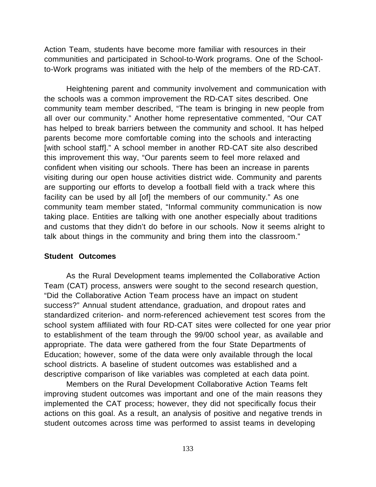Action Team, students have become more familiar with resources in their communities and participated in School-to-Work programs. One of the Schoolto-Work programs was initiated with the help of the members of the RD-CAT.

Heightening parent and community involvement and communication with the schools was a common improvement the RD-CAT sites described. One community team member described, "The team is bringing in new people from all over our community." Another home representative commented, "Our CAT has helped to break barriers between the community and school. It has helped parents become more comfortable coming into the schools and interacting [with school staff]." A school member in another RD-CAT site also described this improvement this way, "Our parents seem to feel more relaxed and confident when visiting our schools. There has been an increase in parents visiting during our open house activities district wide. Community and parents are supporting our efforts to develop a football field with a track where this facility can be used by all [of] the members of our community." As one community team member stated, "Informal community communication is now taking place. Entities are talking with one another especially about traditions and customs that they didn't do before in our schools. Now it seems alright to talk about things in the community and bring them into the classroom."

#### **Student Outcomes**

As the Rural Development teams implemented the Collaborative Action Team (CAT) process, answers were sought to the second research question, "Did the Collaborative Action Team process have an impact on student success?" Annual student attendance, graduation, and dropout rates and standardized criterion- and norm-referenced achievement test scores from the school system affiliated with four RD-CAT sites were collected for one year prior to establishment of the team through the 99/00 school year, as available and appropriate. The data were gathered from the four State Departments of Education; however, some of the data were only available through the local school districts. A baseline of student outcomes was established and a descriptive comparison of like variables was completed at each data point.

Members on the Rural Development Collaborative Action Teams felt improving student outcomes was important and one of the main reasons they implemented the CAT process; however, they did not specifically focus their actions on this goal. As a result, an analysis of positive and negative trends in student outcomes across time was performed to assist teams in developing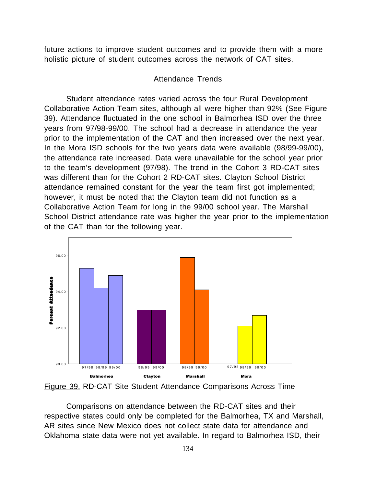future actions to improve student outcomes and to provide them with a more holistic picture of student outcomes across the network of CAT sites.

# Attendance Trends

Student attendance rates varied across the four Rural Development Collaborative Action Team sites, although all were higher than 92% (See Figure 39). Attendance fluctuated in the one school in Balmorhea ISD over the three years from 97/98-99/00. The school had a decrease in attendance the year prior to the implementation of the CAT and then increased over the next year. In the Mora ISD schools for the two years data were available (98/99-99/00), the attendance rate increased. Data were unavailable for the school year prior to the team's development (97/98). The trend in the Cohort 3 RD-CAT sites was different than for the Cohort 2 RD-CAT sites. Clayton School District attendance remained constant for the year the team first got implemented; however, it must be noted that the Clayton team did not function as a Collaborative Action Team for long in the 99/00 school year. The Marshall School District attendance rate was higher the year prior to the implementation of the CAT than for the following year.



Figure 39. RD-CAT Site Student Attendance Comparisons Across Time

Comparisons on attendance between the RD-CAT sites and their respective states could only be completed for the Balmorhea, TX and Marshall, AR sites since New Mexico does not collect state data for attendance and Oklahoma state data were not yet available. In regard to Balmorhea ISD, their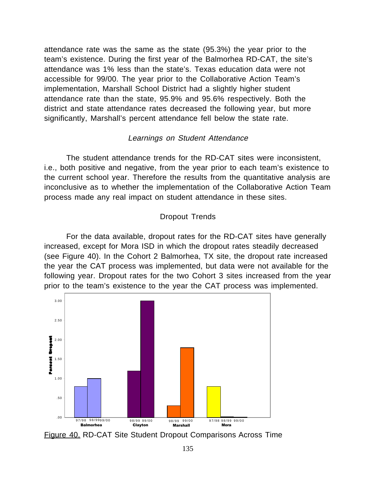attendance rate was the same as the state (95.3%) the year prior to the team's existence. During the first year of the Balmorhea RD-CAT, the site's attendance was 1% less than the state's. Texas education data were not accessible for 99/00. The year prior to the Collaborative Action Team's implementation, Marshall School District had a slightly higher student attendance rate than the state, 95.9% and 95.6% respectively. Both the district and state attendance rates decreased the following year, but more significantly, Marshall's percent attendance fell below the state rate.

## Learnings on Student Attendance

The student attendance trends for the RD-CAT sites were inconsistent, i.e., both positive and negative, from the year prior to each team's existence to the current school year. Therefore the results from the quantitative analysis are inconclusive as to whether the implementation of the Collaborative Action Team process made any real impact on student attendance in these sites.

# Dropout Trends

For the data available, dropout rates for the RD-CAT sites have generally increased, except for Mora ISD in which the dropout rates steadily decreased (see Figure 40). In the Cohort 2 Balmorhea, TX site, the dropout rate increased the year the CAT process was implemented, but data were not available for the following year. Dropout rates for the two Cohort 3 sites increased from the year prior to the team's existence to the year the CAT process was implemented.



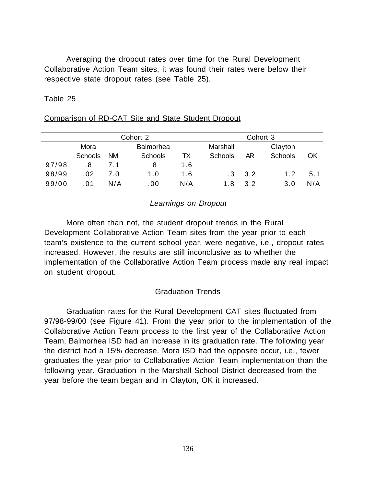Averaging the dropout rates over time for the Rural Development Collaborative Action Team sites, it was found their rates were below their respective state dropout rates (see Table 25).

Table 25

|       | Cohort 2       |           |                  |     |                |     | Cohort 3       |     |
|-------|----------------|-----------|------------------|-----|----------------|-----|----------------|-----|
|       | Mora           |           | <b>Balmorhea</b> |     | Marshall       |     | Clayton        |     |
|       | <b>Schools</b> | <b>NM</b> | <b>Schools</b>   | ТX  | <b>Schools</b> | AR  | <b>Schools</b> | ΟK  |
| 97/98 | .8             | 7.1       | . 8              | 1.6 |                |     |                |     |
| 98/99 | .02            | 7.0       | 1.0              | 1.6 | -3             | 3.2 | 1.2            | 5.1 |
| 99/00 | . 01           | N/A       | .00              | N/A | 1.8            | 3.2 | 3.0            | N/A |

#### Comparison of RD-CAT Site and State Student Dropout

# Learnings on Dropout

More often than not, the student dropout trends in the Rural Development Collaborative Action Team sites from the year prior to each team's existence to the current school year, were negative, i.e., dropout rates increased. However, the results are still inconclusive as to whether the implementation of the Collaborative Action Team process made any real impact on student dropout.

# Graduation Trends

Graduation rates for the Rural Development CAT sites fluctuated from 97/98-99/00 (see Figure 41). From the year prior to the implementation of the Collaborative Action Team process to the first year of the Collaborative Action Team, Balmorhea ISD had an increase in its graduation rate. The following year the district had a 15% decrease. Mora ISD had the opposite occur, i.e., fewer graduates the year prior to Collaborative Action Team implementation than the following year. Graduation in the Marshall School District decreased from the year before the team began and in Clayton, OK it increased.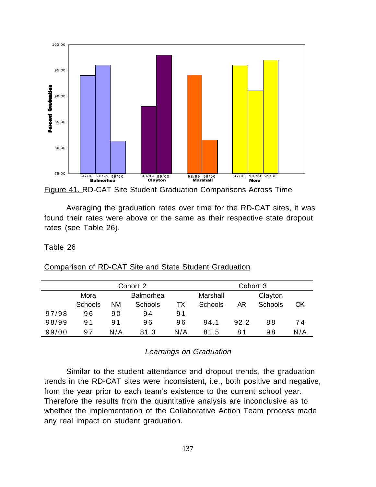

Figure 41. RD-CAT Site Student Graduation Comparisons Across Time

Averaging the graduation rates over time for the RD-CAT sites, it was found their rates were above or the same as their respective state dropout rates (see Table 26).

Table 26

Comparison of RD-CAT Site and State Student Graduation

|       | Cohort 2       |                  |                |     | Cohort 3       |      |                |     |
|-------|----------------|------------------|----------------|-----|----------------|------|----------------|-----|
|       | Mora           | <b>Balmorhea</b> |                |     | Marshall       |      | Clayton        |     |
|       | <b>Schools</b> | ΝM               | <b>Schools</b> | TX  | <b>Schools</b> | ΑR   | <b>Schools</b> | OK  |
| 97/98 | 96             | 90               | 94             | 91  |                |      |                |     |
| 98/99 | 91             | 91               | 96             | 96  | 94.1           | 92.2 | 88             | 74  |
| 99/00 | 97             | N/A              | 81.3           | N/A | 81.5           | 81   | 98             | N/A |

Learnings on Graduation

Similar to the student attendance and dropout trends, the graduation trends in the RD-CAT sites were inconsistent, i.e., both positive and negative, from the year prior to each team's existence to the current school year. Therefore the results from the quantitative analysis are inconclusive as to whether the implementation of the Collaborative Action Team process made any real impact on student graduation.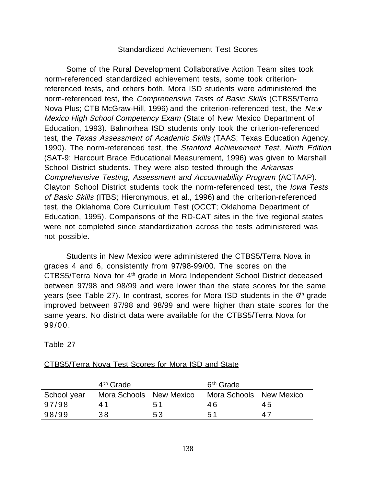#### Standardized Achievement Test Scores

Some of the Rural Development Collaborative Action Team sites took norm-referenced standardized achievement tests, some took criterionreferenced tests, and others both. Mora ISD students were administered the norm-referenced test, the Comprehensive Tests of Basic Skills (CTBS5/Terra Nova Plus; CTB McGraw-Hill, 1996) and the criterion-referenced test, the New Mexico High School Competency Exam (State of New Mexico Department of Education, 1993). Balmorhea ISD students only took the criterion-referenced test, the Texas Assessment of Academic Skills (TAAS; Texas Education Agency, 1990). The norm-referenced test, the Stanford Achievement Test, Ninth Edition (SAT-9; Harcourt Brace Educational Measurement, 1996) was given to Marshall School District students. They were also tested through the Arkansas Comprehensive Testing, Assessment and Accountability Program (ACTAAP). Clayton School District students took the norm-referenced test, the Iowa Tests of Basic Skills (ITBS; Hieronymous, et al., 1996) and the criterion-referenced test, the Oklahoma Core Curriculum Test (OCCT; Oklahoma Department of Education, 1995). Comparisons of the RD-CAT sites in the five regional states were not completed since standardization across the tests administered was not possible.

Students in New Mexico were administered the CTBS5/Terra Nova in grades 4 and 6, consistently from 97/98-99/00. The scores on the CTBS5/Terra Nova for 4<sup>th</sup> grade in Mora Independent School District deceased between 97/98 and 98/99 and were lower than the state scores for the same years (see Table 27). In contrast, scores for Mora ISD students in the 6th grade improved between 97/98 and 98/99 and were higher than state scores for the same years. No district data were available for the CTBS5/Terra Nova for 99/00.

Table 27

|             | $4th$ Grade             |    | $6th$ Grade             |    |
|-------------|-------------------------|----|-------------------------|----|
| School year | Mora Schools New Mexico |    | Mora Schools New Mexico |    |
| 97/98       | 41                      | 51 | 46.                     | 45 |
| 98/99       | 38                      | 53 | 51                      | 47 |

#### CTBS5/Terra Nova Test Scores for Mora ISD and State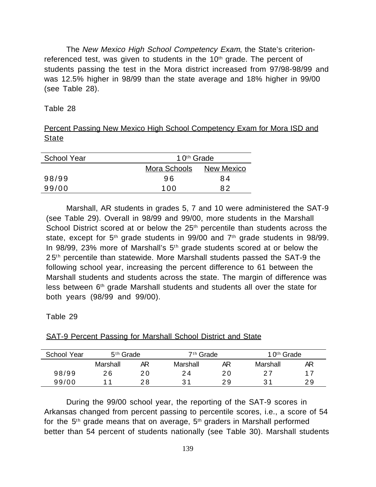The New Mexico High School Competency Exam, the State's criterionreferenced test, was given to students in the 10<sup>th</sup> grade. The percent of students passing the test in the Mora district increased from 97/98-98/99 and was 12.5% higher in 98/99 than the state average and 18% higher in 99/00 (see Table 28).

Table 28

|              |  |  | Percent Passing New Mexico High School Competency Exam for Mora ISD and |  |  |
|--------------|--|--|-------------------------------------------------------------------------|--|--|
| <b>State</b> |  |  |                                                                         |  |  |

| <b>School Year</b> |              | 10 <sup>th</sup> Grade |  |  |
|--------------------|--------------|------------------------|--|--|
|                    | Mora Schools | New Mexico             |  |  |
| 98/99              | 96           | 84                     |  |  |
| 99/00              | 100          | 82                     |  |  |

Marshall, AR students in grades 5, 7 and 10 were administered the SAT-9 (see Table 29). Overall in 98/99 and 99/00, more students in the Marshall School District scored at or below the 25<sup>th</sup> percentile than students across the state, except for  $5<sup>th</sup>$  grade students in 99/00 and  $7<sup>th</sup>$  grade students in 98/99. In 98/99, 23% more of Marshall's 5<sup>th</sup> grade students scored at or below the 25<sup>th</sup> percentile than statewide. More Marshall students passed the SAT-9 the following school year, increasing the percent difference to 61 between the Marshall students and students across the state. The margin of difference was less between 6<sup>th</sup> grade Marshall students and students all over the state for both years (98/99 and 99/00).

Table 29

| School Year | $5th$ Grade |    | $7th$ Grade |    | 10 <sup>th</sup> Grade |    |
|-------------|-------------|----|-------------|----|------------------------|----|
|             | Marshall    | AR | Marshall    | AR | Marshall               | ΑR |
| 98/99       | 26          | 20 | 24          | 20 |                        | 17 |
| 99/00       | -4          | 28 | 31          | 29 | -21                    | 29 |

#### SAT-9 Percent Passing for Marshall School District and State

During the 99/00 school year, the reporting of the SAT-9 scores in Arkansas changed from percent passing to percentile scores, i.e., a score of 54 for the  $5<sup>th</sup>$  grade means that on average,  $5<sup>th</sup>$  graders in Marshall performed better than 54 percent of students nationally (see Table 30). Marshall students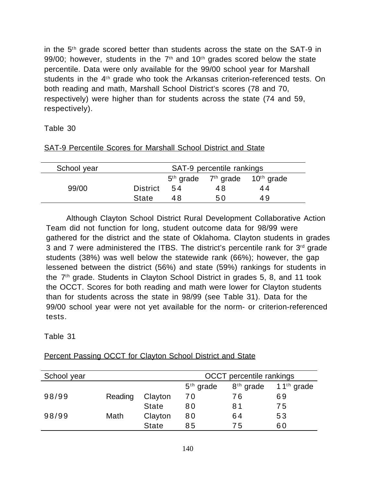in the  $5<sup>th</sup>$  grade scored better than students across the state on the SAT-9 in 99/00; however, students in the  $7<sup>th</sup>$  and  $10<sup>th</sup>$  grades scored below the state percentile. Data were only available for the 99/00 school year for Marshall students in the 4<sup>th</sup> grade who took the Arkansas criterion-referenced tests. On both reading and math, Marshall School District's scores (78 and 70, respectively) were higher than for students across the state (74 and 59, respectively).

### Table 30

| School year | SAT-9 percentile rankings |     |    |                                      |  |  |
|-------------|---------------------------|-----|----|--------------------------------------|--|--|
|             |                           |     |    | $5th$ grade $7th$ grade $10th$ grade |  |  |
| 99/00       | <b>District</b>           | .54 | 48 | 44                                   |  |  |
|             | <b>State</b>              | 48  | 50 | 49                                   |  |  |

#### SAT-9 Percentile Scores for Marshall School District and State

Although Clayton School District Rural Development Collaborative Action Team did not function for long, student outcome data for 98/99 were gathered for the district and the state of Oklahoma. Clayton students in grades 3 and 7 were administered the ITBS. The district's percentile rank for  $3<sup>rd</sup>$  grade students (38%) was well below the statewide rank (66%); however, the gap lessened between the district (56%) and state (59%) rankings for students in the 7th grade. Students in Clayton School District in grades 5, 8, and 11 took the OCCT. Scores for both reading and math were lower for Clayton students than for students across the state in 98/99 (see Table 31). Data for the 99/00 school year were not yet available for the norm- or criterion-referenced tests.

# Table 31

| School year |         |              |             | <b>OCCT</b> percentile rankings |                        |
|-------------|---------|--------------|-------------|---------------------------------|------------------------|
|             |         |              | $5th$ grade | $8th$ grade                     | 11 <sup>th</sup> grade |
| 98/99       | Reading | Clayton      | 70          | 76                              | 69                     |
|             |         | <b>State</b> | 80          | 81                              | 75                     |
| 98/99       | Math    | Clayton      | 80          | 64                              | 53                     |
|             |         | <b>State</b> | 85          | 75                              | 60                     |

# Percent Passing OCCT for Clayton School District and State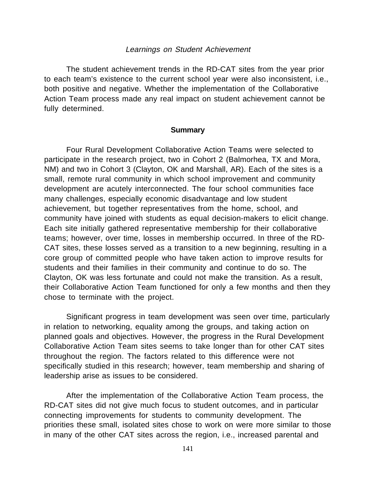#### Learnings on Student Achievement

The student achievement trends in the RD-CAT sites from the year prior to each team's existence to the current school year were also inconsistent, i.e., both positive and negative. Whether the implementation of the Collaborative Action Team process made any real impact on student achievement cannot be fully determined.

#### **Summary**

Four Rural Development Collaborative Action Teams were selected to participate in the research project, two in Cohort 2 (Balmorhea, TX and Mora, NM) and two in Cohort 3 (Clayton, OK and Marshall, AR). Each of the sites is a small, remote rural community in which school improvement and community development are acutely interconnected. The four school communities face many challenges, especially economic disadvantage and low student achievement, but together representatives from the home, school, and community have joined with students as equal decision-makers to elicit change. Each site initially gathered representative membership for their collaborative teams; however, over time, losses in membership occurred. In three of the RD-CAT sites, these losses served as a transition to a new beginning, resulting in a core group of committed people who have taken action to improve results for students and their families in their community and continue to do so. The Clayton, OK was less fortunate and could not make the transition. As a result, their Collaborative Action Team functioned for only a few months and then they chose to terminate with the project.

Significant progress in team development was seen over time, particularly in relation to networking, equality among the groups, and taking action on planned goals and objectives. However, the progress in the Rural Development Collaborative Action Team sites seems to take longer than for other CAT sites throughout the region. The factors related to this difference were not specifically studied in this research; however, team membership and sharing of leadership arise as issues to be considered.

After the implementation of the Collaborative Action Team process, the RD-CAT sites did not give much focus to student outcomes, and in particular connecting improvements for students to community development. The priorities these small, isolated sites chose to work on were more similar to those in many of the other CAT sites across the region, i.e., increased parental and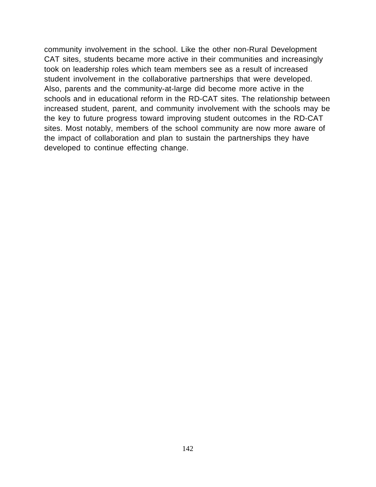community involvement in the school. Like the other non-Rural Development CAT sites, students became more active in their communities and increasingly took on leadership roles which team members see as a result of increased student involvement in the collaborative partnerships that were developed. Also, parents and the community-at-large did become more active in the schools and in educational reform in the RD-CAT sites. The relationship between increased student, parent, and community involvement with the schools may be the key to future progress toward improving student outcomes in the RD-CAT sites. Most notably, members of the school community are now more aware of the impact of collaboration and plan to sustain the partnerships they have developed to continue effecting change.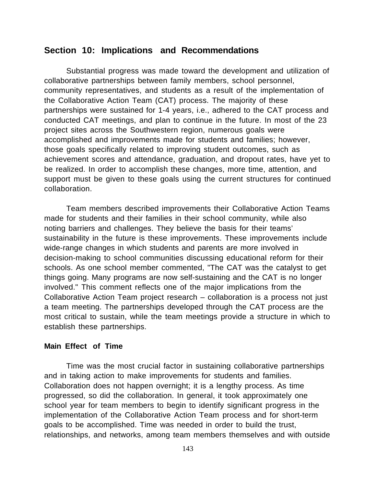# **Section 10: Implications and Recommendations**

Substantial progress was made toward the development and utilization of collaborative partnerships between family members, school personnel, community representatives, and students as a result of the implementation of the Collaborative Action Team (CAT) process. The majority of these partnerships were sustained for 1-4 years, i.e., adhered to the CAT process and conducted CAT meetings, and plan to continue in the future. In most of the 23 project sites across the Southwestern region, numerous goals were accomplished and improvements made for students and families; however, those goals specifically related to improving student outcomes, such as achievement scores and attendance, graduation, and dropout rates, have yet to be realized. In order to accomplish these changes, more time, attention, and support must be given to these goals using the current structures for continued collaboration.

Team members described improvements their Collaborative Action Teams made for students and their families in their school community, while also noting barriers and challenges. They believe the basis for their teams' sustainability in the future is these improvements. These improvements include wide-range changes in which students and parents are more involved in decision-making to school communities discussing educational reform for their schools. As one school member commented, "The CAT was the catalyst to get things going. Many programs are now self-sustaining and the CAT is no longer involved." This comment reflects one of the major implications from the Collaborative Action Team project research – collaboration is a process not just a team meeting. The partnerships developed through the CAT process are the most critical to sustain, while the team meetings provide a structure in which to establish these partnerships.

#### **Main Effect of Time**

Time was the most crucial factor in sustaining collaborative partnerships and in taking action to make improvements for students and families. Collaboration does not happen overnight; it is a lengthy process. As time progressed, so did the collaboration. In general, it took approximately one school year for team members to begin to identify significant progress in the implementation of the Collaborative Action Team process and for short-term goals to be accomplished. Time was needed in order to build the trust, relationships, and networks, among team members themselves and with outside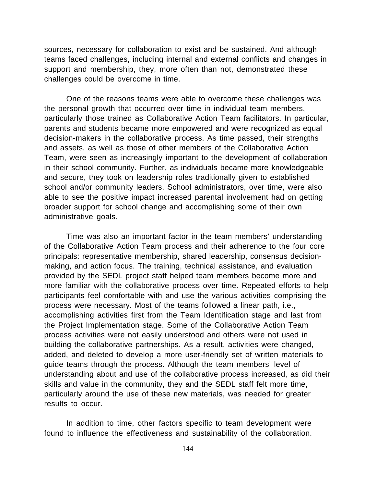sources, necessary for collaboration to exist and be sustained. And although teams faced challenges, including internal and external conflicts and changes in support and membership, they, more often than not, demonstrated these challenges could be overcome in time.

One of the reasons teams were able to overcome these challenges was the personal growth that occurred over time in individual team members, particularly those trained as Collaborative Action Team facilitators. In particular, parents and students became more empowered and were recognized as equal decision-makers in the collaborative process. As time passed, their strengths and assets, as well as those of other members of the Collaborative Action Team, were seen as increasingly important to the development of collaboration in their school community. Further, as individuals became more knowledgeable and secure, they took on leadership roles traditionally given to established school and/or community leaders. School administrators, over time, were also able to see the positive impact increased parental involvement had on getting broader support for school change and accomplishing some of their own administrative goals.

Time was also an important factor in the team members' understanding of the Collaborative Action Team process and their adherence to the four core principals: representative membership, shared leadership, consensus decisionmaking, and action focus. The training, technical assistance, and evaluation provided by the SEDL project staff helped team members become more and more familiar with the collaborative process over time. Repeated efforts to help participants feel comfortable with and use the various activities comprising the process were necessary. Most of the teams followed a linear path, i.e., accomplishing activities first from the Team Identification stage and last from the Project Implementation stage. Some of the Collaborative Action Team process activities were not easily understood and others were not used in building the collaborative partnerships. As a result, activities were changed, added, and deleted to develop a more user-friendly set of written materials to guide teams through the process. Although the team members' level of understanding about and use of the collaborative process increased, as did their skills and value in the community, they and the SEDL staff felt more time, particularly around the use of these new materials, was needed for greater results to occur.

In addition to time, other factors specific to team development were found to influence the effectiveness and sustainability of the collaboration.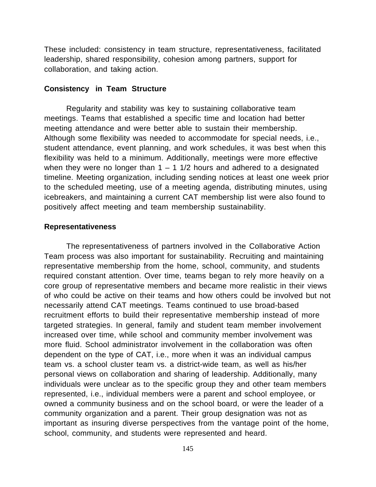These included: consistency in team structure, representativeness, facilitated leadership, shared responsibility, cohesion among partners, support for collaboration, and taking action.

#### **Consistency in Team Structure**

Regularity and stability was key to sustaining collaborative team meetings. Teams that established a specific time and location had better meeting attendance and were better able to sustain their membership. Although some flexibility was needed to accommodate for special needs, i.e., student attendance, event planning, and work schedules, it was best when this flexibility was held to a minimum. Additionally, meetings were more effective when they were no longer than  $1 - 1$  1/2 hours and adhered to a designated timeline. Meeting organization, including sending notices at least one week prior to the scheduled meeting, use of a meeting agenda, distributing minutes, using icebreakers, and maintaining a current CAT membership list were also found to positively affect meeting and team membership sustainability.

#### **Representativeness**

The representativeness of partners involved in the Collaborative Action Team process was also important for sustainability. Recruiting and maintaining representative membership from the home, school, community, and students required constant attention. Over time, teams began to rely more heavily on a core group of representative members and became more realistic in their views of who could be active on their teams and how others could be involved but not necessarily attend CAT meetings. Teams continued to use broad-based recruitment efforts to build their representative membership instead of more targeted strategies. In general, family and student team member involvement increased over time, while school and community member involvement was more fluid. School administrator involvement in the collaboration was often dependent on the type of CAT, i.e., more when it was an individual campus team vs. a school cluster team vs. a district-wide team, as well as his/her personal views on collaboration and sharing of leadership. Additionally, many individuals were unclear as to the specific group they and other team members represented, i.e., individual members were a parent and school employee, or owned a community business and on the school board, or were the leader of a community organization and a parent. Their group designation was not as important as insuring diverse perspectives from the vantage point of the home, school, community, and students were represented and heard.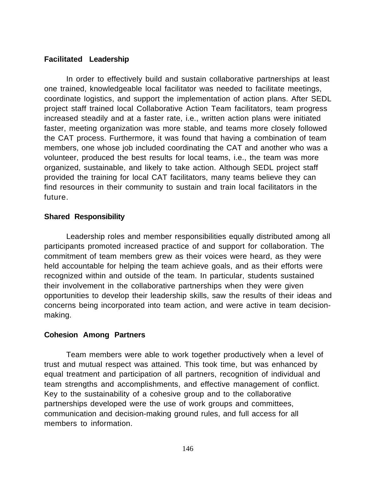### **Facilitated Leadership**

In order to effectively build and sustain collaborative partnerships at least one trained, knowledgeable local facilitator was needed to facilitate meetings, coordinate logistics, and support the implementation of action plans. After SEDL project staff trained local Collaborative Action Team facilitators, team progress increased steadily and at a faster rate, i.e., written action plans were initiated faster, meeting organization was more stable, and teams more closely followed the CAT process. Furthermore, it was found that having a combination of team members, one whose job included coordinating the CAT and another who was a volunteer, produced the best results for local teams, i.e., the team was more organized, sustainable, and likely to take action. Although SEDL project staff provided the training for local CAT facilitators, many teams believe they can find resources in their community to sustain and train local facilitators in the future.

# **Shared Responsibility**

Leadership roles and member responsibilities equally distributed among all participants promoted increased practice of and support for collaboration. The commitment of team members grew as their voices were heard, as they were held accountable for helping the team achieve goals, and as their efforts were recognized within and outside of the team. In particular, students sustained their involvement in the collaborative partnerships when they were given opportunities to develop their leadership skills, saw the results of their ideas and concerns being incorporated into team action, and were active in team decisionmaking.

#### **Cohesion Among Partners**

Team members were able to work together productively when a level of trust and mutual respect was attained. This took time, but was enhanced by equal treatment and participation of all partners, recognition of individual and team strengths and accomplishments, and effective management of conflict. Key to the sustainability of a cohesive group and to the collaborative partnerships developed were the use of work groups and committees, communication and decision-making ground rules, and full access for all members to information.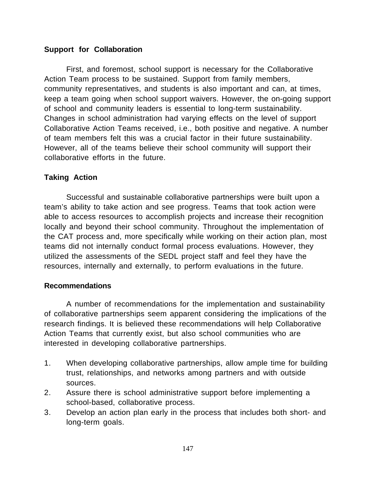# **Support for Collaboration**

First, and foremost, school support is necessary for the Collaborative Action Team process to be sustained. Support from family members, community representatives, and students is also important and can, at times, keep a team going when school support waivers. However, the on-going support of school and community leaders is essential to long-term sustainability. Changes in school administration had varying effects on the level of support Collaborative Action Teams received, i.e., both positive and negative. A number of team members felt this was a crucial factor in their future sustainability. However, all of the teams believe their school community will support their collaborative efforts in the future.

# **Taking Action**

Successful and sustainable collaborative partnerships were built upon a team's ability to take action and see progress. Teams that took action were able to access resources to accomplish projects and increase their recognition locally and beyond their school community. Throughout the implementation of the CAT process and, more specifically while working on their action plan, most teams did not internally conduct formal process evaluations. However, they utilized the assessments of the SEDL project staff and feel they have the resources, internally and externally, to perform evaluations in the future.

# **Recommendations**

A number of recommendations for the implementation and sustainability of collaborative partnerships seem apparent considering the implications of the research findings. It is believed these recommendations will help Collaborative Action Teams that currently exist, but also school communities who are interested in developing collaborative partnerships.

- 1. When developing collaborative partnerships, allow ample time for building trust, relationships, and networks among partners and with outside sources.
- 2. Assure there is school administrative support before implementing a school-based, collaborative process.
- 3. Develop an action plan early in the process that includes both short- and long-term goals.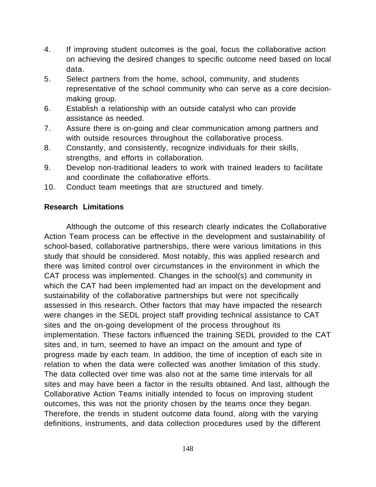- 4. If improving student outcomes is the goal, focus the collaborative action on achieving the desired changes to specific outcome need based on local data.
- 5. Select partners from the home, school, community, and students representative of the school community who can serve as a core decisionmaking group.
- 6. Establish a relationship with an outside catalyst who can provide assistance as needed.
- 7. Assure there is on-going and clear communication among partners and with outside resources throughout the collaborative process.
- 8. Constantly, and consistently, recognize individuals for their skills, strengths, and efforts in collaboration.
- 9. Develop non-traditional leaders to work with trained leaders to facilitate and coordinate the collaborative efforts.
- 10. Conduct team meetings that are structured and timely.

# **Research Limitations**

Although the outcome of this research clearly indicates the Collaborative Action Team process can be effective in the development and sustainability of school-based, collaborative partnerships, there were various limitations in this study that should be considered. Most notably, this was applied research and there was limited control over circumstances in the environment in which the CAT process was implemented. Changes in the school(s) and community in which the CAT had been implemented had an impact on the development and sustainability of the collaborative partnerships but were not specifically assessed in this research. Other factors that may have impacted the research were changes in the SEDL project staff providing technical assistance to CAT sites and the on-going development of the process throughout its implementation. These factors influenced the training SEDL provided to the CAT sites and, in turn, seemed to have an impact on the amount and type of progress made by each team. In addition, the time of inception of each site in relation to when the data were collected was another limitation of this study. The data collected over time was also not at the same time intervals for all sites and may have been a factor in the results obtained. And last, although the Collaborative Action Teams initially intended to focus on improving student outcomes, this was not the priority chosen by the teams once they began. Therefore, the trends in student outcome data found, along with the varying definitions, instruments, and data collection procedures used by the different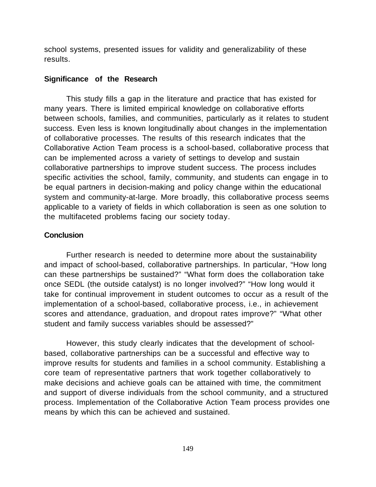school systems, presented issues for validity and generalizability of these results.

#### **Significance of the Research**

This study fills a gap in the literature and practice that has existed for many years. There is limited empirical knowledge on collaborative efforts between schools, families, and communities, particularly as it relates to student success. Even less is known longitudinally about changes in the implementation of collaborative processes. The results of this research indicates that the Collaborative Action Team process is a school-based, collaborative process that can be implemented across a variety of settings to develop and sustain collaborative partnerships to improve student success. The process includes specific activities the school, family, community, and students can engage in to be equal partners in decision-making and policy change within the educational system and community-at-large. More broadly, this collaborative process seems applicable to a variety of fields in which collaboration is seen as one solution to the multifaceted problems facing our society today.

#### **Conclusion**

Further research is needed to determine more about the sustainability and impact of school-based, collaborative partnerships. In particular, "How long can these partnerships be sustained?" "What form does the collaboration take once SEDL (the outside catalyst) is no longer involved?" "How long would it take for continual improvement in student outcomes to occur as a result of the implementation of a school-based, collaborative process, i.e., in achievement scores and attendance, graduation, and dropout rates improve?" "What other student and family success variables should be assessed?"

However, this study clearly indicates that the development of schoolbased, collaborative partnerships can be a successful and effective way to improve results for students and families in a school community. Establishing a core team of representative partners that work together collaboratively to make decisions and achieve goals can be attained with time, the commitment and support of diverse individuals from the school community, and a structured process. Implementation of the Collaborative Action Team process provides one means by which this can be achieved and sustained.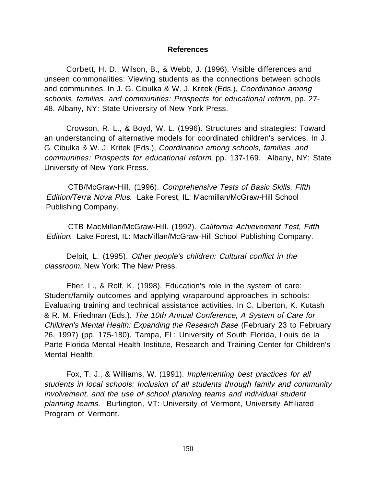#### **References**

Corbett, H. D., Wilson, B., & Webb, J. (1996). Visible differences and unseen commonalities: Viewing students as the connections between schools and communities. In J. G. Cibulka & W. J. Kritek (Eds.), Coordination among schools, families, and communities: Prospects for educational reform, pp. 27- 48. Albany, NY: State University of New York Press.

Crowson, R. L., & Boyd, W. L. (1996). Structures and strategies: Toward an understanding of alternative models for coordinated children's services. In J. G. Cibulka & W. J. Kritek (Eds.), Coordination among schools, families, and communities: Prospects for educational reform, pp. 137-169. Albany, NY: State University of New York Press.

CTB/McGraw-Hill. (1996). Comprehensive Tests of Basic Skills, Fifth Edition/Terra Nova Plus. Lake Forest, IL: Macmillan/McGraw-Hill School Publishing Company.

CTB MacMillan/McGraw-Hill. (1992). California Achievement Test, Fifth Edition. Lake Forest, IL: MacMillan/McGraw-Hill School Publishing Company.

Delpit, L. (1995). Other people's children: Cultural conflict in the classroom. New York: The New Press.

Eber, L., & Rolf, K. (1998). Education's role in the system of care: Student/family outcomes and applying wraparound approaches in schools: Evaluating training and technical assistance activities. In C. Liberton, K. Kutash & R. M. Friedman (Eds.). The 10th Annual Conference, A System of Care for Children's Mental Health: Expanding the Research Base (February 23 to February 26, 1997) (pp. 175-180), Tampa, FL: University of South Florida, Louis de la Parte Florida Mental Health Institute, Research and Training Center for Children's Mental Health.

Fox, T. J., & Williams, W. (1991). Implementing best practices for all students in local schools: Inclusion of all students through family and community involvement, and the use of school planning teams and individual student planning teams. Burlington, VT: University of Vermont, University Affiliated Program of Vermont.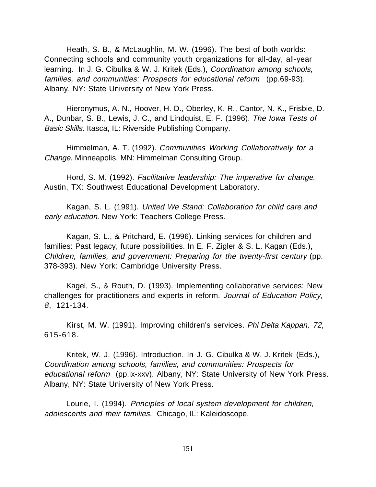Heath, S. B., & McLaughlin, M. W. (1996). The best of both worlds: Connecting schools and community youth organizations for all-day, all-year learning. In J. G. Cibulka & W. J. Kritek (Eds.), Coordination among schools, families, and communities: Prospects for educational reform (pp.69-93). Albany, NY: State University of New York Press.

Hieronymus, A. N., Hoover, H. D., Oberley, K. R., Cantor, N. K., Frisbie, D. A., Dunbar, S. B., Lewis, J. C., and Lindquist, E. F. (1996). The Iowa Tests of Basic Skills. Itasca, IL: Riverside Publishing Company.

Himmelman, A. T. (1992). Communities Working Collaboratively for a Change. Minneapolis, MN: Himmelman Consulting Group.

Hord, S. M. (1992). Facilitative leadership: The imperative for change. Austin, TX: Southwest Educational Development Laboratory.

Kagan, S. L. (1991). United We Stand: Collaboration for child care and early education. New York: Teachers College Press.

Kagan, S. L., & Pritchard, E. (1996). Linking services for children and families: Past legacy, future possibilities. In E. F. Zigler & S. L. Kagan (Eds.), Children, families, and government: Preparing for the twenty-first century (pp. 378-393). New York: Cambridge University Press.

Kagel, S., & Routh, D. (1993). Implementing collaborative services: New challenges for practitioners and experts in reform. Journal of Education Policy, 8, 121-134.

Kirst, M. W. (1991). Improving children's services. Phi Delta Kappan, 72, 615-618.

Kritek, W. J. (1996). Introduction. In J. G. Cibulka & W. J. Kritek (Eds.), Coordination among schools, families, and communities: Prospects for educational reform (pp.ix-xxv). Albany, NY: State University of New York Press. Albany, NY: State University of New York Press.

Lourie, I. (1994). Principles of local system development for children, adolescents and their families. Chicago, IL: Kaleidoscope.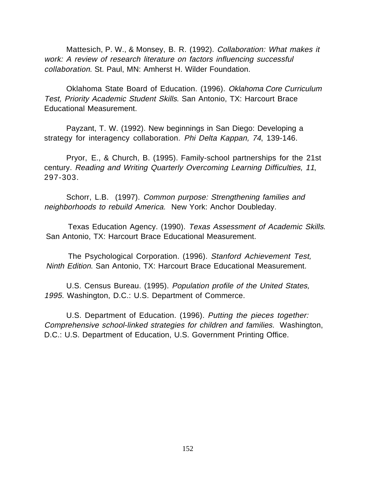Mattesich, P. W., & Monsey, B. R. (1992). Collaboration: What makes it work: A review of research literature on factors influencing successful collaboration. St. Paul, MN: Amherst H. Wilder Foundation.

Oklahoma State Board of Education. (1996). Oklahoma Core Curriculum Test, Priority Academic Student Skills. San Antonio, TX: Harcourt Brace Educational Measurement.

Payzant, T. W. (1992). New beginnings in San Diego: Developing a strategy for interagency collaboration. Phi Delta Kappan, 74, 139-146.

Pryor, E., & Church, B. (1995). Family-school partnerships for the 21st century. Reading and Writing Quarterly Overcoming Learning Difficulties, 11, 297-303.

Schorr, L.B. (1997). Common purpose: Strengthening families and neighborhoods to rebuild America. New York: Anchor Doubleday.

Texas Education Agency. (1990). Texas Assessment of Academic Skills. San Antonio, TX: Harcourt Brace Educational Measurement.

The Psychological Corporation. (1996). Stanford Achievement Test, Ninth Edition. San Antonio, TX: Harcourt Brace Educational Measurement.

U.S. Census Bureau. (1995). Population profile of the United States, 1995. Washington, D.C.: U.S. Department of Commerce.

U.S. Department of Education. (1996). Putting the pieces together: Comprehensive school-linked strategies for children and families. Washington, D.C.: U.S. Department of Education, U.S. Government Printing Office.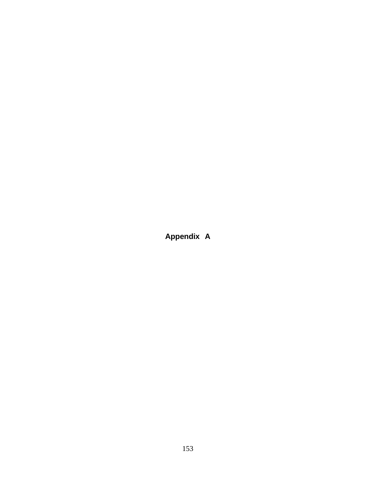**Appendix A**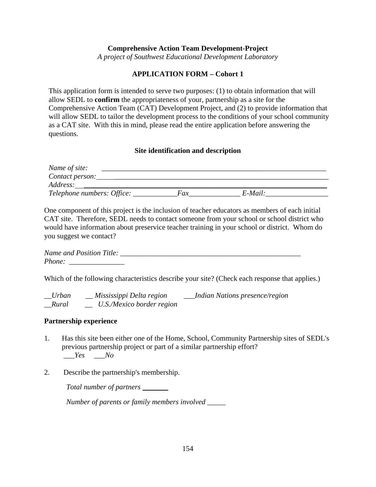#### **Comprehensive Action Team Development-Project**

*A project of Southwest Educational Development Laboratory*

#### **APPLICATION FORM – Cohort 1**

This application form is intended to serve two purposes: (1) to obtain information that will allow SEDL to **confirm** the appropriateness of your, partnership as a site for the Comprehensive Action Team (CAT) Development Project, and (2) to provide information that will allow SEDL to tailor the development process to the conditions of your school community as a CAT site. With this in mind, please read the entire application before answering the questions.

#### **Site identification and description**

| Name of site:              |     |            |  |
|----------------------------|-----|------------|--|
| Contact person:            |     |            |  |
| <i>Address:</i>            |     |            |  |
| Telephone numbers: Office: | Fax | $E$ -Mail: |  |

One component of this project is the inclusion of teacher educators as members of each initial CAT site. Therefore, SEDL needs to contact someone from your school or school district who would have information about preservice teacher training in your school or district. Whom do you suggest we contact?

| <b>Name and Position Title:</b> |  |
|---------------------------------|--|
| Phone:                          |  |

Which of the following characteristics describe your site? (Check each response that applies.)

| $\_U$ rban | Mississippi Delta region  | Indian Nations presence/region |
|------------|---------------------------|--------------------------------|
| $_Rural$   | U.S./Mexico border region |                                |

#### **Partnership experience**

- 1. Has this site been either one of the Home, School, Community Partnership sites of SEDL's previous partnership project or part of a similar partnership effort? *\_\_\_Yes* \_\_\_*No*
- 2. Describe the partnership's membership.

*Total number of partners* \_\_\_\_\_\_\_

*Number of parents or family members involved \_\_\_\_\_*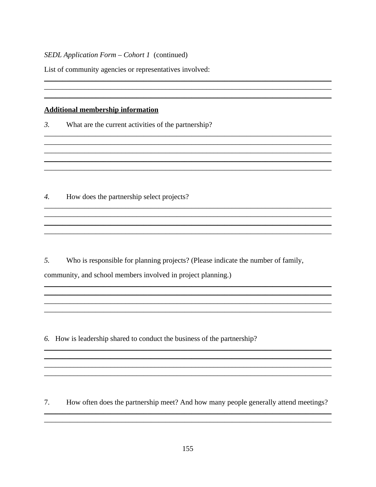List of community agencies or representatives involved:

#### **Additional membership information**

 $\mathfrak{Z}$ . What are the current activities of the partnership?

How does the partnership select projects?  $\overline{4}$ .

5. Who is responsible for planning projects? (Please indicate the number of family, community, and school members involved in project planning.)

and the control of the control of the control of the control of the control of the control of the control of the

6. How is leadership shared to conduct the business of the partnership?

7. How often does the partnership meet? And how many people generally attend meetings?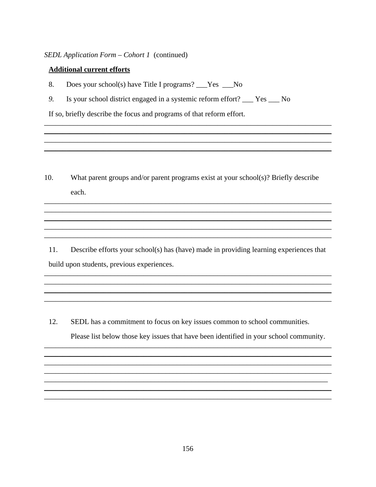#### **Additional current efforts**

- 8. Does your school(s) have Title I programs? \_\_\_Yes \_\_\_No
- 9. Is your school district engaged in a systemic reform effort? \_\_\_ Yes \_\_\_ No

If so, briefly describe the focus and programs of that reform effort.

 $10<sub>l</sub>$ What parent groups and/or parent programs exist at your school(s)? Briefly describe each.

11. Describe efforts your school(s) has (have) made in providing learning experiences that build upon students, previous experiences.

12. SEDL has a commitment to focus on key issues common to school communities.

Please list below those key issues that have been identified in your school community.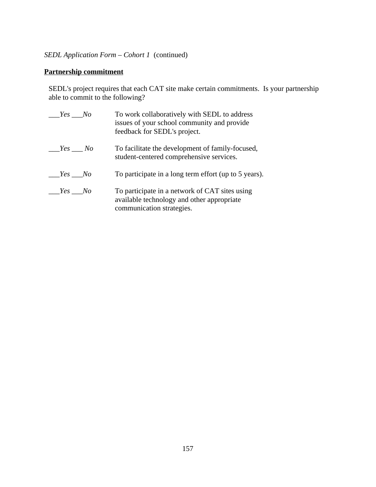# **Partnership commitment**

SEDL's project requires that each CAT site make certain commitments. Is your partnership able to commit to the following?

| Yes No | To work collaboratively with SEDL to address<br>issues of your school community and provide<br>feedback for SEDL's project. |
|--------|-----------------------------------------------------------------------------------------------------------------------------|
| Yes No | To facilitate the development of family-focused,<br>student-centered comprehensive services.                                |
| Yes No | To participate in a long term effort (up to 5 years).                                                                       |
| Yes No | To participate in a network of CAT sites using<br>available technology and other appropriate<br>communication strategies.   |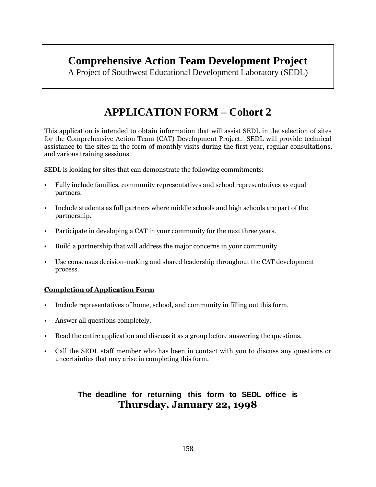# **Comprehensive Action Team Development Project**

A Project of Southwest Educational Development Laboratory (SEDL)

# **APPLICATION FORM – Cohort 2**

This application is intended to obtain information that will assist SEDL in the selection of sites for the Comprehensive Action Team (CAT) Development Project. SEDL will provide technical assistance to the sites in the form of monthly visits during the first year, regular consultations, and various training sessions.

SEDL is looking for sites that can demonstrate the following commitments:

- Fully include families, community representatives and school representatives as equal partners.
- Include students as full partners where middle schools and high schools are part of the partnership.
- Participate in developing a CAT in your community for the next three years.
- Build a partnership that will address the major concerns in your community.
- Use consensus decision-making and shared leadership throughout the CAT development process.

#### **Completion of Application Form**

- Include representatives of home, school, and community in filling out this form.
- Answer all questions completely.
- Read the entire application and discuss it as a group before answering the questions.
- Call the SEDL staff member who has been in contact with you to discuss any questions or uncertainties that may arise in completing this form.

# **The deadline for returning this form to SEDL office is Thursday, January 22, 1998**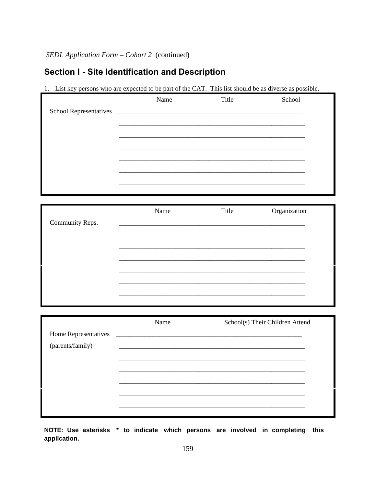# Section I - Site Identification and Description

1. List key persons who are expected to be part of the CAT. This list should be as diverse as possible.

|                               | Name | Title | School                          |
|-------------------------------|------|-------|---------------------------------|
| <b>School Representatives</b> |      |       |                                 |
|                               |      |       |                                 |
|                               |      |       |                                 |
|                               |      |       |                                 |
|                               |      |       |                                 |
|                               |      |       |                                 |
|                               |      |       |                                 |
|                               |      |       |                                 |
|                               | Name | Title | Organization                    |
| Community Reps.               |      |       |                                 |
|                               |      |       |                                 |
|                               |      |       |                                 |
|                               |      |       |                                 |
|                               |      |       |                                 |
|                               |      |       |                                 |
|                               |      |       |                                 |
|                               |      |       |                                 |
| Home Representatives          | Name |       | School(s) Their Children Attend |
| (parents/family)              |      |       |                                 |
|                               |      |       |                                 |
|                               |      |       |                                 |
|                               |      |       |                                 |
|                               |      |       |                                 |
|                               |      |       |                                 |
|                               |      |       |                                 |

NOTE: Use asterisks \* to indicate which persons are involved in completing this application.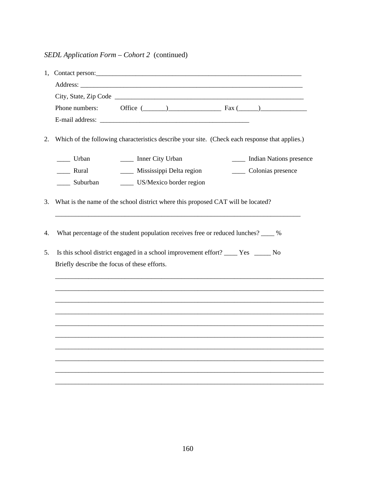|    | Office $(\_\_)$ Fax $(\_\_)$<br>Phone numbers:                                                    |  |  |  |  |  |  |  |
|----|---------------------------------------------------------------------------------------------------|--|--|--|--|--|--|--|
|    |                                                                                                   |  |  |  |  |  |  |  |
| 2. | Which of the following characteristics describe your site. (Check each response that applies.)    |  |  |  |  |  |  |  |
|    | _____ Indian Nations presence<br>$\frac{1}{\sqrt{1-\frac{1}{2}}}$ Urban<br>_____ Inner City Urban |  |  |  |  |  |  |  |
|    | ___ Mississippi Delta region<br>___ Rural<br>Colonias presence                                    |  |  |  |  |  |  |  |
|    | ____ US/Mexico border region<br>___ Suburban                                                      |  |  |  |  |  |  |  |
| 3. | What is the name of the school district where this proposed CAT will be located?                  |  |  |  |  |  |  |  |
| 4. | What percentage of the student population receives free or reduced lunches? ____ %                |  |  |  |  |  |  |  |
| 5. |                                                                                                   |  |  |  |  |  |  |  |
|    | Briefly describe the focus of these efforts.                                                      |  |  |  |  |  |  |  |
|    |                                                                                                   |  |  |  |  |  |  |  |
|    |                                                                                                   |  |  |  |  |  |  |  |
|    |                                                                                                   |  |  |  |  |  |  |  |
|    |                                                                                                   |  |  |  |  |  |  |  |
|    |                                                                                                   |  |  |  |  |  |  |  |
|    |                                                                                                   |  |  |  |  |  |  |  |
|    |                                                                                                   |  |  |  |  |  |  |  |
|    |                                                                                                   |  |  |  |  |  |  |  |
|    |                                                                                                   |  |  |  |  |  |  |  |
|    |                                                                                                   |  |  |  |  |  |  |  |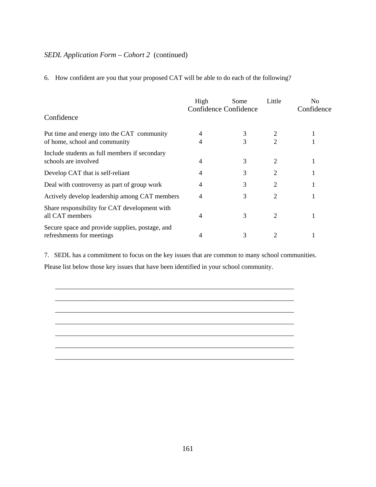6. How confident are you that your proposed CAT will be able to do each of the following?

|                                                                              | High | Some<br>Confidence Confidence | Little | N <sub>0</sub><br>Confidence |
|------------------------------------------------------------------------------|------|-------------------------------|--------|------------------------------|
| Confidence                                                                   |      |                               |        |                              |
| Put time and energy into the CAT community                                   |      | 3                             |        |                              |
| of home, school and community                                                |      | 3                             | 2      |                              |
| Include students as full members if secondary                                |      | 3                             | 2      |                              |
| schools are involved                                                         |      |                               |        |                              |
| Develop CAT that is self-reliant                                             | 4    | 3                             | 2      |                              |
| Deal with controversy as part of group work                                  | 4    | 3                             | 2      |                              |
| Actively develop leadership among CAT members                                | 4    | 3                             | 2      |                              |
| Share responsibility for CAT development with<br>all CAT members             | 4    | 3                             | 2      |                              |
| Secure space and provide supplies, postage, and<br>refreshments for meetings |      | 3                             | 2      |                              |

7. SEDL has a commitment to focus on the key issues that are common to many school communities. Please list below those key issues that have been identified in your school community.

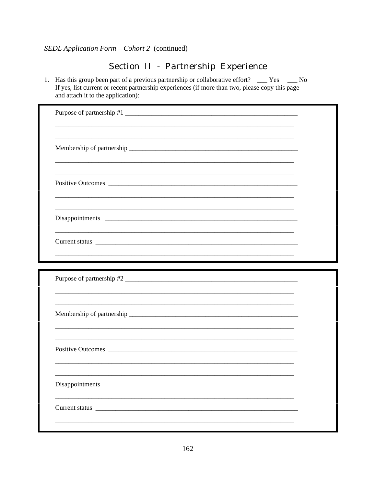# Section II - Partnership Experience

1. Has this group been part of a previous partnership or collaborative effort? \_\_\_ Yes \_\_\_ No If yes, list current or recent partnership experiences (if more than two, please copy this page and attach it to the application):

| Membership of partnership experience and the state of partnership experience and the state of the state of the state of the state of the state of the state of the state of the state of the state of the state of the state o |  |
|--------------------------------------------------------------------------------------------------------------------------------------------------------------------------------------------------------------------------------|--|
|                                                                                                                                                                                                                                |  |
|                                                                                                                                                                                                                                |  |
|                                                                                                                                                                                                                                |  |
|                                                                                                                                                                                                                                |  |
|                                                                                                                                                                                                                                |  |
|                                                                                                                                                                                                                                |  |
|                                                                                                                                                                                                                                |  |
|                                                                                                                                                                                                                                |  |
| Purpose of partnership #2                                                                                                                                                                                                      |  |
|                                                                                                                                                                                                                                |  |
|                                                                                                                                                                                                                                |  |
|                                                                                                                                                                                                                                |  |
|                                                                                                                                                                                                                                |  |
|                                                                                                                                                                                                                                |  |
|                                                                                                                                                                                                                                |  |
|                                                                                                                                                                                                                                |  |
|                                                                                                                                                                                                                                |  |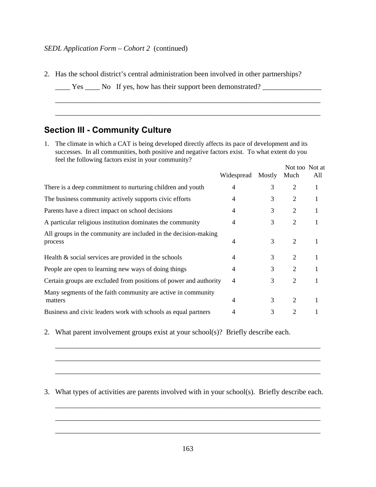2. Has the school district's central administration been involved in other partnerships?

\_\_\_\_\_\_\_\_\_\_\_\_\_\_\_\_\_\_\_\_\_\_\_\_\_\_\_\_\_\_\_\_\_\_\_\_\_\_\_\_\_\_\_\_\_\_\_\_\_\_\_\_\_\_\_\_\_\_\_\_\_\_\_\_\_\_\_\_\_\_\_\_

\_\_\_\_\_\_\_\_\_\_\_\_\_\_\_\_\_\_\_\_\_\_\_\_\_\_\_\_\_\_\_\_\_\_\_\_\_\_\_\_\_\_\_\_\_\_\_\_\_\_\_\_\_\_\_\_\_\_\_\_\_\_\_\_\_\_\_\_\_\_\_\_

```
____ Yes ____ No If yes, how has their support been demonstrated? ________________
```
# **Section III - Community Culture**

1. The climate in which a CAT is being developed directly affects its pace of development and its successes. In all communities, both positive and negative factors exist. To what extent do you feel the following factors exist in your community?

|                                                                            | Widespread     | Mostly | Not too Not at<br>Much | All      |
|----------------------------------------------------------------------------|----------------|--------|------------------------|----------|
| There is a deep commitment to nurturing children and youth                 | $\overline{4}$ | 3      | $\overline{2}$         | 1        |
| The business community actively supports civic efforts                     | $\overline{4}$ | 3      | $\overline{2}$         | $\bf{I}$ |
| Parents have a direct impact on school decisions                           | 4              | 3      | $\overline{2}$         |          |
| A particular religious institution dominates the community                 | $\overline{4}$ | 3      | $\overline{2}$         |          |
| All groups in the community are included in the decision-making<br>process | $\overline{4}$ | 3      | $\overline{2}$         | 1        |
| Health $\&$ social services are provided in the schools                    | $\overline{4}$ | 3      | $\overline{2}$         | 1        |
| People are open to learning new ways of doing things                       | 4              | 3      | $\overline{2}$         |          |
| Certain groups are excluded from positions of power and authority          | $\overline{4}$ | 3      | $\overline{2}$         |          |
| Many segments of the faith community are active in community<br>matters    | 4              | 3      | $\overline{2}$         |          |
| Business and civic leaders work with schools as equal partners             | 4              | 3      | $\overline{2}$         |          |

2. What parent involvement groups exist at your school(s)? Briefly describe each.

#### 3. What types of activities are parents involved with in your school(s). Briefly describe each.

\_\_\_\_\_\_\_\_\_\_\_\_\_\_\_\_\_\_\_\_\_\_\_\_\_\_\_\_\_\_\_\_\_\_\_\_\_\_\_\_\_\_\_\_\_\_\_\_\_\_\_\_\_\_\_\_\_\_\_\_\_\_\_\_\_\_\_\_\_\_\_\_

\_\_\_\_\_\_\_\_\_\_\_\_\_\_\_\_\_\_\_\_\_\_\_\_\_\_\_\_\_\_\_\_\_\_\_\_\_\_\_\_\_\_\_\_\_\_\_\_\_\_\_\_\_\_\_\_\_\_\_\_\_\_\_\_\_\_\_\_\_\_\_\_

\_\_\_\_\_\_\_\_\_\_\_\_\_\_\_\_\_\_\_\_\_\_\_\_\_\_\_\_\_\_\_\_\_\_\_\_\_\_\_\_\_\_\_\_\_\_\_\_\_\_\_\_\_\_\_\_\_\_\_\_\_\_\_\_\_\_\_\_\_\_\_\_

\_\_\_\_\_\_\_\_\_\_\_\_\_\_\_\_\_\_\_\_\_\_\_\_\_\_\_\_\_\_\_\_\_\_\_\_\_\_\_\_\_\_\_\_\_\_\_\_\_\_\_\_\_\_\_\_\_\_\_\_\_\_\_\_\_\_\_\_\_\_\_\_

\_\_\_\_\_\_\_\_\_\_\_\_\_\_\_\_\_\_\_\_\_\_\_\_\_\_\_\_\_\_\_\_\_\_\_\_\_\_\_\_\_\_\_\_\_\_\_\_\_\_\_\_\_\_\_\_\_\_\_\_\_\_\_\_\_\_\_\_\_\_\_\_

\_\_\_\_\_\_\_\_\_\_\_\_\_\_\_\_\_\_\_\_\_\_\_\_\_\_\_\_\_\_\_\_\_\_\_\_\_\_\_\_\_\_\_\_\_\_\_\_\_\_\_\_\_\_\_\_\_\_\_\_\_\_\_\_\_\_\_\_\_\_\_\_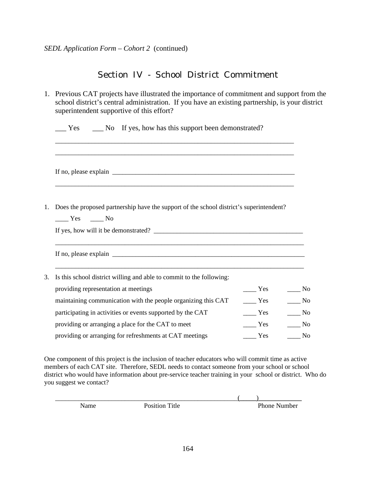# Section IV - School District Commitment

|    | 1. Previous CAT projects have illustrated the importance of commitment and support from the<br>school district's central administration. If you have an existing partnership, is your district<br>superintendent supportive of this effort?  |                                                                    |                                                                                                     |
|----|----------------------------------------------------------------------------------------------------------------------------------------------------------------------------------------------------------------------------------------------|--------------------------------------------------------------------|-----------------------------------------------------------------------------------------------------|
|    | No If yes, how has this support been demonstrated?<br>Yes                                                                                                                                                                                    |                                                                    |                                                                                                     |
|    |                                                                                                                                                                                                                                              |                                                                    |                                                                                                     |
| 1. | Does the proposed partnership have the support of the school district's superintendent?<br>$\rule{1em}{0.15mm}$ Yes $\rule{1em}{0.15mm}$ No                                                                                                  |                                                                    |                                                                                                     |
|    | If no, please explain $\frac{1}{\sqrt{1-\frac{1}{2}}\left(\frac{1}{2}-\frac{1}{2}\right)}$                                                                                                                                                   |                                                                    |                                                                                                     |
| 3. | Is this school district willing and able to commit to the following:<br>providing representation at meetings                                                                                                                                 | $\mathbf{Yes}$                                                     | $\frac{N_0}{N_0}$                                                                                   |
|    | maintaining communication with the people organizing this CAT<br>participating in activities or events supported by the CAT<br>providing or arranging a place for the CAT to meet<br>providing or arranging for refreshments at CAT meetings | $\frac{1}{1}$ Yes<br>Yes<br>$\frac{1}{1}$ Yes<br>$\frac{\ }{}$ Yes | $\frac{1}{\sqrt{1-\frac{1}{2}}}$ No<br>$\frac{1}{\sqrt{1-\frac{1}{2}}}$ No<br>N <sub>o</sub><br>No. |
|    |                                                                                                                                                                                                                                              |                                                                    |                                                                                                     |

One component of this project is the inclusion of teacher educators who will commit time as active members of each CAT site. Therefore, SEDL needs to contact someone from your school or school district who would have information about pre-service teacher training in your school or district. Who do you suggest we contact?

| Name | . <b>.</b><br>Position.<br><sup>1tle</sup> | Phone<br> umber |
|------|--------------------------------------------|-----------------|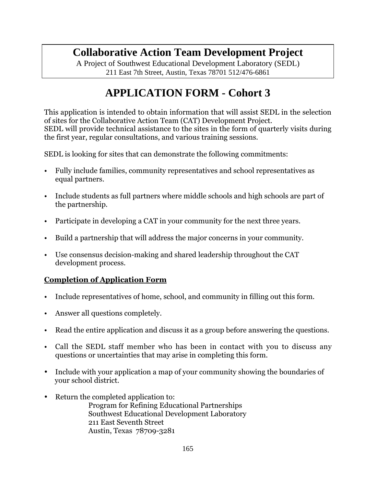# **Collaborative Action Team Development Project**

A Project of Southwest Educational Development Laboratory (SEDL) 211 East 7th Street, Austin, Texas 78701 512/476-6861

# **APPLICATION FORM - Cohort 3**

This application is intended to obtain information that will assist SEDL in the selection of sites for the Collaborative Action Team (CAT) Development Project. SEDL will provide technical assistance to the sites in the form of quarterly visits during the first year, regular consultations, and various training sessions.

SEDL is looking for sites that can demonstrate the following commitments:

- Fully include families, community representatives and school representatives as equal partners.
- Include students as full partners where middle schools and high schools are part of the partnership.
- Participate in developing a CAT in your community for the next three years.
- Build a partnership that will address the major concerns in your community.
- Use consensus decision-making and shared leadership throughout the CAT development process.

# **Completion of Application Form**

- Include representatives of home, school, and community in filling out this form.
- Answer all questions completely.
- Read the entire application and discuss it as a group before answering the questions.
- Call the SEDL staff member who has been in contact with you to discuss any questions or uncertainties that may arise in completing this form.
- · Include with your application a map of your community showing the boundaries of your school district.
- · Return the completed application to:

Program for Refining Educational Partnerships Southwest Educational Development Laboratory 211 East Seventh Street Austin, Texas 78709-3281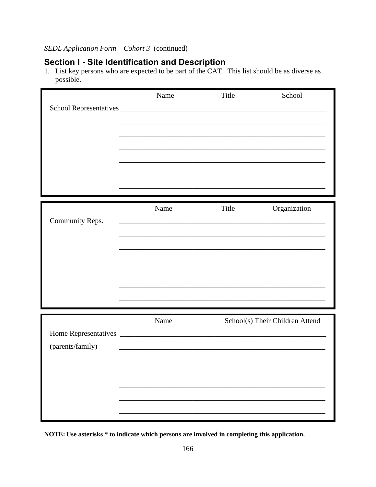**Section I - Site Identification and Description**<br>1. List key persons who are expected to be part of the CAT. This list should be as diverse as possible.

|                  | Name                                                        | Title | School                          |
|------------------|-------------------------------------------------------------|-------|---------------------------------|
|                  |                                                             |       |                                 |
|                  |                                                             |       |                                 |
|                  |                                                             |       |                                 |
|                  |                                                             |       |                                 |
|                  |                                                             |       |                                 |
|                  |                                                             |       |                                 |
|                  |                                                             |       |                                 |
|                  | Name                                                        | Title | Organization                    |
| Community Reps.  |                                                             |       |                                 |
|                  |                                                             |       |                                 |
|                  |                                                             |       |                                 |
|                  |                                                             |       |                                 |
|                  |                                                             |       |                                 |
|                  |                                                             |       |                                 |
|                  |                                                             |       |                                 |
|                  |                                                             |       |                                 |
|                  | Name                                                        |       | School(s) Their Children Attend |
|                  |                                                             |       |                                 |
| (parents/family) | <u> 1989 - Johann Barbara, martxa al III-lea (h. 1989).</u> |       |                                 |
|                  |                                                             |       |                                 |
|                  |                                                             |       |                                 |
|                  |                                                             |       |                                 |
|                  |                                                             |       |                                 |
|                  |                                                             |       |                                 |

NOTE: Use asterisks \* to indicate which persons are involved in completing this application.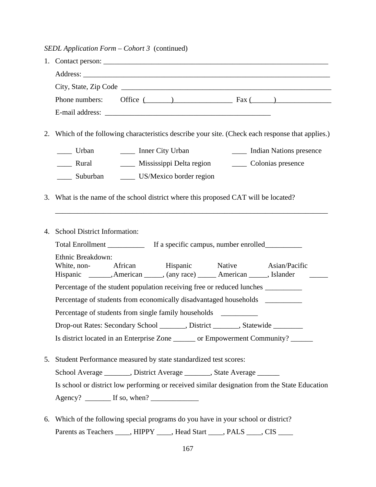|    | Phone numbers: Office $($ $)$ $\qquad$ $\qquad$ $\qquad$ $\qquad$ $\qquad$ $\qquad$ $\qquad$ $\qquad$ $\qquad$ $\qquad$ $\qquad$ $\qquad$ $\qquad$ $\qquad$ $\qquad$ $\qquad$ $\qquad$ $\qquad$ $\qquad$ $\qquad$ $\qquad$ $\qquad$ $\qquad$ $\qquad$ $\qquad$ $\qquad$ $\qquad$ $\qquad$ $\qquad$ $\qquad$ $\qquad$ $\qquad$ |
|----|-------------------------------------------------------------------------------------------------------------------------------------------------------------------------------------------------------------------------------------------------------------------------------------------------------------------------------|
|    |                                                                                                                                                                                                                                                                                                                               |
| 2. | Which of the following characteristics describe your site. (Check each response that applies.)                                                                                                                                                                                                                                |
|    | Library City Urban and Library City Urban and Library and Library Indian Nations presence                                                                                                                                                                                                                                     |
|    | Rural                                                                                                                                                                                                                                                                                                                         |
|    | ______ Suburban _________ US/Mexico border region                                                                                                                                                                                                                                                                             |
|    | 3. What is the name of the school district where this proposed CAT will be located?                                                                                                                                                                                                                                           |
|    | 4. School District Information:                                                                                                                                                                                                                                                                                               |
|    | Ethnic Breakdown:                                                                                                                                                                                                                                                                                                             |
|    | White, non-<br>African Hispanic Mative Asian/Pacific<br>Hispanic _______, American ______, (any race) ______ American ______, Islander                                                                                                                                                                                        |
|    | Percentage of the student population receiving free or reduced lunches __________                                                                                                                                                                                                                                             |
|    | Percentage of students from economically disadvantaged households ______________                                                                                                                                                                                                                                              |
|    | Percentage of students from single family households ___________                                                                                                                                                                                                                                                              |
|    | Drop-out Rates: Secondary School ______, District _____, Statewide _______                                                                                                                                                                                                                                                    |
|    | Is district located in an Enterprise Zone ______ or Empowerment Community? _____                                                                                                                                                                                                                                              |
| 5. | Student Performance measured by state standardized test scores:                                                                                                                                                                                                                                                               |
|    | School Average _______, District Average ______, State Average ______                                                                                                                                                                                                                                                         |
|    | Is school or district low performing or received similar designation from the State Education                                                                                                                                                                                                                                 |
|    |                                                                                                                                                                                                                                                                                                                               |
| 6. | Which of the following special programs do you have in your school or district?                                                                                                                                                                                                                                               |

Parents as Teachers \_\_\_\_, HIPPY \_\_\_\_, Head Start \_\_\_\_, PALS \_\_\_\_, CIS \_\_\_\_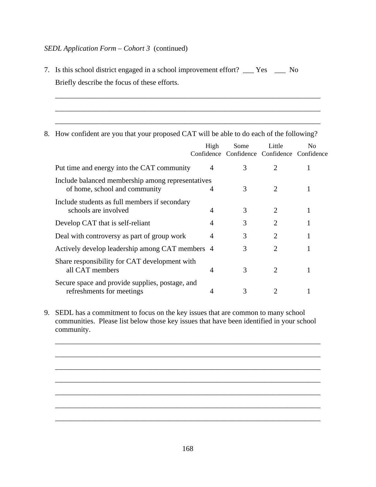- 7. Is this school district engaged in a school improvement effort? \_\_\_ Yes \_\_\_ No Briefly describe the focus of these efforts.
- 8. How confident are you that your proposed CAT will be able to do each of the following?

\_\_\_\_\_\_\_\_\_\_\_\_\_\_\_\_\_\_\_\_\_\_\_\_\_\_\_\_\_\_\_\_\_\_\_\_\_\_\_\_\_\_\_\_\_\_\_\_\_\_\_\_\_\_\_\_\_\_\_\_\_\_\_\_\_\_\_\_\_\_\_\_

\_\_\_\_\_\_\_\_\_\_\_\_\_\_\_\_\_\_\_\_\_\_\_\_\_\_\_\_\_\_\_\_\_\_\_\_\_\_\_\_\_\_\_\_\_\_\_\_\_\_\_\_\_\_\_\_\_\_\_\_\_\_\_\_\_\_\_\_\_\_\_\_

\_\_\_\_\_\_\_\_\_\_\_\_\_\_\_\_\_\_\_\_\_\_\_\_\_\_\_\_\_\_\_\_\_\_\_\_\_\_\_\_\_\_\_\_\_\_\_\_\_\_\_\_\_\_\_\_\_\_\_\_\_\_\_\_\_\_\_\_\_\_\_\_

|                                                                                    | High | Some<br>Confidence Confidence Confidence Confidence | Little                      | No. |
|------------------------------------------------------------------------------------|------|-----------------------------------------------------|-----------------------------|-----|
| Put time and energy into the CAT community                                         | 4    | 3                                                   | $\mathcal{D}_{\mathcal{L}}$ |     |
| Include balanced membership among representatives<br>of home, school and community | 4    | 3                                                   | $\mathcal{D}_{\cdot}$       |     |
| Include students as full members if secondary<br>schools are involved              | 4    | 3                                                   | 2                           |     |
| Develop CAT that is self-reliant                                                   | 4    | 3                                                   | $\overline{2}$              |     |
| Deal with controversy as part of group work                                        | 4    | 3                                                   | $\mathcal{D}_{\mathcal{L}}$ |     |
| Actively develop leadership among CAT members 4                                    |      | 3                                                   | $\overline{2}$              |     |
| Share responsibility for CAT development with<br>all CAT members                   | 4    | 3                                                   | $\overline{2}$              |     |
| Secure space and provide supplies, postage, and<br>refreshments for meetings       | 4    | 3                                                   |                             |     |

9. SEDL has a commitment to focus on the key issues that are common to many school communities. Please list below those key issues that have been identified in your school community.



\_\_\_\_\_\_\_\_\_\_\_\_\_\_\_\_\_\_\_\_\_\_\_\_\_\_\_\_\_\_\_\_\_\_\_\_\_\_\_\_\_\_\_\_\_\_\_\_\_\_\_\_\_\_\_\_\_\_\_\_\_\_\_\_\_\_\_\_\_\_\_\_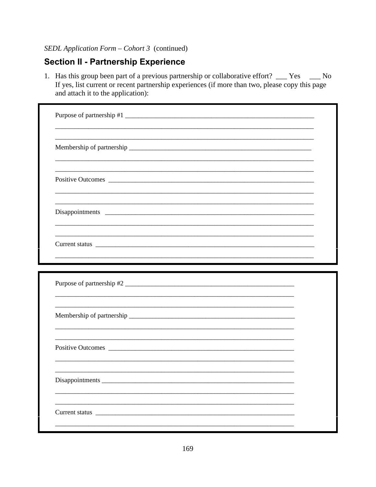# **Section II - Partnership Experience**

1. Has this group been part of a previous partnership or collaborative effort? \_\_\_ Yes \_\_\_ No If yes, list current or recent partnership experiences (if more than two, please copy this page and attach it to the application):

| Purpose of partnership #1                                                                                      |  |  |
|----------------------------------------------------------------------------------------------------------------|--|--|
|                                                                                                                |  |  |
|                                                                                                                |  |  |
| Disappointments 2000 and 2000 and 2000 and 2000 and 2000 and 2000 and 2000 and 2000 and 2000 and 2000 and 2000 |  |  |
|                                                                                                                |  |  |
|                                                                                                                |  |  |
|                                                                                                                |  |  |
|                                                                                                                |  |  |
|                                                                                                                |  |  |
| Purpose of partnership #2                                                                                      |  |  |
| Disappointments                                                                                                |  |  |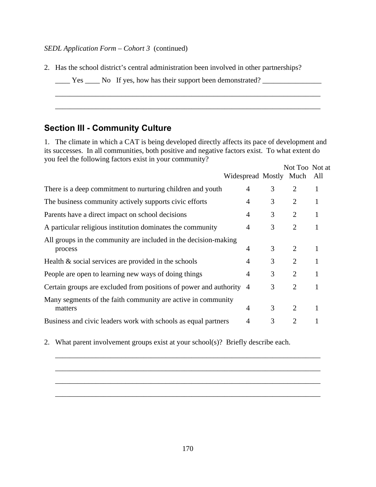2. Has the school district's central administration been involved in other partnerships?

| Yes |  |  | No If yes, how has their support been demonstrated? |  |
|-----|--|--|-----------------------------------------------------|--|
|     |  |  |                                                     |  |

# **Section III - Community Culture**

1. The climate in which a CAT is being developed directly affects its pace of development and its successes. In all communities, both positive and negative factors exist. To what extent do you feel the following factors exist in your community?

\_\_\_\_\_\_\_\_\_\_\_\_\_\_\_\_\_\_\_\_\_\_\_\_\_\_\_\_\_\_\_\_\_\_\_\_\_\_\_\_\_\_\_\_\_\_\_\_\_\_\_\_\_\_\_\_\_\_\_\_\_\_\_\_\_\_\_\_\_\_\_\_

\_\_\_\_\_\_\_\_\_\_\_\_\_\_\_\_\_\_\_\_\_\_\_\_\_\_\_\_\_\_\_\_\_\_\_\_\_\_\_\_\_\_\_\_\_\_\_\_\_\_\_\_\_\_\_\_\_\_\_\_\_\_\_\_\_\_\_\_\_\_\_\_

|                                                                            | Widespread Mostly Much All |   | Not Too Not at |              |
|----------------------------------------------------------------------------|----------------------------|---|----------------|--------------|
| There is a deep commitment to nurturing children and youth                 | 4                          | 3 | $\overline{2}$ | 1            |
| The business community actively supports civic efforts                     | $\overline{4}$             | 3 | 2              | $\mathbf{1}$ |
| Parents have a direct impact on school decisions                           | $\overline{4}$             | 3 | 2              | 1            |
| A particular religious institution dominates the community                 | $\overline{4}$             | 3 | 2              |              |
| All groups in the community are included in the decision-making<br>process | 4                          | 3 | 2              |              |
| Health $\&$ social services are provided in the schools                    | $\overline{4}$             | 3 | 2              | 1            |
| People are open to learning new ways of doing things                       | 4                          | 3 | $\overline{2}$ | 1            |
| Certain groups are excluded from positions of power and authority 4        |                            | 3 | 2              |              |
| Many segments of the faith community are active in community<br>matters    | $\overline{4}$             | 3 | $\overline{2}$ |              |
| Business and civic leaders work with schools as equal partners             | 4                          | 3 | $\overline{2}$ |              |

2. What parent involvement groups exist at your school(s)? Briefly describe each.



\_\_\_\_\_\_\_\_\_\_\_\_\_\_\_\_\_\_\_\_\_\_\_\_\_\_\_\_\_\_\_\_\_\_\_\_\_\_\_\_\_\_\_\_\_\_\_\_\_\_\_\_\_\_\_\_\_\_\_\_\_\_\_\_\_\_\_\_\_\_\_\_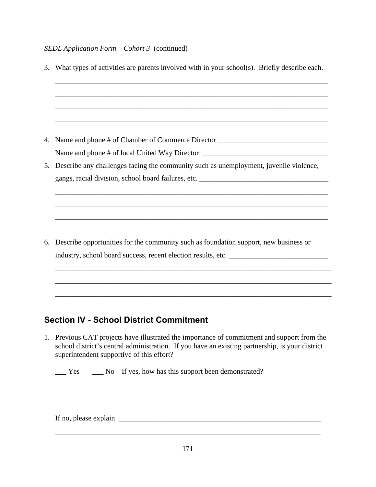|    | 3. What types of activities are parents involved with in your school(s). Briefly describe each. |
|----|-------------------------------------------------------------------------------------------------|
|    |                                                                                                 |
|    |                                                                                                 |
|    | 4. Name and phone # of Chamber of Commerce Director ____________________________                |
|    | Name and phone # of local United Way Director ___________________________________               |
| 5. | Describe any challenges facing the community such as unemployment, juvenile violence,           |
|    |                                                                                                 |
|    |                                                                                                 |
|    |                                                                                                 |
| 6. | Describe opportunities for the community such as foundation support, new business or            |
|    |                                                                                                 |
|    | ,我们也不能在这里的时候,我们也不能在这里的时候,我们也不能会在这里,我们也不能会不能会不能会不能会不能会不能会不能会。""我们的是,我们也不能会不能会不能会不                |
|    |                                                                                                 |
|    |                                                                                                 |

# **Section IV - School District Commitment**

1. Previous CAT projects have illustrated the importance of commitment and support from the school district's central administration. If you have an existing partnership, is your district superintendent supportive of this effort?

\_\_\_\_\_\_\_\_\_\_\_\_\_\_\_\_\_\_\_\_\_\_\_\_\_\_\_\_\_\_\_\_\_\_\_\_\_\_\_\_\_\_\_\_\_\_\_\_\_\_\_\_\_\_\_\_\_\_\_\_\_\_\_\_\_\_\_\_\_\_\_\_

\_\_\_\_\_\_\_\_\_\_\_\_\_\_\_\_\_\_\_\_\_\_\_\_\_\_\_\_\_\_\_\_\_\_\_\_\_\_\_\_\_\_\_\_\_\_\_\_\_\_\_\_\_\_\_\_\_\_\_\_\_\_\_\_\_\_\_\_\_\_\_\_

Let  $\frac{1}{2}$  Yes  $\frac{1}{2}$  No If yes, how has this support been demonstrated?

If no, please explain  $\Box$ 

\_\_\_\_\_\_\_\_\_\_\_\_\_\_\_\_\_\_\_\_\_\_\_\_\_\_\_\_\_\_\_\_\_\_\_\_\_\_\_\_\_\_\_\_\_\_\_\_\_\_\_\_\_\_\_\_\_\_\_\_\_\_\_\_\_\_\_\_\_\_\_\_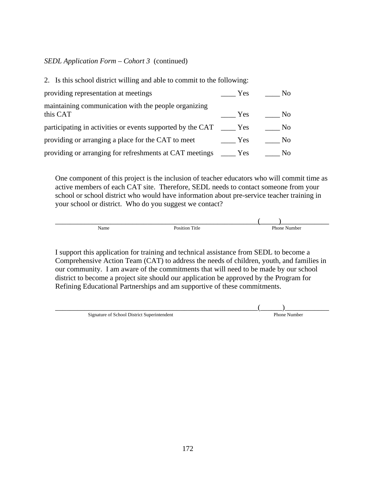#### *SEDL Application Form – Cohort 3* (continued)

| 2. Is this school district willing and able to commit to the following: |            |                |
|-------------------------------------------------------------------------|------------|----------------|
| providing representation at meetings                                    | Yes        | No.            |
| maintaining communication with the people organizing<br>this CAT        | Yes        | N <sub>0</sub> |
| participating in activities or events supported by the CAT              | Yes        | N <sub>0</sub> |
| providing or arranging a place for the CAT to meet                      | Yes        | N <sub>0</sub> |
| providing or arranging for refreshments at CAT meetings                 | <b>Yes</b> | No.            |

 One component of this project is the inclusion of teacher educators who will commit time as active members of each CAT site. Therefore, SEDL needs to contact someone from your school or school district who would have information about pre-service teacher training in your school or district. Who do you suggest we contact?

 $\frac{1}{2}$  ,  $\frac{1}{2}$  ,  $\frac{1}{2}$  ,  $\frac{1}{2}$  ,  $\frac{1}{2}$  ,  $\frac{1}{2}$  ,  $\frac{1}{2}$  ,  $\frac{1}{2}$  ,  $\frac{1}{2}$  ,  $\frac{1}{2}$  ,  $\frac{1}{2}$  ,  $\frac{1}{2}$  ,  $\frac{1}{2}$  ,  $\frac{1}{2}$  ,  $\frac{1}{2}$  ,  $\frac{1}{2}$  ,  $\frac{1}{2}$  ,  $\frac{1}{2}$  ,  $\frac{1$ Name Position Title Providence Position Title Phone Number

 I support this application for training and technical assistance from SEDL to become a Comprehensive Action Team (CAT) to address the needs of children, youth, and families in our community. I am aware of the commitments that will need to be made by our school district to become a project site should our application be approved by the Program for Refining Educational Partnerships and am supportive of these commitments.

Signature of School District Superintendent

 $\frac{1}{2}$ Phone Number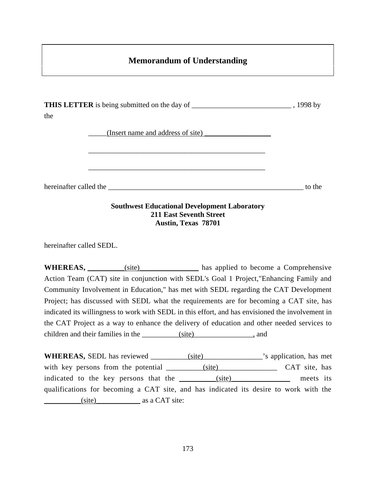## **Memorandum of Understanding**

| the | <b>THIS LETTER</b> is being submitted on the day of __________________________________, 1998 by |        |
|-----|-------------------------------------------------------------------------------------------------|--------|
|     | (Insert name and address of site)                                                               |        |
|     |                                                                                                 |        |
|     | hereinafter called the                                                                          | to the |
|     | $\alpha$ and $\alpha$ in it is a                                                                |        |

#### **Southwest Educational Development Laboratory 211 East Seventh Street Austin, Texas 78701**

hereinafter called SEDL.

WHEREAS, \_\_\_\_\_\_\_\_\_(site) has applied to become a Comprehensive Action Team (CAT) site in conjunction with SEDL's Goal 1 Project,"Enhancing Family and Community Involvement in Education," has met with SEDL regarding the CAT Development Project; has discussed with SEDL what the requirements are for becoming a CAT site, has indicated its willingness to work with SEDL in this effort, and has envisioned the involvement in the CAT Project as a way to enhance the delivery of education and other needed services to children and their families in the <u>same (site)</u> and

**WHEREAS,** SEDL has reviewed <u>sails (site)</u> sapplication, has met with key persons from the potential \_\_\_\_\_\_\_\_(site) CAT site, has indicated to the key persons that the \_\_\_\_\_\_\_\_(site) meets its qualifications for becoming a CAT site, and has indicated its desire to work with the  $(iite)$  as a CAT site: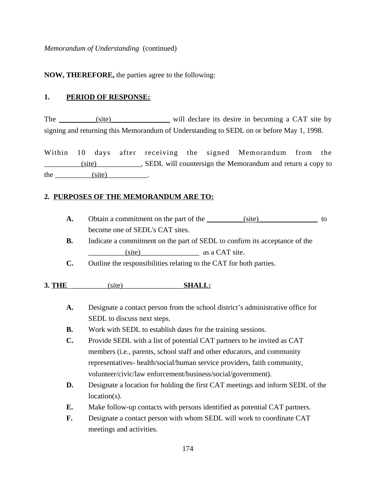*Memorandum of Understanding* (continued)

**NOW, THEREFORE,** the parties agree to the following:

#### **1. PERIOD OF RESPONSE:**

The (site) will declare its desire in becoming a CAT site by signing and returning this Memorandum of Understanding to SEDL on or before May 1, 1998.

Within 10 days after receiving the signed Memorandum from the \_\_\_\_\_\_\_\_\_\_(site)\_\_\_\_\_\_\_\_\_\_\_\_, SEDL will countersign the Memorandum and return a copy to the  $(site)$  .

#### **2. PURPOSES OF THE MEMORANDUM ARE TO:**

- **A.** Obtain a commitment on the part of the  $(site)$  (site) to become one of SEDL's CAT sites.
- **B.** Indicate a commitment on the part of SEDL to confirm its acceptance of the \_\_\_\_\_\_\_\_\_\_(site)\_\_\_\_\_\_\_\_\_\_\_\_\_\_\_\_ as a CAT site.
- **C.** Outline the responsibilities relating to the CAT for both parties.

#### **3. THE** (site) **SHALL:**

- **A.** Designate a contact person from the school district's administrative office for SEDL to discuss next steps.
- **B.** Work with SEDL to establish dates for the training sessions.
- **C.** Provide SEDL with a list of potential CAT partners to be invited as CAT members (i.e., parents, school staff and other educators, and community representatives- health/social/human service providers, faith community, volunteer/civic/law enforcement/business/social/government).
- **D.** Designate a location for holding the first CAT meetings and inform SEDL of the location(s).
- **E.** Make follow-up contacts with persons identified as potential CAT partners.
- **F.** Designate a contact person with whom SEDL will work to coordinate CAT meetings and activities.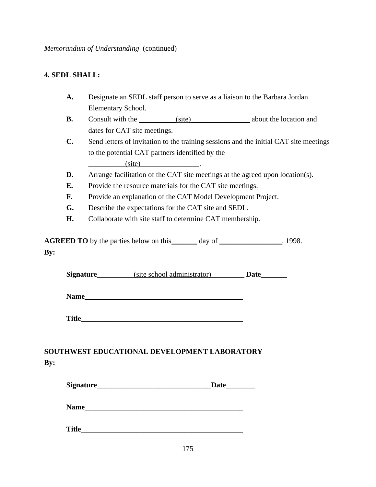### **4. SEDL SHALL:**

- **A.** Designate an SEDL staff person to serve as a liaison to the Barbara Jordan Elementary School.
- **B.** Consult with the  $(site)$  about the location and dates for CAT site meetings.
- **C.** Send letters of invitation to the training sessions and the initial CAT site meetings to the potential CAT partners identified by the

 $(site)$ 

- **D.** Arrange facilitation of the CAT site meetings at the agreed upon location(s).
- **E.** Provide the resource materials for the CAT site meetings.
- F. Provide an explanation of the CAT Model Development Project.
- **G.** Describe the expectations for the CAT site and SEDL.
- **H.** Collaborate with site staff to determine CAT membership.

**AGREED TO** by the parties below on this \_\_\_\_\_\_\_ day of \_\_\_\_\_\_\_\_\_\_\_\_\_\_\_, 1998. **By:**

**Signature** (site school administrator) **Date** 

**Name** 

Title

## **SOUTHWEST EDUCATIONAL DEVELOPMENT LABORATORY By:**

| Signature | Date |
|-----------|------|
|           |      |
| Name      |      |
|           |      |

Title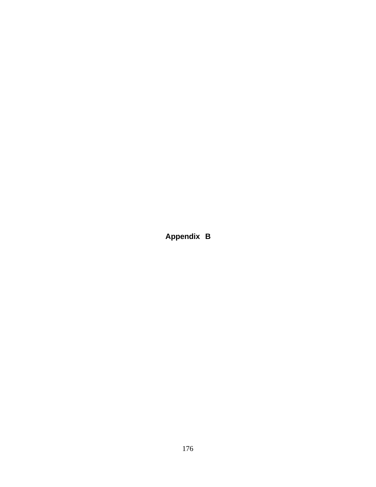**Appendix B**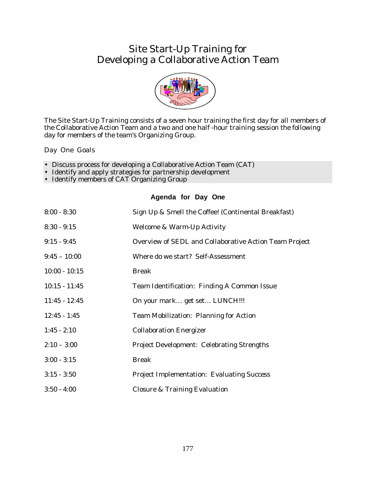# Site Start-Up Training for Developing a Collaborative Action Team



The Site Start-Up Training consists of a seven hour training the first day for all members of the Collaborative Action Team and a two and one half -hour training session the following day for members of the team's Organizing Group.

Day One Goals

- Discuss process for developing a Collaborative Action Team (CAT)
- Identify and apply strategies for partnership development
- Identify members of CAT Organizing Group

#### **Agenda for Day One**

| $8:00 - 8:30$   | Sign Up & Smell the Coffee! (Continental Breakfast)    |
|-----------------|--------------------------------------------------------|
| $8:30 - 9:15$   | <b>Welcome &amp; Warm-Up Activity</b>                  |
| $9:15 - 9:45$   | Overview of SEDL and Collaborative Action Team Project |
| $9:45 - 10:00$  | Where do we start? Self-Assessment                     |
| $10:00 - 10:15$ | <b>Break</b>                                           |
| $10:15 - 11:45$ | Team Identification: Finding A Common Issue            |
| $11:45 - 12:45$ | On your mark get set LUNCH!!!                          |
| $12:45 - 1:45$  | <b>Team Mobilization: Planning for Action</b>          |
| $1:45 - 2:10$   | <b>Collaboration Energizer</b>                         |
| $2:10 - 3:00$   | <b>Project Development: Celebrating Strengths</b>      |
| $3:00 - 3:15$   | <b>Break</b>                                           |
| $3:15 - 3:50$   | <b>Project Implementation: Evaluating Success</b>      |
| $3:50 - 4:00$   | <b>Closure &amp; Training Evaluation</b>               |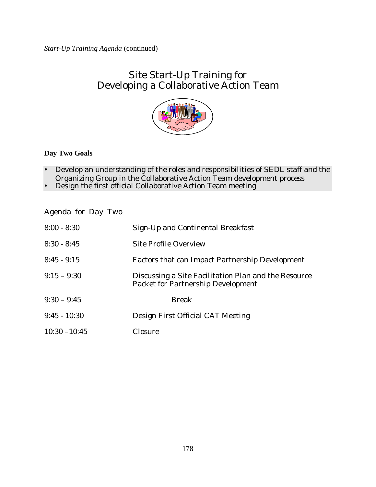# Site Start-Up Training for Developing a Collaborative Action Team



**Day Two Goals**

- · Develop an understanding of the roles and responsibilities of SEDL staff and the Organizing Group in the Collaborative Action Team development process
- Design the first official Collaborative Action Team meeting

Agenda for Day Two

| $8:00 - 8:30$   | Sign-Up and Continental Breakfast                                                                 |
|-----------------|---------------------------------------------------------------------------------------------------|
| $8:30 - 8:45$   | <b>Site Profile Overview</b>                                                                      |
| $8:45 - 9:15$   | <b>Factors that can Impact Partnership Development</b>                                            |
| $9:15 - 9:30$   | Discussing a Site Facilitation Plan and the Resource<br><b>Packet for Partnership Development</b> |
| $9:30 - 9:45$   | <b>Break</b>                                                                                      |
| $9:45 - 10:30$  | Design First Official CAT Meeting                                                                 |
| $10:30 - 10:45$ | Closure                                                                                           |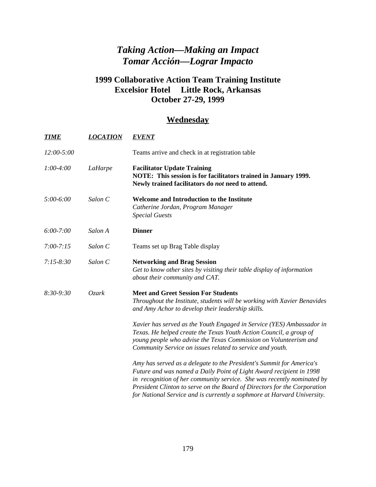# *Taking Action—Making an Impact Tomar Acción—Lograr Impacto*

## **1999 Collaborative Action Team Training Institute Excelsior Hotel Little Rock, Arkansas October 27-29, 1999**

## **Wednesday**

| <b>TIME</b>   | <b>LOCATION</b> | <b>EVENT</b>                                                                                                                                                                                                                                                                                                                                                                 |
|---------------|-----------------|------------------------------------------------------------------------------------------------------------------------------------------------------------------------------------------------------------------------------------------------------------------------------------------------------------------------------------------------------------------------------|
| 12:00-5:00    |                 | Teams arrive and check in at registration table                                                                                                                                                                                                                                                                                                                              |
| $1:00-4:00$   | LaHarpe         | <b>Facilitator Update Training</b><br>NOTE: This session is for facilitators trained in January 1999.<br>Newly trained facilitators do not need to attend.                                                                                                                                                                                                                   |
| 5:00-6:00     | Salon C         | Welcome and Introduction to the Institute<br>Catherine Jordan, Program Manager<br><b>Special Guests</b>                                                                                                                                                                                                                                                                      |
| $6:00 - 7:00$ | Salon A         | <b>Dinner</b>                                                                                                                                                                                                                                                                                                                                                                |
| $7:00 - 7:15$ | Salon C         | Teams set up Brag Table display                                                                                                                                                                                                                                                                                                                                              |
| $7:15 - 8:30$ | Salon C         | <b>Networking and Brag Session</b><br>Get to know other sites by visiting their table display of information<br>about their community and CAT.                                                                                                                                                                                                                               |
| $8:30-9:30$   | Ozark           | <b>Meet and Greet Session For Students</b><br>Throughout the Institute, students will be working with Xavier Benavides<br>and Amy Achor to develop their leadership skills.                                                                                                                                                                                                  |
|               |                 | Xavier has served as the Youth Engaged in Service (YES) Ambassador in<br>Texas. He helped create the Texas Youth Action Council, a group of<br>young people who advise the Texas Commission on Volunteerism and<br>Community Service on issues related to service and youth.                                                                                                 |
|               |                 | Amy has served as a delegate to the President's Summit for America's<br>Future and was named a Daily Point of Light Award recipient in 1998<br>in recognition of her community service. She was recently nominated by<br>President Clinton to serve on the Board of Directors for the Corporation<br>for National Service and is currently a sophmore at Harvard University. |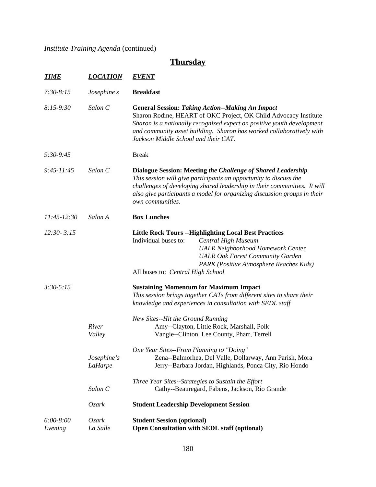*Institute Training Agenda* (continued)

# **Thursday**

| <b>TIME</b>              | <b>LOCATION</b>        | <b>EVENT</b>                                                                                                                                                                                                                                                                                                          |                                                                                                                                                                                                                       |  |  |
|--------------------------|------------------------|-----------------------------------------------------------------------------------------------------------------------------------------------------------------------------------------------------------------------------------------------------------------------------------------------------------------------|-----------------------------------------------------------------------------------------------------------------------------------------------------------------------------------------------------------------------|--|--|
| $7:30-8:15$              | Josephine's            | <b>Breakfast</b>                                                                                                                                                                                                                                                                                                      |                                                                                                                                                                                                                       |  |  |
| $8:15-9:30$              | Salon C                | <b>General Session: Taking Action--Making An Impact</b><br>Sharon Rodine, HEART of OKC Project, OK Child Advocacy Institute<br>Sharon is a nationally recognized expert on positive youth development<br>and community asset building. Sharon has worked collaboratively with<br>Jackson Middle School and their CAT. |                                                                                                                                                                                                                       |  |  |
| $9:30-9:45$              |                        | <b>Break</b>                                                                                                                                                                                                                                                                                                          |                                                                                                                                                                                                                       |  |  |
| $9:45 - 11:45$           | Salon C                | Dialogue Session: Meeting the Challenge of Shared Leadership<br>This session will give participants an opportunity to discuss the<br>challenges of developing shared leadership in their communities. It will<br>also give participants a model for organizing discussion groups in their<br>own communities.         |                                                                                                                                                                                                                       |  |  |
| $11:45-12:30$            | Salon A                | <b>Box Lunches</b>                                                                                                                                                                                                                                                                                                    |                                                                                                                                                                                                                       |  |  |
| $12:30 - 3:15$           |                        | Individual buses to:<br>All buses to: Central High School                                                                                                                                                                                                                                                             | <b>Little Rock Tours --Highlighting Local Best Practices</b><br>Central High Museum<br><b>UALR Neighborhood Homework Center</b><br><b>UALR Oak Forest Community Garden</b><br>PARK (Positive Atmosphere Reaches Kids) |  |  |
| $3:30 - 5:15$            |                        |                                                                                                                                                                                                                                                                                                                       | <b>Sustaining Momentum for Maximum Impact</b><br>This session brings together CATs from different sites to share their<br>knowledge and experiences in consultation with SEDL staff                                   |  |  |
|                          | River<br>Valley        | New Sites--Hit the Ground Running                                                                                                                                                                                                                                                                                     | Amy--Clayton, Little Rock, Marshall, Polk<br>Vangie--Clinton, Lee County, Pharr, Terrell                                                                                                                              |  |  |
|                          | Josephine's<br>LaHarpe | One Year Sites--From Planning to "Doing"                                                                                                                                                                                                                                                                              | Zena--Balmorhea, Del Valle, Dollarway, Ann Parish, Mora<br>Jerry--Barbara Jordan, Highlands, Ponca City, Rio Hondo                                                                                                    |  |  |
|                          | Salon C                |                                                                                                                                                                                                                                                                                                                       | Three Year Sites--Strategies to Sustain the Effort<br>Cathy--Beauregard, Fabens, Jackson, Rio Grande                                                                                                                  |  |  |
|                          | Ozark                  | <b>Student Leadership Development Session</b>                                                                                                                                                                                                                                                                         |                                                                                                                                                                                                                       |  |  |
| $6:00 - 8:00$<br>Evening | Ozark<br>La Salle      | <b>Student Session (optional)</b>                                                                                                                                                                                                                                                                                     | <b>Open Consultation with SEDL staff (optional)</b>                                                                                                                                                                   |  |  |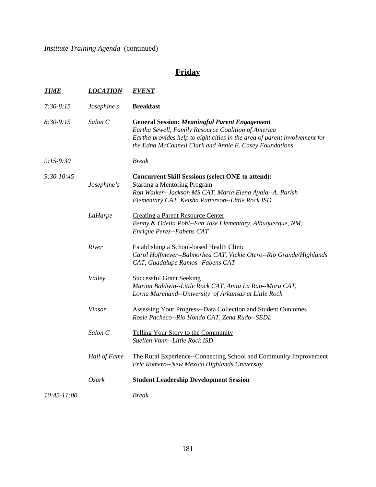*Institute Training Agenda* (continued)

# **Friday**

| <b>TIME</b>  | <b>LOCATION</b> | <b>EVENT</b>                                                                                                                                                                                                                                          |
|--------------|-----------------|-------------------------------------------------------------------------------------------------------------------------------------------------------------------------------------------------------------------------------------------------------|
| $7:30-8:15$  | Josephine's     | <b>Breakfast</b>                                                                                                                                                                                                                                      |
| $8:30-9:15$  | Salon C         | <b>General Session: Meaningful Parent Engagement</b><br>Eartha Sewell, Family Resource Coalition of America<br>Eartha provides help to eight cities in the area of parent involvement for<br>the Edna McConnell Clark and Annie E. Casey Foundations. |
| $9:15-9:30$  |                 | <b>Break</b>                                                                                                                                                                                                                                          |
| $9:30-10:45$ | Josephine's     | <b>Concurrent Skill Sessions (select ONE to attend):</b><br><b>Starting a Mentoring Program</b><br>Ron Walker--Jackson MS CAT, Maria Elena Ayala--A. Parish<br>Elementary CAT, Keisha Patterson--Little Rock ISD                                      |
|              | LaHarpe         | <b>Creating a Parent Resource Center</b><br>Benny & Odelia Pohl--San Jose Elementary, Albuquerque, NM;<br>Enrique Perez--Fabens CAT                                                                                                                   |
|              | River           | <b>Establishing a School-based Health Clinic</b><br>Carol Hoffmeyer--Balmorhea CAT, Vickie Otero--Rio Grande/Highlands<br>CAT, Guadalupe Ramos--Fabens CAT                                                                                            |
|              | Valley          | <b>Successful Grant Seeking</b><br>Marion Baldwin--Little Rock CAT, Anita La Ran--Mora CAT,<br>Lorna Marchand--University of Arkansas at Little Rock                                                                                                  |
|              | Vinson          | <b>Assessing Your Progress--Data Collection and Student Outcomes</b><br>Rosie Pacheco--Rio Hondo CAT, Zena Rudo--SEDL                                                                                                                                 |
|              | Salon C         | Telling Your Story to the Community<br>Suellen Vann--Little Rock ISD                                                                                                                                                                                  |
|              | Hall of Fame    | The Rural Experience--Connecting School and Community Improvement<br>Eric Romero--New Mexico Highlands University                                                                                                                                     |
|              | Ozark           | <b>Student Leadership Development Session</b>                                                                                                                                                                                                         |
| 10:45-11:00  |                 | <b>Break</b>                                                                                                                                                                                                                                          |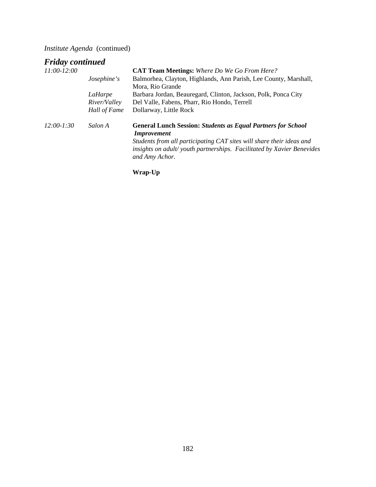*Institute Agenda* (continued)

# *Friday continued*

|                     | <b>CAT Team Meetings:</b> Where Do We Go From Here?                                                                                                             |
|---------------------|-----------------------------------------------------------------------------------------------------------------------------------------------------------------|
| <i>Josephine's</i>  | Balmorhea, Clayton, Highlands, Ann Parish, Lee County, Marshall,                                                                                                |
|                     | Mora, Rio Grande                                                                                                                                                |
| LaHarpe             | Barbara Jordan, Beauregard, Clinton, Jackson, Polk, Ponca City                                                                                                  |
| <i>River/Valley</i> | Del Valle, Fabens, Pharr, Rio Hondo, Terrell                                                                                                                    |
| Hall of Fame        | Dollarway, Little Rock                                                                                                                                          |
| Salon A             | <b>General Lunch Session: Students as Equal Partners for School</b><br><b>Improvement</b>                                                                       |
|                     | Students from all participating CAT sites will share their ideas and<br>insights on adult/youth partnerships. Facilitated by Xavier Benevides<br>and Amy Achor. |
|                     |                                                                                                                                                                 |

**Wrap-Up**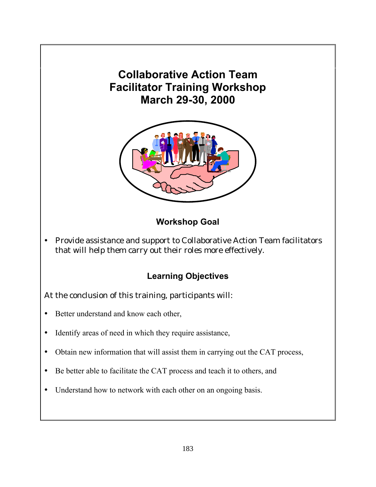# **Collaborative Action Team Facilitator Training Workshop March 29-30, 2000**



## **Workshop Goal**

· Provide assistance and support to Collaborative Action Team facilitators that will help them carry out their roles more effectively.

## **Learning Objectives**

## At the conclusion of this training, participants will:

- · Better understand and know each other,
- Identify areas of need in which they require assistance,
- · Obtain new information that will assist them in carrying out the CAT process,
- · Be better able to facilitate the CAT process and teach it to others, and
- Understand how to network with each other on an ongoing basis.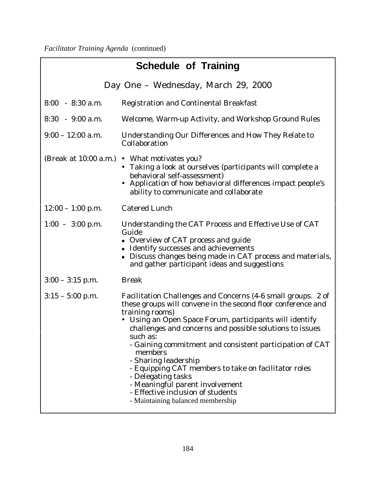| <b>Schedule of Training</b> |                                                                                                                                                                                                                                                                                                                                                                                                                                                                                                                                                                              |  |  |
|-----------------------------|------------------------------------------------------------------------------------------------------------------------------------------------------------------------------------------------------------------------------------------------------------------------------------------------------------------------------------------------------------------------------------------------------------------------------------------------------------------------------------------------------------------------------------------------------------------------------|--|--|
|                             | Day One - Wednesday, March 29, 2000                                                                                                                                                                                                                                                                                                                                                                                                                                                                                                                                          |  |  |
| $8:00 - 8:30$ a.m.          | <b>Registration and Continental Breakfast</b>                                                                                                                                                                                                                                                                                                                                                                                                                                                                                                                                |  |  |
| $8:30 - 9:00$ a.m.          | Welcome, Warm-up Activity, and Workshop Ground Rules                                                                                                                                                                                                                                                                                                                                                                                                                                                                                                                         |  |  |
| $9:00 - 12:00$ a.m.         | <b>Understanding Our Differences and How They Relate to</b><br>Collaboration                                                                                                                                                                                                                                                                                                                                                                                                                                                                                                 |  |  |
|                             | (Break at 10:00 a.m.) • What motivates you?<br>• Taking a look at ourselves (participants will complete a<br>behavioral self-assessment)<br>• Application of how behavioral differences impact people's<br>ability to communicate and collaborate                                                                                                                                                                                                                                                                                                                            |  |  |
| $12:00 - 1:00$ p.m.         | <b>Catered Lunch</b>                                                                                                                                                                                                                                                                                                                                                                                                                                                                                                                                                         |  |  |
| $1:00 - 3:00$ p.m.          | Understanding the CAT Process and Effective Use of CAT<br>Guide<br>• Overview of CAT process and guide<br>• Identify successes and achievements<br>• Discuss changes being made in CAT process and materials,<br>and gather participant ideas and suggestions                                                                                                                                                                                                                                                                                                                |  |  |
| $3:00 - 3:15$ p.m.          | <b>Break</b>                                                                                                                                                                                                                                                                                                                                                                                                                                                                                                                                                                 |  |  |
| $3:15 - 5:00$ p.m.          | Facilitation Challenges and Concerns (4-6 small groups. 2 of<br>these groups will convene in the second floor conference and<br>training rooms)<br>• Using an Open Space Forum, participants will identify<br>challenges and concerns and possible solutions to issues<br>such as:<br>- Gaining commitment and consistent participation of CAT<br>members<br>- Sharing leadership<br>- Equipping CAT members to take on facilitator roles<br>- Delegating tasks<br>- Meaningful parent involvement<br>- Effective inclusion of students<br>- Maintaining balanced membership |  |  |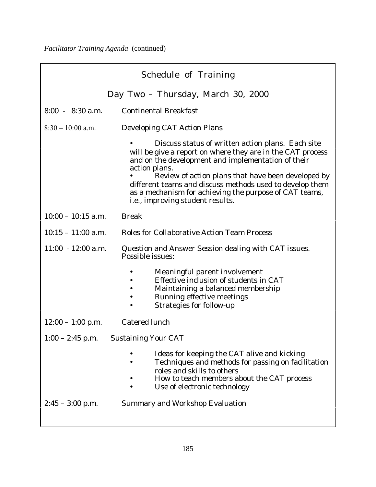| <b>Schedule of Training</b>          |                                                                                                                                                                                                                                              |  |  |  |
|--------------------------------------|----------------------------------------------------------------------------------------------------------------------------------------------------------------------------------------------------------------------------------------------|--|--|--|
|                                      | Day Two – Thursday, March 30, 2000                                                                                                                                                                                                           |  |  |  |
| $8:00 - 8:30$ a.m.                   | <b>Continental Breakfast</b>                                                                                                                                                                                                                 |  |  |  |
| $8:30 - 10:00$ a.m.                  | <b>Developing CAT Action Plans</b>                                                                                                                                                                                                           |  |  |  |
|                                      | Discuss status of written action plans. Each site<br>will be give a report on where they are in the CAT process<br>and on the development and implementation of their<br>action plans.<br>Review of action plans that have been developed by |  |  |  |
|                                      | different teams and discuss methods used to develop them<br>as a mechanism for achieving the purpose of CAT teams,<br>i.e., improving student results.                                                                                       |  |  |  |
| $10:00 - 10:15$ a.m.                 | <b>Break</b>                                                                                                                                                                                                                                 |  |  |  |
| $10:15 - 11:00$ a.m.                 | <b>Roles for Collaborative Action Team Process</b>                                                                                                                                                                                           |  |  |  |
| $11:00 - 12:00$ a.m.                 | Question and Answer Session dealing with CAT issues.<br><b>Possible issues:</b>                                                                                                                                                              |  |  |  |
|                                      | Meaningful parent involvement<br>Effective inclusion of students in CAT<br>Maintaining a balanced membership<br><b>Running effective meetings</b><br><b>Strategies for follow-up</b>                                                         |  |  |  |
| $12:00 - 1:00$ p.m.                  | <b>Catered lunch</b>                                                                                                                                                                                                                         |  |  |  |
| 1:00 – 2:45 p.m. Sustaining Your CAT |                                                                                                                                                                                                                                              |  |  |  |
|                                      | Ideas for keeping the CAT alive and kicking<br>Techniques and methods for passing on facilitation<br>roles and skills to others<br>How to teach members about the CAT process<br>Use of electronic technology                                |  |  |  |
| $2:45 - 3:00$ p.m.                   | <b>Summary and Workshop Evaluation</b>                                                                                                                                                                                                       |  |  |  |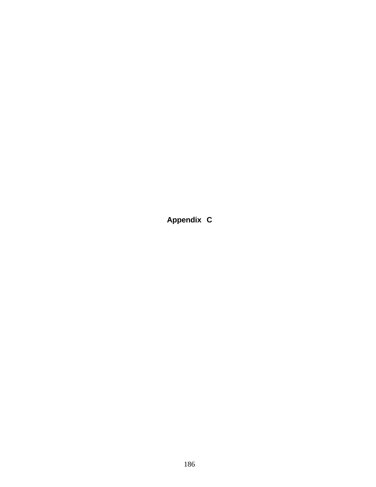**Appendix C**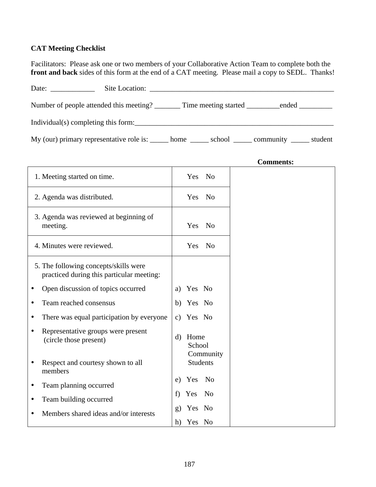## **CAT Meeting Checklist**

Facilitators: Please ask one or two members of your Collaborative Action Team to complete both the **front and back** sides of this form at the end of a CAT meeting. Please mail a copy to SEDL. Thanks!

|                                                                                                     | Site Location: |  |  |
|-----------------------------------------------------------------------------------------------------|----------------|--|--|
| Number of people attended this meeting? Time meeting started ended                                  |                |  |  |
| Individual(s) completing this form:                                                                 |                |  |  |
| My (our) primary representative role is: ______ home _______ school ______ community ______ student |                |  |  |

|                                                                                    | <b>Comments:</b>                            |
|------------------------------------------------------------------------------------|---------------------------------------------|
| 1. Meeting started on time.                                                        | Yes No                                      |
| 2. Agenda was distributed.                                                         | N <sub>o</sub><br>Yes                       |
| 3. Agenda was reviewed at beginning of<br>meeting.                                 | Yes<br>No                                   |
| 4. Minutes were reviewed.                                                          | Yes<br>N <sub>o</sub>                       |
| 5. The following concepts/skills were<br>practiced during this particular meeting: |                                             |
| Open discussion of topics occurred<br>$\bullet$                                    | Yes No<br>a)                                |
| Team reached consensus<br>$\bullet$                                                | b)<br>Yes No                                |
| There was equal participation by everyone<br>$\bullet$                             | Yes No<br>$\mathbf{c})$                     |
| Representative groups were present<br>$\bullet$<br>(circle those present)          | Home<br>$\mathbf{d}$<br>School<br>Community |
| Respect and courtesy shown to all<br>$\bullet$<br>members                          | <b>Students</b>                             |
| Team planning occurred<br>$\bullet$                                                | Yes No<br>e)                                |
| Team building occurred<br>$\bullet$                                                | f)<br>N <sub>0</sub><br>Yes                 |
| Members shared ideas and/or interests<br>$\bullet$                                 | Yes No<br>$\mathbf{g}$                      |
|                                                                                    | Yes No<br>h)                                |

187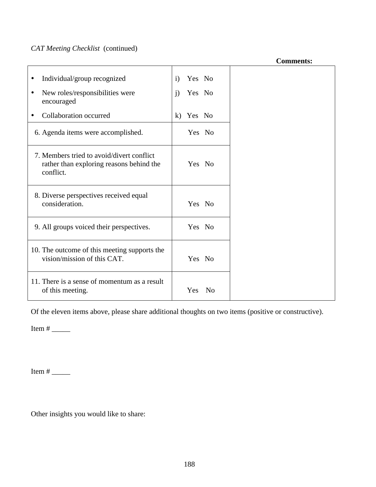# *CAT Meeting Checklist* (continued)

**Comments:**

| Individual/group recognized<br>٠                                                                   | Yes No<br>$\mathbf{i}$ |  |
|----------------------------------------------------------------------------------------------------|------------------------|--|
| New roles/responsibilities were<br>٠<br>encouraged                                                 | j)<br>Yes No           |  |
| Collaboration occurred<br>٠                                                                        | Yes No<br>$\bf k$ )    |  |
| 6. Agenda items were accomplished.                                                                 | Yes No                 |  |
| 7. Members tried to avoid/divert conflict<br>rather than exploring reasons behind the<br>conflict. | Yes No                 |  |
| 8. Diverse perspectives received equal<br>consideration.                                           | Yes No                 |  |
| 9. All groups voiced their perspectives.                                                           | Yes No                 |  |
| 10. The outcome of this meeting supports the<br>vision/mission of this CAT.                        | Yes No                 |  |
| 11. There is a sense of momentum as a result<br>of this meeting.                                   | Yes<br>No              |  |

Of the eleven items above, please share additional thoughts on two items (positive or constructive).

Item # \_\_\_\_\_

Item # \_\_\_\_\_

Other insights you would like to share: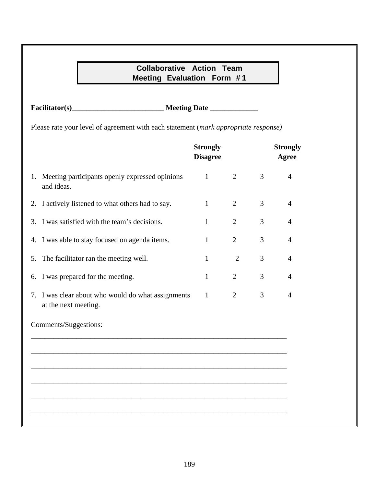## **Collaborative Action Team Meeting Evaluation Form # 1**

**Facilitator(s)\_\_\_\_\_\_\_\_\_\_\_\_\_\_\_\_\_\_\_\_\_\_\_\_\_ Meeting Date \_\_\_\_\_\_\_\_\_\_\_\_\_**

Please rate your level of agreement with each statement (*mark appropriate response)*

|    |                                                                            | <b>Strongly</b><br><b>Disagree</b> |                |   | <b>Strongly</b><br><b>Agree</b> |
|----|----------------------------------------------------------------------------|------------------------------------|----------------|---|---------------------------------|
| 1. | Meeting participants openly expressed opinions<br>and ideas.               | $\mathbf{1}$                       | $\overline{2}$ | 3 | $\overline{4}$                  |
|    | 2. I actively listened to what others had to say.                          | 1                                  | $\overline{2}$ | 3 | $\overline{4}$                  |
|    | 3. I was satisfied with the team's decisions.                              | 1                                  | $\overline{2}$ | 3 | $\overline{4}$                  |
| 4. | I was able to stay focused on agenda items.                                | $\mathbf{1}$                       | $\overline{2}$ | 3 | $\overline{4}$                  |
| 5. | The facilitator ran the meeting well.                                      | 1                                  | $\overline{2}$ | 3 | $\overline{4}$                  |
| 6. | I was prepared for the meeting.                                            | 1                                  | $\overline{2}$ | 3 | 4                               |
|    | 7. I was clear about who would do what assignments<br>at the next meeting. | $\mathbf{1}$                       | $\overline{2}$ | 3 | $\overline{4}$                  |
|    | Comments/Suggestions:                                                      |                                    |                |   |                                 |
|    |                                                                            |                                    |                |   |                                 |
|    |                                                                            |                                    |                |   |                                 |
|    |                                                                            |                                    |                |   |                                 |
|    |                                                                            |                                    |                |   |                                 |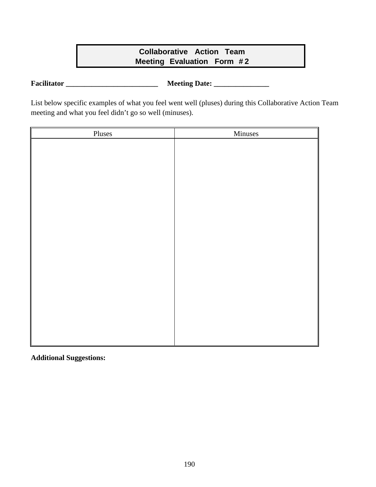## **Collaborative Action Team Meeting Evaluation Form # 2**

**Facilitator \_\_\_\_\_\_\_\_\_\_\_\_\_\_\_\_\_\_\_\_\_\_\_\_\_ Meeting Date: \_\_\_\_\_\_\_\_\_\_\_\_\_\_\_**

List below specific examples of what you feel went well (pluses) during this Collaborative Action Team meeting and what you feel didn't go so well (minuses).

| Pluses | Minuses |
|--------|---------|
|        |         |
|        |         |
|        |         |
|        |         |
|        |         |
|        |         |
|        |         |
|        |         |
|        |         |
|        |         |
|        |         |
|        |         |
|        |         |
|        |         |
|        |         |
|        |         |
|        |         |
|        |         |
|        |         |
|        |         |

**Additional Suggestions:**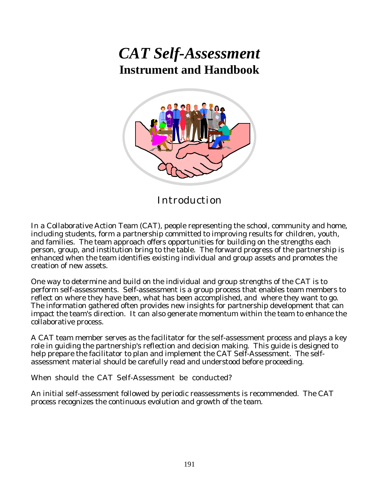# *CAT Self-Assessment* **Instrument and Handbook**



Introduction

In a Collaborative Action Team (CAT), people representing the school, community and home, including students, form a partnership committed to improving results for children, youth, and families. The team approach offers opportunities for building on the strengths each person, group, and institution bring to the table. The forward progress of the partnership is enhanced when the team identifies existing individual and group assets and promotes the creation of new assets.

One way to determine and build on the individual and group strengths of the CAT is to perform self-assessments. Self-assessment is a group process that enables team members to reflect on where they have been, what has been accomplished, and where they want to go. The information gathered often provides new insights for partnership development that can impact the team's direction. It can also generate momentum within the team to enhance the collaborative process.

A CAT team member serves as the facilitator for the self-assessment process and plays a key role in guiding the partnership's reflection and decision making. This guide is designed to help prepare the facilitator to plan and implement the CAT Self-Assessment. The selfassessment material should be carefully read and understood before proceeding.

When should the CAT Self-Assessment be conducted?

An initial self-assessment followed by periodic reassessments is recommended. The CAT process recognizes the continuous evolution and growth of the team.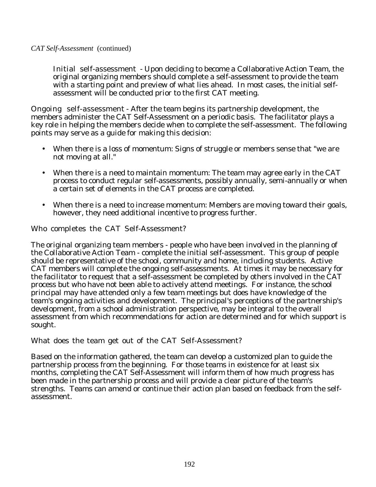Initial self-assessment - Upon deciding to become a Collaborative Action Team, the original organizing members should complete a self-assessment to provide the team with a starting point and preview of what lies ahead. In most cases, the initial selfassessment will be conducted prior to the first CAT meeting.

Ongoing self-assessment - After the team begins its partnership development, the members administer the CAT Self-Assessment on a periodic basis. The facilitator plays a key role in helping the members decide when to complete the self-assessment. The following points may serve as a guide for making this decision:

- · When there is a loss of momentum: Signs of struggle or members sense that "we are not moving at all."
- · When there is a need to maintain momentum: The team may agree early in the CAT process to conduct regular self-assessments, possibly annually, semi-annually or when a certain set of elements in the CAT process are completed.
- · When there is a need to increase momentum: Members are moving toward their goals, however, they need additional incentive to progress further.

Who completes the CAT Self-Assessment?

The original organizing team members - people who have been involved in the planning of the Collaborative Action Team - complete the initial self-assessment. This group of people should be representative of the school, community and home, including students. Active CAT members will complete the ongoing self-assessments. At times it may be necessary for the facilitator to request that a self-assessment be completed by others involved in the CAT process but who have not been able to actively attend meetings. For instance, the school principal may have attended only a few team meetings but does have knowledge of the team's ongoing activities and development. The principal's perceptions of the partnership's development, from a school administration perspective, may be integral to the overall assessment from which recommendations for action are determined and for which support is sought.

What does the team get out of the CAT Self-Assessment?

Based on the information gathered, the team can develop a customized plan to guide the partnership process from the beginning. For those teams in existence for at least six months, completing the CAT Self-Assessment will inform them of how much progress has been made in the partnership process and will provide a clear picture of the team's strengths. Teams can amend or continue their action plan based on feedback from the selfassessment.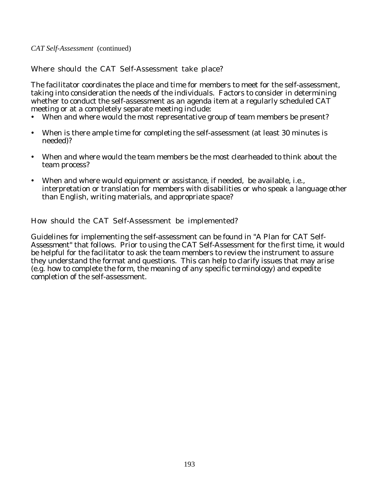*CAT Self-Assessment* (continued)

Where should the CAT Self-Assessment take place?

The facilitator coordinates the place and time for members to meet for the self-assessment, taking into consideration the needs of the individuals. Factors to consider in determining whether to conduct the self-assessment as an agenda item at a regularly scheduled CAT meeting or at a completely separate meeting include:

- · When and where would the most representative group of team members be present?
- · When is there ample time for completing the self-assessment (at least 30 minutes is needed)?
- · When and where would the team members be the most clearheaded to think about the team process?
- · When and where would equipment or assistance, if needed, be available, i.e., interpretation or translation for members with disabilities or who speak a language other than English, writing materials, and appropriate space?

How should the CAT Self-Assessment be implemented?

Guidelines for implementing the self-assessment can be found in "A Plan for CAT Self-Assessment" that follows. Prior to using the CAT Self-Assessment for the first time, it would be helpful for the facilitator to ask the team members to review the instrument to assure they understand the format and questions. This can help to clarify issues that may arise (e.g. how to complete the form, the meaning of any specific terminology) and expedite completion of the self-assessment.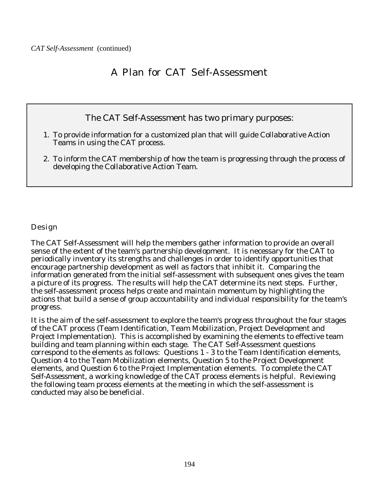# A Plan for CAT Self-Assessment

## The CAT Self-Assessment has two primary purposes:

- 1. To provide information for a customized plan that will guide Collaborative Action Teams in using the CAT process.
- 2. To inform the CAT membership of how the team is progressing through the process of developing the Collaborative Action Team.

Design

The CAT Self-Assessment will help the members gather information to provide an overall sense of the extent of the team's partnership development. It is necessary for the CAT to periodically inventory its strengths and challenges in order to identify opportunities that encourage partnership development as well as factors that inhibit it. Comparing the information generated from the initial self-assessment with subsequent ones gives the team a picture of its progress. The results will help the CAT determine its next steps. Further, the self-assessment process helps create and maintain momentum by highlighting the actions that build a sense of group accountability and individual responsibility for the team's progress.

It is the aim of the self-assessment to explore the team's progress throughout the four stages of the CAT process (Team Identification, Team Mobilization, Project Development and Project Implementation). This is accomplished by examining the elements to effective team building and team planning within each stage. The CAT Self-Assessment questions correspond to the elements as follows: Questions 1 - 3 to the Team Identification elements, Question 4 to the Team Mobilization elements, Question 5 to the Project Development elements, and Question 6 to the Project Implementation elements. To complete the CAT Self-Assessment, a working knowledge of the CAT process elements is helpful. Reviewing the following team process elements at the meeting in which the self-assessment is conducted may also be beneficial.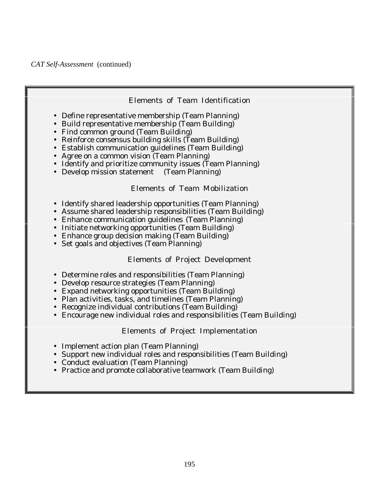

#### Elements of Project Implementation

- Implement action plan (Team Planning)
- Support new individual roles and responsibilities (Team Building)
- Conduct evaluation (Team Planning)
- Practice and promote collaborative teamwork (Team Building)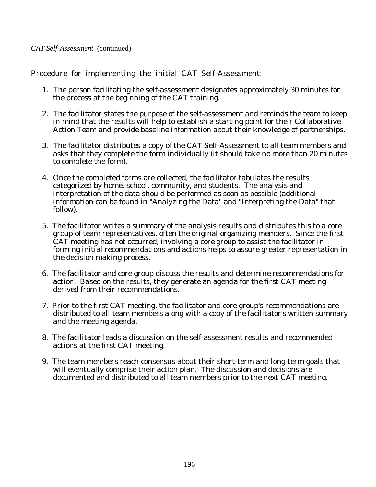Procedure for implementing the initial CAT Self-Assessment:

- 1. The person facilitating the self-assessment designates approximately 30 minutes for the process at the beginning of the CAT training.
- 2. The facilitator states the purpose of the self-assessment and reminds the team to keep in mind that the results will help to establish a starting point for their Collaborative Action Team and provide baseline information about their knowledge of partnerships.
- 3. The facilitator distributes a copy of the CAT Self-Assessment to all team members and asks that they complete the form individually (it should take no more than 20 minutes to complete the form).
- 4. Once the completed forms are collected, the facilitator tabulates the results categorized by home, school, community, and students. The analysis and interpretation of the data should be performed as soon as possible (additional information can be found in "Analyzing the Data" and "Interpreting the Data" that follow).
- 5. The facilitator writes a summary of the analysis results and distributes this to a core group of team representatives, often the original organizing members. Since the first CAT meeting has not occurred, involving a core group to assist the facilitator in forming initial recommendations and actions helps to assure greater representation in the decision making process.
- 6. The facilitator and core group discuss the results and determine recommendations for action. Based on the results, they generate an agenda for the first CAT meeting derived from their recommendations.
- 7. Prior to the first CAT meeting, the facilitator and core group's recommendations are distributed to all team members along with a copy of the facilitator's written summary and the meeting agenda.
- 8. The facilitator leads a discussion on the self-assessment results and recommended actions at the first CAT meeting.
- 9. The team members reach consensus about their short-term and long-term goals that will eventually comprise their action plan. The discussion and decisions are documented and distributed to all team members prior to the next CAT meeting.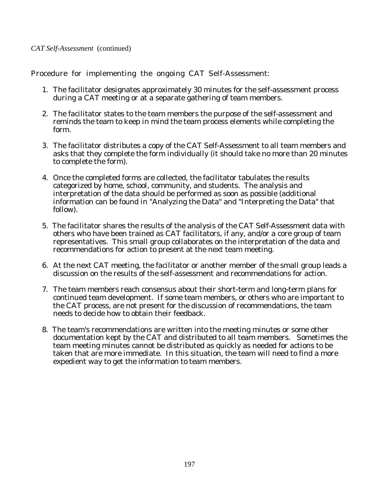Procedure for implementing the ongoing CAT Self-Assessment:

- 1. The facilitator designates approximately 30 minutes for the self-assessment process during a CAT meeting or at a separate gathering of team members.
- 2. The facilitator states to the team members the purpose of the self-assessment and reminds the team to keep in mind the team process elements while completing the form.
- 3. The facilitator distributes a copy of the CAT Self-Assessment to all team members and asks that they complete the form individually (it should take no more than 20 minutes to complete the form).
- 4. Once the completed forms are collected, the facilitator tabulates the results categorized by home, school, community, and students. The analysis and interpretation of the data should be performed as soon as possible (additional information can be found in "Analyzing the Data" and "Interpreting the Data" that follow).
- 5. The facilitator shares the results of the analysis of the CAT Self-Assessment data with others who have been trained as CAT facilitators, if any, and/or a core group of team representatives. This small group collaborates on the interpretation of the data and recommendations for action to present at the next team meeting.
- 6. At the next CAT meeting, the facilitator or another member of the small group leads a discussion on the results of the self-assessment and recommendations for action.
- 7. The team members reach consensus about their short-term and long-term plans for continued team development. If some team members, or others who are important to the CAT process, are not present for the discussion of recommendations, the team needs to decide how to obtain their feedback.
- 8. The team's recommendations are written into the meeting minutes or some other documentation kept by the CAT and distributed to all team members. Sometimes the team meeting minutes cannot be distributed as quickly as needed for actions to be taken that are more immediate. In this situation, the team will need to find a more expedient way to get the information to team members.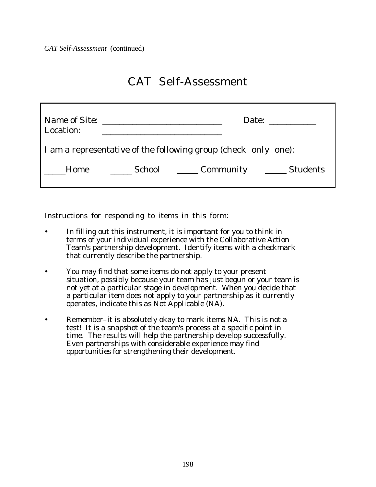*CAT Self-Assessment* (continued)

# CAT Self-Assessment

| Name of Site:<br><u> 1980 - Andrea Andrew Maria (h. 1980).</u><br>Location: | Date: $\frac{1}{\sqrt{1-\frac{1}{\sqrt{1-\frac{1}{\sqrt{1-\frac{1}{\sqrt{1-\frac{1}{\sqrt{1-\frac{1}{\sqrt{1-\frac{1}{\sqrt{1-\frac{1}{\sqrt{1-\frac{1}{\sqrt{1-\frac{1}{\sqrt{1-\frac{1}{\sqrt{1-\frac{1}{\sqrt{1-\frac{1}{\sqrt{1-\frac{1}{\sqrt{1-\frac{1}{\sqrt{1-\frac{1}{\sqrt{1-\frac{1}{\sqrt{1-\frac{1}{\sqrt{1-\frac{1}{\sqrt{1-\frac{1}{\sqrt{1-\frac{1}{\sqrt{1-\frac{1}{\sqrt{1-\frac{1}{\sqrt{1-\frac{1}{\sqrt$ |
|-----------------------------------------------------------------------------|-------------------------------------------------------------------------------------------------------------------------------------------------------------------------------------------------------------------------------------------------------------------------------------------------------------------------------------------------------------------------------------------------------------------------------|
| I am a representative of the following group (check only one):              |                                                                                                                                                                                                                                                                                                                                                                                                                               |
| Home                                                                        | School Community _______ Students                                                                                                                                                                                                                                                                                                                                                                                             |

Instructions for responding to items in this form:

- In filling out this instrument, it is important for you to think in terms of your individual experience with the Collaborative Action Team's partnership development. Identify items with a checkmark that currently describe the partnership.
- You may find that some items do not apply to your present situation, possibly because your team has just begun or your team is not yet at a particular stage in development. When you decide that a particular item does not apply to your partnership as it currently operates, indicate this as Not Applicable (NA).
- Remember–it is absolutely okay to mark items NA. This is not a test! It is a snapshot of the team's process at a specific point in time. The results will help the partnership develop successfully. Even partnerships with considerable experience may find opportunities for strengthening their development.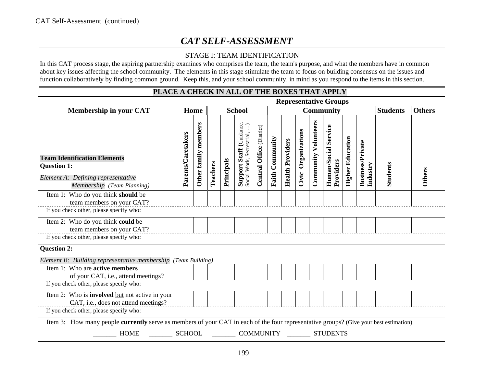## *CAT SELF-ASSESSMENT*

### STAGE I: TEAM IDENTIFICATION

In this CAT process stage, the aspiring partnership examines who comprises the team, the team's purpose, and what the members have in common about key issues affecting the school community. The elements in this stage stimulate the team to focus on building consensus on the issues and function collaboratively by finding common ground. Keep this, and your school community, in mind as you respond to the items in this section.

| I DACE A CHECK IN <u>ADD</u> OF THE DOAL'S THAT AFT DT                                                                                |                                                                           |                         |          |            |                                                                |                           |                        |                         |                     |                             |                                   |                         |                                     |                 |               |
|---------------------------------------------------------------------------------------------------------------------------------------|---------------------------------------------------------------------------|-------------------------|----------|------------|----------------------------------------------------------------|---------------------------|------------------------|-------------------------|---------------------|-----------------------------|-----------------------------------|-------------------------|-------------------------------------|-----------------|---------------|
|                                                                                                                                       | <b>Representative Groups</b><br><b>School</b><br>Home<br><b>Community</b> |                         |          |            |                                                                |                           |                        |                         |                     |                             |                                   |                         |                                     |                 |               |
| <b>Membership in your CAT</b>                                                                                                         |                                                                           |                         |          |            |                                                                |                           |                        |                         |                     |                             |                                   |                         |                                     | <b>Students</b> | <b>Others</b> |
| <b>Team Identification Elements</b><br><b>Question 1:</b><br>Element A: Defining representative<br>Membership (Team Planning)         | Parents/Caretakers                                                        | members<br>Other family | Teachers | Principals | <b>Support Staff</b> (Guidance,<br>Social Work, Secretarial, ) | Central Office (District) | <b>Faith Community</b> | <b>Health Providers</b> | Civic Organizations | <b>Community Volunteers</b> | Human/Social Service<br>Providers | <b>Higher Education</b> | <b>Business/Private</b><br>Industry | <b>Students</b> | Others        |
| Item 1: Who do you think should be<br>team members on your CAT?                                                                       |                                                                           |                         |          |            |                                                                |                           |                        |                         |                     |                             |                                   |                         |                                     |                 |               |
| If you check other, please specify who:                                                                                               |                                                                           |                         |          |            |                                                                |                           |                        |                         |                     |                             |                                   |                         |                                     |                 |               |
| Item 2: Who do you think could be<br>team members on your CAT?                                                                        |                                                                           |                         |          |            |                                                                |                           |                        |                         |                     |                             |                                   |                         |                                     |                 |               |
| If you check other, please specify who:                                                                                               |                                                                           |                         |          |            |                                                                |                           |                        |                         |                     |                             |                                   |                         |                                     |                 |               |
| <b>Question 2:</b><br>Element B: Building representative membership (Team Building)<br>Item 1: Who are <b>active members</b>          |                                                                           |                         |          |            |                                                                |                           |                        |                         |                     |                             |                                   |                         |                                     |                 |               |
| of your CAT, i.e., attend meetings?                                                                                                   |                                                                           |                         |          |            |                                                                |                           |                        |                         |                     |                             |                                   |                         |                                     |                 |               |
| If you check other, please specify who:                                                                                               |                                                                           |                         |          |            |                                                                |                           |                        |                         |                     |                             |                                   |                         |                                     |                 |               |
| Item 2: Who is <b>involved</b> but not active in your<br>CAT, i.e., does not attend meetings?                                         |                                                                           |                         |          |            |                                                                |                           |                        |                         |                     |                             |                                   |                         |                                     |                 |               |
| If you check other, please specify who:                                                                                               |                                                                           |                         |          |            |                                                                |                           |                        |                         |                     |                             |                                   |                         |                                     |                 |               |
| Item 3: How many people currently serve as members of your CAT in each of the four representative groups? (Give your best estimation) |                                                                           |                         |          |            |                                                                |                           |                        |                         |                     |                             |                                   |                         |                                     |                 |               |
| <b>HOME</b><br>SCHOOL<br>COMMUNITY<br><b>STUDENTS</b>                                                                                 |                                                                           |                         |          |            |                                                                |                           |                        |                         |                     |                             |                                   |                         |                                     |                 |               |

## **PLACE A CHECK IN ALL OF THE BOXES THAT APPLY**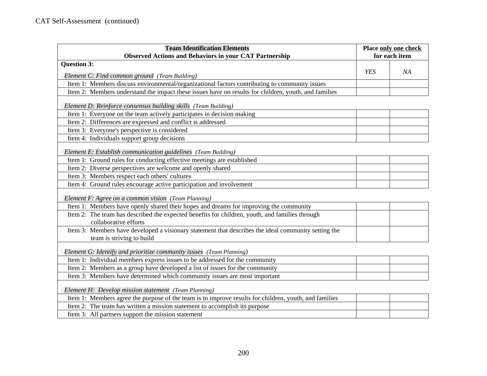| <b>Team Identification Elements</b>                                                                                                     |            | Place only one check |
|-----------------------------------------------------------------------------------------------------------------------------------------|------------|----------------------|
| <b>Observed Actions and Behaviors in your CAT Partnership</b>                                                                           |            | for each item        |
| <b>Question 3:</b>                                                                                                                      |            |                      |
| Element C: Find common ground (Team Building)                                                                                           | <b>YES</b> | NA                   |
| Item 1: Members discuss environmental/organizational factors contributing to community issues                                           |            |                      |
| Item 2: Members understand the impact these issues have on results for children, youth, and families                                    |            |                      |
|                                                                                                                                         |            |                      |
| Element D: Reinforce consensus building skills (Team Building)<br>Item 1: Everyone on the team actively participates in decision making |            |                      |
| Item 2: Differences are expressed and conflict is addressed                                                                             |            |                      |
| Item 3: Everyone's perspective is considered                                                                                            |            |                      |
| Item 4: Individuals support group decisions                                                                                             |            |                      |
|                                                                                                                                         |            |                      |
| Element E: Establish communication guidelines (Team Building)                                                                           |            |                      |
| Item 1: Ground rules for conducting effective meetings are established                                                                  |            |                      |
| Item 2: Diverse perspectives are welcome and openly shared                                                                              |            |                      |
| Item 3: Members respect each others' cultures                                                                                           |            |                      |
| Item 4: Ground rules encourage active participation and involvement                                                                     |            |                      |
| Element F: Agree on a common vision (Team Planning)                                                                                     |            |                      |
| Item 1: Members have openly shared their hopes and dreams for improving the community                                                   |            |                      |
| Item 2: The team has described the expected benefits for children, youth, and families through                                          |            |                      |
| collaborative efforts                                                                                                                   |            |                      |
| Item 3: Members have developed a visionary statement that describes the ideal community setting the                                     |            |                      |
| team is striving to build                                                                                                               |            |                      |
| Element G: Identify and prioritize community issues (Team Planning)                                                                     |            |                      |
| Item 1: Individual members express issues to be addressed for the community                                                             |            |                      |
| Item 2: Members as a group have developed a list of issues for the community                                                            |            |                      |
| Item 3: Members have determined which community issues are most important                                                               |            |                      |
|                                                                                                                                         |            |                      |
| Element H: Develop mission statement (Team Planning)                                                                                    |            |                      |
| Item 1: Members agree the purpose of the team is to improve results for children, youth, and families                                   |            |                      |
| Item 2: The team has written a mission statement to accomplish its purpose                                                              |            |                      |
| Item 3: All partners support the mission statement                                                                                      |            |                      |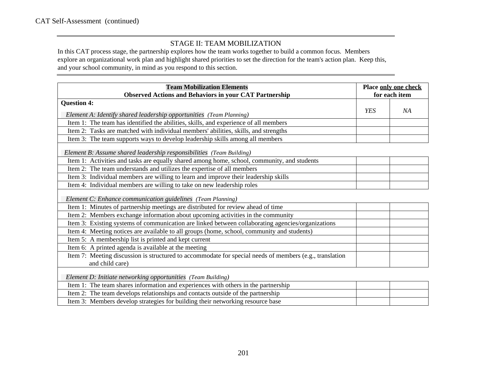#### STAGE II: TEAM MOBILIZATION

In this CAT process stage, the partnership explores how the team works together to build a common focus. Members explore an organizational work plan and highlight shared priorities to set the direction for the team's action plan. Keep this, and your school community, in mind as you respond to this section.

| <b>Team Mobilization Elements</b>                                                                       |     | Place only one check |
|---------------------------------------------------------------------------------------------------------|-----|----------------------|
| <b>Observed Actions and Behaviors in your CAT Partnership</b>                                           |     | for each item        |
| <b>Question 4:</b>                                                                                      |     |                      |
| Element A: Identify shared leadership opportunities (Team Planning)                                     | YES | NA                   |
| Item 1: The team has identified the abilities, skills, and experience of all members                    |     |                      |
| Item 2: Tasks are matched with individual members' abilities, skills, and strengths                     |     |                      |
| Item 3: The team supports ways to develop leadership skills among all members                           |     |                      |
| Element B: Assume shared leadership responsibilities (Team Building)                                    |     |                      |
| Item 1: Activities and tasks are equally shared among home, school, community, and students             |     |                      |
| Item 2: The team understands and utilizes the expertise of all members                                  |     |                      |
| Item 3: Individual members are willing to learn and improve their leadership skills                     |     |                      |
| Item 4: Individual members are willing to take on new leadership roles                                  |     |                      |
| Element C: Enhance communication guidelines (Team Planning)                                             |     |                      |
| Item 1: Minutes of partnership meetings are distributed for review ahead of time                        |     |                      |
| Item 2: Members exchange information about upcoming activities in the community                         |     |                      |
| Item 3: Existing systems of communication are linked between collaborating agencies/organizations       |     |                      |
| Item 4: Meeting notices are available to all groups (home, school, community and students)              |     |                      |
| Item 5: A membership list is printed and kept current                                                   |     |                      |
| Item 6: A printed agenda is available at the meeting                                                    |     |                      |
| Item 7: Meeting discussion is structured to accommodate for special needs of members (e.g., translation |     |                      |
| and child care)                                                                                         |     |                      |
| Element D: Initiate networking opportunities (Team Building)                                            |     |                      |
| Item 1: The team shares information and experiences with others in the partnership                      |     |                      |
| Item 2: The team develops relationships and contacts outside of the partnership                         |     |                      |
| Item 3: Members develop strategies for building their networking resource base                          |     |                      |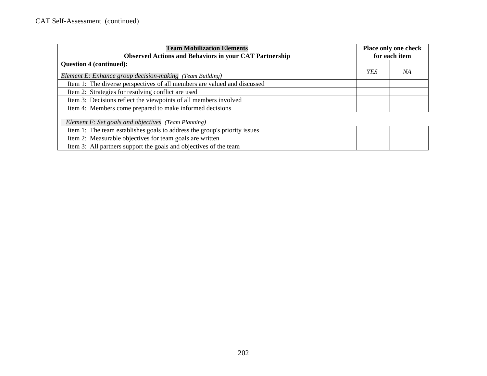| <b>Team Mobilization Elements</b>                                         | Place only one check |               |
|---------------------------------------------------------------------------|----------------------|---------------|
| <b>Observed Actions and Behaviors in your CAT Partnership</b>             |                      | for each item |
| <b>Question 4 (continued):</b>                                            |                      |               |
| Element E: Enhance group decision-making (Team Building)                  | YES                  | NA            |
| Item 1: The diverse perspectives of all members are valued and discussed  |                      |               |
| Item 2: Strategies for resolving conflict are used                        |                      |               |
| Item 3: Decisions reflect the viewpoints of all members involved          |                      |               |
| Item 4: Members come prepared to make informed decisions                  |                      |               |
| Element F: Set goals and objectives (Team Planning)                       |                      |               |
| Item 1: The team establishes goals to address the group's priority issues |                      |               |
| Item 2: Measurable objectives for team goals are written                  |                      |               |
| Item 3: All partners support the goals and objectives of the team         |                      |               |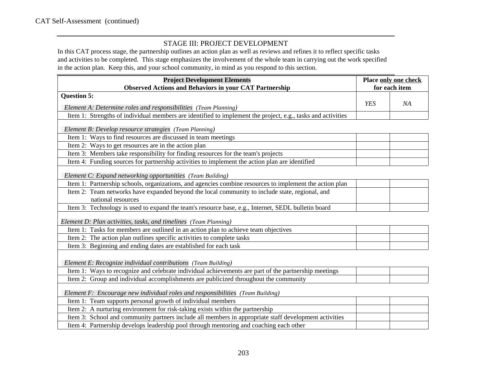#### STAGE III: PROJECT DEVELOPMENT

In this CAT process stage, the partnership outlines an action plan as well as reviews and refines it to reflect specific tasks and activities to be completed. This stage emphasizes the involvement of the whole team in carrying out the work specified in the action plan. Keep this, and your school community, in mind as you respond to this section.

| <b>Project Development Elements</b>                                                                         | Place only one check |               |  |
|-------------------------------------------------------------------------------------------------------------|----------------------|---------------|--|
| <b>Observed Actions and Behaviors in your CAT Partnership</b>                                               |                      | for each item |  |
| <b>Question 5:</b>                                                                                          |                      |               |  |
| Element A: Determine roles and responsibilities (Team Planning)                                             | <b>YES</b>           | NA            |  |
| Item 1: Strengths of individual members are identified to implement the project, e.g., tasks and activities |                      |               |  |
|                                                                                                             |                      |               |  |
| Element B: Develop resource strategies (Team Planning)                                                      |                      |               |  |
| Item 1: Ways to find resources are discussed in team meetings                                               |                      |               |  |
| Item 2: Ways to get resources are in the action plan                                                        |                      |               |  |
| Item 3: Members take responsibility for finding resources for the team's projects                           |                      |               |  |
| Item 4: Funding sources for partnership activities to implement the action plan are identified              |                      |               |  |
| Element C: Expand networking opportunities (Team Building)                                                  |                      |               |  |
| Item 1: Partnership schools, organizations, and agencies combine resources to implement the action plan     |                      |               |  |
| Item 2: Team networks have expanded beyond the local community to include state, regional, and              |                      |               |  |
| national resources                                                                                          |                      |               |  |
| Item 3: Technology is used to expand the team's resource base, e.g., Internet, SEDL bulletin board          |                      |               |  |
| Element D: Plan activities, tasks, and timelines (Team Planning)                                            |                      |               |  |
| Item 1: Tasks for members are outlined in an action plan to achieve team objectives                         |                      |               |  |
| Item 2: The action plan outlines specific activities to complete tasks                                      |                      |               |  |
| Item 3: Beginning and ending dates are established for each task                                            |                      |               |  |
| Element E: Recognize individual contributions (Team Building)                                               |                      |               |  |
| Item 1: Ways to recognize and celebrate individual achievements are part of the partnership meetings        |                      |               |  |
| Item 2: Group and individual accomplishments are publicized throughout the community                        |                      |               |  |
| Element F: Encourage new individual roles and responsibilities (Team Building)                              |                      |               |  |
| Item 1: Team supports personal growth of individual members                                                 |                      |               |  |
| Item 2: A nurturing environment for risk-taking exists within the partnership                               |                      |               |  |
| Item 3: School and community partners include all members in appropriate staff development activities       |                      |               |  |
| Item 4: Partnership develops leadership pool through mentoring and coaching each other                      |                      |               |  |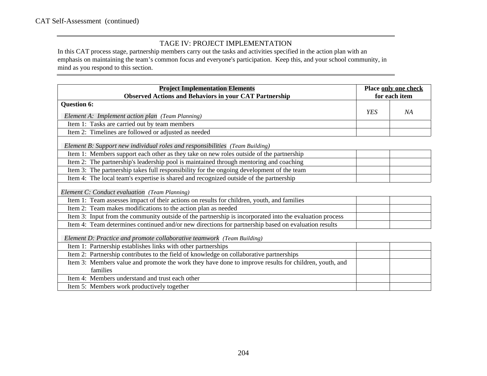#### TAGE IV: PROJECT IMPLEMENTATION

In this CAT process stage, partnership members carry out the tasks and activities specified in the action plan with an emphasis on maintaining the team's common focus and everyone's participation. Keep this, and your school community, in mind as you respond to this section.

| <b>Project Implementation Elements</b>                                                                  | Place only one check<br>for each item |    |  |  |
|---------------------------------------------------------------------------------------------------------|---------------------------------------|----|--|--|
| <b>Observed Actions and Behaviors in your CAT Partnership</b>                                           |                                       |    |  |  |
| Question 6:                                                                                             |                                       |    |  |  |
| Element A: Implement action plan (Team Planning)                                                        | <b>YES</b>                            | NА |  |  |
| Item 1: Tasks are carried out by team members                                                           |                                       |    |  |  |
| Item 2: Timelines are followed or adjusted as needed                                                    |                                       |    |  |  |
| Element B: Support new individual roles and responsibilities (Team Building)                            |                                       |    |  |  |
| Item 1: Members support each other as they take on new roles outside of the partnership                 |                                       |    |  |  |
| Item 2: The partnership's leadership pool is maintained through mentoring and coaching                  |                                       |    |  |  |
| Item 3: The partnership takes full responsibility for the ongoing development of the team               |                                       |    |  |  |
| Item 4: The local team's expertise is shared and recognized outside of the partnership                  |                                       |    |  |  |
| Element C: Conduct evaluation (Team Planning)                                                           |                                       |    |  |  |
| Item 1: Team assesses impact of their actions on results for children, youth, and families              |                                       |    |  |  |
| Item 2: Team makes modifications to the action plan as needed                                           |                                       |    |  |  |
| Item 3: Input from the community outside of the partnership is incorporated into the evaluation process |                                       |    |  |  |
| Item 4: Team determines continued and/or new directions for partnership based on evaluation results     |                                       |    |  |  |
| Element D: Practice and promote collaborative teamwork (Team Building)                                  |                                       |    |  |  |
| Item 1: Partnership establishes links with other partnerships                                           |                                       |    |  |  |
| Item 2: Partnership contributes to the field of knowledge on collaborative partnerships                 |                                       |    |  |  |
| Item 3: Members value and promote the work they have done to improve results for children, youth, and   |                                       |    |  |  |
| families                                                                                                |                                       |    |  |  |
| Item 4: Members understand and trust each other                                                         |                                       |    |  |  |
| Item 5: Members work productively together                                                              |                                       |    |  |  |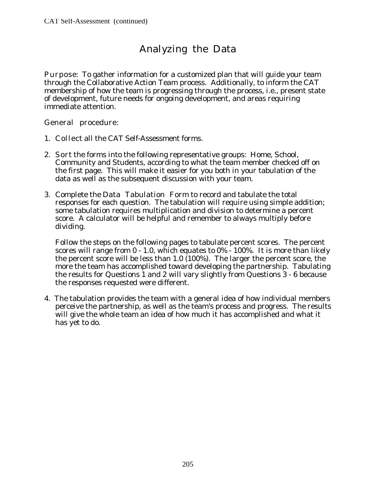# Analyzing the Data

Purpose: To gather information for a customized plan that will guide your team through the Collaborative Action Team process. Additionally, to inform the CAT membership of how the team is progressing through the process, i.e., present state of development, future needs for ongoing development, and areas requiring immediate attention.

General procedure:

- 1. Collect all the CAT Self-Assessment forms.
- 2. Sort the forms into the following representative groups: Home, School, Community and Students, according to what the team member checked off on the first page. This will make it easier for you both in your tabulation of the data as well as the subsequent discussion with your team.
- 3. Complete the Data Tabulation Form to record and tabulate the total responses for each question. The tabulation will require using simple addition; some tabulation requires multiplication and division to determine a percent score. A calculator will be helpful and remember to always multiply before dividing.

Follow the steps on the following pages to tabulate percent scores. The percent scores will range from 0 - 1.0, which equates to 0% - 100%. It is more than likely the percent score will be less than 1.0 (100%). The larger the percent score, the more the team has accomplished toward developing the partnership. Tabulating the results for Questions 1 and 2 will vary slightly from Questions 3 - 6 because the responses requested were different.

4. The tabulation provides the team with a general idea of how individual members perceive the partnership, as well as the team's process and progress. The results will give the whole team an idea of how much it has accomplished and what it has yet to do.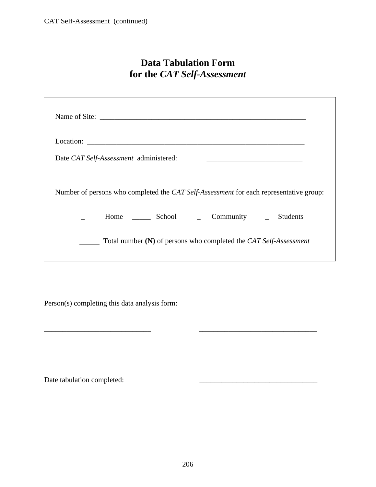# **Data Tabulation Form for the** *CAT Self-Assessment*

|                                        |  | Name of Site:                                                                          |  |
|----------------------------------------|--|----------------------------------------------------------------------------------------|--|
|                                        |  |                                                                                        |  |
| Date CAT Self-Assessment administered: |  |                                                                                        |  |
|                                        |  | Number of persons who completed the CAT Self-Assessment for each representative group: |  |
|                                        |  | ______ Home _______ School _______ Community ______ Students                           |  |
|                                        |  | Total number (N) of persons who completed the CAT Self-Assessment                      |  |

Person(s) completing this data analysis form:

Date tabulation completed:

\_\_\_\_\_\_\_\_\_\_\_\_\_\_\_\_\_\_\_\_\_\_\_\_\_\_\_\_\_ \_\_\_\_\_\_\_\_\_\_\_\_\_\_\_\_\_\_\_\_\_\_\_\_\_\_\_\_\_\_\_\_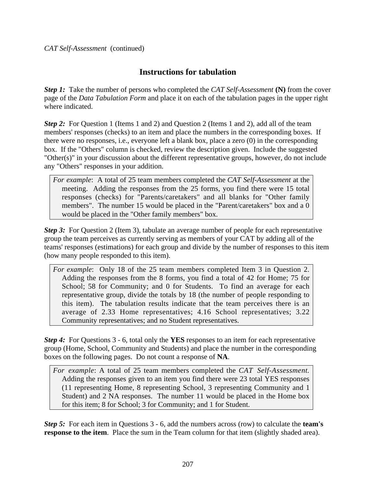## **Instructions for tabulation**

*Step 1:*Take the number of persons who completed the *CAT Self-Assessment* **(N)** from the cover page of the *Data Tabulation Form* and place it on each of the tabulation pages in the upper right where indicated.

**Step 2:** For Question 1 (Items 1 and 2) and Question 2 (Items 1 and 2), add all of the team members' responses (checks) to an item and place the numbers in the corresponding boxes. If there were no responses, i.e., everyone left a blank box, place a zero (0) in the corresponding box. If the "Others" column is checked, review the description given. Include the suggested "Other(s)" in your discussion about the different representative groups, however, do not include any "Others" responses in your addition.

*For example*: A total of 25 team members completed the *CAT Self-Assessment* at the meeting. Adding the responses from the 25 forms, you find there were 15 total responses (checks) for "Parents/caretakers" and all blanks for "Other family members". The number 15 would be placed in the "Parent/caretakers" box and a 0 would be placed in the "Other family members" box.

*Step 3:* For Question 2 (Item 3), tabulate an average number of people for each representative group the team perceives as currently serving as members of your CAT by adding all of the teams' responses (estimations) for each group and divide by the number of responses to this item (how many people responded to this item).

*For example*: Only 18 of the 25 team members completed Item 3 in Question 2. Adding the responses from the 8 forms, you find a total of 42 for Home; 75 for School; 58 for Community; and 0 for Students. To find an average for each representative group, divide the totals by 18 (the number of people responding to this item). The tabulation results indicate that the team perceives there is an average of 2.33 Home representatives; 4.16 School representatives; 3.22 Community representatives; and no Student representatives.

*Step 4:*For Questions 3 - 6, total only the **YES** responses to an item for each representative group (Home, School, Community and Students) and place the number in the corresponding boxes on the following pages. Do not count a response of **NA**.

*For example*: A total of 25 team members completed the *CAT Self-Assessment*. Adding the responses given to an item you find there were 23 total YES responses (11 representing Home, 8 representing School, 3 representing Community and 1 Student) and 2 NA responses. The number 11 would be placed in the Home box for this item; 8 for School; 3 for Community; and 1 for Student.

*Step 5:* For each item in Questions 3 - 6, add the numbers across (row) to calculate the **team's response to the item**. Place the sum in the Team column for that item (slightly shaded area).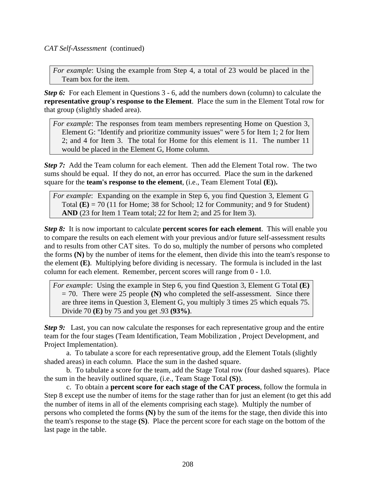*CAT Self-Assessment* (continued)

*For example*: Using the example from Step 4, a total of 23 would be placed in the Team box for the item.

**Step 6:** For each Element in Questions 3 - 6, add the numbers down (column) to calculate the **representative group's response to the Element**. Place the sum in the Element Total row for that group (slightly shaded area).

*For example*: The responses from team members representing Home on Question 3, Element G: "Identify and prioritize community issues" were 5 for Item 1; 2 for Item 2; and 4 for Item 3. The total for Home for this element is 11. The number 11 would be placed in the Element G, Home column.

*Step 7:* Add the Team column for each element. Then add the Element Total row. The two sums should be equal. If they do not, an error has occurred. Place the sum in the darkened square for the **team's response to the element**, (i.e., Team Element Total **(E)**)**.**

*For example*: Expanding on the example in Step 6, you find Question 3, Element G Total  $(E) = 70$  (11 for Home; 38 for School; 12 for Community; and 9 for Student) **AND** (23 for Item 1 Team total; 22 for Item 2; and 25 for Item 3).

*Step 8:*It is now important to calculate **percent scores for each element**. This will enable you to compare the results on each element with your previous and/or future self-assessment results and to results from other CAT sites. To do so, multiply the number of persons who completed the forms **(N)** by the number of items for the element, then divide this into the team's response to the element **(E)**. Multiplying before dividing is necessary. The formula is included in the last column for each element. Remember, percent scores will range from 0 - 1.0.

*For example*: Using the example in Step 6, you find Question 3, Element G Total **(E)** = 70. There were 25 people **(N)** who completed the self-assessment. Since there are three items in Question 3, Element G, you multiply 3 times 25 which equals 75. Divide 70 **(E)** by 75 and you get .93 **(93%)**.

*Step 9:* Last, you can now calculate the responses for each representative group and the entire team for the four stages (Team Identification, Team Mobilization , Project Development, and Project Implementation).

a. To tabulate a score for each representative group, add the Element Totals (slightly shaded areas) in each column. Place the sum in the dashed square.

b. To tabulate a score for the team, add the Stage Total row (four dashed squares). Place the sum in the heavily outlined square, (i.e., Team Stage Total **(S)**).

c. To obtain a **percent score for each stage of the CAT process**, follow the formula in Step 8 except use the number of items for the stage rather than for just an element (to get this add the number of items in all of the elements comprising each stage). Multiply the number of persons who completed the forms **(N)** by the sum of the items for the stage, then divide this into the team's response to the stage **(S)**. Place the percent score for each stage on the bottom of the last page in the table.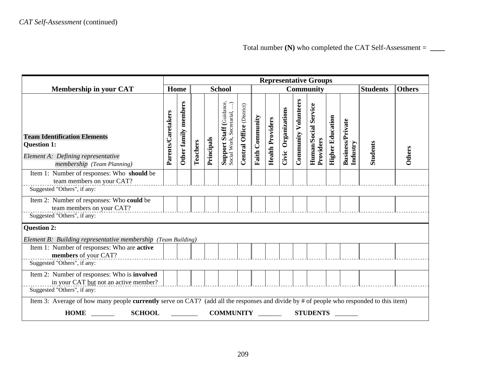|                                                                                                                                                                         | <b>Representative Groups</b> |                         |          |            |                                                                |                                 |                        |                         |                     |                             |                                   |                         |                                     |                 |               |
|-------------------------------------------------------------------------------------------------------------------------------------------------------------------------|------------------------------|-------------------------|----------|------------|----------------------------------------------------------------|---------------------------------|------------------------|-------------------------|---------------------|-----------------------------|-----------------------------------|-------------------------|-------------------------------------|-----------------|---------------|
| <b>Membership in your CAT</b>                                                                                                                                           |                              | Home                    |          |            | <b>School</b>                                                  |                                 |                        |                         |                     |                             | <b>Community</b>                  |                         |                                     | <b>Students</b> | <b>Others</b> |
| <b>Team Identification Elements</b><br><b>Question 1:</b><br>Element A: Defining representative<br>membership (Team Planning)                                           | Parents/Caretakers           | members<br>Other family | Teachers | Principals | <b>Support Staff</b> (Guidance,<br>Social Work, Secretarial, ) | (District)<br>Office<br>Central | <b>Faith Community</b> | <b>Health Providers</b> | Civic Organizations | <b>Community Volunteers</b> | Human/Social Service<br>Providers | <b>Higher Education</b> | <b>Business/Private</b><br>Industry | <b>Students</b> | Others        |
| Item 1: Number of responses: Who should be<br>team members on your CAT?                                                                                                 |                              |                         |          |            |                                                                |                                 |                        |                         |                     |                             |                                   |                         |                                     |                 |               |
| Suggested "Others", if any:                                                                                                                                             |                              |                         |          |            |                                                                |                                 |                        |                         |                     |                             |                                   |                         |                                     |                 |               |
| Item 2: Number of responses: Who could be<br>team members on your CAT?                                                                                                  |                              |                         |          |            |                                                                |                                 |                        |                         |                     |                             |                                   |                         |                                     |                 |               |
| Suggested "Others", if any:                                                                                                                                             |                              |                         |          |            |                                                                |                                 |                        |                         |                     |                             |                                   |                         |                                     |                 |               |
| <b>Question 2:</b><br>Element B: Building representative membership (Team Building)                                                                                     |                              |                         |          |            |                                                                |                                 |                        |                         |                     |                             |                                   |                         |                                     |                 |               |
| Item 1: Number of responses: Who are active<br>members of your CAT?                                                                                                     |                              |                         |          |            |                                                                |                                 |                        |                         |                     |                             |                                   |                         |                                     |                 |               |
| Suggested "Others", if any:                                                                                                                                             |                              |                         |          |            |                                                                |                                 |                        |                         |                     |                             |                                   |                         |                                     |                 |               |
| Item 2: Number of responses: Who is involved<br>in your CAT but not an active member?                                                                                   |                              |                         |          |            |                                                                |                                 |                        |                         |                     |                             |                                   |                         |                                     |                 |               |
| Suggested "Others", if any:                                                                                                                                             |                              |                         |          |            |                                                                |                                 |                        |                         |                     |                             |                                   |                         |                                     |                 |               |
| Item 3: Average of how many people currently serve on CAT? (add all the responses and divide by # of people who responded to this item)<br><b>SCHOOL</b><br><b>HOME</b> |                              | <u>and the state</u>    |          |            | <b>COMMUNITY</b>                                               |                                 |                        |                         |                     |                             | <b>STUDENTS</b>                   |                         |                                     |                 |               |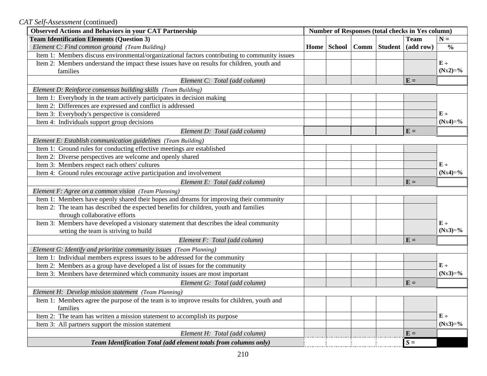*CAT Self-Assessment* (continued)

| <b>Observed Actions and Behaviors in your CAT Partnership</b>                                 | <b>Number of Responses (total checks in Yes column)</b> |                      |  |                |             |               |
|-----------------------------------------------------------------------------------------------|---------------------------------------------------------|----------------------|--|----------------|-------------|---------------|
| <b>Team Identification Elements (Question 3)</b>                                              |                                                         |                      |  |                | <b>Team</b> | $N =$         |
| Element C: Find common ground (Team Building)                                                 |                                                         | Home   School   Comm |  | <b>Student</b> | (add row)   | $\frac{0}{0}$ |
| Item 1: Members discuss environmental/organizational factors contributing to community issues |                                                         |                      |  |                |             |               |
| Item 2: Members understand the impact these issues have on results for children, youth and    |                                                         |                      |  |                |             | $E +$         |
| families                                                                                      |                                                         |                      |  |                |             | $(Nx2)=\%$    |
| Element C: Total (add column)                                                                 |                                                         |                      |  |                | $E =$       |               |
| Element D: Reinforce consensus building skills (Team Building)                                |                                                         |                      |  |                |             |               |
| Item 1: Everybody in the team actively participates in decision making                        |                                                         |                      |  |                |             |               |
| Item 2: Differences are expressed and conflict is addressed                                   |                                                         |                      |  |                |             |               |
| Item 3: Everybody's perspective is considered                                                 |                                                         |                      |  |                |             | $E +$         |
| Item 4: Individuals support group decisions                                                   |                                                         |                      |  |                |             | $(Nx4)=\%$    |
| Element D: Total (add column)                                                                 |                                                         |                      |  |                | $E =$       |               |
| Element E: Establish communication guidelines (Team Building)                                 |                                                         |                      |  |                |             |               |
| Item 1: Ground rules for conducting effective meetings are established                        |                                                         |                      |  |                |             |               |
| Item 2: Diverse perspectives are welcome and openly shared                                    |                                                         |                      |  |                |             |               |
| Item 3: Members respect each others' cultures                                                 |                                                         |                      |  |                |             | $E +$         |
| Item 4: Ground rules encourage active participation and involvement                           |                                                         |                      |  |                |             | $(Nx4)=\%$    |
| Element E: Total (add column)                                                                 |                                                         |                      |  |                | $E =$       |               |
| Element F: Agree on a common vision (Team Planning)                                           |                                                         |                      |  |                |             |               |
| Item 1: Members have openly shared their hopes and dreams for improving their community       |                                                         |                      |  |                |             |               |
| Item 2: The team has described the expected benefits for children, youth and families         |                                                         |                      |  |                |             |               |
| through collaborative efforts                                                                 |                                                         |                      |  |                |             |               |
| Item 3: Members have developed a visionary statement that describes the ideal community       |                                                         |                      |  |                |             | $E +$         |
| setting the team is striving to build                                                         |                                                         |                      |  |                |             | $(Nx3)=\%$    |
| Element F: Total (add column)                                                                 |                                                         |                      |  |                | $E =$       |               |
| Element G: Identify and prioritize community issues (Team Planning)                           |                                                         |                      |  |                |             |               |
| Item 1: Individual members express issues to be addressed for the community                   |                                                         |                      |  |                |             |               |
| Item 2: Members as a group have developed a list of issues for the community                  |                                                         |                      |  |                |             | $E +$         |
| Item 3: Members have determined which community issues are most important                     |                                                         |                      |  |                |             | $(Nx3)=\%$    |
| Element G: Total (add column)                                                                 |                                                         |                      |  |                | $E =$       |               |
| Element H: Develop mission statement (Team Planning)                                          |                                                         |                      |  |                |             |               |
| Item 1: Members agree the purpose of the team is to improve results for children, youth and   |                                                         |                      |  |                |             |               |
| families                                                                                      |                                                         |                      |  |                |             |               |
| Item 2: The team has written a mission statement to accomplish its purpose                    |                                                         |                      |  |                |             | $E +$         |
| Item 3: All partners support the mission statement                                            |                                                         |                      |  |                |             | $(Nx3)=\%$    |
| Element H: Total (add column)                                                                 |                                                         |                      |  |                | $E =$       |               |
| Team Identification Total (add element totals from columns only)                              |                                                         |                      |  |                | $S =$       |               |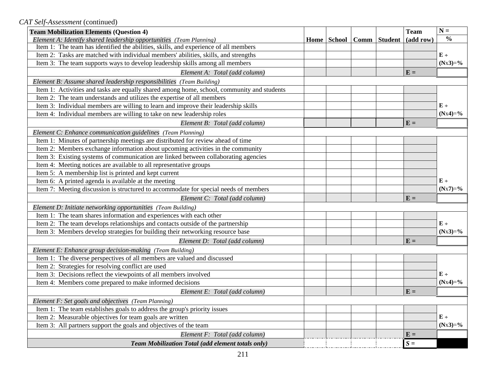*CAT Self-Assessment* (continued)

| <b>Team Mobilization Elements (Question 4)</b>                                             |  |                                | <b>Team</b>  | $N =$         |
|--------------------------------------------------------------------------------------------|--|--------------------------------|--------------|---------------|
| Element A: Identify shared leadership opportunities (Team Planning)                        |  | Home   School   Comm   Student | (add row)    | $\frac{0}{0}$ |
| Item 1: The team has identified the abilities, skills, and experience of all members       |  |                                |              |               |
| Item 2: Tasks are matched with individual members' abilities, skills, and strengths        |  |                                |              | $E +$         |
| Item 3: The team supports ways to develop leadership skills among all members              |  |                                |              | $(Nx3)=\%$    |
| Element A: Total (add column)                                                              |  |                                | $E =$        |               |
| Element B: Assume shared leadership responsibilities (Team Building)                       |  |                                |              |               |
| Item 1: Activities and tasks are equally shared among home, school, community and students |  |                                |              |               |
| Item 2: The team understands and utilizes the expertise of all members                     |  |                                |              |               |
| Item 3: Individual members are willing to learn and improve their leadership skills        |  |                                |              | $E +$         |
| Item 4: Individual members are willing to take on new leadership roles                     |  |                                |              | $(Nx4)=\%$    |
| Element B: Total (add column)                                                              |  |                                | $E =$        |               |
| Element C: Enhance communication guidelines (Team Planning)                                |  |                                |              |               |
| Item 1: Minutes of partnership meetings are distributed for review ahead of time           |  |                                |              |               |
| Item 2: Members exchange information about upcoming activities in the community            |  |                                |              |               |
| Item 3: Existing systems of communication are linked between collaborating agencies        |  |                                |              |               |
| Item 4: Meeting notices are available to all representative groups                         |  |                                |              |               |
| Item 5: A membership list is printed and kept current                                      |  |                                |              |               |
| Item 6: A printed agenda is available at the meeting                                       |  |                                |              | $E +$         |
| Item 7: Meeting discussion is structured to accommodate for special needs of members       |  |                                |              | $(Nx7)=\%$    |
| Element C: Total (add column)                                                              |  |                                | $E =$        |               |
| Element D: Initiate networking opportunities (Team Building)                               |  |                                |              |               |
| Item 1: The team shares information and experiences with each other                        |  |                                |              |               |
| Item 2: The team develops relationships and contacts outside of the partnership            |  |                                |              | $E +$         |
| Item 3: Members develop strategies for building their networking resource base             |  |                                |              | $(Nx3)=\%$    |
| Element D: Total (add column)                                                              |  |                                | $E =$        |               |
| Element E: Enhance group decision-making (Team Building)                                   |  |                                |              |               |
| Item 1: The diverse perspectives of all members are valued and discussed                   |  |                                |              |               |
| Item 2: Strategies for resolving conflict are used                                         |  |                                |              |               |
| Item 3: Decisions reflect the viewpoints of all members involved                           |  |                                |              | $E +$         |
| Item 4: Members come prepared to make informed decisions                                   |  |                                |              | $(Nx4)=\%$    |
| Element E: Total (add column)                                                              |  |                                | $E =$        |               |
| Element F: Set goals and objectives (Team Planning)                                        |  |                                |              |               |
| Item 1: The team establishes goals to address the group's priority issues                  |  |                                |              |               |
| Item 2: Measurable objectives for team goals are written                                   |  |                                |              | $E +$         |
| Item 3: All partners support the goals and objectives of the team                          |  |                                |              | $(Nx3)=\%$    |
| Element F: Total (add column)                                                              |  |                                | $E =$        |               |
| Team Mobilization Total (add element totals only)                                          |  |                                | ${\cal S} =$ |               |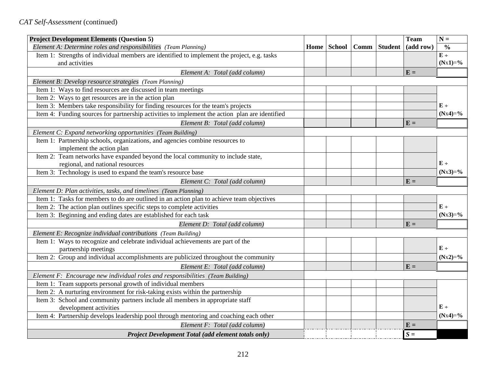| <b>Project Development Elements (Question 5)</b>                                               |                      |                | <b>Team</b> | $N =$         |
|------------------------------------------------------------------------------------------------|----------------------|----------------|-------------|---------------|
| Element A: Determine roles and responsibilities (Team Planning)                                | Home   School   Comm | <b>Student</b> | (add row)   | $\frac{0}{0}$ |
| Item 1: Strengths of individual members are identified to implement the project, e.g. tasks    |                      |                |             | $E +$         |
| and activities                                                                                 |                      |                |             | $(Nx1)=\%$    |
| Element A: Total (add column)                                                                  |                      |                | $E =$       |               |
| Element B: Develop resource strategies (Team Planning)                                         |                      |                |             |               |
| Item 1: Ways to find resources are discussed in team meetings                                  |                      |                |             |               |
| Item 2: Ways to get resources are in the action plan                                           |                      |                |             |               |
| Item 3: Members take responsibility for finding resources for the team's projects              |                      |                |             | $E +$         |
| Item 4: Funding sources for partnership activities to implement the action plan are identified |                      |                |             | $(Nx4)=\%$    |
| Element B: Total (add column)                                                                  |                      |                | $E =$       |               |
| Element C: Expand networking opportunities (Team Building)                                     |                      |                |             |               |
| Item 1: Partnership schools, organizations, and agencies combine resources to                  |                      |                |             |               |
| implement the action plan                                                                      |                      |                |             |               |
| Item 2: Team networks have expanded beyond the local community to include state,               |                      |                |             |               |
| regional, and national resources                                                               |                      |                |             | $E +$         |
| Item 3: Technology is used to expand the team's resource base                                  |                      |                |             | $(Nx3)=\%$    |
| Element C: Total (add column)                                                                  |                      |                | $E =$       |               |
| Element D: Plan activities, tasks, and timelines (Team Planning)                               |                      |                |             |               |
| Item 1: Tasks for members to do are outlined in an action plan to achieve team objectives      |                      |                |             |               |
| Item 2: The action plan outlines specific steps to complete activities                         |                      |                |             | $E \div$      |
| Item 3: Beginning and ending dates are established for each task                               |                      |                |             | $(Nx3)=\%$    |
| Element D: Total (add column)                                                                  |                      |                | $E =$       |               |
| Element E: Recognize individual contributions (Team Building)                                  |                      |                |             |               |
| Item 1: Ways to recognize and celebrate individual achievements are part of the                |                      |                |             |               |
| partnership meetings                                                                           |                      |                |             | $E +$         |
| Item 2: Group and individual accomplishments are publicized throughout the community           |                      |                |             | $(Nx2)=\%$    |
| Element E: Total (add column)                                                                  |                      |                | $E =$       |               |
| Element F: Encourage new individual roles and responsibilities (Team Building)                 |                      |                |             |               |
| Item 1: Team supports personal growth of individual members                                    |                      |                |             |               |
| Item 2: A nurturing environment for risk-taking exists within the partnership                  |                      |                |             |               |
| Item 3: School and community partners include all members in appropriate staff                 |                      |                |             |               |
| development activities                                                                         |                      |                |             | $E +$         |
| Item 4: Partnership develops leadership pool through mentoring and coaching each other         |                      |                |             | $(Nx4)=\%$    |
| Element F: Total (add column)                                                                  |                      |                | $E =$       |               |
| Project Development Total (add element totals only)                                            |                      |                | $S =$       |               |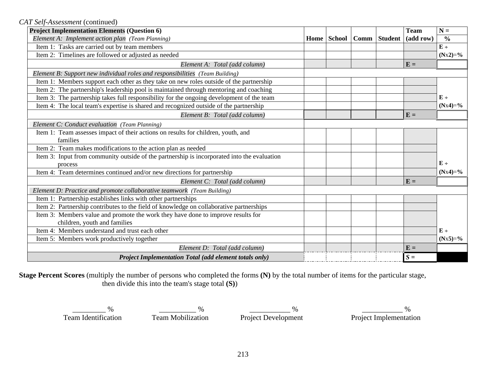*CAT Self-Assessment* (continued)

| <b>Project Implementation Elements (Question 6)</b>                                         |      |             |                | <b>Team</b> | $N =$         |
|---------------------------------------------------------------------------------------------|------|-------------|----------------|-------------|---------------|
| Element A: Implement action plan (Team Planning)                                            | Home | School Comm | <b>Student</b> | (add row)   | $\frac{0}{0}$ |
| Item 1: Tasks are carried out by team members                                               |      |             |                |             | $E +$         |
| Item 2: Timelines are followed or adjusted as needed                                        |      |             |                |             | $(Nx2)=\%$    |
| Element A: Total (add column)                                                               |      |             |                | $E =$       |               |
| Element B: Support new individual roles and responsibilities (Team Building)                |      |             |                |             |               |
| Item 1: Members support each other as they take on new roles outside of the partnership     |      |             |                |             |               |
| Item 2: The partnership's leadership pool is maintained through mentoring and coaching      |      |             |                |             |               |
| Item 3: The partnership takes full responsibility for the ongoing development of the team   |      |             |                |             | $E +$         |
| Item 4: The local team's expertise is shared and recognized outside of the partnership      |      |             |                |             | $(Nx4)=\%$    |
| Element B: Total (add column)                                                               |      |             |                | $E =$       |               |
| Element C: Conduct evaluation (Team Planning)                                               |      |             |                |             |               |
| Item 1: Team assesses impact of their actions on results for children, youth, and           |      |             |                |             |               |
| families                                                                                    |      |             |                |             |               |
| Item 2: Team makes modifications to the action plan as needed                               |      |             |                |             |               |
| Item 3: Input from community outside of the partnership is incorporated into the evaluation |      |             |                |             |               |
| process                                                                                     |      |             |                |             | $E +$         |
| Item 4: Team determines continued and/or new directions for partnership                     |      |             |                |             | $(Nx4)=\%$    |
| Element C: Total (add column)                                                               |      |             |                | $E =$       |               |
| Element D: Practice and promote collaborative teamwork (Team Building)                      |      |             |                |             |               |
| Item 1: Partnership establishes links with other partnerships                               |      |             |                |             |               |
| Item 2: Partnership contributes to the field of knowledge on collaborative partnerships     |      |             |                |             |               |
| Item 3: Members value and promote the work they have done to improve results for            |      |             |                |             |               |
| children, youth and families                                                                |      |             |                |             |               |
| Item 4: Members understand and trust each other                                             |      |             |                |             | $E +$         |
| Item 5: Members work productively together                                                  |      |             |                |             | $(Nx5)=\%$    |
| Element D: Total (add column)                                                               |      |             |                | $E =$       |               |
| <b>Project Implementation Total (add element totals only)</b>                               |      |             |                | $S =$       |               |

**Stage Percent Scores** (multiply the number of persons who completed the forms **(N)** by the total number of items for the particular stage, then divide this into the team's stage total **(S)**)

 $\frac{\%}{\%}$  , which is the set of  $\frac{1}{\%}$  ,  $\frac{1}{\%}$  ,  $\frac{1}{\%}$  ,  $\frac{1}{\%}$  ,  $\frac{1}{\%}$  ,  $\frac{1}{\%}$  ,  $\frac{1}{\%}$  ,  $\frac{1}{\%}$  ,  $\frac{1}{\%}$  ,  $\frac{1}{\%}$  ,  $\frac{1}{\%}$  ,  $\frac{1}{\%}$  ,  $\frac{1}{\%}$  ,  $\frac{1}{\%}$  ,  $\frac{1}{$ 

Team Identification Team Mobilization Project Development Project Implementation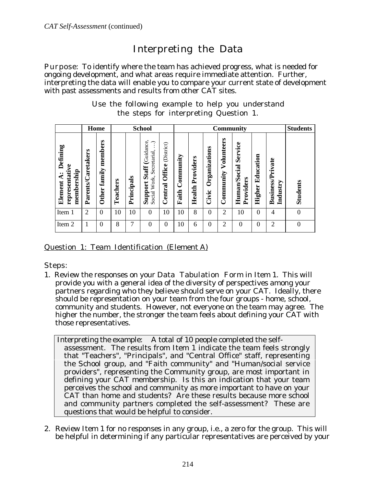# Interpreting the Data

Purpose: To identify where the team has achieved progress, what is needed for ongoing development, and what areas require immediate attention. Further, interpreting the data will enable you to compare your current state of development with past assessments and results from other CAT sites.

|  |  |                                        |  | Use the following example to help you understand |
|--|--|----------------------------------------|--|--------------------------------------------------|
|  |  | the steps for interpreting Question 1. |  |                                                  |

|                                                          |                    | Home                              |          |            | <b>School</b>                                                                          |                                 |                    |                     |                        |                         | <b>Community</b>                     |                     |                                     | <b>Students</b> |
|----------------------------------------------------------|--------------------|-----------------------------------|----------|------------|----------------------------------------------------------------------------------------|---------------------------------|--------------------|---------------------|------------------------|-------------------------|--------------------------------------|---------------------|-------------------------------------|-----------------|
| Defining<br>representative<br>membership<br>₫<br>Element | Parents/Caretakers | members<br>family<br><b>Other</b> | Teachers | Principals | Staff (Guidance,<br>$\cdot$<br>$\bullet$<br>Secretarial,<br>Work,<br>Support<br>Social | (District)<br>Office<br>Central | Community<br>Faith | Providers<br>Health | Organizations<br>Civic | Volunteers<br>Community | Service<br>Human/Social<br>Providers | Education<br>Higher | <b>Business/Private</b><br>Industry | <b>Students</b> |
| Item 1                                                   | $\overline{2}$     | $\theta$                          | 10       | 10         | $\theta$                                                                               | 10                              | 10                 | 8                   | $\theta$               | $\overline{2}$          | 10                                   | $\theta$            | 4                                   | $\overline{0}$  |
| Item 2                                                   |                    | $\Omega$                          | 8        | 7          | $\Omega$                                                                               | $\Omega$                        | 10                 | 6                   | $\Omega$               | $\overline{2}$          | 0                                    | $\theta$            | $\overline{2}$                      | $\mathbf{0}$    |

Question 1: Team Identification (Element A)

Steps:

1. Review the responses on your Data Tabulation Form in Item 1. This will provide you with a general idea of the diversity of perspectives among your partners regarding who they believe should serve on your CAT. Ideally, there should be representation on your team from the four groups - home, school, community and students. However, not everyone on the team may agree. The higher the number, the stronger the team feels about defining your CAT with those representatives.

 Interpreting the example: A total of 10 people completed the selfassessment. The results from Item 1 indicate the team feels strongly that "Teachers", "Principals", and "Central Office" staff, representing the School group, and "Faith community" and "Human/social service providers", representing the Community group, are most important in defining your CAT membership. Is this an indication that your team perceives the school and community as more important to have on your CAT than home and students? Are these results because more school and community partners completed the self-assessment? These are questions that would be helpful to consider.

2. Review Item 1 for no responses in any group, i.e., a zero for the group. This will be helpful in determining if any particular representatives are perceived by your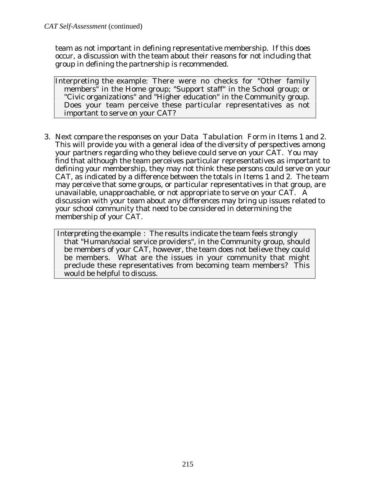team as not important in defining representative membership. If this does occur, a discussion with the team about their reasons for not including that group in defining the partnership is recommended.

Interpreting the example: There were no checks for "Other family members" in the Home group; "Support staff" in the School group; or "Civic organizations" and "Higher education" in the Community group. Does your team perceive these particular representatives as not important to serve on your CAT?

3. Next compare the responses on your Data Tabulation Form in Items 1 and 2. This will provide you with a general idea of the diversity of perspectives among your partners regarding who they believe could serve on your CAT. You may find that although the team perceives particular representatives as important to defining your membership, they may not think these persons could serve on your CAT, as indicated by a difference between the totals in Items 1 and 2. The team may perceive that some groups, or particular representatives in that group, are unavailable, unapproachable, or not appropriate to serve on your CAT. A discussion with your team about any differences may bring up issues related to your school community that need to be considered in determining the membership of your CAT.

 Interpreting the example : The results indicate the team feels strongly that "Human/social service providers", in the Community group, should be members of your CAT, however, the team does not believe they could be members. What are the issues in your community that might preclude these representatives from becoming team members? This would be helpful to discuss.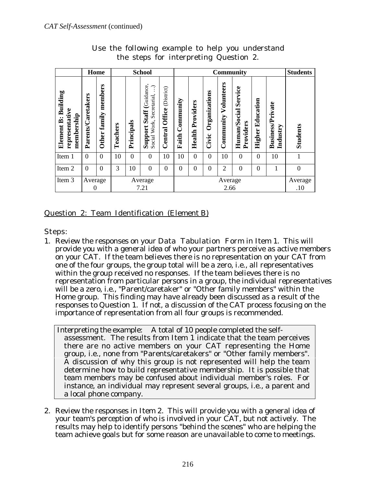|                                                          | Home                |                                   |          |            | <b>School</b>                                                               |                                 |                    |                     |                        |                         | <b>Community</b>                     |                            |                                     | <b>Students</b> |
|----------------------------------------------------------|---------------------|-----------------------------------|----------|------------|-----------------------------------------------------------------------------|---------------------------------|--------------------|---------------------|------------------------|-------------------------|--------------------------------------|----------------------------|-------------------------------------|-----------------|
| Building<br>representative<br>membership<br>ä<br>Element | Parents/Caretakers  | members<br>family<br><b>Other</b> | Teachers | Principals | Guidance<br>ે<br>Secretarial,<br><b>Staff</b><br>Work,<br>Support<br>Social | (District)<br>Office<br>Central | Community<br>Faith | Providers<br>Health | Organizations<br>Civic | Volunteers<br>Community | Service<br>Human/Social<br>Providers | Education<br><b>Higher</b> | <b>Business/Private</b><br>Industry | <b>Students</b> |
| Item 1                                                   | $\theta$            | $\Omega$                          | 10       | $\theta$   | $\Omega$                                                                    | 10                              | 10                 | $\theta$            | $\overline{0}$         | 10                      | $\theta$                             | $\overline{0}$             | 10                                  | $\mathbf{1}$    |
| Item 2                                                   | $\Omega$            | $\Omega$                          | 3        | 10         | $\Omega$                                                                    | $\theta$                        | $\theta$           | $\Omega$            | $\overline{0}$         | $\overline{2}$          | $\Omega$                             | $\overline{0}$             | 1                                   | $\mathbf{0}$    |
| Item 3                                                   | Average<br>$\theta$ |                                   |          |            | Average<br>7.21                                                             |                                 | Average<br>2.66    |                     |                        |                         |                                      |                            | Average<br>.10                      |                 |

Use the following example to help you understand the steps for interpreting Question 2.

#### Question 2: Team Identification (Element B)

Steps:

1. Review the responses on your Data Tabulation Form in Item 1. This will provide you with a general idea of who your partners perceive as active members on your CAT. If the team believes there is no representation on your CAT from one of the four groups, the group total will be a zero, i.e., all representatives within the group received no responses. If the team believes there is no representation from particular persons in a group, the individual representatives will be a zero, i.e., "Parent/caretaker" or "Other family members" within the Home group. This finding may have already been discussed as a result of the responses to Question 1. If not, a discussion of the CAT process focusing on the importance of representation from all four groups is recommended.

 Interpreting the example: A total of 10 people completed the selfassessment. The results from Item 1 indicate that the team perceives there are no active members on your CAT representing the Home group, i.e., none from "Parents/caretakers" or "Other family members". A discussion of why this group is not represented will help the team determine how to build representative membership. It is possible that team members may be confused about individual member's roles. For instance, an individual may represent several groups, i.e., a parent and a local phone company.

2. Review the responses in Item 2. This will provide you with a general idea of your team's perception of who is involved in your CAT, but not actively. The results may help to identify persons "behind the scenes" who are helping the team achieve goals but for some reason are unavailable to come to meetings.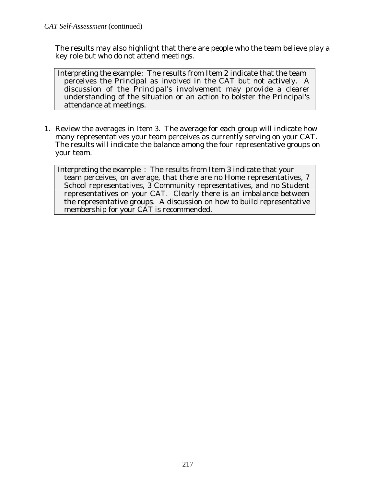The results may also highlight that there are people who the team believe play a key role but who do not attend meetings.

 Interpreting the example: The results from Item 2 indicate that the team perceives the Principal as involved in the CAT but not actively. A discussion of the Principal's involvement may provide a clearer understanding of the situation or an action to bolster the Principal's attendance at meetings.

1. Review the averages in Item 3. The average for each group will indicate how many representatives your team perceives as currently serving on your CAT. The results will indicate the balance among the four representative groups on your team.

 Interpreting the example : The results from Item 3 indicate that your team perceives, on average, that there are no Home representatives, 7 School representatives, 3 Community representatives, and no Student representatives on your CAT. Clearly there is an imbalance between the representative groups. A discussion on how to build representative membership for your CAT is recommended.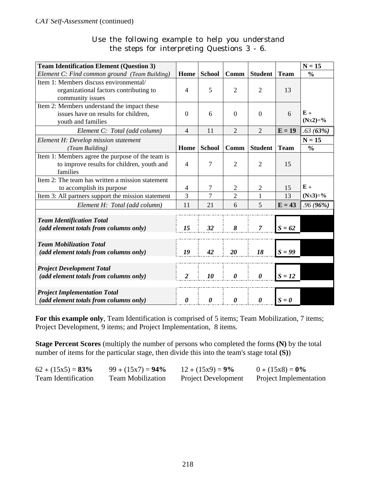|  |  | Use the following example to help you understand |  |  |  |
|--|--|--------------------------------------------------|--|--|--|
|  |  | the steps for interpreting Questions 3 - 6.      |  |  |  |

| <b>Team Identification Element (Question 3)</b>    |                          |                       |                       |                       |             | $\overline{N} = 15$ |
|----------------------------------------------------|--------------------------|-----------------------|-----------------------|-----------------------|-------------|---------------------|
| Element C: Find common ground (Team Building)      | Home                     | <b>School</b>         | Comm                  | <b>Student</b>        | <b>Team</b> | $\frac{0}{0}$       |
| Item 1: Members discuss environmental/             |                          |                       |                       |                       |             |                     |
| organizational factors contributing to             | $\overline{4}$           | 5                     | $\overline{2}$        | $\overline{2}$        | 13          |                     |
| community issues                                   |                          |                       |                       |                       |             |                     |
| Item 2: Members understand the impact these        |                          |                       |                       |                       |             |                     |
| issues have on results for children,               | $\Omega$                 | 6                     | $\Omega$              | $\overline{0}$        | 6           | $E +$               |
| youth and families                                 |                          |                       |                       |                       |             | $(Nx2)=\%$          |
| Element C: Total (add column)                      | $\overline{4}$           | 11                    | $\overline{2}$        | $\overline{2}$        | $E = 19$    | .63(63%)            |
| Element H: Develop mission statement               |                          |                       |                       |                       |             | $N = 15$            |
| (Team Building)                                    | Home                     | <b>School</b>         | Comm                  | <b>Student</b>        | <b>Team</b> | $\frac{0}{0}$       |
| Item 1: Members agree the purpose of the team is   |                          |                       |                       |                       |             |                     |
| to improve results for children, youth and         | $\overline{4}$           | 7                     | $\overline{2}$        | $\overline{2}$        | 15          |                     |
| families                                           |                          |                       |                       |                       |             |                     |
| Item 2: The team has written a mission statement   |                          |                       |                       |                       |             |                     |
| to accomplish its purpose                          | $\overline{\mathcal{A}}$ | 7                     | $\mathfrak{2}$        | $\overline{2}$        | 15          | $E +$               |
| Item 3: All partners support the mission statement | 3                        | 7                     | $\overline{2}$        | 1                     | 13          | $(Nx3)=\%$          |
| Element H: Total (add column)                      | 11                       | 21                    | 6                     | 5                     | $E = 43$    | .96(96%)            |
|                                                    |                          |                       |                       |                       |             |                     |
| <b>Team Identification Total</b>                   |                          |                       |                       |                       |             |                     |
| (add element totals from columns only)             | 15                       | 32                    | 8                     | $\overline{7}$        | $S = 62$    |                     |
|                                                    |                          |                       |                       |                       |             |                     |
| <b>Team Mobilization Total</b>                     |                          |                       |                       |                       |             |                     |
| (add element totals from columns only)             | 19                       | 42                    | 20                    | 18                    | $S = 99$    |                     |
| <b>Project Development Total</b>                   |                          |                       |                       |                       |             |                     |
| (add element totals from columns only)             | $\overline{2}$           | 10                    | 0                     | $\boldsymbol{\theta}$ | $S = 12$    |                     |
|                                                    |                          |                       |                       |                       |             |                     |
| <b>Project Implementation Total</b>                |                          |                       |                       |                       |             |                     |
| (add element totals from columns only)             | $\boldsymbol{\theta}$    | $\boldsymbol{\theta}$ | $\boldsymbol{\theta}$ | $\boldsymbol{\theta}$ | $S = 0$     |                     |

**For this example only**, Team Identification is comprised of 5 items; Team Mobilization, 7 items; Project Development, 9 items; and Project Implementation, 8 items.

**Stage Percent Scores** (multiply the number of persons who completed the forms **(N)** by the total number of items for the particular stage, then divide this into the team's stage total **(S)**)

| $62 \div (15x5) = 83\%$    | $99 \div (15x7) = 94\%$  | $12 \div (15x9) = 9\%$     | $0 \div (15x8) = 0\%$         |
|----------------------------|--------------------------|----------------------------|-------------------------------|
| <b>Team Identification</b> | <b>Team Mobilization</b> | <b>Project Development</b> | <b>Project Implementation</b> |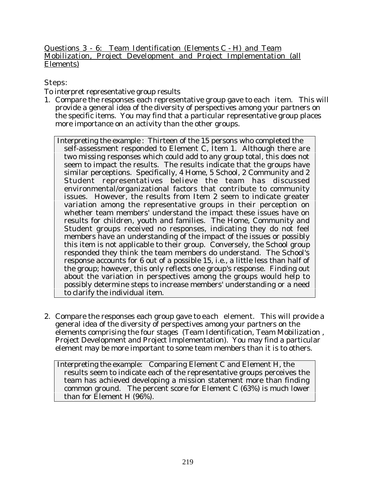Questions  $3 - 6$ : Team Identification (Elements C - H) and Team Mobilization, Project Development and Project Implementation (all Elements)

Steps:

To interpret representative group results

- 1. Compare the responses each representative group gave to each item. This will provide a general idea of the diversity of perspectives among your partners on the specific items. You may find that a particular representative group places more importance on an activity than the other groups.
	- Interpreting the example : Thirteen of the 15 persons who completed the self-assessment responded to Element C, Item 1. Although there are two missing responses which could add to any group total, this does not seem to impact the results. The results indicate that the groups have similar perceptions. Specifically, 4 Home, 5 School, 2 Community and 2 Student representatives believe the team has discussed environmental/organizational factors that contribute to community issues. However, the results from Item 2 seem to indicate greater variation among the representative groups in their perception on whether team members' understand the impact these issues have on results for children, youth and families. The Home, Community and Student groups received no responses, indicating they do not feel members have an understanding of the impact of the issues or possibly this item is not applicable to their group. Conversely, the School group responded they think the team members do understand. The School's response accounts for 6 out of a possible 15, i.e., a little less than half of the group; however, this only reflects one group's response. Finding out about the variation in perspectives among the groups would help to possibly determine steps to increase members' understanding or a need to clarify the individual item.
- 2. Compare the responses each group gave to each element. This will provide a general idea of the diversity of perspectives among your partners on the elements comprising the four stages (Team Identification, Team Mobilization , Project Development and Project Implementation). You may find a particular element may be more important to some team members than it is to others.

 Interpreting the example: Comparing Element C and Element H, the results seem to indicate each of the representative groups perceives the team has achieved developing a mission statement more than finding common ground. The percent score for Element C (63%) is much lower than for Element H (96%).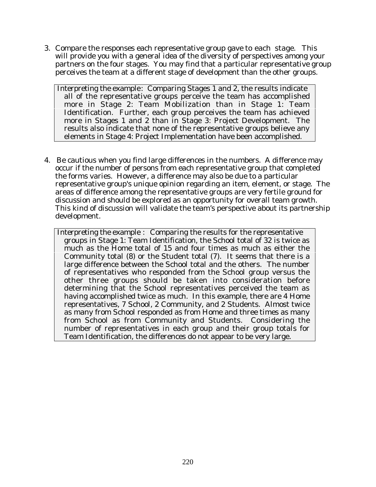3. Compare the responses each representative group gave to each stage. This will provide you with a general idea of the diversity of perspectives among your partners on the four stages. You may find that a particular representative group perceives the team at a different stage of development than the other groups.

 Interpreting the example: Comparing Stages 1 and 2, the results indicate all of the representative groups perceive the team has accomplished more in Stage 2: Team Mobilization than in Stage 1: Team Identification. Further, each group perceives the team has achieved more in Stages 1 and 2 than in Stage 3: Project Development. The results also indicate that none of the representative groups believe any elements in Stage 4: Project Implementation have been accomplished.

4. Be cautious when you find large differences in the numbers. A difference may occur if the number of persons from each representative group that completed the forms varies. However, a difference may also be due to a particular representative group's unique opinion regarding an item, element, or stage. The areas of difference among the representative groups are very fertile ground for discussion and should be explored as an opportunity for overall team growth. This kind of discussion will validate the team's perspective about its partnership development.

 Interpreting the example : Comparing the results for the representative groups in Stage 1: Team Identification, the School total of 32 is twice as much as the Home total of 15 and four times as much as either the Community total (8) or the Student total (7). It seems that there is a large difference between the School total and the others. The number of representatives who responded from the School group versus the other three groups should be taken into consideration before determining that the School representatives perceived the team as having accomplished twice as much. In this example, there are 4 Home representatives, 7 School, 2 Community, and 2 Students. Almost twice as many from School responded as from Home and three times as many from School as from Community and Students. Considering the number of representatives in each group and their group totals for Team Identification, the differences do not appear to be very large.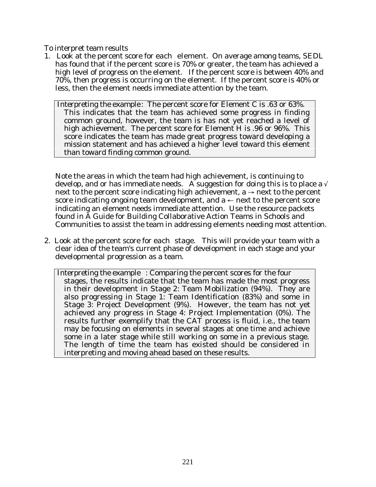To interpret team results

1. Look at the percent score for each element. On average among teams, SEDL has found that if the percent score is 70% or greater, the team has achieved a high level of progress on the element. If the percent score is between 40% and 70%, then progress is occurring on the element. If the percent score is 40% or less, then the element needs immediate attention by the team.

 Interpreting the example: The percent score for Element C is .63 or 63%. This indicates that the team has achieved some progress in finding common ground, however, the team is has not yet reached a level of high achievement. The percent score for Element H is .96 or 96%. This score indicates the team has made great progress toward developing a mission statement and has achieved a higher level toward this element than toward finding common ground.

Note the areas in which the team had high achievement, is continuing to develop, and or has immediate needs. A suggestion for doing this is to place a  $\sqrt{ }$ next to the percent score indicating high achievement,  $a \rightarrow$  next to the percent score indicating ongoing team development, and  $a \leftarrow$  next to the percent score indicating an element needs immediate attention. Use the resource packets found in A Guide for Building Collaborative Action Teams in Schools and Communities to assist the team in addressing elements needing most attention.

2. Look at the percent score for each stage. This will provide your team with a clear idea of the team's current phase of development in each stage and your developmental progression as a team.

 Interpreting the example : Comparing the percent scores for the four stages, the results indicate that the team has made the most progress in their development in Stage 2: Team Mobilization (94%). They are also progressing in Stage 1: Team Identification (83%) and some in Stage 3: Project Development (9%). However, the team has not yet achieved any progress in Stage 4: Project Implementation (0%). The results further exemplify that the CAT process is fluid, i.e., the team may be focusing on elements in several stages at one time and achieve some in a later stage while still working on some in a previous stage. The length of time the team has existed should be considered in interpreting and moving ahead based on these results.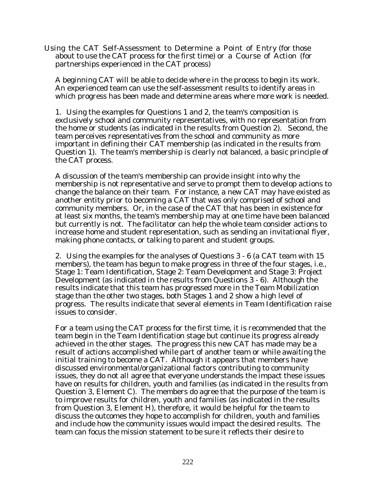Using the CAT Self-Assessment to Determine a Point of Entry (for those about to use the CAT process for the first time) or a Course of Action (for partnerships experienced in the CAT process)

A beginning CAT will be able to decide where in the process to begin its work. An experienced team can use the self-assessment results to identify areas in which progress has been made and determine areas where more work is needed.

1. Using the examples for Questions 1 and 2, the team's composition is exclusively school and community representatives, with no representation from the home or students (as indicated in the results from Question 2). Second, the team perceives representatives from the school and community as more important in defining their CAT membership (as indicated in the results from Question 1). The team's membership is clearly not balanced, a basic principle of the CAT process.

A discussion of the team's membership can provide insight into why the membership is not representative and serve to prompt them to develop actions to change the balance on their team. For instance, a new CAT may have existed as another entity prior to becoming a CAT that was only comprised of school and community members. Or, in the case of the CAT that has been in existence for at least six months, the team's membership may at one time have been balanced but currently is not. The facilitator can help the whole team consider actions to increase home and student representation, such as sending an invitational flyer, making phone contacts, or talking to parent and student groups.

2. Using the examples for the analyses of Questions 3 - 6 (a CAT team with 15 members), the team has begun to make progress in three of the four stages, i.e., Stage 1: Team Identification, Stage 2: Team Development and Stage 3: Project Development (as indicated in the results from Questions 3 - 6). Although the results indicate that this team has progressed more in the Team Mobilization stage than the other two stages, both Stages 1 and 2 show a high level of progress. The results indicate that several elements in Team Identification raise issues to consider.

For a team using the CAT process for the first time, it is recommended that the team begin in the Team Identification stage but continue its progress already achieved in the other stages. The progress this new CAT has made may be a result of actions accomplished while part of another team or while awaiting the initial training to become a CAT. Although it appears that members have discussed environmental/organizational factors contributing to community issues, they do not all agree that everyone understands the impact these issues have on results for children, youth and families (as indicated in the results from Question 3, Element C). The members do agree that the purpose of the team is to improve results for children, youth and families (as indicated in the results from Question 3, Element H), therefore, it would be helpful for the team to discuss the outcomes they hope to accomplish for children, youth and families and include how the community issues would impact the desired results. The team can focus the mission statement to be sure it reflects their desire to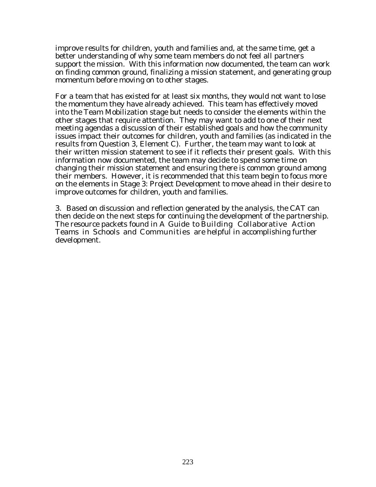improve results for children, youth and families and, at the same time, get a better understanding of why some team members do not feel all partners support the mission. With this information now documented, the team can work on finding common ground, finalizing a mission statement, and generating group momentum before moving on to other stages.

For a team that has existed for at least six months, they would not want to lose the momentum they have already achieved. This team has effectively moved into the Team Mobilization stage but needs to consider the elements within the other stages that require attention. They may want to add to one of their next meeting agendas a discussion of their established goals and how the community issues impact their outcomes for children, youth and families (as indicated in the results from Question 3, Element C). Further, the team may want to look at their written mission statement to see if it reflects their present goals. With this information now documented, the team may decide to spend some time on changing their mission statement and ensuring there is common ground among their members. However, it is recommended that this team begin to focus more on the elements in Stage 3: Project Development to move ahead in their desire to improve outcomes for children, youth and families.

3. Based on discussion and reflection generated by the analysis, the CAT can then decide on the next steps for continuing the development of the partnership. The resource packets found in A Guide to Building Collaborative Action Teams in Schools and Communities are helpful in accomplishing further development.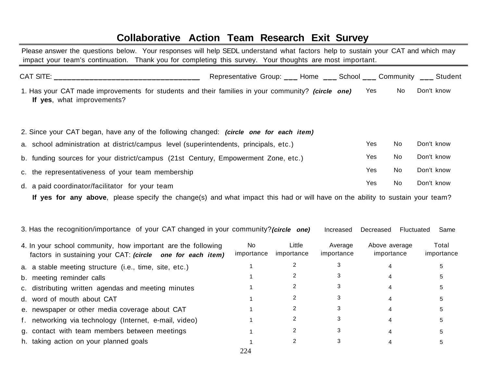### **Collaborative Action Team Research Exit Survey**

 Please answer the questions below. Your responses will help SEDL understand what factors help to sustain your CAT and which may impact your team's continuation. Thank you for completing this survey. Your thoughts are most important.

|                                                                                                                                 | Representative Group: ___ Home ___ School ___ Community ___ Student |                      |                       |                             |            |            |                     |
|---------------------------------------------------------------------------------------------------------------------------------|---------------------------------------------------------------------|----------------------|-----------------------|-----------------------------|------------|------------|---------------------|
| 1. Has your CAT made improvements for students and their families in your community? (circle one)<br>If yes, what improvements? |                                                                     |                      |                       | Yes                         | No         | Don't know |                     |
| 2. Since your CAT began, have any of the following changed: (circle one for each item)                                          |                                                                     |                      |                       |                             |            |            |                     |
| a. school administration at district/campus level (superintendents, principals, etc.)                                           |                                                                     |                      |                       | Yes                         | No         | Don't know |                     |
| b. funding sources for your district/campus (21st Century, Empowerment Zone, etc.)                                              |                                                                     |                      |                       | Yes                         | No         | Don't know |                     |
| c. the representativeness of your team membership                                                                               |                                                                     |                      |                       | <b>Yes</b>                  | No         | Don't know |                     |
| d. a paid coordinator/facilitator for your team                                                                                 |                                                                     |                      |                       | Yes                         | No         | Don't know |                     |
| If yes for any above, please specify the change(s) and what impact this had or will have on the ability to sustain your team?   |                                                                     |                      |                       |                             |            |            |                     |
| 3. Has the recognition/importance of your CAT changed in your community?(circle one)                                            |                                                                     |                      | Increased             | Decreased                   | Fluctuated |            | Same                |
| 4. In your school community, how important are the following<br>factors in sustaining your CAT: (circle one for each item)      | <b>No</b><br>importance                                             | Little<br>importance | Average<br>importance | Above average<br>importance |            |            | Total<br>importance |
| a. a stable meeting structure (i.e., time, site, etc.)                                                                          |                                                                     | $\overline{2}$       | 3                     | 4                           |            |            | 5                   |
| b. meeting reminder calls                                                                                                       |                                                                     | 2                    | 3                     | 4                           |            |            | 5                   |
| c. distributing written agendas and meeting minutes                                                                             |                                                                     | 2                    | 3                     | 4                           |            |            | 5                   |
| d. word of mouth about CAT                                                                                                      |                                                                     | 2                    | 3                     | 4                           |            |            | 5                   |

224

1

| e. newspaper or other media coverage about CAT         |  |
|--------------------------------------------------------|--|
| f. networking via technology (Internet, e-mail, video) |  |
| g. contact with team members between meetings          |  |

h. taking action on your planned goals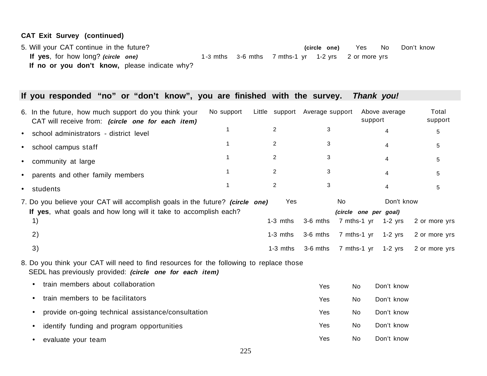#### **CAT Exit Survey (continued)**

5. Will your CAT continue in the future? **(circle one)** Yes No Don't know **If yes**, for how long? **(circle one)** 1-3 mths 3-6 mths 7 mths-1 yr 1-2 yrs 2 or more yrs If no or you don't know, please indicate why?

### **If you responded "no" or "don't know", you are finished with the survey. Thank you!**

| 6. In the future, how much support do you think your<br>CAT will receive from: (circle one for each item)                                              | No support | Little support Average support |            | support                                    | Above average           | Total<br>support |
|--------------------------------------------------------------------------------------------------------------------------------------------------------|------------|--------------------------------|------------|--------------------------------------------|-------------------------|------------------|
| school administrators - district level<br>$\bullet$                                                                                                    |            | $\overline{2}$                 | 3          |                                            | 4                       | 5                |
| school campus staff<br>$\bullet$                                                                                                                       |            | $\overline{2}$                 | 3          |                                            | 4                       | 5                |
| community at large<br>$\bullet$                                                                                                                        |            | $\overline{2}$                 | 3          |                                            | 4                       | 5.               |
| parents and other family members<br>$\bullet$                                                                                                          |            | $\overline{2}$                 | 3          |                                            | 4                       | 5.               |
| students<br>$\bullet$                                                                                                                                  | 1          | $\overline{2}$                 | 3          |                                            | 4                       | 5.               |
| 7. Do you believe your CAT will accomplish goals in the future? (circle one)<br>If yes, what goals and how long will it take to accomplish each?<br>1) |            | Yes<br>$1-3$ mths              | 3-6 mths   | No<br>(circle one per goal)<br>7 mths-1 yr | Don't know<br>$1-2$ yrs | 2 or more yrs    |
| 2)                                                                                                                                                     |            | $1-3$ mths                     | 3-6 mths   | 7 mths-1 yr                                | $1-2$ yrs               | 2 or more yrs    |
| 3)                                                                                                                                                     |            | $1-3$ mths                     | 3-6 mths   | 7 mths-1 yr                                | $1-2$ yrs               | 2 or more yrs    |
| 8. Do you think your CAT will need to find resources for the following to replace those<br>SEDL has previously provided: (circle one for each item)    |            |                                |            |                                            |                         |                  |
| train members about collaboration<br>$\bullet$                                                                                                         |            |                                | Yes        | No                                         | Don't know              |                  |
| train members to be facilitators<br>$\bullet$                                                                                                          |            |                                | Yes        | No                                         | Don't know              |                  |
| provide on-going technical assistance/consultation<br>$\bullet$                                                                                        |            |                                | <b>Yes</b> | No                                         | Don't know              |                  |
| identify funding and program opportunities<br>$\bullet$                                                                                                |            |                                | Yes        | No                                         | Don't know              |                  |
| evaluate your team<br>٠                                                                                                                                |            |                                | Yes        | No                                         | Don't know              |                  |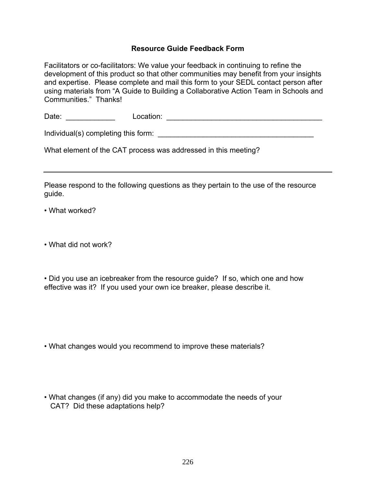#### **Resource Guide Feedback Form**

Facilitators or co-facilitators: We value your feedback in continuing to refine the development of this product so that other communities may benefit from your insights and expertise. Please complete and mail this form to your SEDL contact person after using materials from "A Guide to Building a Collaborative Action Team in Schools and Communities." Thanks!

Date: \_\_\_\_\_\_\_\_\_\_\_\_ Location: \_\_\_\_\_\_\_\_\_\_\_\_\_\_\_\_\_\_\_\_\_\_\_\_\_\_\_\_\_\_\_\_\_\_\_\_\_\_

Individual(s) completing this form: \_\_\_\_\_\_\_\_\_\_\_\_\_\_\_\_\_\_\_\_\_\_\_\_\_\_\_\_\_\_\_\_\_\_\_\_\_\_

What element of the CAT process was addressed in this meeting?

Please respond to the following questions as they pertain to the use of the resource guide.

• What worked?

• What did not work?

• Did you use an icebreaker from the resource guide? If so, which one and how effective was it? If you used your own ice breaker, please describe it.

• What changes would you recommend to improve these materials?

• What changes (if any) did you make to accommodate the needs of your CAT? Did these adaptations help?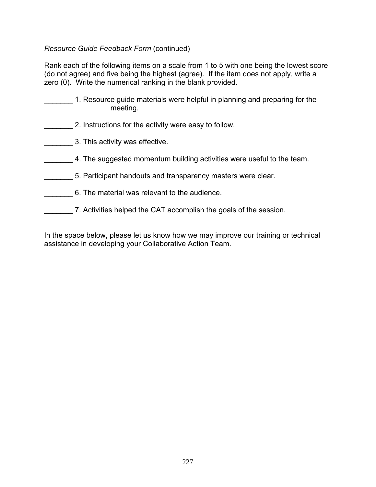#### *Resource Guide Feedback Form* (continued)

Rank each of the following items on a scale from 1 to 5 with one being the lowest score (do not agree) and five being the highest (agree). If the item does not apply, write a zero (0). Write the numerical ranking in the blank provided.

- 1. Resource guide materials were helpful in planning and preparing for the meeting.
	- 2. Instructions for the activity were easy to follow.
- \_\_\_\_\_\_\_ 3. This activity was effective.
- 4. The suggested momentum building activities were useful to the team.
- 5. Participant handouts and transparency masters were clear.
- \_\_\_\_\_\_\_ 6. The material was relevant to the audience.
- 7. Activities helped the CAT accomplish the goals of the session.

In the space below, please let us know how we may improve our training or technical assistance in developing your Collaborative Action Team.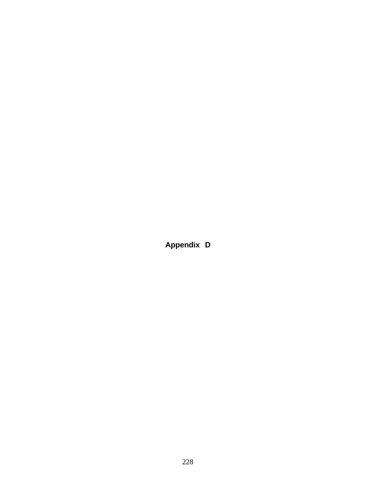**Appendix D**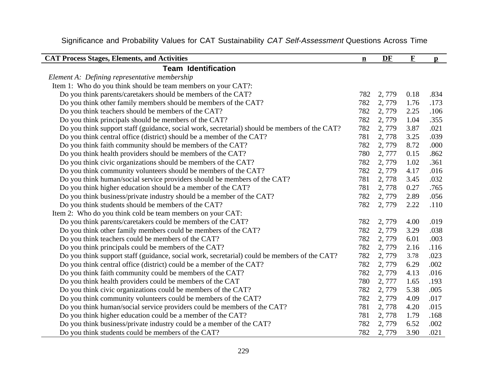| <b>CAT Process Stages, Elements, and Activities</b>                                           | $\mathbf{n}$ | DF    | $\mathbf{F}$ | $\mathbf{p}$ |
|-----------------------------------------------------------------------------------------------|--------------|-------|--------------|--------------|
| <b>Team Identification</b>                                                                    |              |       |              |              |
| Element A: Defining representative membership                                                 |              |       |              |              |
| Item 1: Who do you think should be team members on your CAT?:                                 |              |       |              |              |
| Do you think parents/caretakers should be members of the CAT?                                 | 782          | 2,779 | 0.18         | .834         |
| Do you think other family members should be members of the CAT?                               | 782          | 2,779 | 1.76         | .173         |
| Do you think teachers should be members of the CAT?                                           | 782          | 2,779 | 2.25         | .106         |
| Do you think principals should be members of the CAT?                                         | 782          | 2,779 | 1.04         | .355         |
| Do you think support staff (guidance, social work, secretarial) should be members of the CAT? | 782          | 2,779 | 3.87         | .021         |
| Do you think central office (district) should be a member of the CAT?                         | 781          | 2,778 | 3.25         | .039         |
| Do you think faith community should be members of the CAT?                                    | 782          | 2,779 | 8.72         | .000         |
| Do you think health providers should be members of the CAT?                                   | 780          | 2,777 | 0.15         | .862         |
| Do you think civic organizations should be members of the CAT?                                | 782          | 2,779 | 1.02         | .361         |
| Do you think community volunteers should be members of the CAT?                               | 782          | 2,779 | 4.17         | .016         |
| Do you think human/social service providers should be members of the CAT?                     | 781          | 2,778 | 3.45         | .032         |
| Do you think higher education should be a member of the CAT?                                  | 781          | 2,778 | 0.27         | .765         |
| Do you think business/private industry should be a member of the CAT?                         | 782          | 2,779 | 2.89         | .056         |
| Do you think students should be members of the CAT?                                           | 782          | 2,779 | 2.22         | .110         |
| Item 2: Who do you think cold be team members on your CAT:                                    |              |       |              |              |
| Do you think parents/caretakers could be members of the CAT?                                  | 782          | 2,779 | 4.00         | .019         |
| Do you think other family members could be members of the CAT?                                | 782          | 2,779 | 3.29         | .038         |
| Do you think teachers could be members of the CAT?                                            | 782          | 2,779 | 6.01         | .003         |
| Do you think principals could be members of the CAT?                                          | 782          | 2,779 | 2.16         | .116         |
| Do you think support staff (guidance, social work, secretarial) could be members of the CAT?  | 782          | 2,779 | 3.78         | .023         |
| Do you think central office (district) could be a member of the CAT?                          | 782          | 2,779 | 6.29         | .002         |
| Do you think faith community could be members of the CAT?                                     | 782          | 2,779 | 4.13         | .016         |
| Do you think health providers could be members of the CAT                                     | 780          | 2,777 | 1.65         | .193         |
| Do you think civic organizations could be members of the CAT?                                 | 782          | 2,779 | 5.38         | .005         |
| Do you think community volunteers could be members of the CAT?                                | 782          | 2,779 | 4.09         | .017         |
| Do you think human/social service providers could be members of the CAT?                      | 781          | 2,778 | 4.20         | .015         |
| Do you think higher education could be a member of the CAT?                                   | 781          | 2,778 | 1.79         | .168         |
| Do you think business/private industry could be a member of the CAT?                          | 782          | 2,779 | 6.52         | .002         |
| Do you think students could be members of the CAT?                                            | 782          | 2,779 | 3.90         | .021         |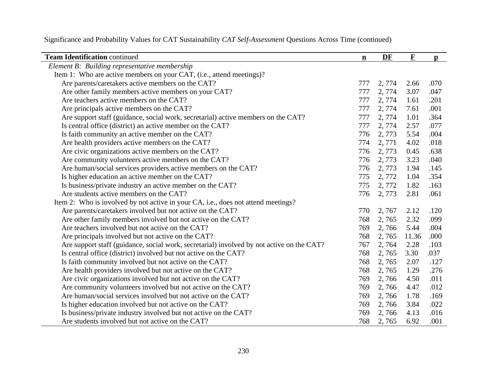| <b>Team Identification continued</b>                                                      | $\mathbf n$ | DF     | $\mathbf F$ | $\mathbf{p}$ |
|-------------------------------------------------------------------------------------------|-------------|--------|-------------|--------------|
| Element B: Building representative membership                                             |             |        |             |              |
| Item 1: Who are active members on your CAT, (i.e., attend meetings)?                      |             |        |             |              |
| Are parents/caretakers active members on the CAT?                                         | 777         | 2,774  | 2.66        | .070         |
| Are other family members active members on your CAT?                                      | 777         | 2, 774 | 3.07        | .047         |
| Are teachers active members on the CAT?                                                   | 777         | 2, 774 | 1.61        | .201         |
| Are principals active members on the CAT?                                                 | 777         | 2,774  | 7.61        | .001         |
| Are support staff (guidance, social work, secretarial) active members on the CAT?         | 777         | 2,774  | 1.01        | .364         |
| Is central office (district) an active member on the CAT?                                 | 777         | 2,774  | 2.57        | .077         |
| Is faith community an active member on the CAT?                                           | 776         | 2,773  | 5.54        | .004         |
| Are health providers active members on the CAT?                                           | 774         | 2,771  | 4.02        | .018         |
| Are civic organizations active members on the CAT?                                        | 776         | 2,773  | 0.45        | .638         |
| Are community volunteers active members on the CAT?                                       | 776         | 2,773  | 3.23        | .040         |
| Are human/social services providers active members on the CAT?                            | 776         | 2,773  | 1.94        | .145         |
| Is higher education an active member on the CAT?                                          | 775         | 2,772  | 1.04        | .354         |
| Is business/private industry an active member on the CAT?                                 | 775         | 2,772  | 1.82        | .163         |
| Are students active members on the CAT?                                                   | 776         | 2,773  | 2.81        | .061         |
| Item 2: Who is involved by not active in your CA, i.e., does not attend meetings?         |             |        |             |              |
| Are parents/caretakers involved but not active on the CAT?                                | 770         | 2,767  | 2.12        | .120         |
| Are other family members involved but not active on the CAT?                              | 768         | 2,765  | 2.32        | .099         |
| Are teachers involved but not active on the CAT?                                          | 769         | 2,766  | 5.44        | .004         |
| Are principals involved but not active on the CAT?                                        | 768         | 2,765  | 11.36       | .000         |
| Are support staff (guidance, social work, secretarial) involved by not active on the CAT? | 767         | 2,764  | 2.28        | .103         |
| Is central office (district) involved but not active on the CAT?                          | 768         | 2,765  | 3.30        | .037         |
| Is faith community involved but not active on the CAT?                                    | 768         | 2,765  | 2.07        | .127         |
| Are health providers involved but not active on the CAT?                                  | 768         | 2,765  | 1.29        | .276         |
| Are civic organizations involved but not active on the CAT?                               | 769         | 2,766  | 4.50        | .011         |
| Are community volunteers involved but not active on the CAT?                              | 769         | 2,766  | 4.47        | .012         |
| Are human/social services involved but not active on the CAT?                             | 769         | 2,766  | 1.78        | .169         |
| Is higher education involved but not active on the CAT?                                   | 769         | 2,766  | 3.84        | .022         |
| Is business/private industry involved but not active on the CAT?                          | 769         | 2,766  | 4.13        | .016         |
| Are students involved but not active on the CAT?                                          | 768         | 2,765  | 6.92        | .001         |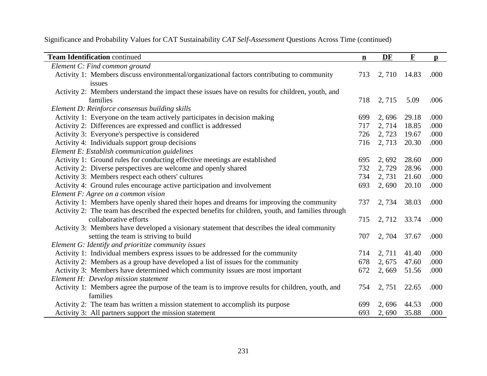| <b>Team Identification continued</b>                                                               | $\underline{\mathbf{n}}$ | DF     | $\mathbf F$ | $\mathbf{p}$ |
|----------------------------------------------------------------------------------------------------|--------------------------|--------|-------------|--------------|
| Element C: Find common ground                                                                      |                          |        |             |              |
| Activity 1: Members discuss environmental/organizational factors contributing to community         | 713                      | 2,710  | 14.83       | .000         |
| issues                                                                                             |                          |        |             |              |
| Activity 2: Members understand the impact these issues have on results for children, youth, and    |                          |        |             |              |
| families                                                                                           | 718                      | 2,715  | 5.09        | .006         |
| Element D: Reinforce consensus building skills                                                     |                          |        |             |              |
| Activity 1: Everyone on the team actively participates in decision making                          | 699                      | 2,696  | 29.18       | .000         |
| Activity 2: Differences are expressed and conflict is addressed                                    | 717                      | 2,714  | 18.85       | .000         |
| Activity 3: Everyone's perspective is considered                                                   | 726                      | 2,723  | 19.67       | .000         |
| Activity 4: Individuals support group decisions                                                    | 716                      | 2, 713 | 20.30       | .000         |
| Element E: Establish communication guidelines                                                      |                          |        |             |              |
| Activity 1: Ground rules for conducting effective meetings are established                         | 695                      | 2,692  | 28.60       | .000         |
| Activity 2: Diverse perspectives are welcome and openly shared                                     | 732                      | 2,729  | 28.96       | .000         |
| Activity 3: Members respect each others' cultures                                                  | 734                      | 2,731  | 21.60       | .000         |
| Activity 4: Ground rules encourage active participation and involvement                            | 693                      | 2,690  | 20.10       | .000         |
| Element F: Agree on a common vision                                                                |                          |        |             |              |
| Activity 1: Members have openly shared their hopes and dreams for improving the community          | 737                      | 2,734  | 38.03       | .000         |
| Activity 2: The team has described the expected benefits for children, youth, and families through |                          |        |             |              |
| collaborative efforts                                                                              | 715                      | 2, 712 | 33.74       | .000         |
| Activity 3: Members have developed a visionary statement that describes the ideal community        |                          |        |             |              |
| setting the team is striving to build                                                              | 707                      | 2,704  | 37.67       | .000         |
| Element G: Identify and prioritize community issues                                                |                          |        |             |              |
| Activity 1: Individual members express issues to be addressed for the community                    | 714                      | 2, 711 | 41.40       | .000         |
| Activity 2: Members as a group have developed a list of issues for the community                   | 678                      | 2, 675 | 47.60       | .000         |
| Activity 3: Members have determined which community issues are most important                      | 672                      | 2,669  | 51.56       | .000         |
| Element H: Develop mission statement                                                               |                          |        |             |              |
| Activity 1: Members agree the purpose of the team is to improve results for children, youth, and   | 754                      | 2,751  | 22.65       | .000         |
| families                                                                                           |                          |        |             |              |
| Activity 2: The team has written a mission statement to accomplish its purpose                     | 699                      | 2,696  | 44.53       | .000         |
| Activity 3: All partners support the mission statement                                             | 693                      | 2,690  | 35.88       | .000         |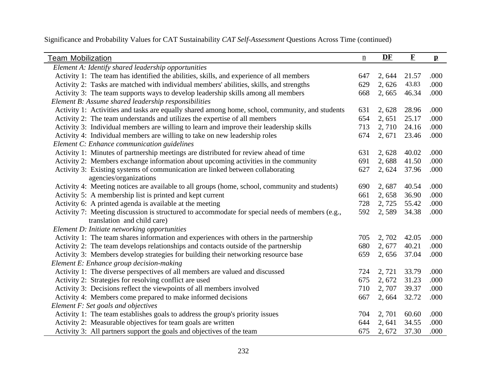| <b>Team Mobilization</b>                                                                        | $\underline{n}$ | DF     | $\mathbf F$ | $\mathbf{p}$ |
|-------------------------------------------------------------------------------------------------|-----------------|--------|-------------|--------------|
| Element A: Identify shared leadership opportunities                                             |                 |        |             |              |
| Activity 1: The team has identified the abilities, skills, and experience of all members        | 647             | 2,644  | 21.57       | .000         |
| Activity 2: Tasks are matched with individual members' abilities, skills, and strengths         | 629             | 2,626  | 43.83       | .000         |
| Activity 3: The team supports ways to develop leadership skills among all members               | 668             | 2,665  | 46.34       | .000         |
| Element B: Assume shared leadership responsibilities                                            |                 |        |             |              |
| Activity 1: Activities and tasks are equally shared among home, school, community, and students | 631             | 2,628  | 28.96       | .000         |
| Activity 2: The team understands and utilizes the expertise of all members                      | 654             | 2,651  | 25.17       | .000         |
| Activity 3: Individual members are willing to learn and improve their leadership skills         | 713             | 2,710  | 24.16       | .000         |
| Activity 4: Individual members are willing to take on new leadership roles                      | 674             | 2, 671 | 23.46       | .000         |
| Element C: Enhance communication guidelines                                                     |                 |        |             |              |
| Activity 1: Minutes of partnership meetings are distributed for review ahead of time            | 631             | 2,628  | 40.02       | .000         |
| Activity 2: Members exchange information about upcoming activities in the community             | 691             | 2,688  | 41.50       | .000         |
| Activity 3: Existing systems of communication are linked between collaborating                  | 627             | 2, 624 | 37.96       | .000         |
| agencies/organizations                                                                          |                 |        |             |              |
| Activity 4: Meeting notices are available to all groups (home, school, community and students)  | 690             | 2,687  | 40.54       | .000         |
| Activity 5: A membership list is printed and kept current                                       | 661             | 2,658  | 36.90       | .000         |
| Activity 6: A printed agenda is available at the meeting                                        | 728             | 2,725  | 55.42       | .000         |
| Activity 7: Meeting discussion is structured to accommodate for special needs of members (e.g., | 592             | 2,589  | 34.38       | .000         |
| translation and child care)                                                                     |                 |        |             |              |
| Element D: Initiate networking opportunities                                                    |                 |        |             |              |
| Activity 1: The team shares information and experiences with others in the partnership          | 705             | 2,702  | 42.05       | .000         |
| Activity 2: The team develops relationships and contacts outside of the partnership             | 680             | 2, 677 | 40.21       | .000         |
| Activity 3: Members develop strategies for building their networking resource base              | 659             | 2,656  | 37.04       | .000         |
| Element E: Enhance group decision-making                                                        |                 |        |             |              |
| Activity 1: The diverse perspectives of all members are valued and discussed                    | 724             | 2,721  | 33.79       | .000         |
| Activity 2: Strategies for resolving conflict are used                                          | 675             | 2,672  | 31.23       | .000         |
| Activity 3: Decisions reflect the viewpoints of all members involved                            | 710             | 2,707  | 39.37       | .000         |
| Activity 4: Members come prepared to make informed decisions                                    | 667             | 2,664  | 32.72       | .000         |
| Element F: Set goals and objectives                                                             |                 |        |             |              |
| Activity 1: The team establishes goals to address the group's priority issues                   | 704             | 2,701  | 60.60       | .000         |
| Activity 2: Measurable objectives for team goals are written                                    | 644             | 2,641  | 34.55       | .000         |
| Activity 3: All partners support the goals and objectives of the team                           | 675             | 2,672  | 37.30       | .000         |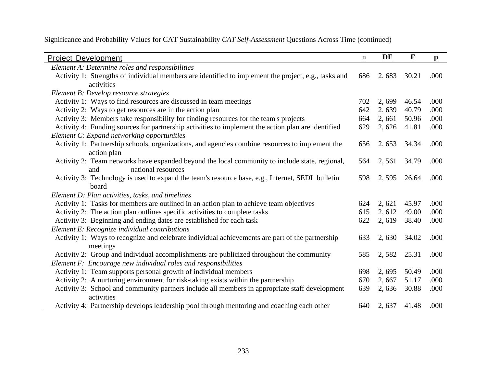| <b>Project Development</b>                                                                                   | $\underline{n}$ | DF     | $\mathbf F$ | $\mathbf{p}$ |
|--------------------------------------------------------------------------------------------------------------|-----------------|--------|-------------|--------------|
| Element A: Determine roles and responsibilities                                                              |                 |        |             |              |
| Activity 1: Strengths of individual members are identified to implement the project, e.g., tasks and         | 686             | 2,683  | 30.21       | .000         |
| activities                                                                                                   |                 |        |             |              |
| Element B: Develop resource strategies                                                                       |                 |        |             |              |
| Activity 1: Ways to find resources are discussed in team meetings                                            | 702             | 2,699  | 46.54       | .000         |
| Activity 2: Ways to get resources are in the action plan                                                     | 642             | 2,639  | 40.79       | .000         |
| Activity 3: Members take responsibility for finding resources for the team's projects                        | 664             | 2,661  | 50.96       | .000         |
| Activity 4: Funding sources for partnership activities to implement the action plan are identified           | 629             | 2,626  | 41.81       | .000         |
| Element C: Expand networking opportunities                                                                   |                 |        |             |              |
| Activity 1: Partnership schools, organizations, and agencies combine resources to implement the              | 656             | 2, 653 | 34.34       | .000         |
| action plan                                                                                                  |                 |        |             |              |
| Activity 2: Team networks have expanded beyond the local community to include state, regional,               | 564             | 2,561  | 34.79       | .000         |
| national resources<br>and                                                                                    |                 |        |             |              |
| Activity 3: Technology is used to expand the team's resource base, e.g., Internet, SEDL bulletin             | 598             | 2,595  | 26.64       | .000         |
| board                                                                                                        |                 |        |             |              |
| Element D: Plan activities, tasks, and timelines                                                             |                 |        |             |              |
| Activity 1: Tasks for members are outlined in an action plan to achieve team objectives                      | 624             | 2, 621 | 45.97       | .000         |
| Activity 2: The action plan outlines specific activities to complete tasks                                   | 615             | 2, 612 | 49.00       | .000         |
| Activity 3: Beginning and ending dates are established for each task                                         | 622             | 2,619  | 38.40       | .000         |
| Element E: Recognize individual contributions                                                                |                 |        |             |              |
| Activity 1: Ways to recognize and celebrate individual achievements are part of the partnership<br>meetings  | 633             | 2,630  | 34.02       | .000         |
| Activity 2: Group and individual accomplishments are publicized throughout the community                     | 585             | 2,582  | 25.31       | .000         |
| Element F: Encourage new individual roles and responsibilities                                               |                 |        |             |              |
| Activity 1: Team supports personal growth of individual members                                              | 698             | 2,695  | 50.49       | .000         |
|                                                                                                              |                 |        |             |              |
| Activity 2: A nurturing environment for risk-taking exists within the partnership                            | 670             | 2,667  | 51.17       | .000         |
| Activity 3: School and community partners include all members in appropriate staff development<br>activities | 639             | 2,636  | 30.88       | .000         |
| Activity 4: Partnership develops leadership pool through mentoring and coaching each other                   | 640             | 2, 637 | 41.48       | .000         |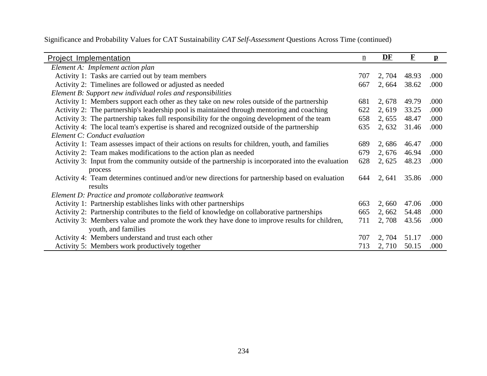| <b>Project Implementation</b>                                                                       | $\underline{n}$ | DF     | $\mathbf F$ | $\mathbf{p}$ |
|-----------------------------------------------------------------------------------------------------|-----------------|--------|-------------|--------------|
| Element A: Implement action plan                                                                    |                 |        |             |              |
| Activity 1: Tasks are carried out by team members                                                   | 707             | 2, 704 | 48.93       | .000         |
| Activity 2: Timelines are followed or adjusted as needed                                            | 667             | 2,664  | 38.62       | .000         |
| Element B: Support new individual roles and responsibilities                                        |                 |        |             |              |
| Activity 1: Members support each other as they take on new roles outside of the partnership         | 681             | 2, 678 | 49.79       | .000         |
| Activity 2: The partnership's leadership pool is maintained through mentoring and coaching          | 622             | 2,619  | 33.25       | .000         |
| Activity 3: The partnership takes full responsibility for the ongoing development of the team       | 658             | 2, 655 | 48.47       | .000         |
| Activity 4: The local team's expertise is shared and recognized outside of the partnership          | 635             | 2,632  | 31.46       | .000         |
| Element C: Conduct evaluation                                                                       |                 |        |             |              |
| Activity 1: Team assesses impact of their actions on results for children, youth, and families      | 689             | 2,686  | 46.47       | .000         |
| Activity 2: Team makes modifications to the action plan as needed                                   | 679             | 2, 676 | 46.94       | .000         |
| Activity 3: Input from the community outside of the partnership is incorporated into the evaluation | 628             | 2, 625 | 48.23       | .000         |
| process                                                                                             |                 |        |             |              |
| Activity 4: Team determines continued and/or new directions for partnership based on evaluation     | 644             | 2, 641 | 35.86       | .000         |
| results                                                                                             |                 |        |             |              |
| Element D: Practice and promote collaborative teamwork                                              |                 |        |             |              |
| Activity 1: Partnership establishes links with other partnerships                                   | 663             | 2,660  | 47.06       | .000         |
| Activity 2: Partnership contributes to the field of knowledge on collaborative partnerships         | 665             | 2,662  | 54.48       | .000         |
| Activity 3: Members value and promote the work they have done to improve results for children,      | 711             | 2,708  | 43.56       | .000         |
| youth, and families                                                                                 |                 |        |             |              |
| Activity 4: Members understand and trust each other                                                 | 707             | 2, 704 | 51.17       | .000         |
| Activity 5: Members work productively together                                                      | 713             | 2,710  | 50.15       | .000         |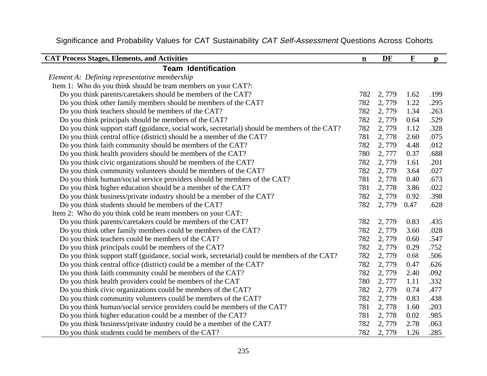| <b>CAT Process Stages, Elements, and Activities</b>                                           | $\mathbf{n}$ | DF    | $\mathbf{F}$ | $\mathbf{p}$ |
|-----------------------------------------------------------------------------------------------|--------------|-------|--------------|--------------|
| <b>Team Identification</b>                                                                    |              |       |              |              |
| Element A: Defining representative membership                                                 |              |       |              |              |
| Item 1: Who do you think should be team members on your CAT?:                                 |              |       |              |              |
| Do you think parents/caretakers should be members of the CAT?                                 | 782          | 2,779 | 1.62         | .199         |
| Do you think other family members should be members of the CAT?                               | 782          | 2,779 | 1.22         | .295         |
| Do you think teachers should be members of the CAT?                                           | 782          | 2,779 | 1.34         | .263         |
| Do you think principals should be members of the CAT?                                         | 782          | 2,779 | 0.64         | .529         |
| Do you think support staff (guidance, social work, secretarial) should be members of the CAT? | 782          | 2,779 | 1.12         | .328         |
| Do you think central office (district) should be a member of the CAT?                         | 781          | 2,778 | 2.60         | .075         |
| Do you think faith community should be members of the CAT?                                    | 782          | 2,779 | 4.48         | .012         |
| Do you think health providers should be members of the CAT?                                   | 780          | 2,777 | 0.37         | .688         |
| Do you think civic organizations should be members of the CAT?                                | 782          | 2,779 | 1.61         | .201         |
| Do you think community volunteers should be members of the CAT?                               | 782          | 2,779 | 3.64         | .027         |
| Do you think human/social service providers should be members of the CAT?                     | 781          | 2,778 | 0.40         | .673         |
| Do you think higher education should be a member of the CAT?                                  | 781          | 2,778 | 3.86         | .022         |
| Do you think business/private industry should be a member of the CAT?                         | 782          | 2,779 | 0.92         | .398         |
| Do you think students should be members of the CAT?                                           | 782          | 2,779 | 0.47         | .628         |
| Item 2: Who do you think cold be team members on your CAT:                                    |              |       |              |              |
| Do you think parents/caretakers could be members of the CAT?                                  | 782          | 2,779 | 0.83         | .435         |
| Do you think other family members could be members of the CAT?                                | 782          | 2,779 | 3.60         | .028         |
| Do you think teachers could be members of the CAT?                                            | 782          | 2,779 | 0.60         | .547         |
| Do you think principals could be members of the CAT?                                          | 782          | 2,779 | 0.29         | .752         |
| Do you think support staff (guidance, social work, secretarial) could be members of the CAT?  | 782          | 2,779 | 0.68         | .506         |
| Do you think central office (district) could be a member of the CAT?                          | 782          | 2,779 | 0.47         | .626         |
| Do you think faith community could be members of the CAT?                                     | 782          | 2,779 | 2.40         | .092         |
| Do you think health providers could be members of the CAT                                     | 780          | 2,777 | 1.11         | .332         |
| Do you think civic organizations could be members of the CAT?                                 | 782          | 2,779 | 0.74         | .477         |
| Do you think community volunteers could be members of the CAT?                                | 782          | 2,779 | 0.83         | .438         |
| Do you think human/social service providers could be members of the CAT?                      | 781          | 2,778 | 1.60         | .203         |
| Do you think higher education could be a member of the CAT?                                   | 781          | 2,778 | 0.02         | .985         |
| Do you think business/private industry could be a member of the CAT?                          | 782          | 2,779 | 2.78         | .063         |
| Do you think students could be members of the CAT?                                            | 782          | 2,779 | 1.26         | .285         |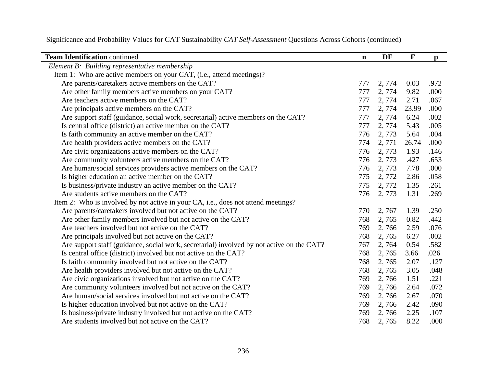| <b>Team Identification continued</b>                                                      | $\mathbf n$ | DF     | $\mathbf F$ | $\mathbf{p}$ |
|-------------------------------------------------------------------------------------------|-------------|--------|-------------|--------------|
| Element B: Building representative membership                                             |             |        |             |              |
| Item 1: Who are active members on your CAT, (i.e., attend meetings)?                      |             |        |             |              |
| Are parents/caretakers active members on the CAT?                                         | 777         | 2,774  | 0.03        | .972         |
| Are other family members active members on your CAT?                                      | 777         | 2,774  | 9.82        | .000         |
| Are teachers active members on the CAT?                                                   | 777         | 2, 774 | 2.71        | .067         |
| Are principals active members on the CAT?                                                 | 777         | 2,774  | 23.99       | .000         |
| Are support staff (guidance, social work, secretarial) active members on the CAT?         | 777         | 2,774  | 6.24        | .002         |
| Is central office (district) an active member on the CAT?                                 | 777         | 2,774  | 5.43        | .005         |
| Is faith community an active member on the CAT?                                           | 776         | 2,773  | 5.64        | .004         |
| Are health providers active members on the CAT?                                           | 774         | 2,771  | 26.74       | .000         |
| Are civic organizations active members on the CAT?                                        | 776         | 2,773  | 1.93        | .146         |
| Are community volunteers active members on the CAT?                                       | 776         | 2,773  | .427        | .653         |
| Are human/social services providers active members on the CAT?                            | 776         | 2,773  | 7.78        | .000         |
| Is higher education an active member on the CAT?                                          | 775         | 2,772  | 2.86        | .058         |
| Is business/private industry an active member on the CAT?                                 | 775         | 2,772  | 1.35        | .261         |
| Are students active members on the CAT?                                                   | 776         | 2,773  | 1.31        | .269         |
| Item 2: Who is involved by not active in your CA, i.e., does not attend meetings?         |             |        |             |              |
| Are parents/caretakers involved but not active on the CAT?                                | 770         | 2,767  | 1.39        | .250         |
| Are other family members involved but not active on the CAT?                              | 768         | 2,765  | 0.82        | .442         |
| Are teachers involved but not active on the CAT?                                          | 769         | 2,766  | 2.59        | .076         |
| Are principals involved but not active on the CAT?                                        | 768         | 2,765  | 6.27        | .002         |
| Are support staff (guidance, social work, secretarial) involved by not active on the CAT? | 767         | 2,764  | 0.54        | .582         |
| Is central office (district) involved but not active on the CAT?                          | 768         | 2,765  | 3.66        | .026         |
| Is faith community involved but not active on the CAT?                                    | 768         | 2,765  | 2.07        | .127         |
| Are health providers involved but not active on the CAT?                                  | 768         | 2,765  | 3.05        | .048         |
| Are civic organizations involved but not active on the CAT?                               | 769         | 2,766  | 1.51        | .221         |
| Are community volunteers involved but not active on the CAT?                              | 769         | 2,766  | 2.64        | .072         |
| Are human/social services involved but not active on the CAT?                             | 769         | 2,766  | 2.67        | .070         |
| Is higher education involved but not active on the CAT?                                   | 769         | 2,766  | 2.42        | .090         |
| Is business/private industry involved but not active on the CAT?                          | 769         | 2,766  | 2.25        | .107         |
| Are students involved but not active on the CAT?                                          | 768         | 2,765  | 8.22        | .000         |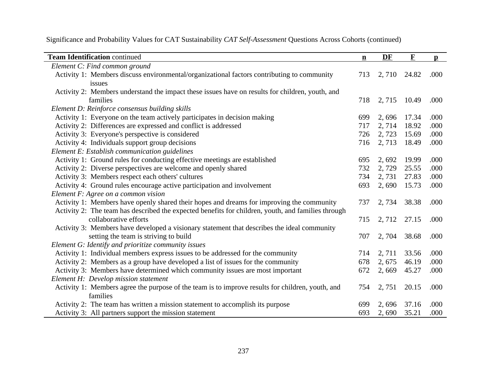| <b>Team Identification continued</b>                                                               | $\mathbf{n}$ | DF     | $\mathbf F$ | $\mathbf{p}$ |
|----------------------------------------------------------------------------------------------------|--------------|--------|-------------|--------------|
| Element C: Find common ground                                                                      |              |        |             |              |
| Activity 1: Members discuss environmental/organizational factors contributing to community         | 713          | 2,710  | 24.82       | .000         |
| issues                                                                                             |              |        |             |              |
| Activity 2: Members understand the impact these issues have on results for children, youth, and    |              |        |             |              |
| families                                                                                           | 718          | 2, 715 | 10.49       | .000         |
| Element D: Reinforce consensus building skills                                                     |              |        |             |              |
| Activity 1: Everyone on the team actively participates in decision making                          | 699          | 2,696  | 17.34       | .000         |
| Activity 2: Differences are expressed and conflict is addressed                                    | 717          | 2,714  | 18.92       | .000         |
| Activity 3: Everyone's perspective is considered                                                   | 726          | 2,723  | 15.69       | .000         |
| Activity 4: Individuals support group decisions                                                    | 716          | 2, 713 | 18.49       | .000         |
| Element E: Establish communication guidelines                                                      |              |        |             |              |
| Activity 1: Ground rules for conducting effective meetings are established                         | 695          | 2,692  | 19.99       | .000         |
| Activity 2: Diverse perspectives are welcome and openly shared                                     | 732          | 2,729  | 25.55       | .000         |
| Activity 3: Members respect each others' cultures                                                  | 734          | 2,731  | 27.83       | .000         |
| Activity 4: Ground rules encourage active participation and involvement                            | 693          | 2,690  | 15.73       | .000         |
| Element $F: \text{Agree}$ on a common vision                                                       |              |        |             |              |
| Activity 1: Members have openly shared their hopes and dreams for improving the community          | 737          | 2,734  | 38.38       | .000         |
| Activity 2: The team has described the expected benefits for children, youth, and families through |              |        |             |              |
| collaborative efforts                                                                              | 715          | 2, 712 | 27.15       | .000         |
| Activity 3: Members have developed a visionary statement that describes the ideal community        |              |        |             |              |
| setting the team is striving to build                                                              | 707          | 2,704  | 38.68       | .000         |
| Element G: Identify and prioritize community issues                                                |              |        |             |              |
| Activity 1: Individual members express issues to be addressed for the community                    | 714          | 2, 711 | 33.56       | .000         |
| Activity 2: Members as a group have developed a list of issues for the community                   | 678          | 2,675  | 46.19       | .000         |
| Activity 3: Members have determined which community issues are most important                      | 672          | 2,669  | 45.27       | .000         |
| Element H: Develop mission statement                                                               |              |        |             |              |
| Activity 1: Members agree the purpose of the team is to improve results for children, youth, and   | 754          | 2,751  | 20.15       | .000         |
| families                                                                                           |              |        |             |              |
| Activity 2: The team has written a mission statement to accomplish its purpose                     | 699          | 2,696  | 37.16       | .000         |
| Activity 3: All partners support the mission statement                                             | 693          | 2,690  | 35.21       | .000         |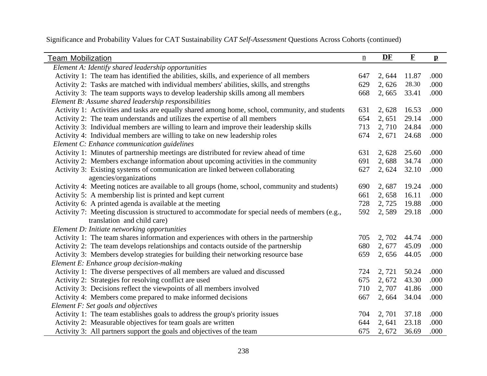| <b>Team Mobilization</b>                                                                        | $\underline{n}$ | DF     | $\mathbf F$ | $\mathbf{p}$ |
|-------------------------------------------------------------------------------------------------|-----------------|--------|-------------|--------------|
| Element A: Identify shared leadership opportunities                                             |                 |        |             |              |
| Activity 1: The team has identified the abilities, skills, and experience of all members        | 647             | 2,644  | 11.87       | .000         |
| Activity 2: Tasks are matched with individual members' abilities, skills, and strengths         | 629             | 2,626  | 28.30       | .000         |
| Activity 3: The team supports ways to develop leadership skills among all members               | 668             | 2,665  | 33.41       | .000         |
| Element B: Assume shared leadership responsibilities                                            |                 |        |             |              |
| Activity 1: Activities and tasks are equally shared among home, school, community, and students | 631             | 2,628  | 16.53       | .000         |
| Activity 2: The team understands and utilizes the expertise of all members                      | 654             | 2,651  | 29.14       | .000         |
| Activity 3: Individual members are willing to learn and improve their leadership skills         | 713             | 2,710  | 24.84       | .000         |
| Activity 4: Individual members are willing to take on new leadership roles                      | 674             | 2, 671 | 24.68       | .000         |
| Element C: Enhance communication guidelines                                                     |                 |        |             |              |
| Activity 1: Minutes of partnership meetings are distributed for review ahead of time            | 631             | 2,628  | 25.60       | .000         |
| Activity 2: Members exchange information about upcoming activities in the community             | 691             | 2,688  | 34.74       | .000         |
| Activity 3: Existing systems of communication are linked between collaborating                  | 627             | 2, 624 | 32.10       | .000         |
| agencies/organizations                                                                          |                 |        |             |              |
| Activity 4: Meeting notices are available to all groups (home, school, community and students)  | 690             | 2,687  | 19.24       | .000         |
| Activity 5: A membership list is printed and kept current                                       | 661             | 2,658  | 16.11       | .000         |
| Activity 6: A printed agenda is available at the meeting                                        | 728             | 2, 725 | 19.88       | .000         |
| Activity 7: Meeting discussion is structured to accommodate for special needs of members (e.g., | 592             | 2,589  | 29.18       | .000         |
| translation and child care)                                                                     |                 |        |             |              |
| Element D: Initiate networking opportunities                                                    |                 |        |             |              |
| Activity 1: The team shares information and experiences with others in the partnership          | 705             | 2,702  | 44.74       | .000         |
| Activity 2: The team develops relationships and contacts outside of the partnership             | 680             | 2, 677 | 45.09       | .000         |
| Activity 3: Members develop strategies for building their networking resource base              | 659             | 2,656  | 44.05       | .000         |
| Element E: Enhance group decision-making                                                        |                 |        |             |              |
| Activity 1: The diverse perspectives of all members are valued and discussed                    | 724             | 2,721  | 50.24       | .000         |
| Activity 2: Strategies for resolving conflict are used                                          | 675             | 2, 672 | 43.30       | .000         |
| Activity 3: Decisions reflect the viewpoints of all members involved                            | 710             | 2, 707 | 41.86       | .000         |
| Activity 4: Members come prepared to make informed decisions                                    | 667             | 2,664  | 34.04       | .000         |
| Element F: Set goals and objectives                                                             |                 |        |             |              |
| Activity 1: The team establishes goals to address the group's priority issues                   | 704             | 2,701  | 37.18       | .000         |
| Activity 2: Measurable objectives for team goals are written                                    | 644             | 2,641  | 23.18       | .000         |
| Activity 3: All partners support the goals and objectives of the team                           | 675             | 2,672  | 36.69       | .000         |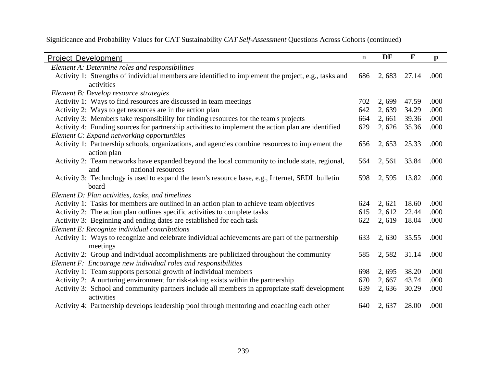| <b>Project Development</b>                                                                           | $\underline{n}$ | DF     | $\mathbf F$ | $\mathbf{p}$ |
|------------------------------------------------------------------------------------------------------|-----------------|--------|-------------|--------------|
| Element A: Determine roles and responsibilities                                                      |                 |        |             |              |
| Activity 1: Strengths of individual members are identified to implement the project, e.g., tasks and | 686             | 2,683  | 27.14       | .000         |
| activities                                                                                           |                 |        |             |              |
| Element B: Develop resource strategies                                                               |                 |        |             |              |
| Activity 1: Ways to find resources are discussed in team meetings                                    | 702             | 2,699  | 47.59       | .000         |
| Activity 2: Ways to get resources are in the action plan                                             | 642             | 2,639  | 34.29       | .000         |
| Activity 3: Members take responsibility for finding resources for the team's projects                | 664             | 2,661  | 39.36       | .000         |
| Activity 4: Funding sources for partnership activities to implement the action plan are identified   | 629             | 2,626  | 35.36       | .000         |
| Element C: Expand networking opportunities                                                           |                 |        |             |              |
| Activity 1: Partnership schools, organizations, and agencies combine resources to implement the      | 656             | 2, 653 | 25.33       | .000         |
| action plan                                                                                          |                 |        |             |              |
| Activity 2: Team networks have expanded beyond the local community to include state, regional,       | 564             | 2,561  | 33.84       | .000         |
| national resources<br>and                                                                            |                 |        |             |              |
| Activity 3: Technology is used to expand the team's resource base, e.g., Internet, SEDL bulletin     | 598             | 2,595  | 13.82       | .000         |
| board                                                                                                |                 |        |             |              |
| Element D: Plan activities, tasks, and timelines                                                     |                 |        |             |              |
| Activity 1: Tasks for members are outlined in an action plan to achieve team objectives              | 624             | 2,621  | 18.60       | .000         |
| Activity 2: The action plan outlines specific activities to complete tasks                           | 615             | 2, 612 | 22.44       | .000         |
| Activity 3: Beginning and ending dates are established for each task                                 | 622             | 2,619  | 18.04       | .000         |
| Element E: Recognize individual contributions                                                        |                 |        |             |              |
| Activity 1: Ways to recognize and celebrate individual achievements are part of the partnership      | 633             | 2,630  | 35.55       | .000         |
| meetings                                                                                             |                 |        |             |              |
| Activity 2: Group and individual accomplishments are publicized throughout the community             | 585             | 2,582  | 31.14       | .000         |
| Element F: Encourage new individual roles and responsibilities                                       |                 |        |             |              |
| Activity 1: Team supports personal growth of individual members                                      | 698             | 2,695  | 38.20       | .000         |
| Activity 2: A nurturing environment for risk-taking exists within the partnership                    | 670             | 2,667  | 43.74       | .000         |
| Activity 3: School and community partners include all members in appropriate staff development       | 639             | 2,636  | 30.29       | .000         |
| activities                                                                                           |                 |        |             |              |
| Activity 4: Partnership develops leadership pool through mentoring and coaching each other           | 640             | 2,637  | 28.00       | .000         |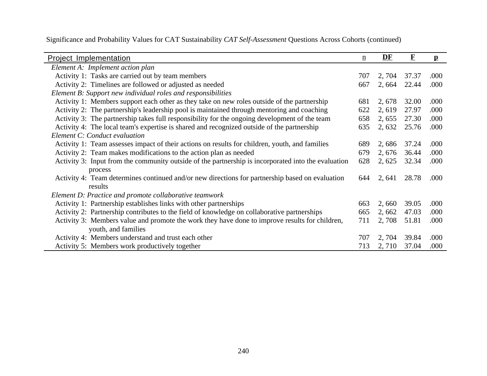| <b>Project Implementation</b>                                                                       | $\underline{\mathbf{n}}$ | DF     | $\mathbf F$ | $\mathbf{p}$ |
|-----------------------------------------------------------------------------------------------------|--------------------------|--------|-------------|--------------|
| Element A: Implement action plan                                                                    |                          |        |             |              |
| Activity 1: Tasks are carried out by team members                                                   | 707                      | 2, 704 | 37.37       | .000         |
| Activity 2: Timelines are followed or adjusted as needed                                            | 667                      | 2,664  | 22.44       | .000         |
| Element B: Support new individual roles and responsibilities                                        |                          |        |             |              |
| Activity 1: Members support each other as they take on new roles outside of the partnership         | 681                      | 2,678  | 32.00       | .000         |
| Activity 2: The partnership's leadership pool is maintained through mentoring and coaching          | 622                      | 2,619  | 27.97       | .000         |
| Activity 3: The partnership takes full responsibility for the ongoing development of the team       | 658                      | 2, 655 | 27.30       | .000         |
| Activity 4: The local team's expertise is shared and recognized outside of the partnership          | 635                      | 2, 632 | 25.76       | .000         |
| Element C: Conduct evaluation                                                                       |                          |        |             |              |
| Activity 1: Team assesses impact of their actions on results for children, youth, and families      | 689                      | 2,686  | 37.24       | .000         |
| Activity 2: Team makes modifications to the action plan as needed                                   | 679                      | 2, 676 | 36.44       | .000         |
| Activity 3: Input from the community outside of the partnership is incorporated into the evaluation | 628                      | 2, 625 | 32.34       | .000         |
| process                                                                                             |                          |        |             |              |
| Activity 4: Team determines continued and/or new directions for partnership based on evaluation     | 644                      | 2, 641 | 28.78       | .000         |
| results                                                                                             |                          |        |             |              |
| Element D: Practice and promote collaborative teamwork                                              |                          |        |             |              |
| Activity 1: Partnership establishes links with other partnerships                                   | 663                      | 2,660  | 39.05       | .000         |
| Activity 2: Partnership contributes to the field of knowledge on collaborative partnerships         | 665                      | 2,662  | 47.03       | .000         |
| Activity 3: Members value and promote the work they have done to improve results for children,      | 711                      | 2,708  | 51.81       | .000         |
| youth, and families                                                                                 |                          |        |             |              |
| Activity 4: Members understand and trust each other                                                 | 707                      | 2, 704 | 39.84       | .000         |
| Activity 5: Members work productively together                                                      | 713                      | 2,710  | 37.04       | .000         |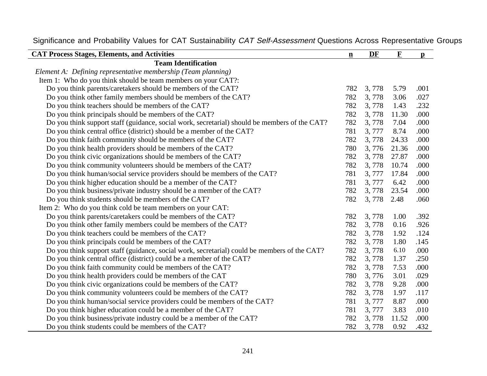| <b>CAT Process Stages, Elements, and Activities</b>                                           | $\mathbf{n}$ | DF    | $\mathbf F$ | $\mathbf{p}$ |
|-----------------------------------------------------------------------------------------------|--------------|-------|-------------|--------------|
| <b>Team Identification</b>                                                                    |              |       |             |              |
| Element A: Defining representative membership (Team planning)                                 |              |       |             |              |
| Item 1: Who do you think should be team members on your CAT?:                                 |              |       |             |              |
| Do you think parents/caretakers should be members of the CAT?                                 | 782          | 3,778 | 5.79        | .001         |
| Do you think other family members should be members of the CAT?                               | 782          | 3,778 | 3.06        | .027         |
| Do you think teachers should be members of the CAT?                                           | 782          | 3,778 | 1.43        | .232         |
| Do you think principals should be members of the CAT?                                         | 782          | 3,778 | 11.30       | .000         |
| Do you think support staff (guidance, social work, secretarial) should be members of the CAT? | 782          | 3,778 | 7.04        | .000         |
| Do you think central office (district) should be a member of the CAT?                         | 781          | 3,777 | 8.74        | .000         |
| Do you think faith community should be members of the CAT?                                    | 782          | 3,778 | 24.33       | .000         |
| Do you think health providers should be members of the CAT?                                   | 780          | 3,776 | 21.36       | .000         |
| Do you think civic organizations should be members of the CAT?                                | 782          | 3,778 | 27.87       | .000         |
| Do you think community volunteers should be members of the CAT?                               | 782          | 3,778 | 10.74       | .000         |
| Do you think human/social service providers should be members of the CAT?                     | 781          | 3,777 | 17.84       | .000         |
| Do you think higher education should be a member of the CAT?                                  | 781          | 3,777 | 6.42        | .000         |
| Do you think business/private industry should be a member of the CAT?                         | 782          | 3,778 | 23.54       | .000         |
| Do you think students should be members of the CAT?                                           | 782          | 3,778 | 2.48        | .060         |
| Item 2: Who do you think cold be team members on your CAT:                                    |              |       |             |              |
| Do you think parents/caretakers could be members of the CAT?                                  | 782          | 3,778 | 1.00        | .392         |
| Do you think other family members could be members of the CAT?                                | 782          | 3,778 | 0.16        | .926         |
| Do you think teachers could be members of the CAT?                                            | 782          | 3,778 | 1.92        | .124         |
| Do you think principals could be members of the CAT?                                          | 782          | 3,778 | 1.80        | .145         |
| Do you think support staff (guidance, social work, secretarial) could be members of the CAT?  | 782          | 3,778 | 6.10        | .000         |
| Do you think central office (district) could be a member of the CAT?                          | 782          | 3,778 | 1.37        | .250         |
| Do you think faith community could be members of the CAT?                                     | 782          | 3,778 | 7.53        | .000         |
| Do you think health providers could be members of the CAT                                     | 780          | 3,776 | 3.01        | .029         |
| Do you think civic organizations could be members of the CAT?                                 | 782          | 3,778 | 9.28        | .000         |
| Do you think community volunteers could be members of the CAT?                                | 782          | 3,778 | 1.97        | .117         |
| Do you think human/social service providers could be members of the CAT?                      | 781          | 3,777 | 8.87        | .000         |
| Do you think higher education could be a member of the CAT?                                   | 781          | 3,777 | 3.83        | .010         |
| Do you think business/private industry could be a member of the CAT?                          | 782          | 3,778 | 11.52       | .000         |
| Do you think students could be members of the CAT?                                            | 782          | 3,778 | 0.92        | .432         |

Significance and Probability Values for CAT Sustainability CAT Self-Assessment Questions Across Representative Groups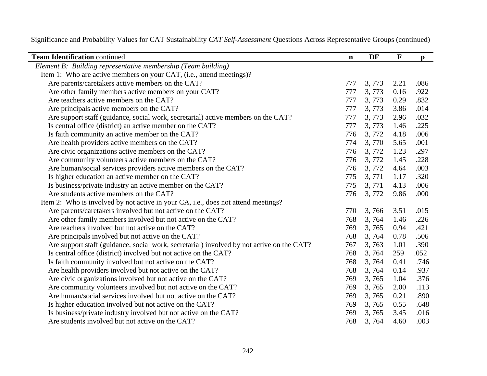| <b>Team Identification continued</b>                                                      | $\mathbf{n}$ | DF    | $\mathbf F$ | $\mathbf{p}$ |
|-------------------------------------------------------------------------------------------|--------------|-------|-------------|--------------|
| Element B: Building representative membership (Team building)                             |              |       |             |              |
| Item 1: Who are active members on your CAT, (i.e., attend meetings)?                      |              |       |             |              |
| Are parents/caretakers active members on the CAT?                                         | 777          | 3,773 | 2.21        | .086         |
| Are other family members active members on your CAT?                                      | 777          | 3,773 | 0.16        | .922         |
| Are teachers active members on the CAT?                                                   | 777          | 3,773 | 0.29        | .832         |
| Are principals active members on the CAT?                                                 | 777          | 3,773 | 3.86        | .014         |
| Are support staff (guidance, social work, secretarial) active members on the CAT?         | 777          | 3,773 | 2.96        | .032         |
| Is central office (district) an active member on the CAT?                                 | 777          | 3,773 | 1.46        | .225         |
| Is faith community an active member on the CAT?                                           | 776          | 3,772 | 4.18        | .006         |
| Are health providers active members on the CAT?                                           | 774          | 3,770 | 5.65        | .001         |
| Are civic organizations active members on the CAT?                                        | 776          | 3,772 | 1.23        | .297         |
| Are community volunteers active members on the CAT?                                       | 776          | 3,772 | 1.45        | .228         |
| Are human/social services providers active members on the CAT?                            | 776          | 3,772 | 4.64        | .003         |
| Is higher education an active member on the CAT?                                          | 775          | 3,771 | 1.17        | .320         |
| Is business/private industry an active member on the CAT?                                 | 775          | 3,771 | 4.13        | .006         |
| Are students active members on the CAT?                                                   | 776          | 3,772 | 9.86        | .000         |
| Item 2: Who is involved by not active in your CA, i.e., does not attend meetings?         |              |       |             |              |
| Are parents/caretakers involved but not active on the CAT?                                | 770          | 3,766 | 3.51        | .015         |
| Are other family members involved but not active on the CAT?                              | 768          | 3,764 | 1.46        | .226         |
| Are teachers involved but not active on the CAT?                                          | 769          | 3,765 | 0.94        | .421         |
| Are principals involved but not active on the CAT?                                        | 768          | 3,764 | 0.78        | .506         |
| Are support staff (guidance, social work, secretarial) involved by not active on the CAT? | 767          | 3,763 | 1.01        | .390         |
| Is central office (district) involved but not active on the CAT?                          | 768          | 3,764 | 259         | .052         |
| Is faith community involved but not active on the CAT?                                    | 768          | 3,764 | 0.41        | .746         |
| Are health providers involved but not active on the CAT?                                  | 768          | 3,764 | 0.14        | .937         |
| Are civic organizations involved but not active on the CAT?                               | 769          | 3,765 | 1.04        | .376         |
| Are community volunteers involved but not active on the CAT?                              | 769          | 3,765 | 2.00        | .113         |
| Are human/social services involved but not active on the CAT?                             | 769          | 3,765 | 0.21        | .890         |
| Is higher education involved but not active on the CAT?                                   | 769          | 3,765 | 0.55        | .648         |
| Is business/private industry involved but not active on the CAT?                          | 769          | 3,765 | 3.45        | .016         |
| Are students involved but not active on the CAT?                                          | 768          | 3,764 | 4.60        | .003         |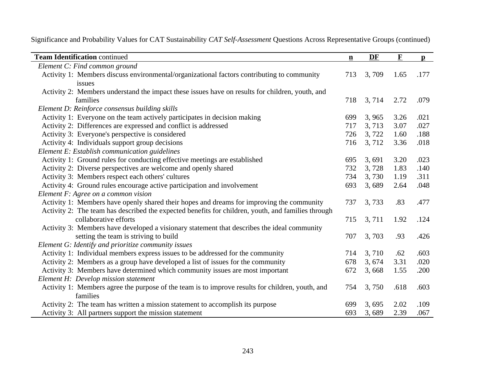| <b>Team Identification continued</b>                                                               | $\mathbf{n}$ | DF    | $\mathbf F$ | $\mathbf{p}$ |
|----------------------------------------------------------------------------------------------------|--------------|-------|-------------|--------------|
| Element C: Find common ground                                                                      |              |       |             |              |
| Activity 1: Members discuss environmental/organizational factors contributing to community         | 713          | 3,709 | 1.65        | .177         |
| issues                                                                                             |              |       |             |              |
| Activity 2: Members understand the impact these issues have on results for children, youth, and    |              |       |             |              |
| families                                                                                           | 718          | 3,714 | 2.72        | .079         |
| Element D: Reinforce consensus building skills                                                     |              |       |             |              |
| Activity 1: Everyone on the team actively participates in decision making                          | 699          | 3,965 | 3.26        | .021         |
| Activity 2: Differences are expressed and conflict is addressed                                    | 717          | 3,713 | 3.07        | .027         |
| Activity 3: Everyone's perspective is considered                                                   | 726          | 3,722 | 1.60        | .188         |
| Activity 4: Individuals support group decisions                                                    | 716          | 3,712 | 3.36        | .018         |
| Element E: Establish communication guidelines                                                      |              |       |             |              |
| Activity 1: Ground rules for conducting effective meetings are established                         | 695          | 3,691 | 3.20        | .023         |
| Activity 2: Diverse perspectives are welcome and openly shared                                     | 732          | 3,728 | 1.83        | .140         |
| Activity 3: Members respect each others' cultures                                                  | 734          | 3,730 | 1.19        | .311         |
| Activity 4: Ground rules encourage active participation and involvement                            | 693          | 3,689 | 2.64        | .048         |
| Element F: Agree on a common vision                                                                |              |       |             |              |
| Activity 1: Members have openly shared their hopes and dreams for improving the community          | 737          | 3,733 | .83         | .477         |
| Activity 2: The team has described the expected benefits for children, youth, and families through |              |       |             |              |
| collaborative efforts                                                                              | 715          | 3,711 | 1.92        | .124         |
| Activity 3: Members have developed a visionary statement that describes the ideal community        |              |       |             |              |
| setting the team is striving to build                                                              | 707          | 3,703 | .93         | .426         |
| Element G: Identify and prioritize community issues                                                |              |       |             |              |
| Activity 1: Individual members express issues to be addressed for the community                    | 714          | 3,710 | .62         | .603         |
| Activity 2: Members as a group have developed a list of issues for the community                   | 678          | 3,674 | 3.31        | .020         |
| Activity 3: Members have determined which community issues are most important                      | 672          | 3,668 | 1.55        | .200         |
| Element H: Develop mission statement                                                               |              |       |             |              |
| Activity 1: Members agree the purpose of the team is to improve results for children, youth, and   | 754          | 3,750 | .618        | .603         |
| families                                                                                           |              |       |             |              |
| Activity 2: The team has written a mission statement to accomplish its purpose                     | 699          | 3,695 | 2.02        | .109         |
| Activity 3: All partners support the mission statement                                             | 693          | 3,689 | 2.39        | .067         |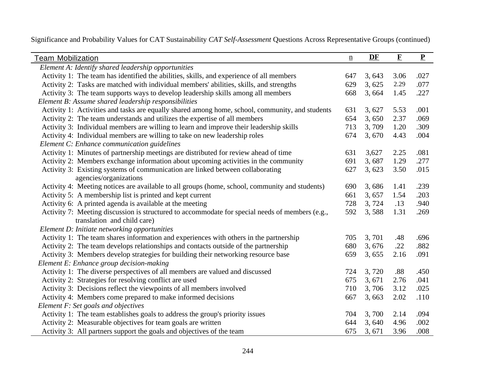| <b>Team Mobilization</b>                                                                        | $\underline{n}$ | DF     | $\mathbf F$ | $\mathbf P$ |
|-------------------------------------------------------------------------------------------------|-----------------|--------|-------------|-------------|
| Element A: Identify shared leadership opportunities                                             |                 |        |             |             |
| Activity 1: The team has identified the abilities, skills, and experience of all members        | 647             | 3,643  | 3.06        | .027        |
| Activity 2: Tasks are matched with individual members' abilities, skills, and strengths         | 629             | 3,625  | 2.29        | .077        |
| Activity 3: The team supports ways to develop leadership skills among all members               | 668             | 3,664  | 1.45        | .227        |
| Element B: Assume shared leadership responsibilities                                            |                 |        |             |             |
| Activity 1: Activities and tasks are equally shared among home, school, community, and students | 631             | 3,627  | 5.53        | .001        |
| Activity 2: The team understands and utilizes the expertise of all members                      | 654             | 3,650  | 2.37        | .069        |
| Activity 3: Individual members are willing to learn and improve their leadership skills         | 713             | 3,709  | 1.20        | .309        |
| Activity 4: Individual members are willing to take on new leadership roles                      | 674             | 3,670  | 4.43        | .004        |
| Element C: Enhance communication guidelines                                                     |                 |        |             |             |
| Activity 1: Minutes of partnership meetings are distributed for review ahead of time            | 631             | 3,627  | 2.25        | .081        |
| Activity 2: Members exchange information about upcoming activities in the community             | 691             | 3,687  | 1.29        | .277        |
| Activity 3: Existing systems of communication are linked between collaborating                  | 627             | 3, 623 | 3.50        | .015        |
| agencies/organizations                                                                          |                 |        |             |             |
| Activity 4: Meeting notices are available to all groups (home, school, community and students)  | 690             | 3,686  | 1.41        | .239        |
| Activity 5: A membership list is printed and kept current                                       | 661             | 3,657  | 1.54        | .203        |
| Activity 6: A printed agenda is available at the meeting                                        | 728             | 3,724  | .13         | .940        |
| Activity 7: Meeting discussion is structured to accommodate for special needs of members (e.g., | 592             | 3,588  | 1.31        | .269        |
| translation and child care)                                                                     |                 |        |             |             |
| Element D: Initiate networking opportunities                                                    |                 |        |             |             |
| Activity 1: The team shares information and experiences with others in the partnership          | 705             | 3,701  | .48         | .696        |
| Activity 2: The team develops relationships and contacts outside of the partnership             | 680             | 3,676  | .22         | .882        |
| Activity 3: Members develop strategies for building their networking resource base              | 659             | 3,655  | 2.16        | .091        |
| Element E: Enhance group decision-making                                                        |                 |        |             |             |
| Activity 1: The diverse perspectives of all members are valued and discussed                    | 724             | 3,720  | .88         | .450        |
| Activity 2: Strategies for resolving conflict are used                                          | 675             | 3,671  | 2.76        | .041        |
| Activity 3: Decisions reflect the viewpoints of all members involved                            | 710             | 3,706  | 3.12        | .025        |
| Activity 4: Members come prepared to make informed decisions                                    | 667             | 3,663  | 2.02        | .110        |
| Element F: Set goals and objectives                                                             |                 |        |             |             |
| Activity 1: The team establishes goals to address the group's priority issues                   | 704             | 3,700  | 2.14        | .094        |
| Activity 2: Measurable objectives for team goals are written                                    | 644             | 3,640  | 4.96        | .002        |
| Activity 3: All partners support the goals and objectives of the team                           | 675             | 3,671  | 3.96        | .008        |

Significance and Probability Values for CAT Sustainability *CAT Self-Assessment* Questions Across Representative Groups (continued)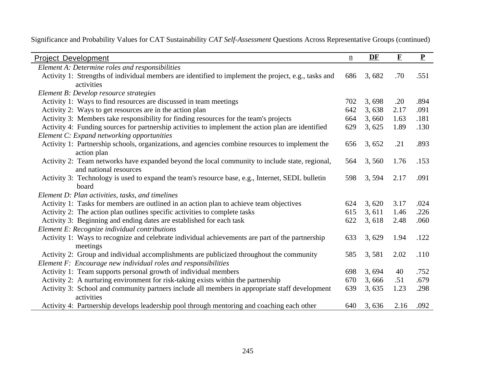| <b>Project Development</b>                                                                           | $\underline{n}$ | DF    | $\mathbf F$ | $\mathbf{P}$ |
|------------------------------------------------------------------------------------------------------|-----------------|-------|-------------|--------------|
| Element A: Determine roles and responsibilities                                                      |                 |       |             |              |
| Activity 1: Strengths of individual members are identified to implement the project, e.g., tasks and | 686             | 3,682 | .70         | .551         |
| activities                                                                                           |                 |       |             |              |
| Element B: Develop resource strategies                                                               |                 |       |             |              |
| Activity 1: Ways to find resources are discussed in team meetings                                    | 702             | 3,698 | .20         | .894         |
| Activity 2: Ways to get resources are in the action plan                                             | 642             | 3,638 | 2.17        | .091         |
| Activity 3: Members take responsibility for finding resources for the team's projects                | 664             | 3,660 | 1.63        | .181         |
| Activity 4: Funding sources for partnership activities to implement the action plan are identified   | 629             | 3,625 | 1.89        | .130         |
| Element C: Expand networking opportunities                                                           |                 |       |             |              |
| Activity 1: Partnership schools, organizations, and agencies combine resources to implement the      | 656             | 3,652 | .21         | .893         |
| action plan                                                                                          |                 |       |             |              |
| Activity 2: Team networks have expanded beyond the local community to include state, regional,       | 564             | 3,560 | 1.76        | .153         |
| and national resources                                                                               |                 |       |             |              |
| Activity 3: Technology is used to expand the team's resource base, e.g., Internet, SEDL bulletin     | 598             | 3,594 | 2.17        | .091         |
| board                                                                                                |                 |       |             |              |
| Element D: Plan activities, tasks, and timelines                                                     |                 |       |             |              |
| Activity 1: Tasks for members are outlined in an action plan to achieve team objectives              | 624             | 3,620 | 3.17        | .024         |
| Activity 2: The action plan outlines specific activities to complete tasks                           | 615             | 3,611 | 1.46        | .226         |
| Activity 3: Beginning and ending dates are established for each task                                 | 622             | 3,618 | 2.48        | .060         |
| Element E: Recognize individual contributions                                                        |                 |       |             |              |
| Activity 1: Ways to recognize and celebrate individual achievements are part of the partnership      | 633             | 3,629 | 1.94        | .122         |
| meetings                                                                                             |                 |       |             |              |
| Activity 2: Group and individual accomplishments are publicized throughout the community             | 585             | 3,581 | 2.02        | .110         |
| Element F: Encourage new individual roles and responsibilities                                       |                 |       |             |              |
| Activity 1: Team supports personal growth of individual members                                      | 698             | 3,694 | 40          | .752         |
| Activity 2: A nurturing environment for risk-taking exists within the partnership                    | 670             | 3,666 | .51         | .679         |
| Activity 3: School and community partners include all members in appropriate staff development       | 639             | 3,635 | 1.23        | .298         |
| activities                                                                                           |                 |       |             |              |
| Activity 4: Partnership develops leadership pool through mentoring and coaching each other           | 640             | 3,636 | 2.16        | .092         |

Significance and Probability Values for CAT Sustainability *CAT Self-Assessment* Questions Across Representative Groups (continued)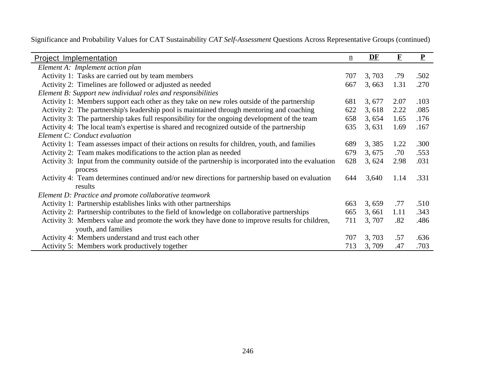| <b>Project Implementation</b>                                                                       | $\underline{n}$ | DF     | $\mathbf F$ | $\mathbf P$ |
|-----------------------------------------------------------------------------------------------------|-----------------|--------|-------------|-------------|
| Element A: Implement action plan                                                                    |                 |        |             |             |
| Activity 1: Tasks are carried out by team members                                                   | 707             | 3,703  | .79         | .502        |
| Activity 2: Timelines are followed or adjusted as needed                                            | 667             | 3,663  | 1.31        | .270        |
| Element B: Support new individual roles and responsibilities                                        |                 |        |             |             |
| Activity 1: Members support each other as they take on new roles outside of the partnership         | 681             | 3, 677 | 2.07        | .103        |
| Activity 2: The partnership's leadership pool is maintained through mentoring and coaching          | 622             | 3,618  | 2.22        | .085        |
| Activity 3: The partnership takes full responsibility for the ongoing development of the team       | 658             | 3,654  | 1.65        | .176        |
| Activity 4: The local team's expertise is shared and recognized outside of the partnership          | 635             | 3,631  | 1.69        | .167        |
| Element C: Conduct evaluation                                                                       |                 |        |             |             |
| Activity 1: Team assesses impact of their actions on results for children, youth, and families      | 689             | 3,385  | 1.22        | .300        |
| Activity 2: Team makes modifications to the action plan as needed                                   | 679             | 3, 675 | .70         | .553        |
| Activity 3: Input from the community outside of the partnership is incorporated into the evaluation | 628             | 3,624  | 2.98        | .031        |
| process                                                                                             |                 |        |             |             |
| Activity 4: Team determines continued and/or new directions for partnership based on evaluation     | 644             | 3,640  | 1.14        | .331        |
| results                                                                                             |                 |        |             |             |
| Element D: Practice and promote collaborative teamwork                                              |                 |        |             |             |
| Activity 1: Partnership establishes links with other partnerships                                   | 663             | 3,659  | .77         | .510        |
| Activity 2: Partnership contributes to the field of knowledge on collaborative partnerships         | 665             | 3,661  | 1.11        | .343        |
| Activity 3: Members value and promote the work they have done to improve results for children,      | 711             | 3, 707 | .82         | .486        |
| youth, and families                                                                                 |                 |        |             |             |
| Activity 4: Members understand and trust each other                                                 | 707             | 3,703  | .57         | .636        |
| Activity 5: Members work productively together                                                      | 713             | 3,709  | .47         | .703        |

Significance and Probability Values for CAT Sustainability *CAT Self-Assessment* Questions Across Representative Groups (continued)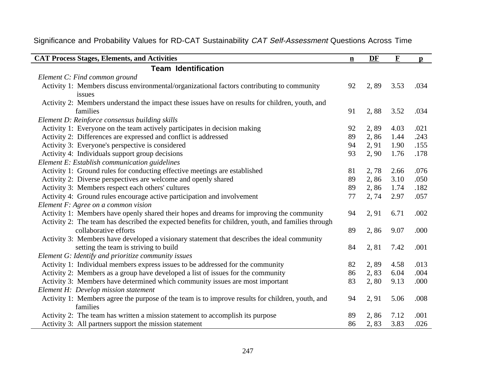| <b>CAT Process Stages, Elements, and Activities</b>                                                          | $\mathbf{n}$ | DF    | $\mathbf F$ | $\mathbf{p}$ |
|--------------------------------------------------------------------------------------------------------------|--------------|-------|-------------|--------------|
| <b>Team Identification</b>                                                                                   |              |       |             |              |
| Element C: Find common ground                                                                                |              |       |             |              |
| Activity 1: Members discuss environmental/organizational factors contributing to community<br>issues         | 92           | 2,89  | 3.53        | .034         |
| Activity 2: Members understand the impact these issues have on results for children, youth, and<br>families  | 91           | 2,88  | 3.52        | .034         |
| Element D: Reinforce consensus building skills                                                               |              |       |             |              |
| Activity 1: Everyone on the team actively participates in decision making                                    | 92           | 2,89  | 4.03        | .021         |
| Activity 2: Differences are expressed and conflict is addressed                                              | 89           | 2,86  | 1.44        | .243         |
| Activity 3: Everyone's perspective is considered                                                             | 94           | 2, 91 | 1.90        | .155         |
| Activity 4: Individuals support group decisions                                                              | 93           | 2,90  | 1.76        | .178         |
| Element E: Establish communication guidelines                                                                |              |       |             |              |
| Activity 1: Ground rules for conducting effective meetings are established                                   | 81           | 2,78  | 2.66        | .076         |
| Activity 2: Diverse perspectives are welcome and openly shared                                               | 89           | 2,86  | 3.10        | .050         |
| Activity 3: Members respect each others' cultures                                                            | 89           | 2,86  | 1.74        | .182         |
| Activity 4: Ground rules encourage active participation and involvement                                      | 77           | 2,74  | 2.97        | .057         |
| Element F: Agree on a common vision                                                                          |              |       |             |              |
| Activity 1: Members have openly shared their hopes and dreams for improving the community                    | 94           | 2, 91 | 6.71        | .002         |
| Activity 2: The team has described the expected benefits for children, youth, and families through           |              |       |             |              |
| collaborative efforts                                                                                        | 89           | 2,86  | 9.07        | .000         |
| Activity 3: Members have developed a visionary statement that describes the ideal community                  |              |       |             |              |
| setting the team is striving to build                                                                        | 84           | 2,81  | 7.42        | .001         |
| Element G: Identify and prioritize community issues                                                          |              |       |             |              |
| Activity 1: Individual members express issues to be addressed for the community                              | 82           | 2,89  | 4.58        | .013         |
| Activity 2: Members as a group have developed a list of issues for the community                             | 86           | 2,83  | 6.04        | .004         |
| Activity 3: Members have determined which community issues are most important                                | 83           | 2,80  | 9.13        | .000         |
| Element H: Develop mission statement                                                                         |              |       |             |              |
| Activity 1: Members agree the purpose of the team is to improve results for children, youth, and<br>families | 94           | 2, 91 | 5.06        | .008         |
| Activity 2: The team has written a mission statement to accomplish its purpose                               | 89           | 2,86  | 7.12        | .001         |
| Activity 3: All partners support the mission statement                                                       | 86           | 2,83  | 3.83        | .026         |

## Significance and Probability Values for RD-CAT Sustainability CAT Self-Assessment Questions Across Time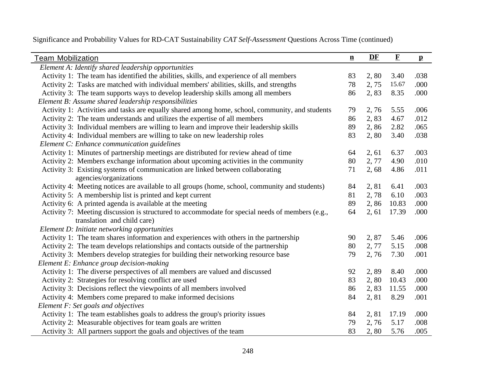| <b>Team Mobilization</b>                                                                        | $\underline{\mathbf{n}}$ | DF    | $\mathbf F$ | $\mathbf{p}$ |
|-------------------------------------------------------------------------------------------------|--------------------------|-------|-------------|--------------|
| Element A: Identify shared leadership opportunities                                             |                          |       |             |              |
| Activity 1: The team has identified the abilities, skills, and experience of all members        | 83                       | 2,80  | 3.40        | .038         |
| Activity 2: Tasks are matched with individual members' abilities, skills, and strengths         | 78                       | 2,75  | 15.67       | .000         |
| Activity 3: The team supports ways to develop leadership skills among all members               | 86                       | 2,83  | 8.35        | .000         |
| Element B: Assume shared leadership responsibilities                                            |                          |       |             |              |
| Activity 1: Activities and tasks are equally shared among home, school, community, and students | 79                       | 2,76  | 5.55        | .006         |
| Activity 2: The team understands and utilizes the expertise of all members                      | 86                       | 2,83  | 4.67        | .012         |
| Activity 3: Individual members are willing to learn and improve their leadership skills         | 89                       | 2,86  | 2.82        | .065         |
| Activity 4: Individual members are willing to take on new leadership roles                      | 83                       | 2,80  | 3.40        | .038         |
| Element C: Enhance communication guidelines                                                     |                          |       |             |              |
| Activity 1: Minutes of partnership meetings are distributed for review ahead of time            | 64                       | 2, 61 | 6.37        | .003         |
| Activity 2: Members exchange information about upcoming activities in the community             | 80                       | 2,77  | 4.90        | .010         |
| Activity 3: Existing systems of communication are linked between collaborating                  | 71                       | 2,68  | 4.86        | .011         |
| agencies/organizations                                                                          |                          |       |             |              |
| Activity 4: Meeting notices are available to all groups (home, school, community and students)  | 84                       | 2,81  | 6.41        | .003         |
| Activity 5: A membership list is printed and kept current                                       | 81                       | 2,78  | 6.10        | .003         |
| Activity 6: A printed agenda is available at the meeting                                        | 89                       | 2,86  | 10.83       | .000         |
| Activity 7: Meeting discussion is structured to accommodate for special needs of members (e.g., | 64                       | 2, 61 | 17.39       | .000         |
| translation and child care)                                                                     |                          |       |             |              |
| Element D: Initiate networking opportunities                                                    |                          |       |             |              |
| Activity 1: The team shares information and experiences with others in the partnership          | 90                       | 2,87  | 5.46        | .006         |
| Activity 2: The team develops relationships and contacts outside of the partnership             | 80                       | 2, 77 | 5.15        | .008         |
| Activity 3: Members develop strategies for building their networking resource base              | 79                       | 2,76  | 7.30        | .001         |
| Element E: Enhance group decision-making                                                        |                          |       |             |              |
| Activity 1: The diverse perspectives of all members are valued and discussed                    | 92                       | 2,89  | 8.40        | .000         |
| Activity 2: Strategies for resolving conflict are used                                          | 83                       | 2,80  | 10.43       | .000         |
| Activity 3: Decisions reflect the viewpoints of all members involved                            | 86                       | 2,83  | 11.55       | .000         |
| Activity 4: Members come prepared to make informed decisions                                    | 84                       | 2,81  | 8.29        | .001         |
| Element F: Set goals and objectives                                                             |                          |       |             |              |
| Activity 1: The team establishes goals to address the group's priority issues                   | 84                       | 2,81  | 17.19       | .000         |
| Activity 2: Measurable objectives for team goals are written                                    | 79                       | 2,76  | 5.17        | .008         |
| Activity 3: All partners support the goals and objectives of the team                           | 83                       | 2,80  | 5.76        | .005         |

Significance and Probability Values for RD-CAT Sustainability *CAT Self-Assessment* Questions Across Time (continued)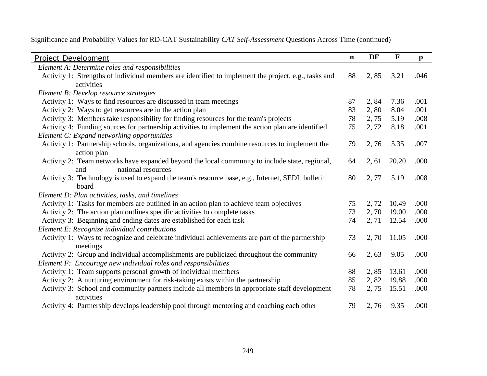| <b>Project Development</b>                                                                           | $\mathbf{n}$ | DF    | ${\bf F}$ | $\mathbf{p}$ |
|------------------------------------------------------------------------------------------------------|--------------|-------|-----------|--------------|
| Element A: Determine roles and responsibilities                                                      |              |       |           |              |
| Activity 1: Strengths of individual members are identified to implement the project, e.g., tasks and | 88           | 2,85  | 3.21      | .046         |
| activities                                                                                           |              |       |           |              |
| Element B: Develop resource strategies                                                               |              |       |           |              |
| Activity 1: Ways to find resources are discussed in team meetings                                    | 87           | 2,84  | 7.36      | .001         |
| Activity 2: Ways to get resources are in the action plan                                             | 83           | 2,80  | 8.04      | .001         |
| Activity 3: Members take responsibility for finding resources for the team's projects                | 78           | 2,75  | 5.19      | .008         |
| Activity 4: Funding sources for partnership activities to implement the action plan are identified   | 75           | 2,72  | 8.18      | .001         |
| Element C: Expand networking opportunities                                                           |              |       |           |              |
| Activity 1: Partnership schools, organizations, and agencies combine resources to implement the      | 79           | 2,76  | 5.35      | .007         |
| action plan                                                                                          |              |       |           |              |
| Activity 2: Team networks have expanded beyond the local community to include state, regional,       | 64           | 2, 61 | 20.20     | .000         |
| national resources<br>and                                                                            |              |       |           |              |
| Activity 3: Technology is used to expand the team's resource base, e.g., Internet, SEDL bulletin     | 80           | 2, 77 | 5.19      | .008         |
| board                                                                                                |              |       |           |              |
| Element D: Plan activities, tasks, and timelines                                                     |              |       |           |              |
| Activity 1: Tasks for members are outlined in an action plan to achieve team objectives              | 75           | 2,72  | 10.49     | .000         |
| Activity 2: The action plan outlines specific activities to complete tasks                           | 73           | 2, 70 | 19.00     | .000         |
| Activity 3: Beginning and ending dates are established for each task                                 | 74           | 2, 71 | 12.54     | .000         |
| Element E: Recognize individual contributions                                                        |              |       |           |              |
| Activity 1: Ways to recognize and celebrate individual achievements are part of the partnership      | 73           | 2,70  | 11.05     | .000         |
| meetings                                                                                             |              |       |           |              |
| Activity 2: Group and individual accomplishments are publicized throughout the community             | 66           | 2,63  | 9.05      | .000         |
| Element F: Encourage new individual roles and responsibilities                                       |              |       |           |              |
| Activity 1: Team supports personal growth of individual members                                      | 88           | 2,85  | 13.61     | .000         |
| Activity 2: A nurturing environment for risk-taking exists within the partnership                    | 85           | 2,82  | 19.88     | .000         |
| Activity 3: School and community partners include all members in appropriate staff development       | 78           | 2,75  | 15.51     | .000         |
| activities                                                                                           |              |       |           |              |
| Activity 4: Partnership develops leadership pool through mentoring and coaching each other           | 79           | 2,76  | 9.35      | .000         |

Significance and Probability Values for RD-CAT Sustainability *CAT Self-Assessment* Questions Across Time (continued)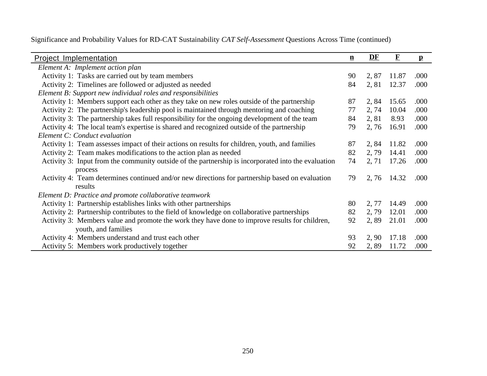| <b>Project Implementation</b>                                                                       | $\mathbf n$ | DF    | $\mathbf F$ | $\mathbf{p}$ |
|-----------------------------------------------------------------------------------------------------|-------------|-------|-------------|--------------|
| Element A: Implement action plan                                                                    |             |       |             |              |
| Activity 1: Tasks are carried out by team members                                                   | 90          | 2,87  | 11.87       | .000         |
| Activity 2: Timelines are followed or adjusted as needed                                            | 84          | 2,81  | 12.37       | .000         |
| Element B: Support new individual roles and responsibilities                                        |             |       |             |              |
| Activity 1: Members support each other as they take on new roles outside of the partnership         | 87          | 2,84  | 15.65       | .000         |
| Activity 2: The partnership's leadership pool is maintained through mentoring and coaching          | 77          | 2, 74 | 10.04       | .000         |
| Activity 3: The partnership takes full responsibility for the ongoing development of the team       | 84          | 2,81  | 8.93        | .000         |
| Activity 4: The local team's expertise is shared and recognized outside of the partnership          | 79          | 2,76  | 16.91       | .000         |
| Element C: Conduct evaluation                                                                       |             |       |             |              |
| Activity 1: Team assesses impact of their actions on results for children, youth, and families      | 87          | 2,84  | 11.82       | .000         |
| Activity 2: Team makes modifications to the action plan as needed                                   | 82          | 2,79  | 14.41       | .000         |
| Activity 3: Input from the community outside of the partnership is incorporated into the evaluation | 74          | 2, 71 | 17.26       | .000         |
| process                                                                                             |             |       |             |              |
| Activity 4: Team determines continued and/or new directions for partnership based on evaluation     | 79          | 2,76  | 14.32       | .000         |
| results                                                                                             |             |       |             |              |
| Element D: Practice and promote collaborative teamwork                                              |             |       |             |              |
| Activity 1: Partnership establishes links with other partnerships                                   | 80          | 2, 77 | 14.49       | .000         |
| Activity 2: Partnership contributes to the field of knowledge on collaborative partnerships         | 82          | 2,79  | 12.01       | .000         |
| Activity 3: Members value and promote the work they have done to improve results for children,      | 92          | 2,89  | 21.01       | .000         |
| youth, and families                                                                                 |             |       |             |              |
| Activity 4: Members understand and trust each other                                                 | 93          | 2, 90 | 17.18       | .000         |
| Activity 5: Members work productively together                                                      | 92          | 2,89  | 11.72       | .000         |

Significance and Probability Values for RD-CAT Sustainability *CAT Self-Assessment* Questions Across Time (continued)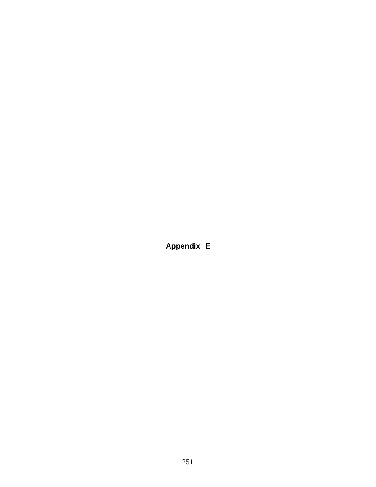**Appendix E**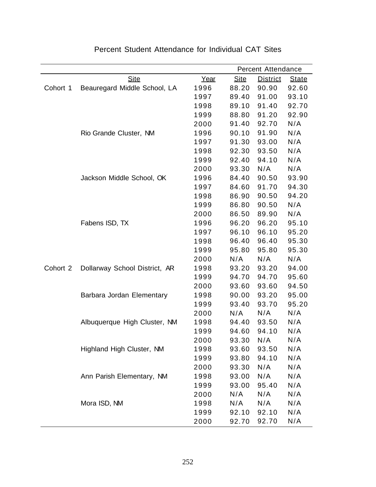|          |                               |      |             | Percent Attendance |              |
|----------|-------------------------------|------|-------------|--------------------|--------------|
|          | <b>Site</b>                   | Year | <b>Site</b> | <b>District</b>    | <b>State</b> |
| Cohort 1 | Beauregard Middle School, LA  | 1996 | 88.20       | 90.90              | 92.60        |
|          |                               | 1997 | 89.40       | 91.00              | 93.10        |
|          |                               | 1998 | 89.10       | 91.40              | 92.70        |
|          |                               | 1999 | 88.80       | 91.20              | 92.90        |
|          |                               | 2000 | 91.40       | 92.70              | N/A          |
|          | Rio Grande Cluster, NM        | 1996 | 90.10       | 91.90              | N/A          |
|          |                               | 1997 | 91.30       | 93.00              | N/A          |
|          |                               | 1998 | 92.30       | 93.50              | N/A          |
|          |                               | 1999 | 92.40       | 94.10              | N/A          |
|          |                               | 2000 | 93.30       | N/A                | N/A          |
|          | Jackson Middle School, OK     | 1996 | 84.40       | 90.50              | 93.90        |
|          |                               | 1997 | 84.60       | 91.70              | 94.30        |
|          |                               | 1998 | 86.90       | 90.50              | 94.20        |
|          |                               | 1999 | 86.80       | 90.50              | N/A          |
|          |                               | 2000 | 86.50       | 89.90              | N/A          |
|          | Fabens ISD, TX                | 1996 | 96.20       | 96.20              | 95.10        |
|          |                               | 1997 | 96.10       | 96.10              | 95.20        |
|          |                               | 1998 | 96.40       | 96.40              | 95.30        |
|          |                               | 1999 | 95.80       | 95.80              | 95.30        |
|          |                               | 2000 | N/A         | N/A                | N/A          |
| Cohort 2 | Dollarway School District, AR | 1998 | 93.20       | 93.20              | 94.00        |
|          |                               | 1999 | 94.70       | 94.70              | 95.60        |
|          |                               | 2000 | 93.60       | 93.60              | 94.50        |
|          | Barbara Jordan Elementary     | 1998 | 90.00       | 93.20              | 95.00        |
|          |                               | 1999 | 93.40       | 93.70              | 95.20        |
|          |                               | 2000 | N/A         | N/A                | N/A          |
|          | Albuquerque High Cluster, NM  | 1998 | 94.40       | 93.50              | N/A          |
|          |                               | 1999 | 94.60       | 94.10              | N/A          |
|          |                               | 2000 | 93.30       | N/A                | N/A          |
|          | Highland High Cluster, NM     | 1998 | 93.60       | 93.50              | N/A          |
|          |                               | 1999 | 93.80       | 94.10              | N/A          |
|          |                               | 2000 | 93.30       | N/A                | N/A          |
|          | Ann Parish Elementary, NM     | 1998 | 93.00       | N/A                | N/A          |
|          |                               | 1999 | 93.00       | 95.40              | N/A          |
|          |                               | 2000 | N/A         | N/A                | N/A          |
|          | Mora ISD, NM                  | 1998 | N/A         | N/A                | N/A          |
|          |                               | 1999 | 92.10       | 92.10              | N/A          |
|          |                               | 2000 | 92.70       | 92.70              | N/A          |

## Percent Student Attendance for Individual CAT Sites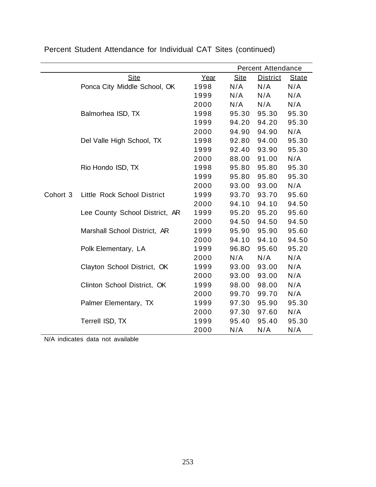|          |                                |      |             | <b>Percent Attendance</b> |              |
|----------|--------------------------------|------|-------------|---------------------------|--------------|
|          | <b>Site</b>                    | Year | <b>Site</b> | <b>District</b>           | <b>State</b> |
|          | Ponca City Middle School, OK   | 1998 | N/A         | N/A                       | N/A          |
|          |                                | 1999 | N/A         | N/A                       | N/A          |
|          |                                | 2000 | N/A         | N/A                       | N/A          |
|          | Balmorhea ISD, TX              | 1998 | 95.30       | 95.30                     | 95.30        |
|          |                                | 1999 | 94.20       | 94.20                     | 95.30        |
|          |                                | 2000 | 94.90       | 94.90                     | N/A          |
|          | Del Valle High School, TX      | 1998 | 92.80       | 94.00                     | 95.30        |
|          |                                | 1999 | 92.40       | 93.90                     | 95.30        |
|          |                                | 2000 | 88.00       | 91.00                     | N/A          |
|          | Rio Hondo ISD, TX              | 1998 | 95.80       | 95.80                     | 95.30        |
|          |                                | 1999 | 95.80       | 95.80                     | 95.30        |
|          |                                | 2000 | 93.00       | 93.00                     | N/A          |
| Cohort 3 | Little Rock School District    | 1999 | 93.70       | 93.70                     | 95.60        |
|          |                                | 2000 | 94.10       | 94.10                     | 94.50        |
|          | Lee County School District, AR | 1999 | 95.20       | 95.20                     | 95.60        |
|          |                                | 2000 | 94.50       | 94.50                     | 94.50        |
|          | Marshall School District, AR   | 1999 | 95.90       | 95.90                     | 95.60        |
|          |                                | 2000 | 94.10       | 94.10                     | 94.50        |
|          | Polk Elementary, LA            | 1999 | 96.8O       | 95.60                     | 95.20        |
|          |                                | 2000 | N/A         | N/A                       | N/A          |
|          | Clayton School District, OK    | 1999 | 93.00       | 93.00                     | N/A          |
|          |                                | 2000 | 93.00       | 93.00                     | N/A          |
|          | Clinton School District, OK    | 1999 | 98.00       | 98.00                     | N/A          |
|          |                                | 2000 | 99.70       | 99.70                     | N/A          |
|          | Palmer Elementary, TX          | 1999 | 97.30       | 95.90                     | 95.30        |
|          |                                | 2000 | 97.30       | 97.60                     | N/A          |
|          | Terrell ISD, TX                | 1999 | 95.40       | 95.40                     | 95.30        |
|          |                                | 2000 | N/A         | N/A                       | N/A          |

Percent Student Attendance for Individual CAT Sites (continued)

N/A indicates data not available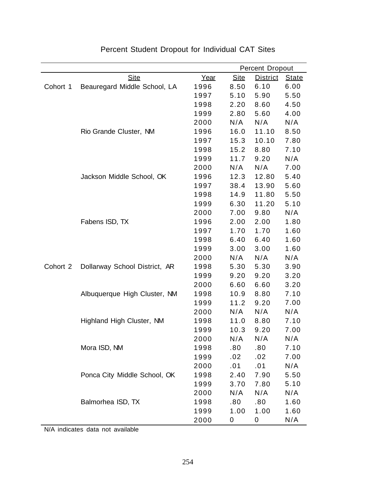|          |                               |      |             | <b>Percent Dropout</b> |              |  |  |
|----------|-------------------------------|------|-------------|------------------------|--------------|--|--|
|          | <b>Site</b>                   | Year | <b>Site</b> | <b>District</b>        | <b>State</b> |  |  |
| Cohort 1 | Beauregard Middle School, LA  | 1996 | 8.50        | 6.10                   | 6.00         |  |  |
|          |                               | 1997 | 5.10        | 5.90                   | 5.50         |  |  |
|          |                               | 1998 | 2.20        | 8.60                   | 4.50         |  |  |
|          |                               | 1999 | 2.80        | 5.60                   | 4.00         |  |  |
|          |                               | 2000 | N/A         | N/A                    | N/A          |  |  |
|          | Rio Grande Cluster, NM        | 1996 | 16.0        | 11.10                  | 8.50         |  |  |
|          |                               | 1997 | 15.3        | 10.10                  | 7.80         |  |  |
|          |                               | 1998 | 15.2        | 8.80                   | 7.10         |  |  |
|          |                               | 1999 | 11.7        | 9.20                   | N/A          |  |  |
|          |                               | 2000 | N/A         | N/A                    | 7.00         |  |  |
|          | Jackson Middle School, OK     | 1996 | 12.3        | 12.80                  | 5.40         |  |  |
|          |                               | 1997 | 38.4        | 13.90                  | 5.60         |  |  |
|          |                               | 1998 | 14.9        | 11.80                  | 5.50         |  |  |
|          |                               | 1999 | 6.30        | 11.20                  | 5.10         |  |  |
|          |                               | 2000 | 7.00        | 9.80                   | N/A          |  |  |
|          | Fabens ISD, TX                | 1996 | 2.00        | 2.00                   | 1.80         |  |  |
|          |                               | 1997 | 1.70        | 1.70                   | 1.60         |  |  |
|          |                               | 1998 | 6.40        | 6.40                   | 1.60         |  |  |
|          |                               | 1999 | 3.00        | 3.00                   | 1.60         |  |  |
|          |                               | 2000 | N/A         | N/A                    | N/A          |  |  |
| Cohort 2 | Dollarway School District, AR | 1998 | 5.30        | 5.30                   | 3.90         |  |  |
|          |                               | 1999 | 9.20        | 9.20                   | 3.20         |  |  |
|          |                               | 2000 | 6.60        | 6.60                   | 3.20         |  |  |
|          | Albuquerque High Cluster, NM  | 1998 | 10.9        | 8.80                   | 7.10         |  |  |
|          |                               | 1999 | 11.2        | 9.20                   | 7.00         |  |  |
|          |                               | 2000 | N/A         | N/A                    | N/A          |  |  |
|          | Highland High Cluster, NM     | 1998 | 11.0        | 8.80                   | 7.10         |  |  |
|          |                               | 1999 | 10.3        | 9.20                   | 7.00         |  |  |
|          |                               | 2000 | N/A         | N/A                    | N/A          |  |  |
|          | Mora ISD, NM                  | 1998 | .80         | .80                    | 7.10         |  |  |
|          |                               | 1999 | .02         | .02                    | 7.00         |  |  |
|          |                               | 2000 | .01         | .01                    | N/A          |  |  |
|          | Ponca City Middle School, OK  | 1998 | 2.40        | 7.90                   | 5.50         |  |  |
|          |                               | 1999 | 3.70        | 7.80                   | 5.10         |  |  |
|          |                               | 2000 | N/A         | N/A                    | N/A          |  |  |
|          | Balmorhea ISD, TX             | 1998 | .80         | .80                    | 1.60         |  |  |
|          |                               | 1999 | 1.00        | 1.00                   | 1.60         |  |  |
|          |                               | 2000 | 0           | 0                      | N/A          |  |  |

## Percent Student Dropout for Individual CAT Sites

N/A indicates data not available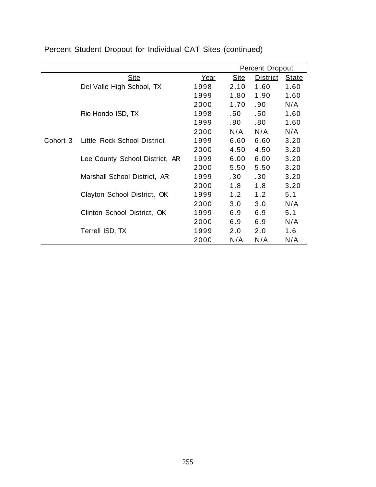|                                      |      |             | <b>Percent Dropout</b> |              |
|--------------------------------------|------|-------------|------------------------|--------------|
| <b>Site</b>                          | Year | <b>Site</b> | <b>District</b>        | <b>State</b> |
| Del Valle High School, TX            | 1998 | 2.10        | 1.60                   | 1.60         |
|                                      | 1999 | 1.80        | 1.90                   | 1.60         |
|                                      | 2000 | 1.70        | .90                    | N/A          |
| Rio Hondo ISD, TX                    | 1998 | .50         | .50 <sub>1</sub>       | 1.60         |
|                                      | 1999 | .80         | .80                    | 1.60         |
|                                      | 2000 | N/A         | N/A                    | N/A          |
| Cohort 3 Little Rock School District | 1999 | 6.60        | 6.60                   | 3.20         |
|                                      | 2000 | 4.50        | 4.50                   | 3.20         |
| Lee County School District, AR       | 1999 | 6.00        | 6.00                   | 3.20         |
|                                      | 2000 | 5.50        | 5.50                   | 3.20         |
| Marshall School District, AR         | 1999 | .30         | .30                    | 3.20         |
|                                      | 2000 | 1.8         | 1.8                    | 3.20         |
| Clayton School District, OK          | 1999 | 1.2         | 1.2                    | 5.1          |
|                                      | 2000 | 3.0         | 3.0                    | N/A          |
| Clinton School District, OK          | 1999 | 6.9         | 6.9                    | 5.1          |
|                                      | 2000 | 6.9         | 6.9                    | N/A          |
| Terrell ISD, TX                      | 1999 | 2.0         | 2.0                    | 1.6          |
|                                      | 2000 | N/A         | N/A                    | N/A          |

Percent Student Dropout for Individual CAT Sites (continued)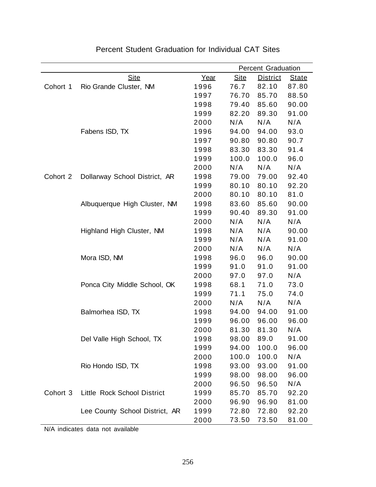|          |                                |      | <b>Percent Graduation</b> |                 |              |  |
|----------|--------------------------------|------|---------------------------|-----------------|--------------|--|
|          | <b>Site</b>                    | Year | <b>Site</b>               | <b>District</b> | <b>State</b> |  |
| Cohort 1 | Rio Grande Cluster, NM         | 1996 | 76.7                      | 82.10           | 87.80        |  |
|          |                                | 1997 | 76.70                     | 85.70           | 88.50        |  |
|          |                                | 1998 | 79.40                     | 85.60           | 90.00        |  |
|          |                                | 1999 | 82.20                     | 89.30           | 91.00        |  |
|          |                                | 2000 | N/A                       | N/A             | N/A          |  |
|          | Fabens ISD, TX                 | 1996 | 94.00                     | 94.00           | 93.0         |  |
|          |                                | 1997 | 90.80                     | 90.80           | 90.7         |  |
|          |                                | 1998 | 83.30                     | 83.30           | 91.4         |  |
|          |                                | 1999 | 100.0                     | 100.0           | 96.0         |  |
|          |                                | 2000 | N/A                       | N/A             | N/A          |  |
| Cohort 2 | Dollarway School District, AR  | 1998 | 79.00                     | 79.00           | 92.40        |  |
|          |                                | 1999 | 80.10                     | 80.10           | 92.20        |  |
|          |                                | 2000 | 80.10                     | 80.10           | 81.0         |  |
|          | Albuquerque High Cluster, NM   | 1998 | 83.60                     | 85.60           | 90.00        |  |
|          |                                | 1999 | 90.40                     | 89.30           | 91.00        |  |
|          |                                | 2000 | N/A                       | N/A             | N/A          |  |
|          | Highland High Cluster, NM      | 1998 | N/A                       | N/A             | 90.00        |  |
|          |                                | 1999 | N/A                       | N/A             | 91.00        |  |
|          |                                | 2000 | N/A                       | N/A             | N/A          |  |
|          | Mora ISD, NM                   | 1998 | 96.0                      | 96.0            | 90.00        |  |
|          |                                | 1999 | 91.0                      | 91.0            | 91.00        |  |
|          |                                | 2000 | 97.0                      | 97.0            | N/A          |  |
|          | Ponca City Middle School, OK   | 1998 | 68.1                      | 71.0            | 73.0         |  |
|          |                                | 1999 | 71.1                      | 75.0            | 74.0         |  |
|          |                                | 2000 | N/A                       | N/A             | N/A          |  |
|          | Balmorhea ISD, TX              | 1998 | 94.00                     | 94.00           | 91.00        |  |
|          |                                | 1999 | 96.00                     | 96.00           | 96.00        |  |
|          |                                | 2000 | 81.30                     | 81.30           | N/A          |  |
|          | Del Valle High School, TX      | 1998 | 98.00                     | 89.0            | 91.00        |  |
|          |                                | 1999 | 94.00                     | 100.0           | 96.00        |  |
|          |                                | 2000 | 100.0                     | 100.0           | N/A          |  |
|          | Rio Hondo ISD, TX              | 1998 | 93.00                     | 93.00           | 91.00        |  |
|          |                                | 1999 | 98.00                     | 98.00           | 96.00        |  |
|          |                                | 2000 | 96.50                     | 96.50           | N/A          |  |
| Cohort 3 | Little Rock School District    | 1999 | 85.70                     | 85.70           | 92.20        |  |
|          |                                | 2000 | 96.90                     | 96.90           | 81.00        |  |
|          | Lee County School District, AR | 1999 | 72.80                     | 72.80           | 92.20        |  |
|          |                                | 2000 | 73.50                     | 73.50           | 81.00        |  |

Percent Student Graduation for Individual CAT Sites

N/A indicates data not available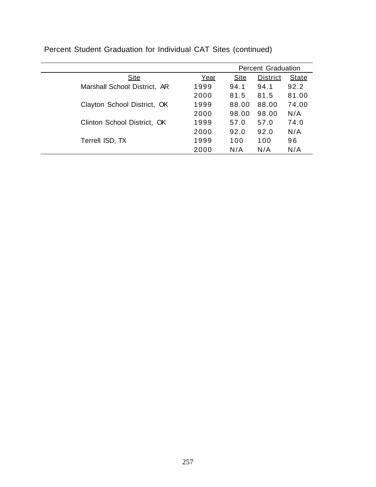|                              |      | <b>Percent Graduation</b> |                 |              |
|------------------------------|------|---------------------------|-----------------|--------------|
| <b>Site</b>                  | Year | <b>Site</b>               | <b>District</b> | <b>State</b> |
| Marshall School District, AR | 1999 | 94.1                      | 94.1            | 92.2         |
|                              | 2000 | 81.5                      | 81.5            | 81.00        |
| Clayton School District, OK  | 1999 | 88.00                     | 88.00           | 74.00        |
|                              | 2000 | 98.00                     | 98.00           | N/A          |
| Clinton School District, OK  | 1999 | 57.0                      | 57.0            | 74.0         |
|                              | 2000 | 92.0                      | 92.0            | N/A          |
| Terrell ISD, TX              | 1999 | 100                       | 100             | 96           |
|                              | 2000 | N/A                       | N/A             | N/A          |

Percent Student Graduation for Individual CAT Sites (continued)